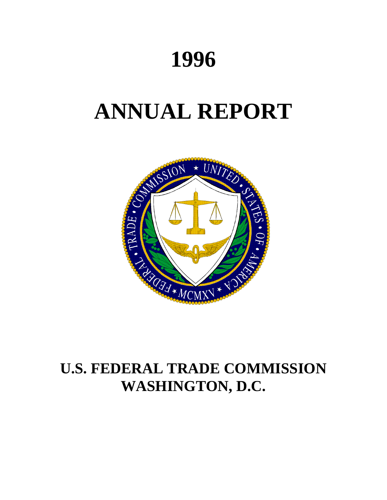# **1996**

# **ANNUAL REPORT**



# **U.S. FEDERAL TRADE COMMISSION WASHINGTON, D.C.**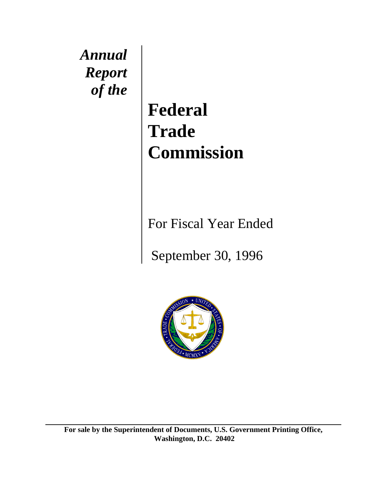*Annual Report of the* 

**Federal Trade Commission**

For Fiscal Year Ended

September 30, 1996



**For sale by the Superintendent of Documents, U.S. Government Printing Office, Washington, D.C. 20402**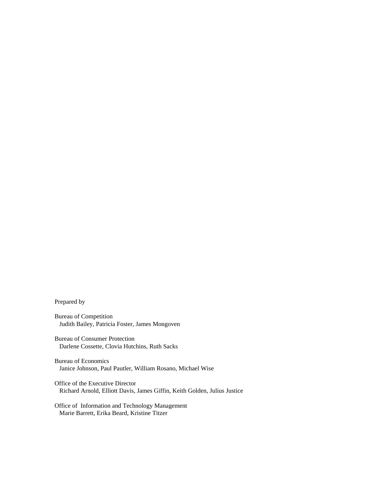Prepared by

Bureau of Competition Judith Bailey, Patricia Foster, James Mongoven

Bureau of Consumer Protection Darlene Cossette, Clovia Hutchins, Ruth Sacks

Bureau of Economics Janice Johnson, Paul Pautler, William Rosano, Michael Wise

Office of the Executive Director Richard Arnold, Elliott Davis, James Giffin, Keith Golden, Julius Justice

Office of Information and Technology Management Marie Barrett, Erika Beard, Kristine Titzer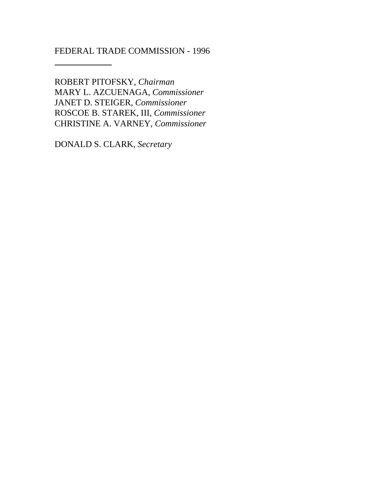# FEDERAL TRADE COMMISSION - 1996

 $\overline{\phantom{a}}$ 

ROBERT PITOFSKY*, Chairman* MARY L. AZCUENAGA, *Commissioner* JANET D. STEIGER, *Commissioner* ROSCOE B. STAREK, III, *Commissioner* CHRISTINE A. VARNEY, *Commissioner*

DONALD S. CLARK, *Secretary*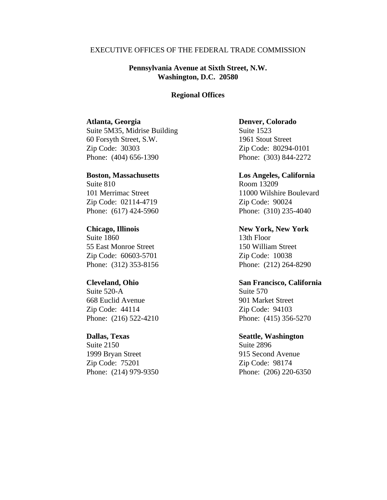# EXECUTIVE OFFICES OF THE FEDERAL TRADE COMMISSION

# **Pennsylvania Avenue at Sixth Street, N.W. Washington, D.C. 20580**

# **Regional Offices**

# **Atlanta, Georgia**

Suite 5M35, Midrise Building 60 Forsyth Street, S.W. Zip Code: 30303 Phone: (404) 656-1390

### **Boston, Massachusetts**

Suite 810 101 Merrimac Street Zip Code: 02114-4719 Phone: (617) 424-5960

**Chicago, Illinois** Suite 1860 55 East Monroe Street Zip Code: 60603-5701 Phone: (312) 353-8156

# **Cleveland, Ohio**

Suite 520-A 668 Euclid Avenue Zip Code: 44114 Phone: (216) 522-4210

# **Dallas, Texas**

Suite 2150 1999 Bryan Street Zip Code: 75201 Phone: (214) 979-9350

# **Denver, Colorado**

Suite 1523 1961 Stout Street Zip Code: 80294-0101 Phone: (303) 844-2272

**Los Angeles, California** Room 13209 11000 Wilshire Boulevard Zip Code: 90024 Phone: (310) 235-4040

**New York, New York**

13th Floor 150 William Street Zip Code: 10038 Phone: (212) 264-8290

# **San Francisco, California**

Suite 570 901 Market Street Zip Code: 94103 Phone: (415) 356-5270

# **Seattle, Washington**

Suite 2896 915 Second Avenue Zip Code: 98174 Phone: (206) 220-6350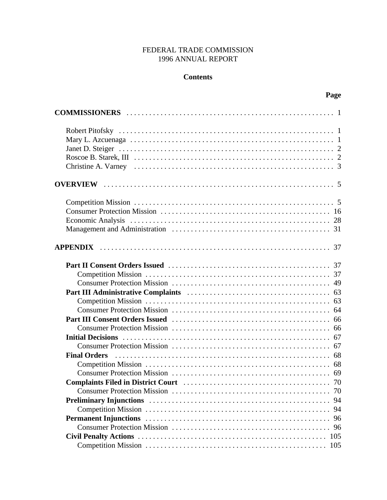# FEDERAL TRADE COMMISSION 1996 ANNUAL REPORT

# **Contents**

| $\ldots$ 70    |
|----------------|
| 94<br>94<br>96 |
| 96             |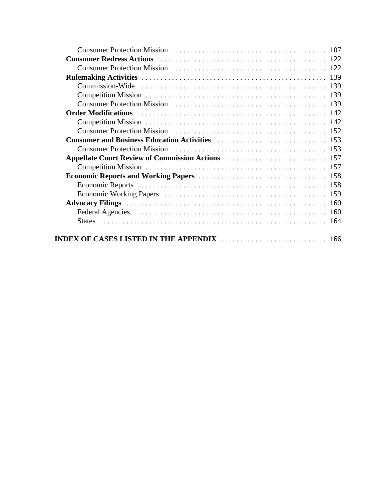|                                                                                                                                                                                                                                      | 107 |
|--------------------------------------------------------------------------------------------------------------------------------------------------------------------------------------------------------------------------------------|-----|
|                                                                                                                                                                                                                                      | 122 |
|                                                                                                                                                                                                                                      |     |
|                                                                                                                                                                                                                                      | 139 |
|                                                                                                                                                                                                                                      | 139 |
|                                                                                                                                                                                                                                      | 139 |
|                                                                                                                                                                                                                                      |     |
|                                                                                                                                                                                                                                      |     |
|                                                                                                                                                                                                                                      | 142 |
|                                                                                                                                                                                                                                      |     |
| <b>Consumer and Business Education Activities Material Activities (Separation Activities Activities Activities Activities Activities (Separation Activities Activities Activities Activities Activities Activities Activities Ac</b> |     |
|                                                                                                                                                                                                                                      |     |
|                                                                                                                                                                                                                                      |     |
|                                                                                                                                                                                                                                      |     |
|                                                                                                                                                                                                                                      |     |
|                                                                                                                                                                                                                                      |     |
|                                                                                                                                                                                                                                      |     |
|                                                                                                                                                                                                                                      | 160 |
|                                                                                                                                                                                                                                      | 160 |
|                                                                                                                                                                                                                                      | 164 |
| INDEX OF CASES LISTED IN THE APPENDIX $\,\dots\, \dots\, \dots\, \dots\, \dots\, \dots\, \dots\, \dots\, \ 166$                                                                                                                      |     |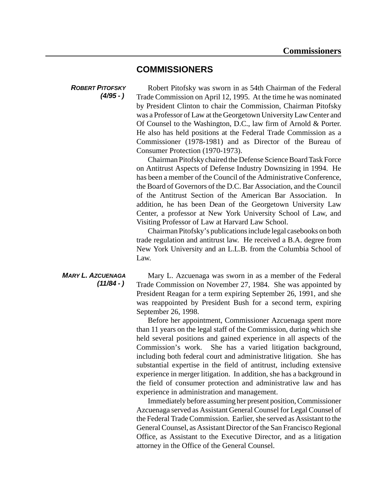# **COMMISSIONERS**

*ROBERT PITOFSKY (4/95 - )* 

Robert Pitofsky was sworn in as 54th Chairman of the Federal Trade Commission on April 12, 1995. At the time he was nominated by President Clinton to chair the Commission, Chairman Pitofsky was a Professor of Law at the Georgetown UniversityLaw Center and Of Counsel to the Washington, D.C., law firm of Arnold & Porter. He also has held positions at the Federal Trade Commission as a Commissioner (1978-1981) and as Director of the Bureau of Consumer Protection (1970-1973).

Chairman Pitofskychaired the Defense Science Board Task Force on Antitrust Aspects of Defense Industry Downsizing in 1994. He has been a member of the Council of the Administrative Conference, the Board of Governors of the D.C. Bar Association, and the Council of the Antitrust Section of the American Bar Association. In addition, he has been Dean of the Georgetown University Law Center, a professor at New York University School of Law, and Visiting Professor of Law at Harvard Law School.

Chairman Pitofsky's publications include legal casebooks on both trade regulation and antitrust law. He received a B.A. degree from New York University and an L.L.B. from the Columbia School of Law.

*MARY L. AZCUENAGA (11/84 - )*  Mary L. Azcuenaga was sworn in as a member of the Federal Trade Commission on November 27, 1984. She was appointed by President Reagan for a term expiring September 26, 1991, and she was reappointed by President Bush for a second term, expiring September 26, 1998.

> Before her appointment, Commissioner Azcuenaga spent more than 11 years on the legal staff of the Commission, during which she held several positions and gained experience in all aspects of the Commission's work. She has a varied litigation background, including both federal court and administrative litigation. She has substantial expertise in the field of antitrust, including extensive experience in merger litigation. In addition, she has a background in the field of consumer protection and administrative law and has experience in administration and management.

> Immediately before assuming her present position, Commissioner Azcuenaga served as Assistant General Counsel for Legal Counsel of the Federal Trade Commission. Earlier, she served as Assistant to the General Counsel, as Assistant Director of the San Francisco Regional Office, as Assistant to the Executive Director, and as a litigation attorney in the Office of the General Counsel.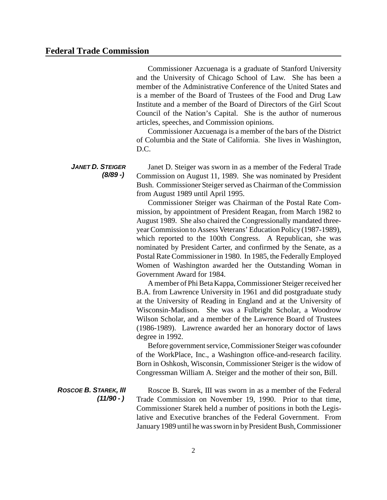Commissioner Azcuenaga is a graduate of Stanford University and the University of Chicago School of Law. She has been a member of the Administrative Conference of the United States and is a member of the Board of Trustees of the Food and Drug Law Institute and a member of the Board of Directors of the Girl Scout Council of the Nation's Capital. She is the author of numerous articles, speeches, and Commission opinions.

Commissioner Azcuenaga is a member of the bars of the District of Columbia and the State of California. She lives in Washington, D.C.

*JANET D. STEIGER (8/89 -)*  Janet D. Steiger was sworn in as a member of the Federal Trade Commission on August 11, 1989. She was nominated by President Bush. Commissioner Steiger served as Chairman of the Commission from August 1989 until April 1995.

> Commissioner Steiger was Chairman of the Postal Rate Commission, by appointment of President Reagan, from March 1982 to August 1989. She also chaired the Congressionally mandated threeyearCommission to Assess Veterans' Education Policy (1987-1989), which reported to the 100th Congress. A Republican, she was nominated by President Carter, and confirmed by the Senate, as a Postal Rate Commissioner in 1980. In 1985, the Federally Employed Women of Washington awarded her the Outstanding Woman in Government Award for 1984.

> A member of Phi Beta Kappa, Commissioner Steiger received her B.A. from Lawrence University in 1961 and did postgraduate study at the University of Reading in England and at the University of Wisconsin-Madison. She was a Fulbright Scholar, a Woodrow Wilson Scholar, and a member of the Lawrence Board of Trustees (1986-1989). Lawrence awarded her an honorary doctor of laws degree in 1992.

> Before government service, Commissioner Steiger was cofounder of the WorkPlace, Inc., a Washington office-and-research facility. Born in Oshkosh, Wisconsin, Commissioner Steiger is the widow of Congressman William A. Steiger and the mother of their son, Bill.

*ROSCOE B. STAREK, III (11/90 - )*  Roscoe B. Starek, III was sworn in as a member of the Federal Trade Commission on November 19, 1990. Prior to that time, Commissioner Starek held a number of positions in both the Legislative and Executive branches of the Federal Government. From January 1989 until he was sworn in by President Bush, Commissioner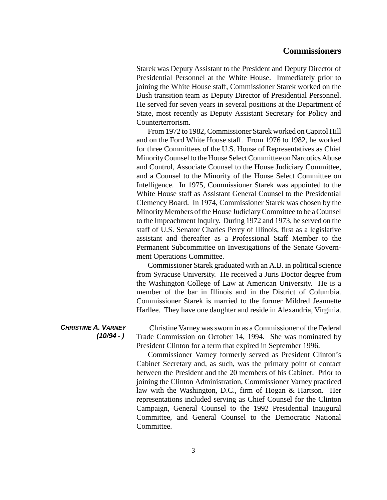Starek was Deputy Assistant to the President and Deputy Director of Presidential Personnel at the White House. Immediately prior to joining the White House staff, Commissioner Starek worked on the Bush transition team as Deputy Director of Presidential Personnel. He served for seven years in several positions at the Department of State, most recently as Deputy Assistant Secretary for Policy and Counterterrorism.

From 1972 to 1982, Commissioner Starek worked on Capitol Hill and on the Ford White House staff. From 1976 to 1982, he worked for three Committees of the U.S. House of Representatives as Chief Minority Counsel to the House Select Committee on Narcotics Abuse and Control, Associate Counsel to the House Judiciary Committee, and a Counsel to the Minority of the House Select Committee on Intelligence. In 1975, Commissioner Starek was appointed to the White House staff as Assistant General Counsel to the Presidential Clemency Board. In 1974, Commissioner Starek was chosen by the Minority Members of the House Judiciary Committee to be a Counsel to the Impeachment Inquiry. During 1972 and 1973, he served on the staff of U.S. Senator Charles Percy of Illinois, first as a legislative assistant and thereafter as a Professional Staff Member to the Permanent Subcommittee on Investigations of the Senate Government Operations Committee.

Commissioner Starek graduated with an A.B. in political science from Syracuse University. He received a Juris Doctor degree from the Washington College of Law at American University. He is a member of the bar in Illinois and in the District of Columbia. Commissioner Starek is married to the former Mildred Jeannette Harllee. They have one daughter and reside in Alexandria, Virginia.

# *CHRISTINE A. VARNEY (10/94 - )*

Christine Varney was sworn in as a Commissioner of the Federal Trade Commission on October 14, 1994. She was nominated by President Clinton for a term that expired in September 1996.

Commissioner Varney formerly served as President Clinton's Cabinet Secretary and, as such, was the primary point of contact between the President and the 20 members of his Cabinet. Prior to joining the Clinton Administration, Commissioner Varney practiced law with the Washington, D.C., firm of Hogan & Hartson. Her representations included serving as Chief Counsel for the Clinton Campaign, General Counsel to the 1992 Presidential Inaugural Committee, and General Counsel to the Democratic National Committee.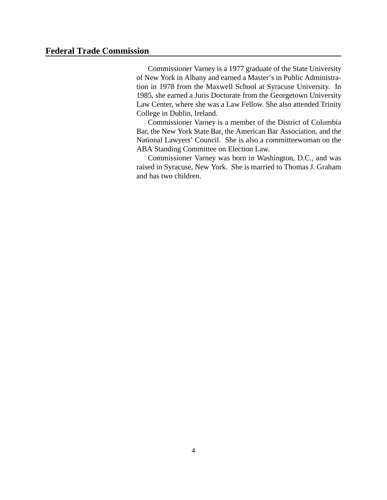# **Federal Trade Commission**

Commissioner Varney is a 1977 graduate of the State University of New York in Albany and earned a Master's in Public Administration in 1978 from the Maxwell School at Syracuse University. In 1985, she earned a Juris Doctorate from the Georgetown University Law Center, where she was a Law Fellow. She also attended Trinity College in Dublin, Ireland.

Commissioner Varney is a member of the District of Columbia Bar, the New York State Bar, the American Bar Association, and the National Lawyers' Council. She is also a committeewoman on the ABA Standing Committee on Election Law.

Commissioner Varney was born in Washington, D.C., and was raised in Syracuse, New York. She is married to Thomas J. Graham and has two children.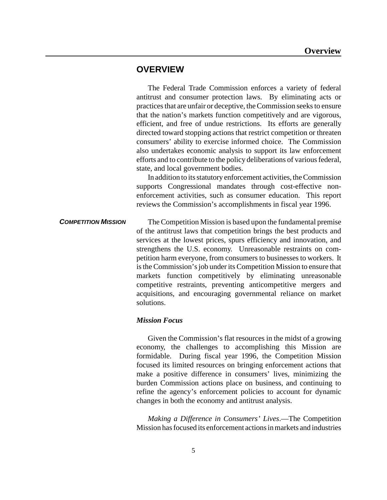# **OVERVIEW**

The Federal Trade Commission enforces a variety of federal antitrust and consumer protection laws. By eliminating acts or practices that are unfair or deceptive, the Commission seeks to ensure that the nation's markets function competitively and are vigorous, efficient, and free of undue restrictions. Its efforts are generally directed toward stopping actions that restrict competition or threaten consumers' ability to exercise informed choice. The Commission also undertakes economic analysis to support its law enforcement efforts and to contribute to the policy deliberations of various federal, state, and local government bodies.

In addition to its statutory enforcement activities, the Commission supports Congressional mandates through cost-effective nonenforcement activities, such as consumer education. This report reviews the Commission's accomplishments in fiscal year 1996.

**COMPETITION MISSION** The Competition Mission is based upon the fundamental premise of the antitrust laws that competition brings the best products and services at the lowest prices, spurs efficiency and innovation, and strengthens the U.S. economy. Unreasonable restraints on competition harm everyone, from consumers to businesses to workers. It is the Commission's job under its Competition Mission to ensure that markets function competitively by eliminating unreasonable competitive restraints, preventing anticompetitive mergers and acquisitions, and encouraging governmental reliance on market solutions.

# *Mission Focus*

Given the Commission's flat resources in the midst of a growing economy, the challenges to accomplishing this Mission are formidable. During fiscal year 1996, the Competition Mission focused its limited resources on bringing enforcement actions that make a positive difference in consumers' lives, minimizing the burden Commission actions place on business, and continuing to refine the agency's enforcement policies to account for dynamic changes in both the economy and antitrust analysis.

*Making a Difference in Consumers' Lives*.—The Competition Mission hasfocused its enforcement actions in markets and industries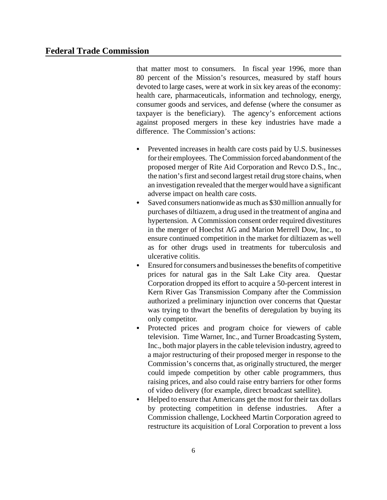that matter most to consumers. In fiscal year 1996, more than 80 percent of the Mission's resources, measured by staff hours devoted to large cases, were at work in six key areas of the economy: health care, pharmaceuticals, information and technology, energy, consumer goods and services, and defense (where the consumer as taxpayer is the beneficiary). The agency's enforcement actions against proposed mergers in these key industries have made a difference. The Commission's actions:

- Prevented increases in health care costs paid by U.S. businesses fortheir employees. The Commission forced abandonment of the proposed merger of Rite Aid Corporation and Revco D.S., Inc., the nation's first and second largest retail drug store chains, when an investigation revealed that the merger would have a significant adverse impact on health care costs.
- Saved consumers nationwide as much as \$30 million annually for purchases of diltiazem, a drug used in the treatment of angina and hypertension. A Commission consent order required divestitures in the merger of Hoechst AG and Marion Merrell Dow, Inc., to ensure continued competition in the market for diltiazem as well as for other drugs used in treatments for tuberculosis and ulcerative colitis.
- Ensured for consumers and businesses the benefits of competitive prices for natural gas in the Salt Lake City area. Questar Corporation dropped its effort to acquire a 50-percent interest in Kern River Gas Transmission Company after the Commission authorized a preliminary injunction over concerns that Questar was trying to thwart the benefits of deregulation by buying its only competitor.
- Protected prices and program choice for viewers of cable television. Time Warner, Inc., and Turner Broadcasting System, Inc., both major players in the cable television industry, agreed to a major restructuring of their proposed merger in response to the Commission's concerns that, as originally structured, the merger could impede competition by other cable programmers, thus raising prices, and also could raise entry barriers for other forms of video delivery (for example, direct broadcast satellite).
- Helped to ensure that Americans get the most for their tax dollars by protecting competition in defense industries. After a Commission challenge, Lockheed Martin Corporation agreed to restructure its acquisition of Loral Corporation to prevent a loss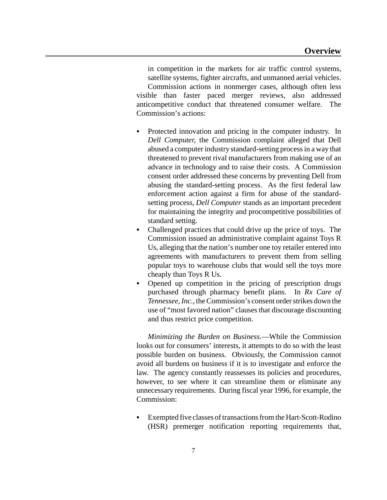in competition in the markets for air traffic control systems, satellite systems, fighter aircrafts, and unmanned aerial vehicles.

Commission actions in nonmerger cases, although often less visible than faster paced merger reviews, also addressed anticompetitive conduct that threatened consumer welfare. The Commission's actions:

- Protected innovation and pricing in the computer industry. In *Dell Computer,* the Commission complaint alleged that Dell abused a computer industry standard-setting processin a way that threatened to prevent rival manufacturers from making use of an advance in technology and to raise their costs. A Commission consent order addressed these concerns by preventing Dell from abusing the standard-setting process. As the first federal law enforcement action against a firm for abuse of the standardsetting process, *Dell Computer* stands as an important precedent for maintaining the integrity and procompetitive possibilities of standard setting.
- Challenged practices that could drive up the price of toys. The Commission issued an administrative complaint against Toys R Us, alleging that the nation's number one toy retailer entered into agreements with manufacturers to prevent them from selling popular toys to warehouse clubs that would sell the toys more cheaply than Toys R Us.
- Opened up competition in the pricing of prescription drugs purchased through pharmacy benefit plans. In *Rx Care of Tennessee, Inc., the Commission's consent order strikes down the* use of "most favored nation" clauses that discourage discounting and thus restrict price competition.

*Minimizing the Burden on Business.*—While the Commission looks out for consumers' interests, it attempts to do so with the least possible burden on business. Obviously, the Commission cannot avoid all burdens on business if it is to investigate and enforce the law. The agency constantly reassesses its policies and procedures, however, to see where it can streamline them or eliminate any unnecessary requirements. During fiscal year 1996, for example, the Commission:

• Exempted five classes of transactions from the Hart-Scott-Rodino (HSR) premerger notification reporting requirements that,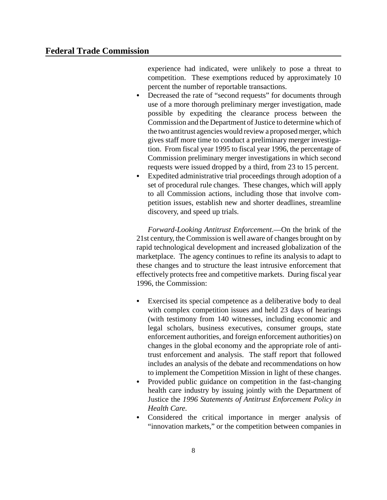experience had indicated, were unlikely to pose a threat to competition. These exemptions reduced by approximately 10 percent the number of reportable transactions.

- Decreased the rate of "second requests" for documents through use of a more thorough preliminary merger investigation, made possible by expediting the clearance process between the Commission and the Department of Justice to determine which of the two antitrust agencies would review a proposed merger, which gives staff more time to conduct a preliminary merger investigation. From fiscal year 1995 to fiscal year 1996, the percentage of Commission preliminary merger investigations in which second requests were issued dropped by a third, from 23 to 15 percent.
- Expedited administrative trial proceedings through adoption of a set of procedural rule changes. These changes, which will apply to all Commission actions, including those that involve competition issues, establish new and shorter deadlines, streamline discovery, and speed up trials.

*Forward-Looking Antitrust Enforcement*.—On the brink of the 21st century, the Commission is well aware of changes brought on by rapid technological development and increased globalization of the marketplace. The agency continues to refine its analysis to adapt to these changes and to structure the least intrusive enforcement that effectively protects free and competitive markets. During fiscal year 1996, the Commission:

- Exercised its special competence as a deliberative body to deal with complex competition issues and held 23 days of hearings (with testimony from 140 witnesses, including economic and legal scholars, business executives, consumer groups, state enforcement authorities, and foreign enforcement authorities) on changes in the global economy and the appropriate role of antitrust enforcement and analysis. The staff report that followed includes an analysis of the debate and recommendations on how to implement the Competition Mission in light of these changes.
- Provided public guidance on competition in the fast-changing health care industry by issuing jointly with the Department of Justice the *1996 Statements of Antitrust Enforcement Policy in Health Care.*
- Considered the critical importance in merger analysis of "innovation markets," or the competition between companies in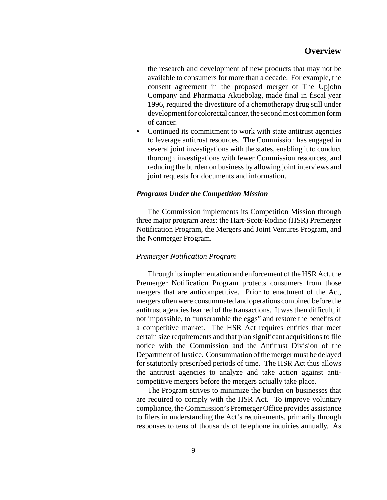the research and development of new products that may not be available to consumers for more than a decade. For example, the consent agreement in the proposed merger of The Upjohn Company and Pharmacia Aktiebolag, made final in fiscal year 1996*,* required the divestiture of a chemotherapy drug still under development for colorectal cancer, the second most common form of cancer.

• Continued its commitment to work with state antitrust agencies to leverage antitrust resources. The Commission has engaged in several joint investigations with the states, enabling it to conduct thorough investigations with fewer Commission resources, and reducing the burden on business by allowing joint interviews and joint requests for documents and information.

### *Programs Under the Competition Mission*

The Commission implements its Competition Mission through three major program areas: the Hart-Scott-Rodino (HSR) Premerger Notification Program, the Mergers and Joint Ventures Program, and the Nonmerger Program.

#### *Premerger Notification Program*

Through its implementation and enforcement of the HSR Act, the Premerger Notification Program protects consumers from those mergers that are anticompetitive. Prior to enactment of the Act, mergers often were consummated and operations combined before the antitrust agencies learned of the transactions. It was then difficult, if not impossible, to "unscramble the eggs" and restore the benefits of a competitive market. The HSR Act requires entities that meet certain size requirements and that plan significant acquisitionsto file notice with the Commission and the Antitrust Division of the Department of Justice. Consummation of the merger must be delayed for statutorily prescribed periods of time. The HSR Act thus allows the antitrust agencies to analyze and take action against anticompetitive mergers before the mergers actually take place.

The Program strives to minimize the burden on businesses that are required to comply with the HSR Act. To improve voluntary compliance, the Commission's Premerger Office provides assistance to filers in understanding the Act's requirements, primarily through responses to tens of thousands of telephone inquiries annually. As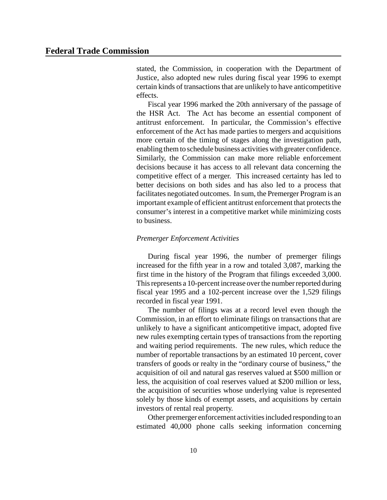stated, the Commission, in cooperation with the Department of Justice, also adopted new rules during fiscal year 1996 to exempt certain kinds of transactions that are unlikely to have anticompetitive effects.

Fiscal year 1996 marked the 20th anniversary of the passage of the HSR Act. The Act has become an essential component of antitrust enforcement. In particular, the Commission's effective enforcement of the Act has made parties to mergers and acquisitions more certain of the timing of stages along the investigation path, enabling them to schedule business activities with greater confidence. Similarly, the Commission can make more reliable enforcement decisions because it has access to all relevant data concerning the competitive effect of a merger. This increased certainty has led to better decisions on both sides and has also led to a process that facilitates negotiated outcomes. In sum, the Premerger Program is an important example of efficient antitrust enforcement that protects the consumer's interest in a competitive market while minimizing costs to business.

#### *Premerger Enforcement Activities*

During fiscal year 1996, the number of premerger filings increased for the fifth year in a row and totaled 3,087, marking the first time in the history of the Program that filings exceeded 3,000. This represents a 10-percent increase over the number reported during fiscal year 1995 and a 102-percent increase over the 1,529 filings recorded in fiscal year 1991.

The number of filings was at a record level even though the Commission, in an effort to eliminate filings on transactions that are unlikely to have a significant anticompetitive impact, adopted five new rules exempting certain types of transactions from the reporting and waiting period requirements. The new rules, which reduce the number of reportable transactions by an estimated 10 percent, cover transfers of goods or realty in the "ordinary course of business," the acquisition of oil and natural gas reserves valued at \$500 million or less, the acquisition of coal reserves valued at \$200 million or less, the acquisition of securities whose underlying value is represented solely by those kinds of exempt assets, and acquisitions by certain investors of rental real property.

Other premerger enforcement activitiesincluded responding to an estimated 40,000 phone calls seeking information concerning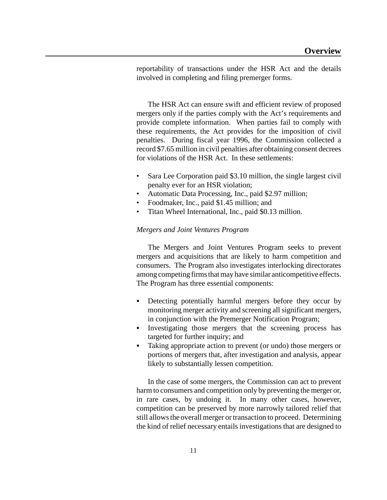reportability of transactions under the HSR Act and the details involved in completing and filing premerger forms.

The HSR Act can ensure swift and efficient review of proposed mergers only if the parties comply with the Act's requirements and provide complete information. When parties fail to comply with these requirements, the Act provides for the imposition of civil penalties. During fiscal year 1996, the Commission collected a record \$7.65 million in civil penalties after obtaining consent decrees for violations of the HSR Act. In these settlements:

- Sara Lee Corporation paid \$3.10 million, the single largest civil penalty ever for an HSR violation;
- Automatic Data Processing, Inc., paid \$2.97 million;
- Foodmaker, Inc., paid \$1.45 million; and
- Titan Wheel International, Inc., paid \$0.13 million.

# *Mergers and Joint Ventures Program*

The Mergers and Joint Ventures Program seeks to prevent mergers and acquisitions that are likely to harm competition and consumers. The Program also investigates interlocking directorates among competing firms that may have similar anticompetitive effects. The Program has three essential components:

- Detecting potentially harmful mergers before they occur by monitoring merger activity and screening all significant mergers, in conjunction with the Premerger Notification Program;
- Investigating those mergers that the screening process has targeted for further inquiry; and
- Taking appropriate action to prevent (or undo) those mergers or portions of mergers that, after investigation and analysis, appear likely to substantially lessen competition.

In the case of some mergers, the Commission can act to prevent harm to consumers and competition only by preventing the merger or, in rare cases, by undoing it. In many other cases, however, competition can be preserved by more narrowly tailored relief that still allows the overall merger or transaction to proceed. Determining the kind of relief necessary entails investigations that are designed to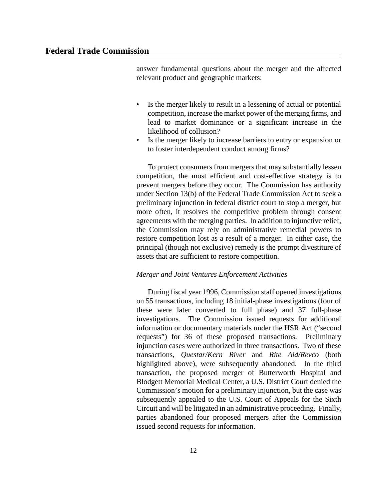answer fundamental questions about the merger and the affected relevant product and geographic markets:

- Is the merger likely to result in a lessening of actual or potential competition, increase the market power of the merging firms, and lead to market dominance or a significant increase in the likelihood of collusion?
- Is the merger likely to increase barriers to entry or expansion or to foster interdependent conduct among firms?

To protect consumers from mergers that may substantially lessen competition, the most efficient and cost-effective strategy is to prevent mergers before they occur. The Commission has authority under Section 13(b) of the Federal Trade Commission Act to seek a preliminary injunction in federal district court to stop a merger, but more often, it resolves the competitive problem through consent agreements with the merging parties. In addition to injunctive relief, the Commission may rely on administrative remedial powers to restore competition lost as a result of a merger. In either case, the principal (though not exclusive) remedy is the prompt divestiture of assets that are sufficient to restore competition.

# *Merger and Joint Ventures Enforcement Activities*

During fiscal year 1996, Commission staff opened investigations on 55 transactions, including 18 initial-phase investigations (four of these were later converted to full phase) and 37 full-phase investigations. The Commission issued requests for additional information or documentary materials under the HSR Act ("second requests") for 36 of these proposed transactions. Preliminary injunction cases were authorized in three transactions. Two of these transactions, *Questar/Kern River* and *Rite Aid/Revco* (both highlighted above), were subsequently abandoned. In the third transaction, the proposed merger of Butterworth Hospital and Blodgett Memorial Medical Center, a U.S. District Court denied the Commission's motion for a preliminary injunction, but the case was subsequently appealed to the U.S. Court of Appeals for the Sixth Circuit and will be litigated in an administrative proceeding. Finally, parties abandoned four proposed mergers after the Commission issued second requests for information.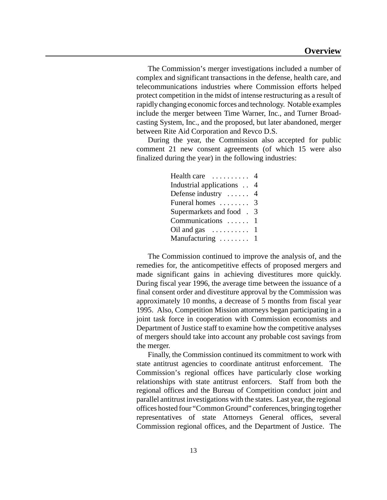The Commission's merger investigations included a number of complex and significant transactions in the defense, health care, and telecommunications industries where Commission efforts helped protect competition in the midst of intense restructuring as a result of rapidly changing economic forces and technology. Notable examples include the merger between Time Warner, Inc., and Turner Broadcasting System, Inc., and the proposed, but later abandoned, merger between Rite Aid Corporation and Revco D.S.

During the year, the Commission also accepted for public comment 21 new consent agreements (of which 15 were also finalized during the year) in the following industries:

| Health care $\dots\dots\dots$     | 4              |
|-----------------------------------|----------------|
| Industrial applications           | $\overline{4}$ |
| Defense industry $\dots$ 4        |                |
| Funeral homes $\ldots \ldots$ 3   |                |
| Supermarkets and food.            | 3              |
| Communications $\dots \dots 1$    |                |
| Oil and gas $\dots \dots \dots 1$ |                |
| Manufacturing $\ldots \ldots 1$   |                |

The Commission continued to improve the analysis of, and the remedies for, the anticompetitive effects of proposed mergers and made significant gains in achieving divestitures more quickly. During fiscal year 1996, the average time between the issuance of a final consent order and divestiture approval by the Commission was approximately 10 months, a decrease of 5 months from fiscal year 1995. Also, Competition Mission attorneys began participating in a joint task force in cooperation with Commission economists and Department of Justice staff to examine how the competitive analyses of mergers should take into account any probable cost savings from the merger.

Finally, the Commission continued its commitment to work with state antitrust agencies to coordinate antitrust enforcement. The Commission's regional offices have particularly close working relationships with state antitrust enforcers. Staff from both the regional offices and the Bureau of Competition conduct joint and parallel antitrust investigations with the states. Last year, the regional offices hosted four "Common Ground" conferences, bringing together representatives of state Attorneys General offices, several Commission regional offices, and the Department of Justice. The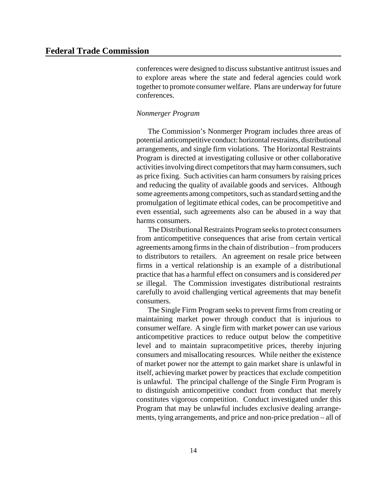conferences were designed to discusssubstantive antitrust issues and to explore areas where the state and federal agencies could work together to promote consumer welfare. Plans are underway for future conferences.

#### *Nonmerger Program*

The Commission's Nonmerger Program includes three areas of potential anticompetitive conduct: horizontal restraints, distributional arrangements, and single firm violations. The Horizontal Restraints Program is directed at investigating collusive or other collaborative activities involving direct competitors that may harm consumers, such as price fixing. Such activities can harm consumers by raising prices and reducing the quality of available goods and services. Although some agreements among competitors, such as standard setting and the promulgation of legitimate ethical codes, can be procompetitive and even essential, such agreements also can be abused in a way that harms consumers.

The Distributional Restraints Program seeks to protect consumers from anticompetitive consequences that arise from certain vertical agreements among firmsin the chain of distribution – from producers to distributors to retailers. An agreement on resale price between firms in a vertical relationship is an example of a distributional practice that has a harmful effect on consumers and is considered *per se* illegal. The Commission investigates distributional restraints carefully to avoid challenging vertical agreements that may benefit consumers.

The Single Firm Program seeks to prevent firms from creating or maintaining market power through conduct that is injurious to consumer welfare. A single firm with market power can use various anticompetitive practices to reduce output below the competitive level and to maintain supracompetitive prices, thereby injuring consumers and misallocating resources. While neither the existence of market power nor the attempt to gain market share is unlawful in itself, achieving market power by practices that exclude competition is unlawful. The principal challenge of the Single Firm Program is to distinguish anticompetitive conduct from conduct that merely constitutes vigorous competition. Conduct investigated under this Program that may be unlawful includes exclusive dealing arrangements, tying arrangements, and price and non-price predation – all of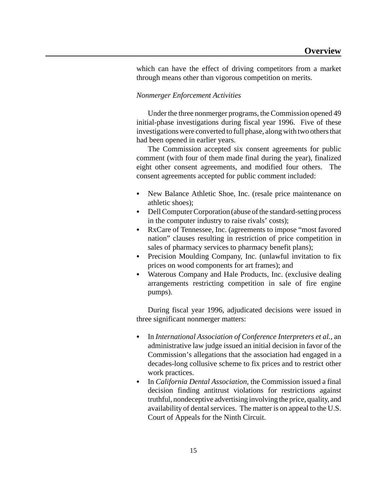which can have the effect of driving competitors from a market through means other than vigorous competition on merits.

### *Nonmerger Enforcement Activities*

Under the three nonmerger programs, the Commission opened 49 initial-phase investigations during fiscal year 1996. Five of these investigations were converted to full phase, along with two others that had been opened in earlier years.

The Commission accepted six consent agreements for public comment (with four of them made final during the year), finalized eight other consent agreements, and modified four others. The consent agreements accepted for public comment included:

- New Balance Athletic Shoe, Inc. (resale price maintenance on athletic shoes);
- Dell Computer Corporation (abuse of the standard-setting process in the computer industry to raise rivals' costs);
- RxCare of Tennessee, Inc. (agreements to impose "most favored" nation" clauses resulting in restriction of price competition in sales of pharmacy services to pharmacy benefit plans);
- Precision Moulding Company, Inc. (unlawful invitation to fix prices on wood components for art frames); and
- Waterous Company and Hale Products, Inc. (exclusive dealing arrangements restricting competition in sale of fire engine pumps).

During fiscal year 1996, adjudicated decisions were issued in three significant nonmerger matters:

- In *International Association of Conference Interpreters et al., an* administrative law judge issued an initial decision in favor of the Commission's allegations that the association had engaged in a decades-long collusive scheme to fix prices and to restrict other work practices.
- In *California Dental Association*, the Commission issued a final decision finding antitrust violations for restrictions against truthful, nondeceptive advertising involving the price, quality, and availability of dental services. The matter is on appeal to the U.S. Court of Appeals for the Ninth Circuit.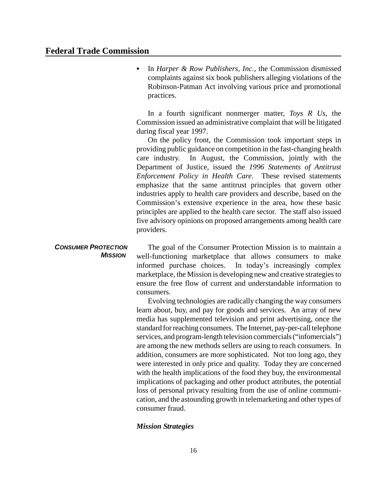C In *Harper & Row Publishers, Inc.*, the Commission dismissed complaints against six book publishers alleging violations of the Robinson-Patman Act involving various price and promotional practices.

In a fourth significant nonmerger matter, *Toys R Us*, the Commission issued an administrative complaint that will be litigated during fiscal year 1997.

On the policy front, the Commission took important steps in providing public guidance on competition in the fast-changing health care industry. In August, the Commission, jointly with the Department of Justice, issued the *1996 Statements of Antitrust Enforcement Policy in Health Care*. These revised statements emphasize that the same antitrust principles that govern other industries apply to health care providers and describe, based on the Commission's extensive experience in the area, how these basic principles are applied to the health care sector. The staff also issued five advisory opinions on proposed arrangements among health care providers.

#### *CONSUMER PROTECTION MISSION*  The goal of the Consumer Protection Mission is to maintain a well-functioning marketplace that allows consumers to make informed purchase choices. In today's increasingly complex marketplace, the Mission is developing new and creative strategiesto ensure the free flow of current and understandable information to consumers.

Evolving technologies are radically changing the way consumers learn about, buy, and pay for goods and services. An array of new media has supplemented television and print advertising, once the standard for reaching consumers. The Internet, pay-per-call telephone services, and program-length television commercials ("infomercials") are among the new methods sellers are using to reach consumers. In addition, consumers are more sophisticated. Not too long ago, they were interested in only price and quality. Today they are concerned with the health implications of the food they buy, the environmental implications of packaging and other product attributes, the potential loss of personal privacy resulting from the use of online communication, and the astounding growth in telemarketing and other types of consumer fraud.

# *Mission Strategies*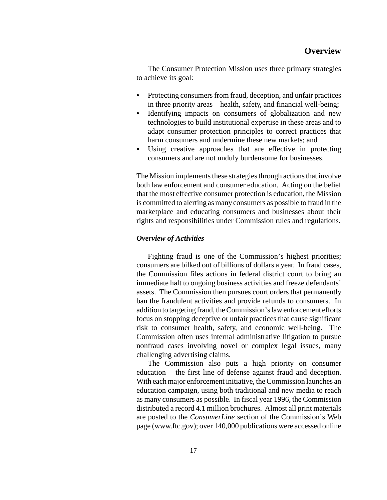The Consumer Protection Mission uses three primary strategies to achieve its goal:

- Protecting consumers from fraud, deception, and unfair practices in three priority areas – health, safety, and financial well-being;
- Identifying impacts on consumers of globalization and new technologies to build institutional expertise in these areas and to adapt consumer protection principles to correct practices that harm consumers and undermine these new markets; and
- Using creative approaches that are effective in protecting consumers and are not unduly burdensome for businesses.

The Mission implements these strategies through actions that involve both law enforcement and consumer education. Acting on the belief that the most effective consumer protection is education, the Mission is committed to alerting as many consumers as possible to fraud in the marketplace and educating consumers and businesses about their rights and responsibilities under Commission rules and regulations.

#### *Overview of Activities*

Fighting fraud is one of the Commission's highest priorities; consumers are bilked out of billions of dollars a year. In fraud cases, the Commission files actions in federal district court to bring an immediate halt to ongoing business activities and freeze defendants' assets. The Commission then pursues court orders that permanently ban the fraudulent activities and provide refunds to consumers. In addition to targeting fraud, theCommission'slaw enforcement efforts focus on stopping deceptive or unfair practices that cause significant risk to consumer health, safety, and economic well-being. The Commission often uses internal administrative litigation to pursue nonfraud cases involving novel or complex legal issues, many challenging advertising claims.

The Commission also puts a high priority on consumer education – the first line of defense against fraud and deception. With each major enforcement initiative, the Commission launches an education campaign, using both traditional and new media to reach as many consumers as possible. In fiscal year 1996, the Commission distributed a record 4.1 million brochures. Almost all print materials are posted to the *ConsumerLine* section of the Commission's Web page (www.ftc.gov); over 140,000 publications were accessed online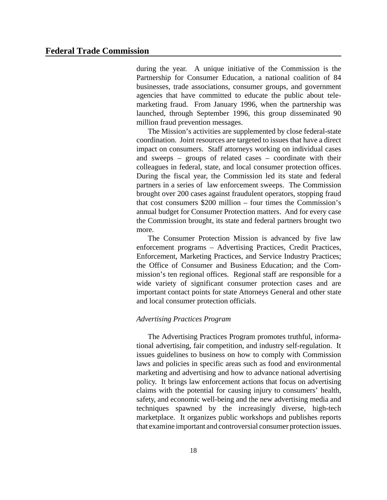during the year. A unique initiative of the Commission is the Partnership for Consumer Education, a national coalition of 84 businesses, trade associations, consumer groups, and government agencies that have committed to educate the public about telemarketing fraud. From January 1996, when the partnership was launched, through September 1996, this group disseminated 90 million fraud prevention messages.

The Mission's activities are supplemented by close federal-state coordination. Joint resources are targeted to issues that have a direct impact on consumers. Staff attorneys working on individual cases and sweeps – groups of related cases – coordinate with their colleagues in federal, state, and local consumer protection offices. During the fiscal year, the Commission led its state and federal partners in a series of law enforcement sweeps. The Commission brought over 200 cases against fraudulent operators, stopping fraud that cost consumers \$200 million – four times the Commission's annual budget for Consumer Protection matters. And for every case the Commission brought, its state and federal partners brought two more.

The Consumer Protection Mission is advanced by five law enforcement programs – Advertising Practices, Credit Practices, Enforcement, Marketing Practices, and Service Industry Practices; the Office of Consumer and Business Education; and the Commission's ten regional offices. Regional staff are responsible for a wide variety of significant consumer protection cases and are important contact points for state Attorneys General and other state and local consumer protection officials.

# *Advertising Practices Program*

The Advertising Practices Program promotes truthful, informational advertising, fair competition, and industry self-regulation. It issues guidelines to business on how to comply with Commission laws and policies in specific areas such as food and environmental marketing and advertising and how to advance national advertising policy. It brings law enforcement actions that focus on advertising claims with the potential for causing injury to consumers' health, safety, and economic well-being and the new advertising media and techniques spawned by the increasingly diverse, high-tech marketplace. It organizes public workshops and publishes reports that examine important and controversial consumer protection issues.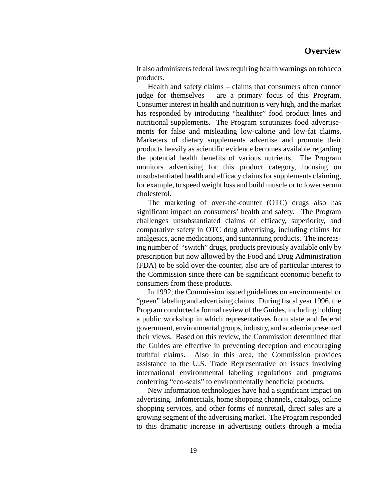It also administers federal laws requiring health warnings on tobacco products.

Health and safety claims – claims that consumers often cannot judge for themselves – are a primary focus of this Program. Consumer interest in health and nutrition is very high, and the market has responded by introducing "healthier" food product lines and nutritional supplements. The Program scrutinizes food advertisements for false and misleading low-calorie and low-fat claims. Marketers of dietary supplements advertise and promote their products heavily as scientific evidence becomes available regarding the potential health benefits of various nutrients. The Program monitors advertising for this product category, focusing on unsubstantiated health and efficacy claimsforsupplements claiming, for example, to speed weight loss and build muscle or to lower serum cholesterol.

The marketing of over-the-counter (OTC) drugs also has significant impact on consumers' health and safety. The Program challenges unsubstantiated claims of efficacy, superiority, and comparative safety in OTC drug advertising, including claims for analgesics, acne medications, and suntanning products. The increasing number of "switch" drugs, products previously available only by prescription but now allowed by the Food and Drug Administration (FDA) to be sold over-the-counter, also are of particular interest to the Commission since there can be significant economic benefit to consumers from these products.

In 1992, the Commission issued guidelines on environmental or "green" labeling and advertising claims. During fiscal year 1996, the Program conducted a formal review of the Guides, including holding a public workshop in which representatives from state and federal government, environmental groups, industry, and academia presented their views. Based on this review, the Commission determined that the Guides are effective in preventing deception and encouraging truthful claims. Also in this area, the Commission provides assistance to the U.S. Trade Representative on issues involving international environmental labeling regulations and programs conferring "eco-seals" to environmentally beneficial products.

New information technologies have had a significant impact on advertising. Infomercials, home shopping channels, catalogs, online shopping services, and other forms of nonretail, direct sales are a growing segment of the advertising market. The Program responded to this dramatic increase in advertising outlets through a media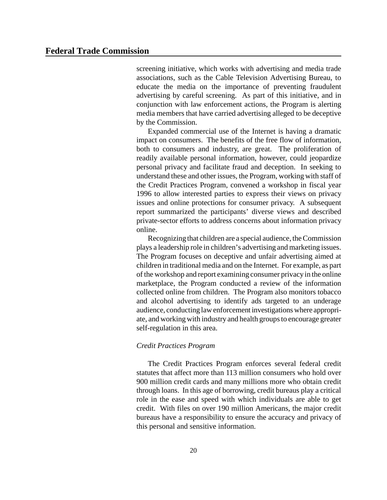screening initiative, which works with advertising and media trade associations, such as the Cable Television Advertising Bureau, to educate the media on the importance of preventing fraudulent advertising by careful screening. As part of this initiative, and in conjunction with law enforcement actions, the Program is alerting media members that have carried advertising alleged to be deceptive by the Commission.

Expanded commercial use of the Internet is having a dramatic impact on consumers. The benefits of the free flow of information, both to consumers and industry, are great. The proliferation of readily available personal information, however, could jeopardize personal privacy and facilitate fraud and deception. In seeking to understand these and other issues, the Program, working with staff of the Credit Practices Program, convened a workshop in fiscal year 1996 to allow interested parties to express their views on privacy issues and online protections for consumer privacy. A subsequent report summarized the participants' diverse views and described private-sector efforts to address concerns about information privacy online.

Recognizing that children are a special audience, the Commission plays a leadership role in children's advertising and marketing issues. The Program focuses on deceptive and unfair advertising aimed at children in traditional media and on the Internet. For example, as part of the workshop and report examining consumer privacy in the online marketplace, the Program conducted a review of the information collected online from children. The Program also monitors tobacco and alcohol advertising to identify ads targeted to an underage audience, conducting law enforcement investigations where appropriate, and working with industry and health groups to encourage greater self-regulation in this area.

# *Credit Practices Program*

The Credit Practices Program enforces several federal credit statutes that affect more than 113 million consumers who hold over 900 million credit cards and many millions more who obtain credit through loans. In this age of borrowing, credit bureaus play a critical role in the ease and speed with which individuals are able to get credit. With files on over 190 million Americans, the major credit bureaus have a responsibility to ensure the accuracy and privacy of this personal and sensitive information.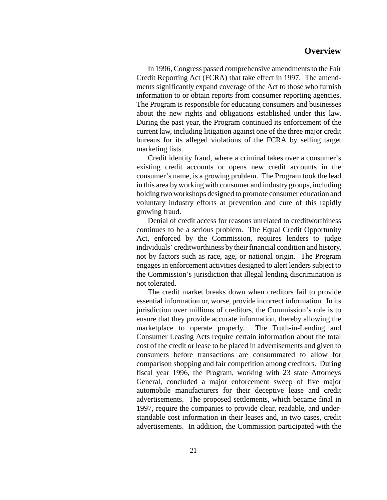In 1996, Congress passed comprehensive amendments to the Fair Credit Reporting Act (FCRA) that take effect in 1997. The amendments significantly expand coverage of the Act to those who furnish information to or obtain reports from consumer reporting agencies. The Program is responsible for educating consumers and businesses about the new rights and obligations established under this law. During the past year, the Program continued its enforcement of the current law, including litigation against one of the three major credit bureaus for its alleged violations of the FCRA by selling target marketing lists.

Credit identity fraud, where a criminal takes over a consumer's existing credit accounts or opens new credit accounts in the consumer's name, is a growing problem. The Program took the lead in this area byworking with consumer and industry groups, including holding two workshops designed to promote consumer education and voluntary industry efforts at prevention and cure of this rapidly growing fraud.

Denial of credit access for reasons unrelated to creditworthiness continues to be a serious problem. The Equal Credit Opportunity Act, enforced by the Commission, requires lenders to judge individuals' creditworthiness by their financial condition and history, not by factors such as race, age, or national origin. The Program engages in enforcement activities designed to alert lenders subject to the Commission's jurisdiction that illegal lending discrimination is not tolerated.

The credit market breaks down when creditors fail to provide essential information or, worse, provide incorrect information. In its jurisdiction over millions of creditors, the Commission's role is to ensure that they provide accurate information, thereby allowing the marketplace to operate properly. The Truth-in-Lending and Consumer Leasing Acts require certain information about the total cost of the credit or lease to be placed in advertisements and given to consumers before transactions are consummated to allow for comparison shopping and fair competition among creditors. During fiscal year 1996, the Program, working with 23 state Attorneys General, concluded a major enforcement sweep of five major automobile manufacturers for their deceptive lease and credit advertisements. The proposed settlements, which became final in 1997, require the companies to provide clear, readable, and understandable cost information in their leases and, in two cases, credit advertisements. In addition, the Commission participated with the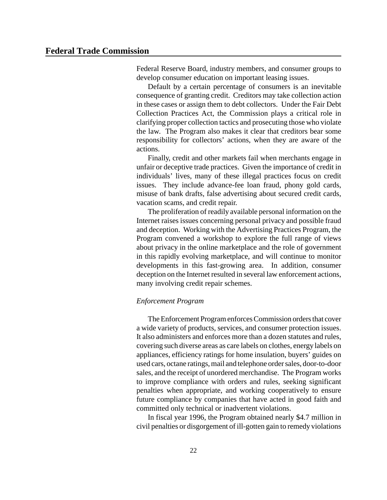Federal Reserve Board, industry members, and consumer groups to develop consumer education on important leasing issues.

Default by a certain percentage of consumers is an inevitable consequence of granting credit. Creditors may take collection action in these cases or assign them to debt collectors. Under the Fair Debt Collection Practices Act, the Commission plays a critical role in clarifying proper collection tactics and prosecuting those who violate the law. The Program also makes it clear that creditors bear some responsibility for collectors' actions, when they are aware of the actions.

Finally, credit and other markets fail when merchants engage in unfair or deceptive trade practices. Given the importance of credit in individuals' lives, many of these illegal practices focus on credit issues. They include advance-fee loan fraud, phony gold cards, misuse of bank drafts, false advertising about secured credit cards, vacation scams, and credit repair.

The proliferation of readily available personal information on the Internet raises issues concerning personal privacy and possible fraud and deception. Working with the Advertising Practices Program, the Program convened a workshop to explore the full range of views about privacy in the online marketplace and the role of government in this rapidly evolving marketplace, and will continue to monitor developments in this fast-growing area. In addition, consumer deception on the Internet resulted in several law enforcement actions, many involving credit repair schemes.

#### *Enforcement Program*

The Enforcement Program enforces Commission orders that cover a wide variety of products, services, and consumer protection issues. It also administers and enforces more than a dozen statutes and rules, covering such diverse areas as care labels on clothes, energy labels on appliances, efficiency ratings for home insulation, buyers' guides on used cars, octane ratings,mail and telephone order sales, door-to-door sales, and the receipt of unordered merchandise. The Program works to improve compliance with orders and rules, seeking significant penalties when appropriate, and working cooperatively to ensure future compliance by companies that have acted in good faith and committed only technical or inadvertent violations.

In fiscal year 1996, the Program obtained nearly \$4.7 million in civil penalties or disgorgement of ill-gotten gain to remedy violations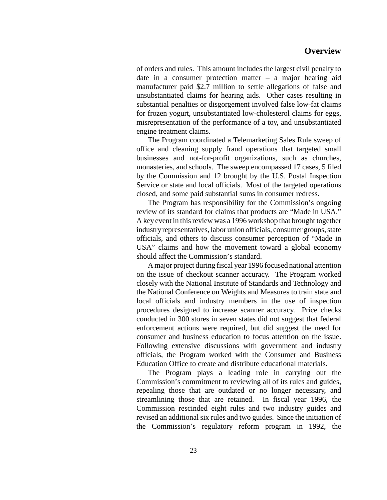of orders and rules. This amount includes the largest civil penalty to date in a consumer protection matter – a major hearing aid manufacturer paid \$2.7 million to settle allegations of false and unsubstantiated claims for hearing aids. Other cases resulting in substantial penalties or disgorgement involved false low-fat claims for frozen yogurt, unsubstantiated low-cholesterol claims for eggs, misrepresentation of the performance of a toy, and unsubstantiated engine treatment claims.

The Program coordinated a Telemarketing Sales Rule sweep of office and cleaning supply fraud operations that targeted small businesses and not-for-profit organizations, such as churches, monasteries, and schools. The sweep encompassed 17 cases, 5 filed by the Commission and 12 brought by the U.S. Postal Inspection Service or state and local officials. Most of the targeted operations closed, and some paid substantial sums in consumer redress.

The Program has responsibility for the Commission's ongoing review of its standard for claims that products are "Made in USA." A key event in this review was a 1996 workshop that brought together industry representatives, labor union officials, consumer groups, state officials, and others to discuss consumer perception of "Made in USA" claims and how the movement toward a global economy should affect the Commission's standard.

A major project during fiscal year 1996 focused national attention on the issue of checkout scanner accuracy. The Program worked closely with the National Institute of Standards and Technology and the National Conference on Weights and Measures to train state and local officials and industry members in the use of inspection procedures designed to increase scanner accuracy. Price checks conducted in 300 stores in seven states did not suggest that federal enforcement actions were required, but did suggest the need for consumer and business education to focus attention on the issue. Following extensive discussions with government and industry officials, the Program worked with the Consumer and Business Education Office to create and distribute educational materials.

The Program plays a leading role in carrying out the Commission's commitment to reviewing all of its rules and guides, repealing those that are outdated or no longer necessary, and streamlining those that are retained. In fiscal year 1996, the Commission rescinded eight rules and two industry guides and revised an additional six rules and two guides. Since the initiation of the Commission's regulatory reform program in 1992, the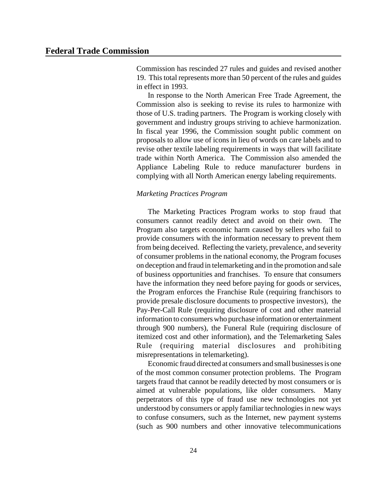Commission has rescinded 27 rules and guides and revised another 19. This total represents more than 50 percent of the rules and guides in effect in 1993.

In response to the North American Free Trade Agreement, the Commission also is seeking to revise its rules to harmonize with those of U.S. trading partners. The Program is working closely with government and industry groups striving to achieve harmonization. In fiscal year 1996, the Commission sought public comment on proposals to allow use of icons in lieu of words on care labels and to revise other textile labeling requirements in ways that will facilitate trade within North America. The Commission also amended the Appliance Labeling Rule to reduce manufacturer burdens in complying with all North American energy labeling requirements.

# *Marketing Practices Program*

The Marketing Practices Program works to stop fraud that consumers cannot readily detect and avoid on their own. The Program also targets economic harm caused by sellers who fail to provide consumers with the information necessary to prevent them from being deceived. Reflecting the variety, prevalence, and severity of consumer problems in the national economy, the Program focuses on deception and fraud in telemarketing and in the promotion and sale of business opportunities and franchises. To ensure that consumers have the information they need before paying for goods or services, the Program enforces the Franchise Rule (requiring franchisors to provide presale disclosure documents to prospective investors), the Pay-Per-Call Rule (requiring disclosure of cost and other material information to consumers who purchase information or entertainment through 900 numbers), the Funeral Rule (requiring disclosure of itemized cost and other information), and the Telemarketing Sales Rule (requiring material disclosures and prohibiting misrepresentations in telemarketing).

Economic fraud directed at consumers and small businesses is one of the most common consumer protection problems. The Program targets fraud that cannot be readily detected by most consumers or is aimed at vulnerable populations, like older consumers. Many perpetrators of this type of fraud use new technologies not yet understood by consumers or apply familiar technologies in new ways to confuse consumers, such as the Internet, new payment systems (such as 900 numbers and other innovative telecommunications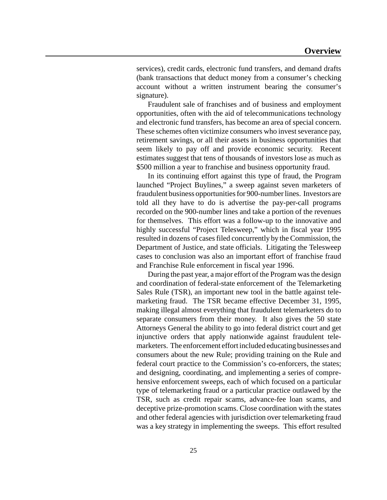services), credit cards, electronic fund transfers, and demand drafts (bank transactions that deduct money from a consumer's checking account without a written instrument bearing the consumer's signature).

Fraudulent sale of franchises and of business and employment opportunities, often with the aid of telecommunications technology and electronic fund transfers, has become an area of special concern. These schemes often victimize consumers who invest severance pay, retirement savings, or all their assets in business opportunities that seem likely to pay off and provide economic security. Recent estimates suggest that tens of thousands of investors lose as much as \$500 million a year to franchise and business opportunity fraud.

In its continuing effort against this type of fraud, the Program launched "Project Buylines," a sweep against seven marketers of fraudulent business opportunitiesfor 900-numberlines. Investors are told all they have to do is advertise the pay-per-call programs recorded on the 900-number lines and take a portion of the revenues for themselves. This effort was a follow-up to the innovative and highly successful "Project Telesweep," which in fiscal year 1995 resulted in dozens of casesfiled concurrently by the Commission, the Department of Justice, and state officials. Litigating the Telesweep cases to conclusion was also an important effort of franchise fraud and Franchise Rule enforcement in fiscal year 1996.

During the past year, a major effort of the Program was the design and coordination of federal-state enforcement of the Telemarketing Sales Rule (TSR), an important new tool in the battle against telemarketing fraud. The TSR became effective December 31, 1995, making illegal almost everything that fraudulent telemarketers do to separate consumers from their money. It also gives the 50 state Attorneys General the ability to go into federal district court and get injunctive orders that apply nationwide against fraudulent telemarketers. The enforcement effort included educating businesses and consumers about the new Rule; providing training on the Rule and federal court practice to the Commission's co-enforcers, the states; and designing, coordinating, and implementing a series of comprehensive enforcement sweeps, each of which focused on a particular type of telemarketing fraud or a particular practice outlawed by the TSR, such as credit repair scams, advance-fee loan scams, and deceptive prize-promotion scams. Close coordination with the states and other federal agencies with jurisdiction over telemarketing fraud was a key strategy in implementing the sweeps. This effort resulted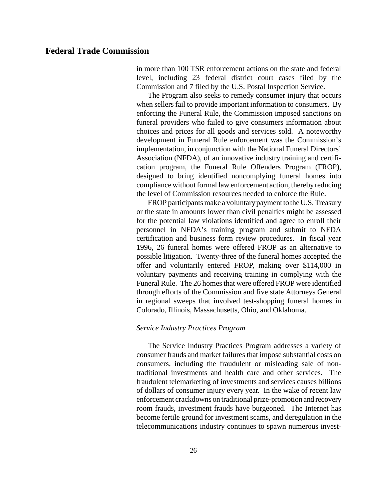in more than 100 TSR enforcement actions on the state and federal level, including 23 federal district court cases filed by the Commission and 7 filed by the U.S. Postal Inspection Service.

The Program also seeks to remedy consumer injury that occurs when sellers fail to provide important information to consumers. By enforcing the Funeral Rule, the Commission imposed sanctions on funeral providers who failed to give consumers information about choices and prices for all goods and services sold. A noteworthy development in Funeral Rule enforcement was the Commission's implementation, in conjunction with the National Funeral Directors' Association (NFDA), of an innovative industry training and certification program, the Funeral Rule Offenders Program (FROP), designed to bring identified noncomplying funeral homes into compliance without formal law enforcement action, thereby reducing the level of Commission resources needed to enforce the Rule.

FROP participants make a voluntary payment to the U.S. Treasury or the state in amounts lower than civil penalties might be assessed for the potential law violations identified and agree to enroll their personnel in NFDA's training program and submit to NFDA certification and business form review procedures. In fiscal year 1996, 26 funeral homes were offered FROP as an alternative to possible litigation. Twenty-three of the funeral homes accepted the offer and voluntarily entered FROP, making over \$114,000 in voluntary payments and receiving training in complying with the Funeral Rule. The 26 homes that were offered FROP were identified through efforts of the Commission and five state Attorneys General in regional sweeps that involved test-shopping funeral homes in Colorado, Illinois, Massachusetts, Ohio, and Oklahoma.

#### *Service Industry Practices Program*

The Service Industry Practices Program addresses a variety of consumer frauds and market failures that impose substantial costs on consumers, including the fraudulent or misleading sale of nontraditional investments and health care and other services. The fraudulent telemarketing of investments and services causes billions of dollars of consumer injury every year. In the wake of recent law enforcement crackdowns on traditional prize-promotion and recovery room frauds, investment frauds have burgeoned. The Internet has become fertile ground for investment scams, and deregulation in the telecommunications industry continues to spawn numerous invest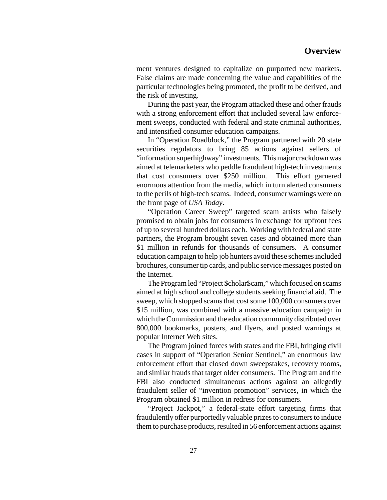ment ventures designed to capitalize on purported new markets. False claims are made concerning the value and capabilities of the particular technologies being promoted, the profit to be derived, and the risk of investing.

During the past year, the Program attacked these and other frauds with a strong enforcement effort that included several law enforcement sweeps, conducted with federal and state criminal authorities, and intensified consumer education campaigns.

In "Operation Roadblock," the Program partnered with 20 state securities regulators to bring 85 actions against sellers of "information superhighway" investments. This major crackdown was aimed at telemarketers who peddle fraudulent high-tech investments that cost consumers over \$250 million. This effort garnered enormous attention from the media, which in turn alerted consumers to the perils of high-tech scams. Indeed, consumer warnings were on the front page of *USA Today*.

"Operation Career Sweep" targeted scam artists who falsely promised to obtain jobs for consumers in exchange for upfront fees of up to several hundred dollars each. Working with federal and state partners, the Program brought seven cases and obtained more than \$1 million in refunds for thousands of consumers. A consumer education campaign to help job hunters avoid these schemes included brochures, consumer tip cards, and public service messages posted on the Internet.

The Program led "Project \$cholar\$cam," which focused on scams aimed at high school and college students seeking financial aid. The sweep, which stopped scams that cost some 100,000 consumers over \$15 million, was combined with a massive education campaign in which the Commission and the education community distributed over 800,000 bookmarks, posters, and flyers, and posted warnings at popular Internet Web sites.

The Program joined forces with states and the FBI, bringing civil cases in support of "Operation Senior Sentinel," an enormous law enforcement effort that closed down sweepstakes, recovery rooms, and similar frauds that target older consumers. The Program and the FBI also conducted simultaneous actions against an allegedly fraudulent seller of "invention promotion" services, in which the Program obtained \$1 million in redress for consumers.

"Project Jackpot," a federal-state effort targeting firms that fraudulently offer purportedly valuable prizesto consumersto induce them to purchase products, resulted in 56 enforcement actions against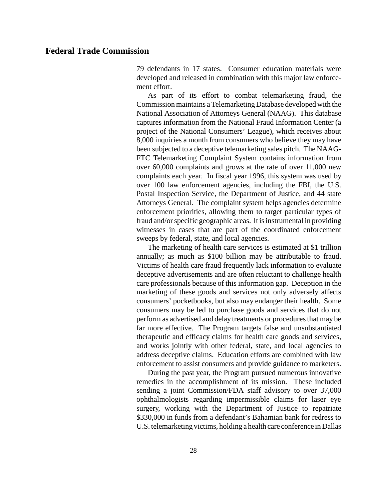79 defendants in 17 states. Consumer education materials were developed and released in combination with this major law enforcement effort.

As part of its effort to combat telemarketing fraud, the Commission maintains a Telemarketing Database developed with the National Association of Attorneys General (NAAG). This database captures information from the National Fraud Information Center (a project of the National Consumers' League), which receives about 8,000 inquiries a month from consumers who believe they may have been subjected to a deceptive telemarketing sales pitch. The NAAG-FTC Telemarketing Complaint System contains information from over 60,000 complaints and grows at the rate of over 11,000 new complaints each year. In fiscal year 1996, this system was used by over 100 law enforcement agencies, including the FBI, the U.S. Postal Inspection Service, the Department of Justice, and 44 state Attorneys General. The complaint system helps agencies determine enforcement priorities, allowing them to target particular types of fraud and/or specific geographic areas. It is instrumental in providing witnesses in cases that are part of the coordinated enforcement sweeps by federal, state, and local agencies.

The marketing of health care services is estimated at \$1 trillion annually; as much as \$100 billion may be attributable to fraud. Victims of health care fraud frequently lack information to evaluate deceptive advertisements and are often reluctant to challenge health care professionals because of this information gap. Deception in the marketing of these goods and services not only adversely affects consumers' pocketbooks, but also may endanger their health. Some consumers may be led to purchase goods and services that do not perform as advertised and delay treatments or procedures that may be far more effective. The Program targets false and unsubstantiated therapeutic and efficacy claims for health care goods and services, and works jointly with other federal, state, and local agencies to address deceptive claims. Education efforts are combined with law enforcement to assist consumers and provide guidance to marketers.

During the past year, the Program pursued numerous innovative remedies in the accomplishment of its mission. These included sending a joint Commission/FDA staff advisory to over 37,000 ophthalmologists regarding impermissible claims for laser eye surgery, working with the Department of Justice to repatriate \$330,000 in funds from a defendant's Bahamian bank for redress to U.S. telemarketing victims, holding a health care conference in Dallas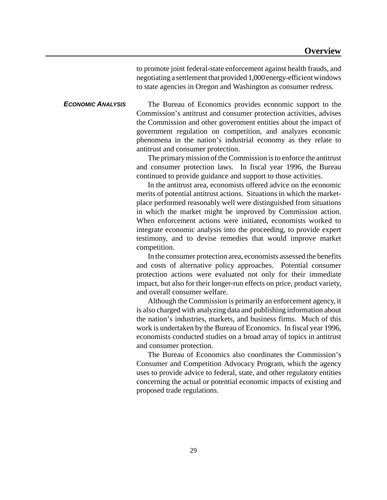to promote joint federal-state enforcement against health frauds, and negotiating a settlement that provided 1,000 energy-efficient windows to state agencies in Oregon and Washington as consumer redress.

*ECONOMIC ANALYSIS* The Bureau of Economics provides economic support to the Commission's antitrust and consumer protection activities, advises the Commission and other government entities about the impact of government regulation on competition, and analyzes economic phenomena in the nation's industrial economy as they relate to antitrust and consumer protection.

> The primary mission of the Commission is to enforce the antitrust and consumer protection laws. In fiscal year 1996, the Bureau continued to provide guidance and support to those activities.

> In the antitrust area, economists offered advice on the economic merits of potential antitrust actions. Situations in which the marketplace performed reasonably well were distinguished from situations in which the market might be improved by Commission action. When enforcement actions were initiated, economists worked to integrate economic analysis into the proceeding, to provide expert testimony, and to devise remedies that would improve market competition.

> In the consumer protection area, economists assessed the benefits and costs of alternative policy approaches. Potential consumer protection actions were evaluated not only for their immediate impact, but also for their longer-run effects on price, product variety, and overall consumer welfare.

> Although the Commission is primarily an enforcement agency, it is also charged with analyzing data and publishing information about the nation's industries, markets, and business firms. Much of this work is undertaken by the Bureau of Economics. In fiscal year 1996, economists conducted studies on a broad array of topics in antitrust and consumer protection.

> The Bureau of Economics also coordinates the Commission's Consumer and Competition Advocacy Program, which the agency uses to provide advice to federal, state, and other regulatory entities concerning the actual or potential economic impacts of existing and proposed trade regulations.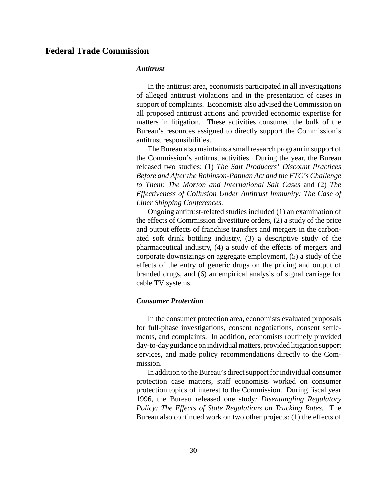#### *Antitrust*

In the antitrust area, economists participated in all investigations of alleged antitrust violations and in the presentation of cases in support of complaints. Economists also advised the Commission on all proposed antitrust actions and provided economic expertise for matters in litigation. These activities consumed the bulk of the Bureau's resources assigned to directly support the Commission's antitrust responsibilities.

The Bureau also maintains a small research program in support of the Commission's antitrust activities. During the year, the Bureau released two studies: (1) *The Salt Producers' Discount Practices Before* and *After the Robinson-Patman Act and the FTC's Challenge to Them: The Morton and International Salt Cases* and (2) *The Effectiveness of Collusion Under Antitrust Immunity: The Case of Liner Shipping Conferences.*

Ongoing antitrust-related studies included (1) an examination of the effects of Commission divestiture orders, (2) a study of the price and output effects of franchise transfers and mergers in the carbonated soft drink bottling industry, (3) a descriptive study of the pharmaceutical industry, (4) a study of the effects of mergers and corporate downsizings on aggregate employment, (5) a study of the effects of the entry of generic drugs on the pricing and output of branded drugs, and (6) an empirical analysis of signal carriage for cable TV systems.

# *Consumer Protection*

In the consumer protection area, economists evaluated proposals for full-phase investigations, consent negotiations, consent settlements, and complaints. In addition, economists routinely provided day-to-dayguidance on individual matters, provided litigation support services, and made policy recommendations directly to the Commission.

In addition to the Bureau's direct support for individual consumer protection case matters, staff economists worked on consumer protection topics of interest to the Commission. During fiscal year 1996, the Bureau released one study*: Disentangling Regulatory Policy: The Effects of State Regulations on Trucking Rates.* The Bureau also continued work on two other projects: (1) the effects of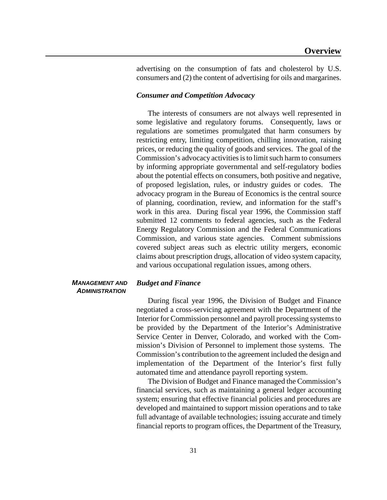advertising on the consumption of fats and cholesterol by U.S. consumers and (2) the content of advertising for oils and margarines.

# *Consumer and Competition Advocacy*

The interests of consumers are not always well represented in some legislative and regulatory forums. Consequently, laws or regulations are sometimes promulgated that harm consumers by restricting entry, limiting competition, chilling innovation, raising prices, or reducing the quality of goods and services. The goal of the Commission's advocacy activities is to limit such harm to consumers by informing appropriate governmental and self-regulatory bodies about the potential effects on consumers, both positive and negative, of proposed legislation, rules, or industry guides or codes. The advocacy program in the Bureau of Economics is the central source of planning, coordination, review, and information for the staff's work in this area. During fiscal year 1996, the Commission staff submitted 12 comments to federal agencies, such as the Federal Energy Regulatory Commission and the Federal Communications Commission, and various state agencies. Comment submissions covered subject areas such as electric utility mergers, economic claims about prescription drugs, allocation of video system capacity, and various occupational regulation issues, among others.

## *MANAGEMENT AND ADMINISTRATION*

#### *Budget and Finance*

During fiscal year 1996, the Division of Budget and Finance negotiated a cross-servicing agreement with the Department of the Interior for Commission personnel and payroll processing systemsto be provided by the Department of the Interior's Administrative Service Center in Denver, Colorado, and worked with the Commission's Division of Personnel to implement those systems. The Commission's contribution to the agreement included the design and implementation of the Department of the Interior's first fully automated time and attendance payroll reporting system.

The Division of Budget and Finance managed the Commission's financial services, such as maintaining a general ledger accounting system; ensuring that effective financial policies and procedures are developed and maintained to support mission operations and to take full advantage of available technologies; issuing accurate and timely financial reports to program offices, the Department of the Treasury,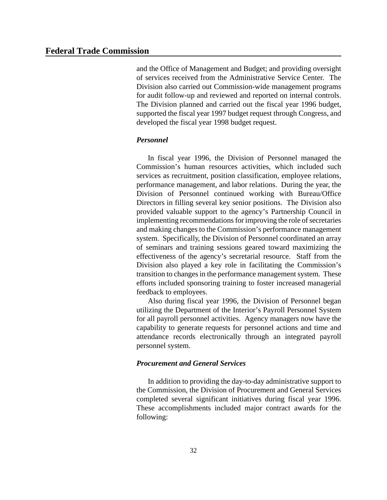and the Office of Management and Budget; and providing oversight of services received from the Administrative Service Center. The Division also carried out Commission-wide management programs for audit follow-up and reviewed and reported on internal controls. The Division planned and carried out the fiscal year 1996 budget, supported the fiscal year 1997 budget request through Congress, and developed the fiscal year 1998 budget request.

# *Personnel*

In fiscal year 1996, the Division of Personnel managed the Commission's human resources activities, which included such services as recruitment, position classification, employee relations, performance management, and labor relations. During the year, the Division of Personnel continued working with Bureau/Office Directors in filling several key senior positions. The Division also provided valuable support to the agency's Partnership Council in implementing recommendations for improving the role of secretaries and making changes to the Commission's performance management system. Specifically, the Division of Personnel coordinated an array of seminars and training sessions geared toward maximizing the effectiveness of the agency's secretarial resource. Staff from the Division also played a key role in facilitating the Commission's transition to changes in the performance management system. These efforts included sponsoring training to foster increased managerial feedback to employees.

Also during fiscal year 1996, the Division of Personnel began utilizing the Department of the Interior's Payroll Personnel System for all payroll personnel activities. Agency managers now have the capability to generate requests for personnel actions and time and attendance records electronically through an integrated payroll personnel system.

#### *Procurement and General Services*

In addition to providing the day-to-day administrative support to the Commission, the Division of Procurement and General Services completed several significant initiatives during fiscal year 1996. These accomplishments included major contract awards for the following: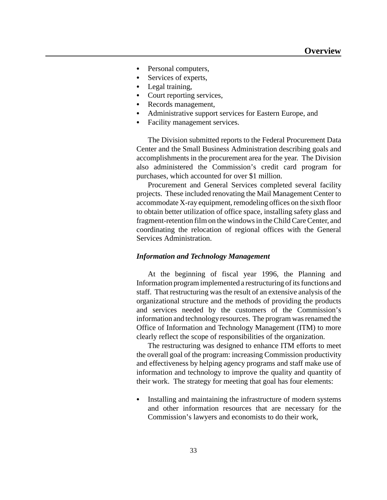- Personal computers,
- Services of experts,
- Legal training,
- Court reporting services,
- Records management,
- Administrative support services for Eastern Europe, and
- Facility management services.

The Division submitted reports to the Federal Procurement Data Center and the Small Business Administration describing goals and accomplishments in the procurement area for the year. The Division also administered the Commission's credit card program for purchases, which accounted for over \$1 million.

Procurement and General Services completed several facility projects. These included renovating the Mail Management Center to accommodate X-ray equipment, remodeling offices on the sixth floor to obtain better utilization of office space, installing safety glass and fragment-retention film on the windowsin theChildCareCenter, and coordinating the relocation of regional offices with the General Services Administration.

# *Information and Technology Management*

At the beginning of fiscal year 1996, the Planning and Information program implemented a restructuring of its functions and staff. That restructuring was the result of an extensive analysis of the organizational structure and the methods of providing the products and services needed by the customers of the Commission's information and technology resources. The program was renamed the Office of Information and Technology Management (ITM) to more clearly reflect the scope of responsibilities of the organization.

The restructuring was designed to enhance ITM efforts to meet the overall goal of the program: increasing Commission productivity and effectiveness by helping agency programs and staff make use of information and technology to improve the quality and quantity of their work. The strategy for meeting that goal has four elements:

Installing and maintaining the infrastructure of modern systems and other information resources that are necessary for the Commission's lawyers and economists to do their work,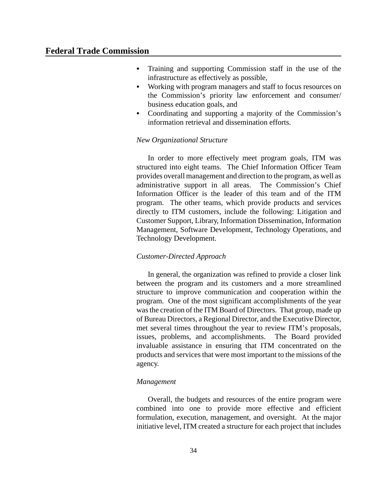- Training and supporting Commission staff in the use of the infrastructure as effectively as possible,
- Working with program managers and staff to focus resources on the Commission's priority law enforcement and consumer/ business education goals, and
- Coordinating and supporting a majority of the Commission's information retrieval and dissemination efforts.

## *New Organizational Structure*

In order to more effectively meet program goals, ITM was structured into eight teams. The Chief Information Officer Team provides overall management and direction to the program, as well as administrative support in all areas. The Commission's Chief Information Officer is the leader of this team and of the ITM program. The other teams, which provide products and services directly to ITM customers, include the following: Litigation and Customer Support, Library, Information Dissemination, Information Management, Software Development, Technology Operations, and Technology Development.

# *Customer-Directed Approach*

In general, the organization was refined to provide a closer link between the program and its customers and a more streamlined structure to improve communication and cooperation within the program. One of the most significant accomplishments of the year wasthe creation of the ITM Board of Directors. That group, made up of Bureau Directors, a Regional Director, and the Executive Director, met several times throughout the year to review ITM's proposals, issues, problems, and accomplishments. The Board provided invaluable assistance in ensuring that ITM concentrated on the products and services that were most important to the missions of the agency.

## *Management*

Overall, the budgets and resources of the entire program were combined into one to provide more effective and efficient formulation, execution, management, and oversight. At the major initiative level, ITM created a structure for each project that includes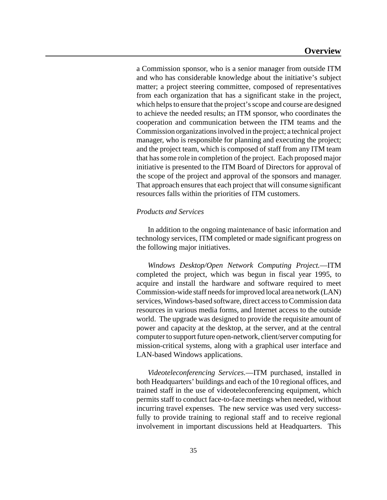a Commission sponsor, who is a senior manager from outside ITM and who has considerable knowledge about the initiative's subject matter; a project steering committee, composed of representatives from each organization that has a significant stake in the project, which helps to ensure that the project's scope and course are designed to achieve the needed results; an ITM sponsor, who coordinates the cooperation and communication between the ITM teams and the Commission organizationsinvolved in the project; a technical project manager, who is responsible for planning and executing the project; and the project team, which is composed of staff from any ITM team that hassome role in completion of the project. Each proposed major initiative is presented to the ITM Board of Directors for approval of the scope of the project and approval of the sponsors and manager. That approach ensures that each project that will consume significant resources falls within the priorities of ITM customers.

# *Products and Services*

In addition to the ongoing maintenance of basic information and technology services, ITM completed or made significant progress on the following major initiatives.

*Windows Desktop/Open Network Computing Project.*—ITM completed the project, which was begun in fiscal year 1995, to acquire and install the hardware and software required to meet Commission-wide staff needs for improved local area network (LAN) services, Windows-based software, direct access to Commission data resources in various media forms, and Internet access to the outside world. The upgrade was designed to provide the requisite amount of power and capacity at the desktop, at the server, and at the central computer to support future open-network, client/server computing for mission-critical systems, along with a graphical user interface and LAN-based Windows applications.

*Videoteleconferencing Services.*—ITM purchased, installed in both Headquarters' buildings and each of the 10 regional offices, and trained staff in the use of videoteleconferencing equipment, which permits staff to conduct face-to-face meetings when needed, without incurring travel expenses. The new service was used very successfully to provide training to regional staff and to receive regional involvement in important discussions held at Headquarters. This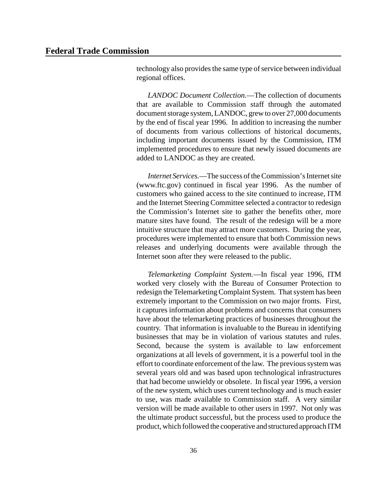technology also provides the same type of service between individual regional offices.

*LANDOC Document Collection.*—The collection of documents that are available to Commission staff through the automated document storage system, LANDOC, grew to over 27,000 documents by the end of fiscal year 1996. In addition to increasing the number of documents from various collections of historical documents, including important documents issued by the Commission, ITM implemented procedures to ensure that newly issued documents are added to LANDOC as they are created.

*Internet Services.*—The success of the Commission's Internet site (www.ftc.gov) continued in fiscal year 1996. As the number of customers who gained access to the site continued to increase, ITM and the Internet Steering Committee selected a contractor to redesign the Commission's Internet site to gather the benefits other, more mature sites have found. The result of the redesign will be a more intuitive structure that may attract more customers. During the year, procedures were implemented to ensure that both Commission news releases and underlying documents were available through the Internet soon after they were released to the public.

*Telemarketing Complaint System.*—In fiscal year 1996, ITM worked very closely with the Bureau of Consumer Protection to redesign the Telemarketing Complaint System. That system has been extremely important to the Commission on two major fronts. First, it captures information about problems and concerns that consumers have about the telemarketing practices of businesses throughout the country. That information is invaluable to the Bureau in identifying businesses that may be in violation of various statutes and rules. Second, because the system is available to law enforcement organizations at all levels of government, it is a powerful tool in the effort to coordinate enforcement of the law. The previous system was several years old and was based upon technological infrastructures that had become unwieldy or obsolete. In fiscal year 1996, a version of the new system, which uses current technology and is much easier to use, was made available to Commission staff. A very similar version will be made available to other users in 1997. Not only was the ultimate product successful, but the process used to produce the product, which followed the cooperative and structured approach ITM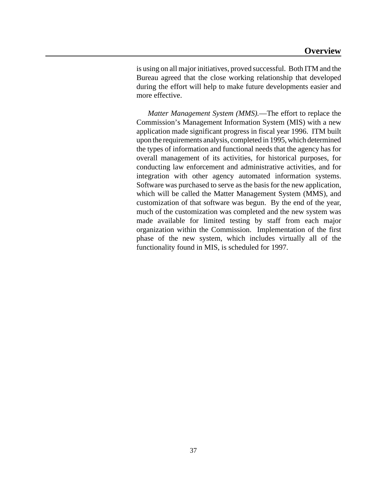is using on all major initiatives, proved successful. Both ITM and the Bureau agreed that the close working relationship that developed during the effort will help to make future developments easier and more effective.

*Matter Management System (MMS).*—The effort to replace the Commission's Management Information System (MIS) with a new application made significant progress in fiscal year 1996. ITM built upon the requirements analysis, completed in 1995, which determined the types of information and functional needs that the agency has for overall management of its activities, for historical purposes, for conducting law enforcement and administrative activities, and for integration with other agency automated information systems. Software was purchased to serve as the basis for the new application, which will be called the Matter Management System (MMS), and customization of that software was begun. By the end of the year, much of the customization was completed and the new system was made available for limited testing by staff from each major organization within the Commission. Implementation of the first phase of the new system, which includes virtually all of the functionality found in MIS, is scheduled for 1997.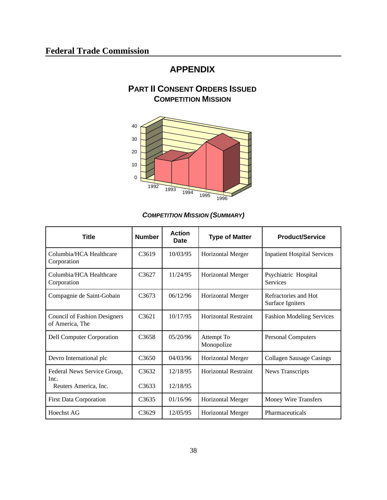# **APPENDIX**

# **PART II CONSENT ORDERS ISSUED COMPETITION MISSION**



*COMPETITION MISSION (SUMMARY)*

| <b>Title</b>                                           | <b>Number</b>     | <b>Action</b><br>Date | <b>Type of Matter</b>       | <b>Product/Service</b>                   |
|--------------------------------------------------------|-------------------|-----------------------|-----------------------------|------------------------------------------|
| Columbia/HCA Healthcare<br>Corporation                 | C <sub>3619</sub> | 10/03/95              | <b>Horizontal Merger</b>    | <b>Inpatient Hospital Services</b>       |
| Columbia/HCA Healthcare<br>Corporation                 | C <sub>3627</sub> | 11/24/95              | <b>Horizontal Merger</b>    | Psychiatric Hospital<br><b>Services</b>  |
| Compagnie de Saint-Gobain                              | C <sub>3673</sub> | 06/12/96              | <b>Horizontal Merger</b>    | Refractories and Hot<br>Surface Igniters |
| <b>Council of Fashion Designers</b><br>of America, The | C3621             | 10/17/95              | <b>Horizontal Restraint</b> | <b>Fashion Modeling Services</b>         |
| <b>Dell Computer Corporation</b>                       | C3658             | 05/20/96              | Attempt To<br>Monopolize    | <b>Personal Computers</b>                |
| Devro International plc                                | C <sub>3650</sub> | 04/03/96              | <b>Horizontal Merger</b>    | <b>Collagen Sausage Casings</b>          |
| Federal News Service Group,<br>Inc.                    | C3632             | 12/18/95              | <b>Horizontal Restraint</b> | News Transcripts                         |
| Reuters America, Inc.                                  | C <sub>3633</sub> | 12/18/95              |                             |                                          |
| <b>First Data Corporation</b>                          | C <sub>3635</sub> | 01/16/96              | <b>Horizontal Merger</b>    | Money Wire Transfers                     |
| Hoechst AG                                             | C3629             | 12/05/95              | <b>Horizontal Merger</b>    | Pharmaceuticals                          |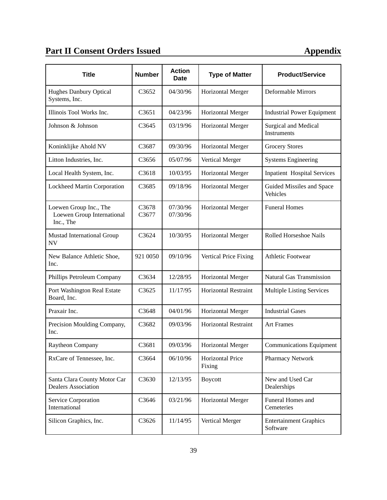# **Part II Consent Orders Issued Appendix**

| <b>Title</b>                                                      | <b>Number</b>     | <b>Action</b><br><b>Date</b> | <b>Type of Matter</b>             | <b>Product/Service</b>                     |
|-------------------------------------------------------------------|-------------------|------------------------------|-----------------------------------|--------------------------------------------|
| Hughes Danbury Optical<br>Systems, Inc.                           | C <sub>3652</sub> | 04/30/96                     | <b>Horizontal Merger</b>          | <b>Deformable Mirrors</b>                  |
| Illinois Tool Works Inc.                                          | C3651             | 04/23/96                     | <b>Horizontal Merger</b>          | <b>Industrial Power Equipment</b>          |
| Johnson & Johnson                                                 | C3645             | 03/19/96                     | Horizontal Merger                 | Surgical and Medical<br><b>Instruments</b> |
| Koninklijke Ahold NV                                              | C3687             | 09/30/96                     | <b>Horizontal Merger</b>          | <b>Grocery Stores</b>                      |
| Litton Industries, Inc.                                           | C3656             | 05/07/96                     | Vertical Merger                   | <b>Systems Engineering</b>                 |
| Local Health System, Inc.                                         | C3618             | 10/03/95                     | Horizontal Merger                 | <b>Inpatient Hospital Services</b>         |
| Lockheed Martin Corporation                                       | C3685             | 09/18/96                     | Horizontal Merger                 | Guided Missiles and Space<br>Vehicles      |
| Loewen Group Inc., The<br>Loewen Group International<br>Inc., The | C3678<br>C3677    | 07/30/96<br>07/30/96         | <b>Horizontal Merger</b>          | <b>Funeral Homes</b>                       |
| <b>Mustad International Group</b><br><b>NV</b>                    | C3624             | 10/30/95                     | Horizontal Merger                 | Rolled Horseshoe Nails                     |
| New Balance Athletic Shoe,<br>Inc.                                | 921 0050          | 09/10/96                     | Vertical Price Fixing             | <b>Athletic Footwear</b>                   |
| Phillips Petroleum Company                                        | C3634             | 12/28/95                     | Horizontal Merger                 | Natural Gas Transmission                   |
| Port Washington Real Estate<br>Board, Inc.                        | C3625             | 11/17/95                     | Horizontal Restraint              | <b>Multiple Listing Services</b>           |
| Praxair Inc.                                                      | C3648             | 04/01/96                     | Horizontal Merger                 | <b>Industrial Gases</b>                    |
| Precision Moulding Company,<br>Inc.                               | C3682             | 09/03/96                     | <b>Horizontal Restraint</b>       | <b>Art Frames</b>                          |
| Raytheon Company                                                  | C3681             | 09/03/96                     | Horizontal Merger                 | <b>Communications Equipment</b>            |
| RxCare of Tennessee, Inc.                                         | C3664             | 06/10/96                     | <b>Horizontal Price</b><br>Fixing | Pharmacy Network                           |
| Santa Clara County Motor Car<br><b>Dealers Association</b>        | C3630             | 12/13/95                     | <b>Boycott</b>                    | New and Used Car<br>Dealerships            |
| Service Corporation<br>International                              | C3646             | 03/21/96                     | Horizontal Merger                 | Funeral Homes and<br>Cemeteries            |
| Silicon Graphics, Inc.                                            | C3626             | 11/14/95                     | Vertical Merger                   | <b>Entertainment Graphics</b><br>Software  |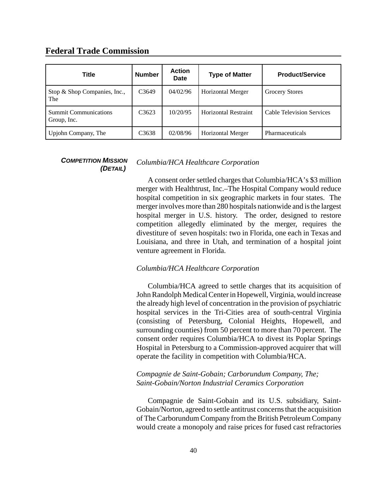# **Federal Trade Commission**

| Title                                       | <b>Number</b>     | <b>Action</b><br>Date | <b>Type of Matter</b>       | <b>Product/Service</b>           |
|---------------------------------------------|-------------------|-----------------------|-----------------------------|----------------------------------|
| Stop & Shop Companies, Inc.,<br>The         | C <sub>3649</sub> | 04/02/96              | <b>Horizontal Merger</b>    | <b>Grocery Stores</b>            |
| <b>Summit Communications</b><br>Group, Inc. | C <sub>3623</sub> | 10/20/95              | <b>Horizontal Restraint</b> | <b>Cable Television Services</b> |
| Upjohn Company, The                         | C3638             | 02/08/96              | <b>Horizontal Merger</b>    | Pharmaceuticals                  |

# *COMPETITION MISSION (DETAIL)*

# *Columbia/HCA Healthcare Corporation*

A consent order settled charges that Columbia/HCA's \$3 million merger with Healthtrust, Inc.–The Hospital Company would reduce hospital competition in six geographic markets in four states. The merger involves more than 280 hospitals nationwide and is the largest hospital merger in U.S. history. The order, designed to restore competition allegedly eliminated by the merger, requires the divestiture of seven hospitals: two in Florida, one each in Texas and Louisiana, and three in Utah, and termination of a hospital joint venture agreement in Florida.

# *Columbia/HCA Healthcare Corporation*

Columbia/HCA agreed to settle charges that its acquisition of John Randolph Medical Center in Hopewell, Virginia, would increase the already high level of concentration in the provision of psychiatric hospital services in the Tri-Cities area of south-central Virginia (consisting of Petersburg, Colonial Heights, Hopewell, and surrounding counties) from 50 percent to more than 70 percent. The consent order requires Columbia/HCA to divest its Poplar Springs Hospital in Petersburg to a Commission-approved acquirer that will operate the facility in competition with Columbia/HCA.

# *Compagnie de Saint-Gobain; Carborundum Company, The; Saint-Gobain/Norton Industrial Ceramics Corporation*

Compagnie de Saint-Gobain and its U.S. subsidiary, Saint-Gobain/Norton, agreed to settle antitrust concerns that the acquisition of The Carborundum Company from the British Petroleum Company would create a monopoly and raise prices for fused cast refractories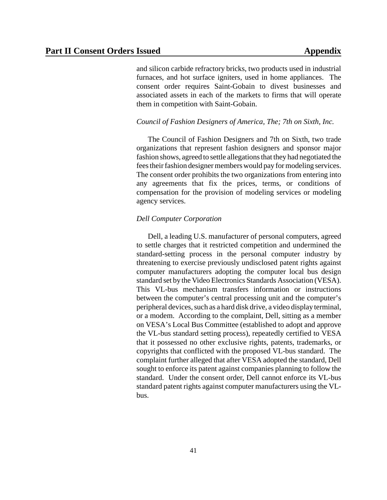and silicon carbide refractory bricks, two products used in industrial furnaces, and hot surface igniters, used in home appliances. The consent order requires Saint-Gobain to divest businesses and associated assets in each of the markets to firms that will operate them in competition with Saint-Gobain.

## *Council of Fashion Designers of America, The; 7th on Sixth, Inc.*

The Council of Fashion Designers and 7th on Sixth, two trade organizations that represent fashion designers and sponsor major fashion shows, agreed to settle allegations that they had negotiated the feestheir fashion designer members would pay for modeling services. The consent order prohibits the two organizations from entering into any agreements that fix the prices, terms, or conditions of compensation for the provision of modeling services or modeling agency services.

# *Dell Computer Corporation*

Dell, a leading U.S. manufacturer of personal computers, agreed to settle charges that it restricted competition and undermined the standard-setting process in the personal computer industry by threatening to exercise previously undisclosed patent rights against computer manufacturers adopting the computer local bus design standard set by the Video Electronics Standards Association (VESA). This VL-bus mechanism transfers information or instructions between the computer's central processing unit and the computer's peripheral devices, such as a hard disk drive, a video display terminal, or a modem. According to the complaint, Dell, sitting as a member on VESA's Local Bus Committee (established to adopt and approve the VL-bus standard setting process), repeatedly certified to VESA that it possessed no other exclusive rights, patents, trademarks, or copyrights that conflicted with the proposed VL-bus standard. The complaint further alleged that after VESA adopted the standard, Dell sought to enforce its patent against companies planning to follow the standard. Under the consent order, Dell cannot enforce its VL-bus standard patent rights against computer manufacturers using the VLbus.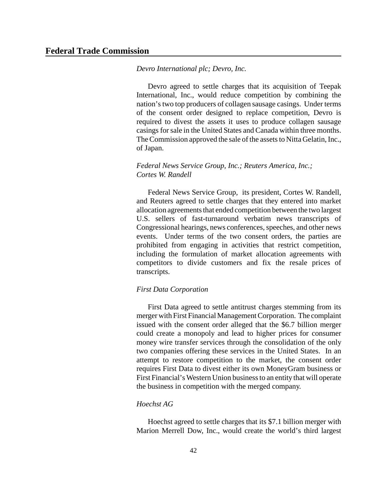## *Devro International plc; Devro, Inc.*

Devro agreed to settle charges that its acquisition of Teepak International, Inc., would reduce competition by combining the nation'stwo top producers of collagen sausage casings. Under terms of the consent order designed to replace competition, Devro is required to divest the assets it uses to produce collagen sausage casings forsale in the United States and Canada within three months. The Commission approved the sale of the assets to Nitta Gelatin, Inc., of Japan.

# *Federal News Service Group, Inc.; Reuters America, Inc.; Cortes W. Randell*

Federal News Service Group, its president, Cortes W. Randell, and Reuters agreed to settle charges that they entered into market allocation agreements that ended competition between the two largest U.S. sellers of fast-turnaround verbatim news transcripts of Congressional hearings, news conferences, speeches, and other news events. Under terms of the two consent orders, the parties are prohibited from engaging in activities that restrict competition, including the formulation of market allocation agreements with competitors to divide customers and fix the resale prices of transcripts.

# *First Data Corporation*

First Data agreed to settle antitrust charges stemming from its merger with First Financial Management Corporation. The complaint issued with the consent order alleged that the \$6.7 billion merger could create a monopoly and lead to higher prices for consumer money wire transfer services through the consolidation of the only two companies offering these services in the United States. In an attempt to restore competition to the market, the consent order requires First Data to divest either its own MoneyGram business or First Financial's Western Union businessto an entity that will operate the business in competition with the merged company.

# *Hoechst AG*

Hoechst agreed to settle charges that its \$7.1 billion merger with Marion Merrell Dow, Inc., would create the world's third largest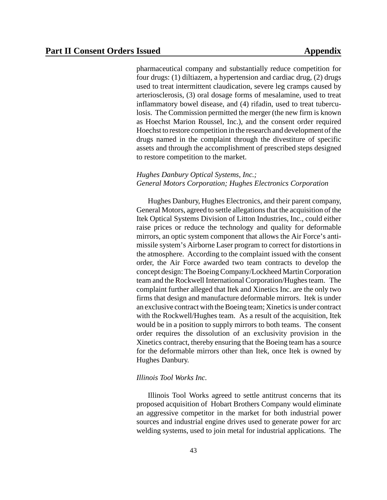pharmaceutical company and substantially reduce competition for four drugs: (1) diltiazem, a hypertension and cardiac drug, (2) drugs used to treat intermittent claudication, severe leg cramps caused by arteriosclerosis, (3) oral dosage forms of mesalamine, used to treat inflammatory bowel disease, and (4) rifadin, used to treat tuberculosis. The Commission permitted the merger (the new firm is known as Hoechst Marion Roussel, Inc.), and the consent order required Hoechst to restore competition in the research and development of the drugs named in the complaint through the divestiture of specific assets and through the accomplishment of prescribed steps designed to restore competition to the market.

# *Hughes Danbury Optical Systems, Inc.; General Motors Corporation; Hughes Electronics Corporation*

Hughes Danbury, Hughes Electronics, and their parent company, General Motors, agreed to settle allegationsthat the acquisition of the Itek Optical Systems Division of Litton Industries, Inc., could either raise prices or reduce the technology and quality for deformable mirrors, an optic system component that allows the Air Force's antimissile system's Airborne Laser program to correct for distortions in the atmosphere. According to the complaint issued with the consent order, the Air Force awarded two team contracts to develop the concept design: The Boeing Company/Lockheed Martin Corporation team and the Rockwell International Corporation/Hughes team. The complaint further alleged that Itek and Xinetics Inc. are the only two firms that design and manufacture deformable mirrors. Itek is under an exclusive contract with the Boeing team; Xinetics is under contract with the Rockwell/Hughes team. As a result of the acquisition, Itek would be in a position to supply mirrors to both teams. The consent order requires the dissolution of an exclusivity provision in the Xinetics contract, thereby ensuring that the Boeing team has a source for the deformable mirrors other than Itek, once Itek is owned by Hughes Danbury.

## *Illinois Tool Works Inc.*

Illinois Tool Works agreed to settle antitrust concerns that its proposed acquisition of Hobart Brothers Company would eliminate an aggressive competitor in the market for both industrial power sources and industrial engine drives used to generate power for arc welding systems, used to join metal for industrial applications. The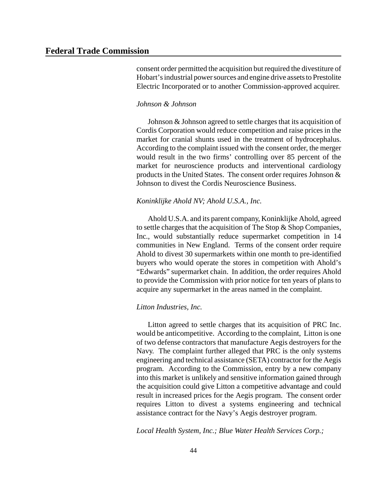consent order permitted the acquisition but required the divestiture of Hobart's industrial power sources and engine drive assets to Prestolite Electric Incorporated or to another Commission-approved acquirer.

# *Johnson & Johnson*

Johnson & Johnson agreed to settle charges that its acquisition of Cordis Corporation would reduce competition and raise prices in the market for cranial shunts used in the treatment of hydrocephalus. According to the complaint issued with the consent order, the merger would result in the two firms' controlling over 85 percent of the market for neuroscience products and interventional cardiology products in the United States. The consent order requires Johnson & Johnson to divest the Cordis Neuroscience Business.

# *Koninklijke Ahold NV; Ahold U.S.A., Inc.*

Ahold U.S.A. and its parent company, Koninklijke Ahold, agreed to settle charges that the acquisition of The Stop & Shop Companies, Inc., would substantially reduce supermarket competition in 14 communities in New England. Terms of the consent order require Ahold to divest 30 supermarkets within one month to pre-identified buyers who would operate the stores in competition with Ahold's "Edwards" supermarket chain. In addition, the order requires Ahold to provide the Commission with prior notice for ten years of plans to acquire any supermarket in the areas named in the complaint.

# *Litton Industries, Inc.*

Litton agreed to settle charges that its acquisition of PRC Inc. would be anticompetitive. According to the complaint, Litton is one of two defense contractors that manufacture Aegis destroyers for the Navy. The complaint further alleged that PRC is the only systems engineering and technical assistance (SETA) contractor for the Aegis program. According to the Commission, entry by a new company into this market is unlikely and sensitive information gained through the acquisition could give Litton a competitive advantage and could result in increased prices for the Aegis program. The consent order requires Litton to divest a systems engineering and technical assistance contract for the Navy's Aegis destroyer program.

*Local Health System, Inc.; Blue Water Health Services Corp.;*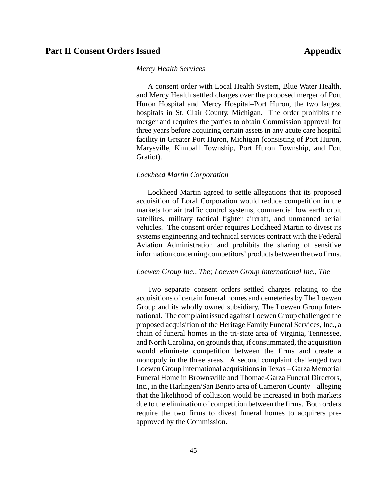#### *Mercy Health Services*

A consent order with Local Health System, Blue Water Health, and Mercy Health settled charges over the proposed merger of Port Huron Hospital and Mercy Hospital–Port Huron, the two largest hospitals in St. Clair County, Michigan. The order prohibits the merger and requires the parties to obtain Commission approval for three years before acquiring certain assets in any acute care hospital facility in Greater Port Huron, Michigan (consisting of Port Huron, Marysville, Kimball Township, Port Huron Township, and Fort Gratiot).

#### *Lockheed Martin Corporation*

Lockheed Martin agreed to settle allegations that its proposed acquisition of Loral Corporation would reduce competition in the markets for air traffic control systems, commercial low earth orbit satellites, military tactical fighter aircraft, and unmanned aerial vehicles. The consent order requires Lockheed Martin to divest its systems engineering and technical services contract with the Federal Aviation Administration and prohibits the sharing of sensitive information concerning competitors' products between the two firms.

#### *Loewen Group Inc., The; Loewen Group International Inc., The*

Two separate consent orders settled charges relating to the acquisitions of certain funeral homes and cemeteries by The Loewen Group and its wholly owned subsidiary, The Loewen Group International. The complaint issued against Loewen Group challenged the proposed acquisition of the Heritage Family Funeral Services, Inc., a chain of funeral homes in the tri-state area of Virginia, Tennessee, and North Carolina, on grounds that, if consummated, the acquisition would eliminate competition between the firms and create a monopoly in the three areas. A second complaint challenged two Loewen Group International acquisitions in Texas – Garza Memorial Funeral Home in Brownsville and Thomae-Garza Funeral Directors, Inc., in the Harlingen/San Benito area of Cameron County – alleging that the likelihood of collusion would be increased in both markets due to the elimination of competition between the firms. Both orders require the two firms to divest funeral homes to acquirers preapproved by the Commission.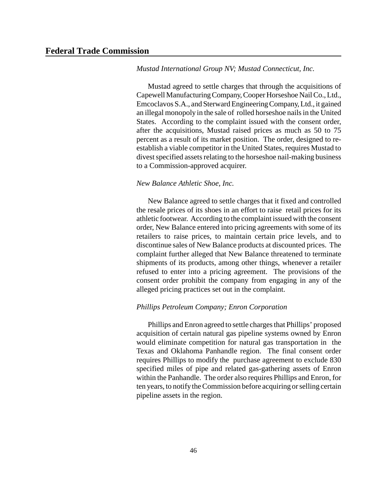## *Mustad International Group NV; Mustad Connecticut, Inc.*

Mustad agreed to settle charges that through the acquisitions of Capewell Manufacturing Company, Cooper Horseshoe Nail Co., Ltd., Emcoclavos S.A., and SterwardEngineering Company, Ltd., it gained an illegal monopoly in the sale of rolled horseshoe nails in the United States. According to the complaint issued with the consent order, after the acquisitions, Mustad raised prices as much as 50 to 75 percent as a result of its market position. The order, designed to reestablish a viable competitor in the United States, requires Mustad to divest specified assets relating to the horseshoe nail-making business to a Commission-approved acquirer.

# *New Balance Athletic Shoe, Inc.*

New Balance agreed to settle charges that it fixed and controlled the resale prices of its shoes in an effort to raise retail prices for its athletic footwear. According to the complaint issued with the consent order, New Balance entered into pricing agreements with some of its retailers to raise prices, to maintain certain price levels, and to discontinue sales of New Balance products at discounted prices. The complaint further alleged that New Balance threatened to terminate shipments of its products, among other things, whenever a retailer refused to enter into a pricing agreement. The provisions of the consent order prohibit the company from engaging in any of the alleged pricing practices set out in the complaint.

# *Phillips Petroleum Company; Enron Corporation*

Phillips and Enron agreed to settle charges that Phillips' proposed acquisition of certain natural gas pipeline systems owned by Enron would eliminate competition for natural gas transportation in the Texas and Oklahoma Panhandle region. The final consent order requires Phillips to modify the purchase agreement to exclude 830 specified miles of pipe and related gas-gathering assets of Enron within the Panhandle. The order also requires Phillips and Enron, for ten years, to notifytheCommission before acquiring orselling certain pipeline assets in the region.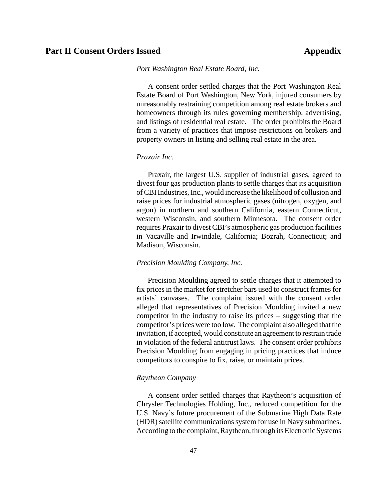#### *Port Washington Real Estate Board, Inc.*

A consent order settled charges that the Port Washington Real Estate Board of Port Washington, New York, injured consumers by unreasonably restraining competition among real estate brokers and homeowners through its rules governing membership, advertising, and listings of residential real estate. The order prohibits the Board from a variety of practices that impose restrictions on brokers and property owners in listing and selling real estate in the area.

# *Praxair Inc.*

Praxair, the largest U.S. supplier of industrial gases, agreed to divest four gas production plants to settle charges that its acquisition ofCBIIndustries,Inc., would increase the likelihood of collusion and raise prices for industrial atmospheric gases (nitrogen, oxygen, and argon) in northern and southern California, eastern Connecticut, western Wisconsin, and southern Minnesota. The consent order requires Praxair to divest CBI's atmospheric gas production facilities in Vacaville and Irwindale, California; Bozrah, Connecticut; and Madison, Wisconsin.

# *Precision Moulding Company, Inc.*

Precision Moulding agreed to settle charges that it attempted to fix prices in the market for stretcher bars used to construct frames for artists' canvases. The complaint issued with the consent order alleged that representatives of Precision Moulding invited a new competitor in the industry to raise its prices – suggesting that the competitor's prices were too low. The complaint also alleged that the invitation, if accepted, would constitute an agreement to restrain trade in violation of the federal antitrust laws. The consent order prohibits Precision Moulding from engaging in pricing practices that induce competitors to conspire to fix, raise, or maintain prices.

## *Raytheon Company*

A consent order settled charges that Raytheon's acquisition of Chrysler Technologies Holding, Inc., reduced competition for the U.S. Navy's future procurement of the Submarine High Data Rate (HDR) satellite communications system for use in Navy submarines. According to the complaint, Raytheon, through its Electronic Systems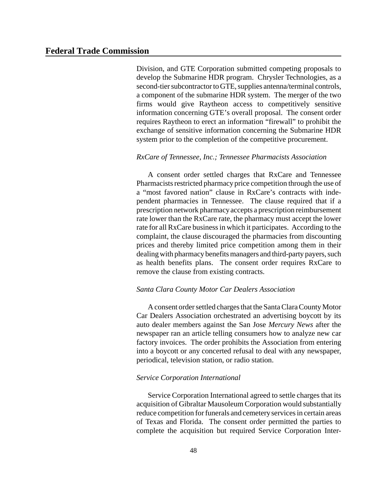Division, and GTE Corporation submitted competing proposals to develop the Submarine HDR program. Chrysler Technologies, as a second-tier subcontractor to GTE, supplies antenna/terminal controls, a component of the submarine HDR system. The merger of the two firms would give Raytheon access to competitively sensitive information concerning GTE's overall proposal. The consent order requires Raytheon to erect an information "firewall" to prohibit the exchange of sensitive information concerning the Submarine HDR system prior to the completion of the competitive procurement.

# *RxCare of Tennessee, Inc.; Tennessee Pharmacists Association*

A consent order settled charges that RxCare and Tennessee Pharmacists restricted pharmacy price competition through the use of a "most favored nation" clause in RxCare's contracts with independent pharmacies in Tennessee. The clause required that if a prescription network pharmacyaccepts a prescription reimbursement rate lower than the RxCare rate, the pharmacy must accept the lower rate for all RxCare business in which it participates. According to the complaint, the clause discouraged the pharmacies from discounting prices and thereby limited price competition among them in their dealing with pharmacy benefits managers and third-party payers, such as health benefits plans. The consent order requires RxCare to remove the clause from existing contracts.

# *Santa Clara County Motor Car Dealers Association*

A consent order settled charges that the Santa Clara County Motor Car Dealers Association orchestrated an advertising boycott by its auto dealer members against the San Jose *Mercury News* after the newspaper ran an article telling consumers how to analyze new car factory invoices. The order prohibits the Association from entering into a boycott or any concerted refusal to deal with any newspaper, periodical, television station, or radio station.

## *Service Corporation International*

Service Corporation International agreed to settle charges that its acquisition of Gibraltar Mausoleum Corporation would substantially reduce competition for funerals and cemetery services in certain areas of Texas and Florida. The consent order permitted the parties to complete the acquisition but required Service Corporation Inter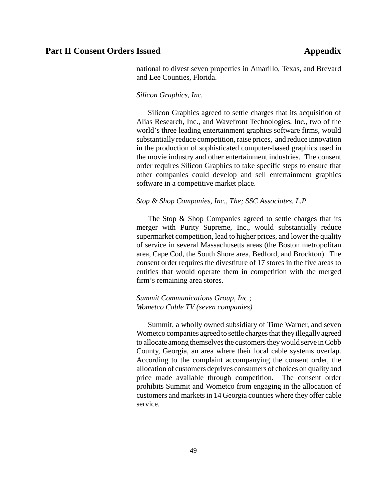national to divest seven properties in Amarillo, Texas, and Brevard and Lee Counties, Florida.

# *Silicon Graphics, Inc.*

Silicon Graphics agreed to settle charges that its acquisition of Alias Research, Inc., and Wavefront Technologies, Inc., two of the world's three leading entertainment graphics software firms, would substantially reduce competition, raise prices, and reduce innovation in the production of sophisticated computer-based graphics used in the movie industry and other entertainment industries. The consent order requires Silicon Graphics to take specific steps to ensure that other companies could develop and sell entertainment graphics software in a competitive market place.

# *Stop & Shop Companies, Inc., The; SSC Associates, L.P.*

The Stop & Shop Companies agreed to settle charges that its merger with Purity Supreme, Inc., would substantially reduce supermarket competition, lead to higher prices, and lower the quality of service in several Massachusetts areas (the Boston metropolitan area, Cape Cod, the South Shore area, Bedford, and Brockton). The consent order requires the divestiture of 17 stores in the five areas to entities that would operate them in competition with the merged firm's remaining area stores.

# *Summit Communications Group, Inc.; Wometco Cable TV (seven companies)*

Summit, a wholly owned subsidiary of Time Warner, and seven Wometco companies agreed to settle charges that they illegally agreed to allocate among themselves the customers they would serve in Cobb County, Georgia, an area where their local cable systems overlap. According to the complaint accompanying the consent order, the allocation of customers deprives consumers of choices on quality and price made available through competition. The consent order prohibits Summit and Wometco from engaging in the allocation of customers and marketsin 14 Georgia counties where they offer cable service.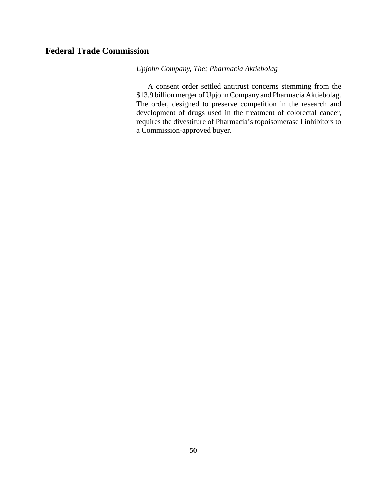*Upjohn Company, The; Pharmacia Aktiebolag*

A consent order settled antitrust concerns stemming from the \$13.9 billion merger of UpjohnCompany and Pharmacia Aktiebolag. The order, designed to preserve competition in the research and development of drugs used in the treatment of colorectal cancer, requires the divestiture of Pharmacia's topoisomerase I inhibitors to a Commission-approved buyer.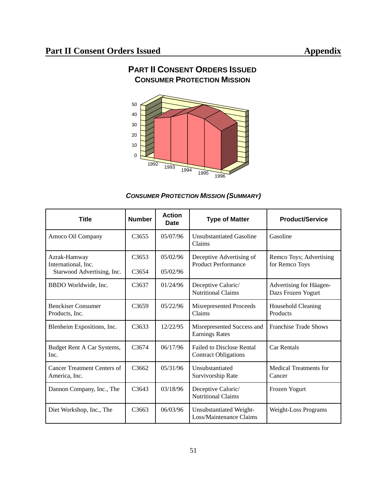

# **PART II CONSENT ORDERS ISSUED CONSUMER PROTECTION MISSION**

# *CONSUMER PROTECTION MISSION (SUMMARY)*

| <b>Title</b>                                                      | <b>Number</b>              | <b>Action</b><br>Date | <b>Type of Matter</b>                                           | <b>Product/Service</b>                        |
|-------------------------------------------------------------------|----------------------------|-----------------------|-----------------------------------------------------------------|-----------------------------------------------|
| Amoco Oil Company                                                 | C <sub>3655</sub>          | 05/07/96              | Unsubstantiated Gasoline<br>Claims                              | Gasoline                                      |
| Azrak-Hamway<br>International, Inc.<br>Starwood Advertising, Inc. | C3653<br>C <sub>3654</sub> | 05/02/96<br>05/02/96  | Deceptive Advertising of<br><b>Product Performance</b>          | Remco Toys; Advertising<br>for Remco Toys     |
| BBDO Worldwide, Inc.                                              | C <sub>3637</sub>          | 01/24/96              | Deceptive Caloric/<br><b>Nutritional Claims</b>                 | Advertising for Häagen-<br>Dazs Frozen Yogurt |
| <b>Benckiser Consumer</b><br>Products, Inc.                       | C <sub>3659</sub>          | 05/22/96              | Misrepresented Proceeds<br>Claims                               | Household Cleaning<br>Products                |
| Blenheim Expositions, Inc.                                        | C <sub>3633</sub>          | 12/22/95              | Misrepresented Success and<br><b>Earnings Rates</b>             | <b>Franchise Trade Shows</b>                  |
| Budget Rent A Car Systems,<br>Inc.                                | C <sub>3674</sub>          | 06/17/96              | <b>Failed to Disclose Rental</b><br><b>Contract Obligations</b> | <b>Car Rentals</b>                            |
| <b>Cancer Treatment Centers of</b><br>America, Inc.               | C3662                      | 05/31/96              | Unsubstantiated<br>Survivorship Rate                            | <b>Medical Treatments for</b><br>Cancer       |
| Dannon Company, Inc., The                                         | C <sub>3643</sub>          | 03/18/96              | Deceptive Caloric/<br><b>Nutritional Claims</b>                 | Frozen Yogurt                                 |
| Diet Workshop, Inc., The                                          | C3663                      | 06/03/96              | Unsubstantiated Weight-<br>Loss/Maintenance Claims              | <b>Weight-Loss Programs</b>                   |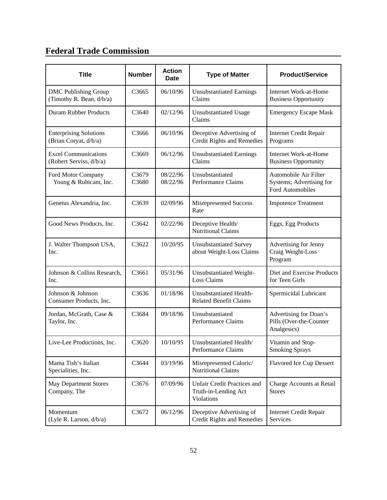# **Federal Trade Commission**

| <b>Title</b>                                            | <b>Number</b>     | <b>Action</b><br><b>Date</b> | <b>Type of Matter</b>                                                           | <b>Product/Service</b>                                                |
|---------------------------------------------------------|-------------------|------------------------------|---------------------------------------------------------------------------------|-----------------------------------------------------------------------|
| <b>DMC Publishing Group</b><br>(Timothy R. Bean, d/b/a) | C <sub>3665</sub> | 06/10/96                     | <b>Unsubstantiated Earnings</b><br>Claims                                       | Internet Work-at-Home<br><b>Business Opportunity</b>                  |
| <b>Duram Rubber Products</b>                            | C3640             | 02/12/96                     | <b>Unsubstantiated Usage</b><br>Claims                                          | <b>Emergency Escape Mask</b>                                          |
| <b>Enterprising Solutions</b><br>(Brian Coryat, d/b/a)  | C <sub>3666</sub> | 06/10/96                     | Deceptive Advertising of<br><b>Credit Rights and Remedies</b>                   | <b>Internet Credit Repair</b><br>Programs                             |
| <b>Excel Communications</b><br>(Robert Serviss, d/b/a)  | C3669             | 06/12/96                     | <b>Unsubstantiated Earnings</b><br>Claims                                       | <b>Internet Work-at-Home</b><br><b>Business Opportunity</b>           |
| Ford Motor Company<br>Young & Rubicam, Inc.             | C3679<br>C3680    | 08/22/96<br>08/22/96         | Unsubstantiated<br>Performance Claims                                           | Automobile Air Filter<br>Systems; Advertising for<br>Ford Automobiles |
| Genetus Alexandria, Inc.                                | C3639             | 02/09/96                     | Misrepresented Success<br>Rate                                                  | <b>Impotence Treatment</b>                                            |
| Good News Products, Inc.                                | C3642             | 02/22/96                     | Deceptive Health/<br><b>Nutritional Claims</b>                                  | Eggs, Egg Products                                                    |
| J. Walter Thompson USA,<br>Inc.                         | C3622             | 10/20/95                     | <b>Unsubstantiated Survey</b><br>about Weight-Loss Claims                       | Advertising for Jenny<br>Craig Weight-Loss<br>Program                 |
| Johnson & Collins Research,<br>Inc.                     | C3661             | 05/31/96                     | Unsubstantiated Weight-<br><b>Loss Claims</b>                                   | Diet and Exercise Products<br>for Teen Girls                          |
| Johnson & Johnson<br>Consumer Products, Inc.            | C3636             | 01/18/96                     | Unsubstantiated Health-<br><b>Related Benefit Claims</b>                        | Spermicidal Lubricant                                                 |
| Jordan, McGrath, Case &<br>Taylor, Inc.                 | C3684             | 09/18/96                     | Unsubstantiated<br>Performance Claims                                           | Advertising for Doan's<br>Pills (Over-the-Counter<br>Analgesics)      |
| Live-Lee Productions, Inc.                              | C3620             | 10/10/95                     | Unsubstantiated Health/<br>Performance Claims                                   | Vitamin and Stop-<br><b>Smoking Sprays</b>                            |
| Mama Tish's Italian<br>Specialities, Inc.               | C3644             | 03/19/96                     | Misrepresented Caloric/<br><b>Nutritional Claims</b>                            | Flavored Ice Cup Dessert                                              |
| <b>May Department Stores</b><br>Company, The            | C3676             | 07/09/96                     | <b>Unfair Credit Practices and</b><br>Truth-in-Lending Act<br><b>Violations</b> | Charge Accounts at Retail<br><b>Stores</b>                            |
| Momentum<br>(Lyle R. Larson, d/b/a)                     | C3672             | 06/12/96                     | Deceptive Advertising of<br><b>Credit Rights and Remedies</b>                   | <b>Internet Credit Repair</b><br>Services                             |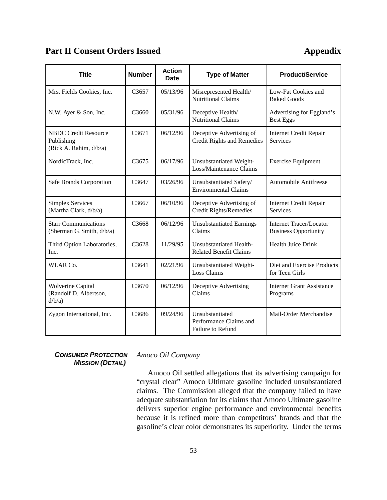# **Part II Consent Orders Issued <b>Appendix Appendix**

| <b>Title</b>                                                        | <b>Number</b> | <b>Action</b><br><b>Date</b> | <b>Type of Matter</b>                                          | <b>Product/Service</b>                                        |
|---------------------------------------------------------------------|---------------|------------------------------|----------------------------------------------------------------|---------------------------------------------------------------|
| Mrs. Fields Cookies, Inc.                                           | C3657         | 05/13/96                     | Misrepresented Health/<br><b>Nutritional Claims</b>            | Low-Fat Cookies and<br><b>Baked Goods</b>                     |
| N.W. Ayer & Son, Inc.                                               | C3660         | 05/31/96                     | Deceptive Health/<br><b>Nutritional Claims</b>                 | Advertising for Eggland's<br><b>Best Eggs</b>                 |
| <b>NBDC Credit Resource</b><br>Publishing<br>(Rick A. Rahim, d/b/a) | C3671         | 06/12/96                     | Deceptive Advertising of<br><b>Credit Rights and Remedies</b>  | <b>Internet Credit Repair</b><br><b>Services</b>              |
| NordicTrack, Inc.                                                   | C3675         | 06/17/96                     | Unsubstantiated Weight-<br>Loss/Maintenance Claims             | <b>Exercise Equipment</b>                                     |
| Safe Brands Corporation                                             | C3647         | 03/26/96                     | Unsubstantiated Safety/<br><b>Environmental Claims</b>         | Automobile Antifreeze                                         |
| <b>Simplex Services</b><br>(Martha Clark, d/b/a)                    | C3667         | 06/10/96                     | Deceptive Advertising of<br>Credit Rights/Remedies             | <b>Internet Credit Repair</b><br>Services                     |
| <b>Starr Communications</b><br>(Sherman G. Smith, d/b/a)            | C3668         | 06/12/96                     | <b>Unsubstantiated Earnings</b><br>Claims                      | <b>Internet Tracer/Locator</b><br><b>Business Opportunity</b> |
| Third Option Laboratories,<br>Inc.                                  | C3628         | 11/29/95                     | Unsubstantiated Health-<br><b>Related Benefit Claims</b>       | Health Juice Drink                                            |
| WLAR Co.                                                            | C3641         | 02/21/96                     | Unsubstantiated Weight-<br><b>Loss Claims</b>                  | Diet and Exercise Products<br>for Teen Girls                  |
| <b>Wolverine Capital</b><br>(Randolf D. Albertson,<br>d/b/a)        | C3670         | 06/12/96                     | Deceptive Advertising<br>Claims                                | <b>Internet Grant Assistance</b><br>Programs                  |
| Zygon International, Inc.                                           | C3686         | 09/24/96                     | Unsubstantiated<br>Performance Claims and<br>Failure to Refund | Mail-Order Merchandise                                        |

*CONSUMER PROTECTION MISSION (DETAIL)*

*Amoco Oil Company*

Amoco Oil settled allegations that its advertising campaign for "crystal clear" Amoco Ultimate gasoline included unsubstantiated claims. The Commission alleged that the company failed to have adequate substantiation for its claims that Amoco Ultimate gasoline delivers superior engine performance and environmental benefits because it is refined more than competitors' brands and that the gasoline's clear color demonstrates its superiority. Under the terms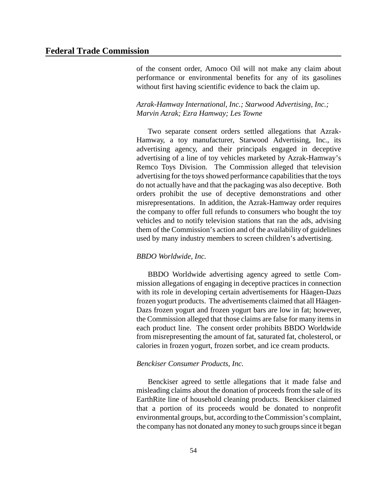of the consent order, Amoco Oil will not make any claim about performance or environmental benefits for any of its gasolines without first having scientific evidence to back the claim up.

# *Azrak-Hamway International, Inc.; Starwood Advertising, Inc.; Marvin Azrak; Ezra Hamway; Les Towne*

Two separate consent orders settled allegations that Azrak-Hamway, a toy manufacturer, Starwood Advertising, Inc., its advertising agency, and their principals engaged in deceptive advertising of a line of toy vehicles marketed by Azrak-Hamway's Remco Toys Division. The Commission alleged that television advertising for the toys showed performance capabilities that the toys do not actually have and that the packaging was also deceptive. Both orders prohibit the use of deceptive demonstrations and other misrepresentations. In addition, the Azrak-Hamway order requires the company to offer full refunds to consumers who bought the toy vehicles and to notify television stations that ran the ads, advising them of the Commission's action and of the availability of guidelines used by many industry members to screen children's advertising.

# *BBDO Worldwide, Inc.*

BBDO Worldwide advertising agency agreed to settle Commission allegations of engaging in deceptive practices in connection with its role in developing certain advertisements for Häagen-Dazs frozen yogurt products. The advertisements claimed that all Häagen-Dazs frozen yogurt and frozen yogurt bars are low in fat; however, the Commission alleged that those claims are false for many items in each product line. The consent order prohibits BBDO Worldwide from misrepresenting the amount of fat, saturated fat, cholesterol, or calories in frozen yogurt, frozen sorbet, and ice cream products.

# *Benckiser Consumer Products, Inc.*

Benckiser agreed to settle allegations that it made false and misleading claims about the donation of proceeds from the sale of its EarthRite line of household cleaning products. Benckiser claimed that a portion of its proceeds would be donated to nonprofit environmental groups, but, according to the Commission's complaint, the company has not donated any money to such groups since it began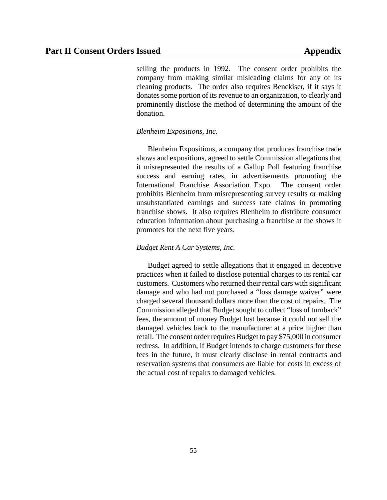selling the products in 1992. The consent order prohibits the company from making similar misleading claims for any of its cleaning products. The order also requires Benckiser, if it says it donates some portion of its revenue to an organization, to clearly and prominently disclose the method of determining the amount of the donation.

# *Blenheim Expositions, Inc.*

Blenheim Expositions, a company that produces franchise trade shows and expositions, agreed to settle Commission allegations that it misrepresented the results of a Gallup Poll featuring franchise success and earning rates, in advertisements promoting the International Franchise Association Expo. The consent order prohibits Blenheim from misrepresenting survey results or making unsubstantiated earnings and success rate claims in promoting franchise shows. It also requires Blenheim to distribute consumer education information about purchasing a franchise at the shows it promotes for the next five years.

# *Budget Rent A Car Systems, Inc.*

Budget agreed to settle allegations that it engaged in deceptive practices when it failed to disclose potential charges to its rental car customers. Customers who returned their rental cars with significant damage and who had not purchased a "loss damage waiver" were charged several thousand dollars more than the cost of repairs. The Commission alleged that Budget sought to collect "loss of turnback" fees, the amount of money Budget lost because it could not sell the damaged vehicles back to the manufacturer at a price higher than retail. The consent order requires Budget to pay \$75,000 in consumer redress. In addition, if Budget intends to charge customers for these fees in the future, it must clearly disclose in rental contracts and reservation systems that consumers are liable for costs in excess of the actual cost of repairs to damaged vehicles.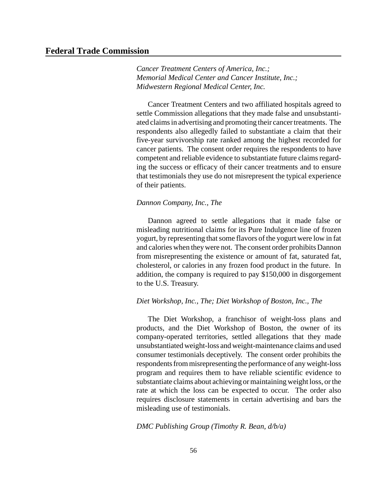*Cancer Treatment Centers of America, Inc.; Memorial Medical Center and Cancer Institute, Inc.; Midwestern Regional Medical Center, Inc.*

Cancer Treatment Centers and two affiliated hospitals agreed to settle Commission allegations that they made false and unsubstantiated claims in advertising and promoting their cancer treatments. The respondents also allegedly failed to substantiate a claim that their five-year survivorship rate ranked among the highest recorded for cancer patients. The consent order requires the respondents to have competent and reliable evidence to substantiate future claims regarding the success or efficacy of their cancer treatments and to ensure that testimonials they use do not misrepresent the typical experience of their patients.

# *Dannon Company, Inc., The*

Dannon agreed to settle allegations that it made false or misleading nutritional claims for its Pure Indulgence line of frozen yogurt, by representing that some flavors of the yogurt were low in fat and calories when theywere not. The consent order prohibits Dannon from misrepresenting the existence or amount of fat, saturated fat, cholesterol, or calories in any frozen food product in the future. In addition, the company is required to pay \$150,000 in disgorgement to the U.S. Treasury.

# *Diet Workshop, Inc., The; Diet Workshop of Boston, Inc., The*

The Diet Workshop, a franchisor of weight-loss plans and products, and the Diet Workshop of Boston, the owner of its company-operated territories, settled allegations that they made unsubstantiated weight-loss and weight-maintenance claims and used consumer testimonials deceptively. The consent order prohibits the respondents from misrepresenting the performance of any weight-loss program and requires them to have reliable scientific evidence to substantiate claims about achieving or maintaining weight loss, or the rate at which the loss can be expected to occur. The order also requires disclosure statements in certain advertising and bars the misleading use of testimonials.

#### *DMC Publishing Group (Timothy R. Bean, d/b/a)*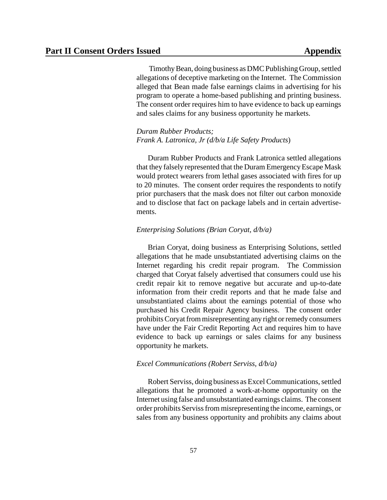Timothy Bean, doing business as DMC Publishing Group, settled allegations of deceptive marketing on the Internet. The Commission alleged that Bean made false earnings claims in advertising for his program to operate a home-based publishing and printing business. The consent order requires him to have evidence to back up earnings and sales claims for any business opportunity he markets.

# *Duram Rubber Products; Frank A. Latronica, Jr (d/b/a Life Safety Products*)

Duram Rubber Products and Frank Latronica settled allegations that they falsely represented that the Duram Emergency Escape Mask would protect wearers from lethal gases associated with fires for up to 20 minutes. The consent order requires the respondents to notify prior purchasers that the mask does not filter out carbon monoxide and to disclose that fact on package labels and in certain advertisements.

# *Enterprising Solutions (Brian Coryat, d/b/a)*

Brian Coryat, doing business as Enterprising Solutions, settled allegations that he made unsubstantiated advertising claims on the Internet regarding his credit repair program. The Commission charged that Coryat falsely advertised that consumers could use his credit repair kit to remove negative but accurate and up-to-date information from their credit reports and that he made false and unsubstantiated claims about the earnings potential of those who purchased his Credit Repair Agency business. The consent order prohibitsCoryat from misrepresenting any right or remedy consumers have under the Fair Credit Reporting Act and requires him to have evidence to back up earnings or sales claims for any business opportunity he markets.

## *Excel Communications (Robert Serviss, d/b/a)*

Robert Serviss, doing business as Excel Communications, settled allegations that he promoted a work-at-home opportunity on the Internet using false and unsubstantiated earnings claims. The consent order prohibits Servissfrom misrepresenting the income, earnings, or sales from any business opportunity and prohibits any claims about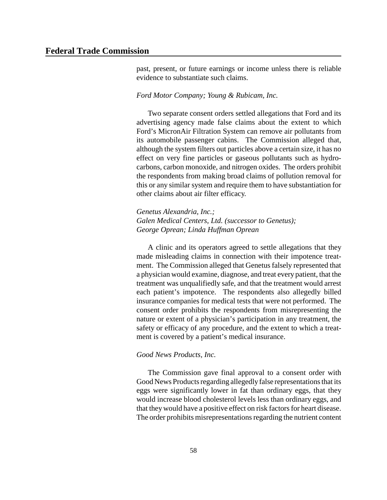past, present, or future earnings or income unless there is reliable evidence to substantiate such claims.

# *Ford Motor Company; Young & Rubicam, Inc.*

Two separate consent orders settled allegations that Ford and its advertising agency made false claims about the extent to which Ford's MicronAir Filtration System can remove air pollutants from its automobile passenger cabins. The Commission alleged that, although the system filters out particles above a certain size, it has no effect on very fine particles or gaseous pollutants such as hydrocarbons, carbon monoxide, and nitrogen oxides. The orders prohibit the respondents from making broad claims of pollution removal for this or any similar system and require them to have substantiation for other claims about air filter efficacy.

*Genetus Alexandria, Inc.; Galen Medical Centers, Ltd. (successor to Genetus); George Oprean; Linda Huffman Oprean*

A clinic and its operators agreed to settle allegations that they made misleading claims in connection with their impotence treatment. The Commission alleged that Genetus falsely represented that a physician would examine, diagnose, and treat every patient, that the treatment was unqualifiedly safe, and that the treatment would arrest each patient's impotence. The respondents also allegedly billed insurance companies for medical tests that were not performed. The consent order prohibits the respondents from misrepresenting the nature or extent of a physician's participation in any treatment, the safety or efficacy of any procedure, and the extent to which a treatment is covered by a patient's medical insurance.

# *Good News Products, Inc.*

The Commission gave final approval to a consent order with Good News Products regarding allegedly false representations that its eggs were significantly lower in fat than ordinary eggs, that they would increase blood cholesterol levels less than ordinary eggs, and that they would have a positive effect on risk factors for heart disease. The order prohibits misrepresentations regarding the nutrient content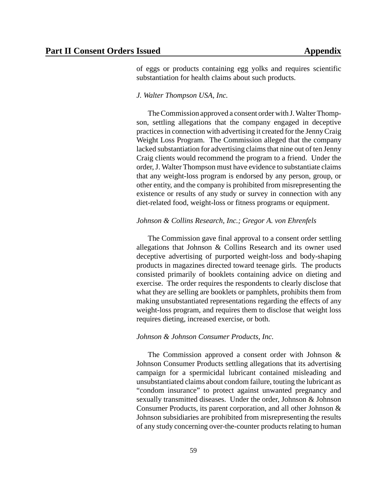of eggs or products containing egg yolks and requires scientific substantiation for health claims about such products.

## *J. Walter Thompson USA, Inc.*

The Commission approved a consent order with J. Walter Thompson, settling allegations that the company engaged in deceptive practicesin connection with advertising it created for the JennyCraig Weight Loss Program. The Commission alleged that the company lacked substantiation for advertising claims that nine out of ten Jenny Craig clients would recommend the program to a friend. Under the order,J. Walter Thompson must have evidence to substantiate claims that any weight-loss program is endorsed by any person, group, or other entity, and the company is prohibited from misrepresenting the existence or results of any study or survey in connection with any diet-related food, weight-loss or fitness programs or equipment.

## *Johnson & Collins Research, Inc.; Gregor A. von Ehrenfels*

The Commission gave final approval to a consent order settling allegations that Johnson & Collins Research and its owner used deceptive advertising of purported weight-loss and body-shaping products in magazines directed toward teenage girls. The products consisted primarily of booklets containing advice on dieting and exercise. The order requires the respondents to clearly disclose that what they are selling are booklets or pamphlets, prohibits them from making unsubstantiated representations regarding the effects of any weight-loss program, and requires them to disclose that weight loss requires dieting, increased exercise, or both.

# *Johnson & Johnson Consumer Products, Inc.*

The Commission approved a consent order with Johnson & Johnson Consumer Products settling allegations that its advertising campaign for a spermicidal lubricant contained misleading and unsubstantiated claims about condom failure, touting the lubricant as "condom insurance" to protect against unwanted pregnancy and sexually transmitted diseases. Under the order, Johnson & Johnson Consumer Products, its parent corporation, and all other Johnson & Johnson subsidiaries are prohibited from misrepresenting the results of any study concerning over-the-counter products relating to human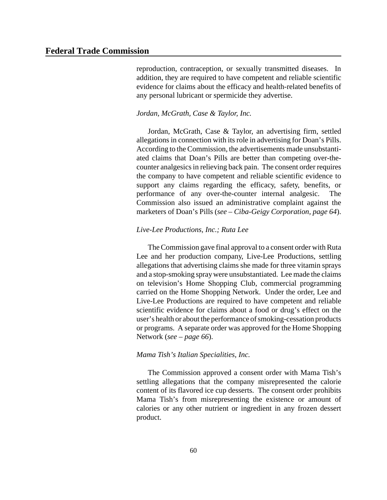reproduction, contraception, or sexually transmitted diseases. In addition, they are required to have competent and reliable scientific evidence for claims about the efficacy and health-related benefits of any personal lubricant or spermicide they advertise.

# *Jordan, McGrath, Case & Taylor, Inc.*

Jordan, McGrath, Case & Taylor, an advertising firm, settled allegations in connection with itsrole in advertising for Doan's Pills. According to the Commission, the advertisements made unsubstantiated claims that Doan's Pills are better than competing over-thecounter analgesics in relieving back pain. The consent order requires the company to have competent and reliable scientific evidence to support any claims regarding the efficacy, safety, benefits, or performance of any over-the-counter internal analgesic. The Commission also issued an administrative complaint against the marketers of Doan's Pills (*see – Ciba-Geigy Corporation, page 64*).

# *Live-Lee Productions, Inc.; Ruta Lee*

The Commission gave final approval to a consent order with Ruta Lee and her production company, Live-Lee Productions, settling allegations that advertising claims she made for three vitamin sprays and a stop-smoking spraywere unsubstantiated. Lee made the claims on television's Home Shopping Club, commercial programming carried on the Home Shopping Network. Under the order, Lee and Live-Lee Productions are required to have competent and reliable scientific evidence for claims about a food or drug's effect on the user's health or about the performance of smoking-cessation products or programs. A separate order was approved for the Home Shopping Network (*see – page 66*).

## *Mama Tish's Italian Specialities, Inc.*

The Commission approved a consent order with Mama Tish's settling allegations that the company misrepresented the calorie content of its flavored ice cup desserts. The consent order prohibits Mama Tish's from misrepresenting the existence or amount of calories or any other nutrient or ingredient in any frozen dessert product.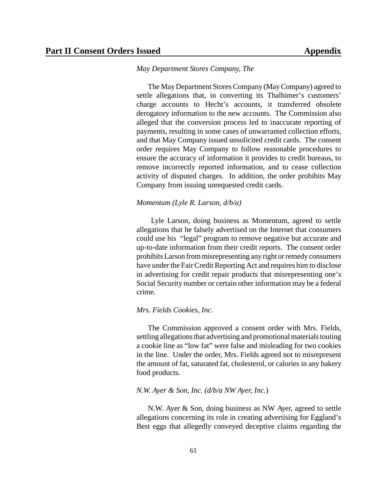#### *May Department Stores Company, The*

The MayDepartment Stores Company (MayCompany) agreed to settle allegations that, in converting its Thalhimer's customers' charge accounts to Hecht's accounts, it transferred obsolete derogatory information to the new accounts. The Commission also alleged that the conversion process led to inaccurate reporting of payments, resulting in some cases of unwarranted collection efforts, and that May Company issued unsolicited credit cards. The consent order requires May Company to follow reasonable procedures to ensure the accuracy of information it provides to credit bureaus, to remove incorrectly reported information, and to cease collection activity of disputed charges. In addition, the order prohibits May Company from issuing unrequested credit cards.

#### *Momentum (Lyle R. Larson, d/b/a)*

Lyle Larson, doing business as Momentum, agreed to settle allegations that he falsely advertised on the Internet that consumers could use his "legal" program to remove negative but accurate and up-to-date information from their credit reports. The consent order prohibits Larson from misrepresenting any right or remedy consumers have under the Fair Credit Reporting Act and requires him to disclose in advertising for credit repair products that misrepresenting one's Social Security number or certain other information may be a federal crime.

# *Mrs. Fields Cookies, Inc.*

The Commission approved a consent order with Mrs. Fields, settling allegations that advertising and promotional materials touting a cookie line as "low fat" were false and misleading for two cookies in the line. Under the order, Mrs. Fields agreed not to misrepresent the amount of fat, saturated fat, cholesterol, or calories in any bakery food products.

#### *N.W. Ayer & Son, Inc. (d/b/a NW Ayer, Inc.*)

N.W. Ayer & Son, doing business as NW Ayer, agreed to settle allegations concerning its role in creating advertising for Eggland's Best eggs that allegedly conveyed deceptive claims regarding the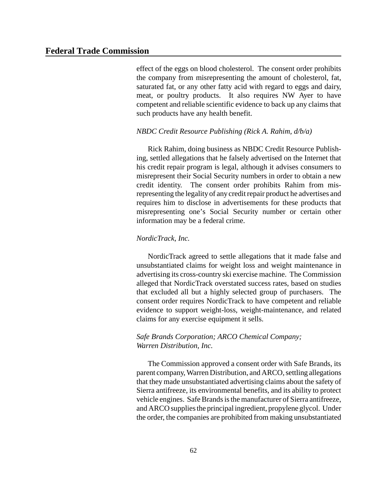effect of the eggs on blood cholesterol. The consent order prohibits the company from misrepresenting the amount of cholesterol, fat, saturated fat, or any other fatty acid with regard to eggs and dairy, meat, or poultry products. It also requires NW Ayer to have competent and reliable scientific evidence to back up any claims that such products have any health benefit.

## *NBDC Credit Resource Publishing (Rick A. Rahim, d/b/a)*

Rick Rahim, doing business as NBDC Credit Resource Publishing, settled allegations that he falsely advertised on the Internet that his credit repair program is legal, although it advises consumers to misrepresent their Social Security numbers in order to obtain a new credit identity. The consent order prohibits Rahim from misrepresenting the legality of any credit repair product he advertises and requires him to disclose in advertisements for these products that misrepresenting one's Social Security number or certain other information may be a federal crime.

# *NordicTrack, Inc.*

NordicTrack agreed to settle allegations that it made false and unsubstantiated claims for weight loss and weight maintenance in advertising its cross-country ski exercise machine. The Commission alleged that NordicTrack overstated success rates, based on studies that excluded all but a highly selected group of purchasers. The consent order requires NordicTrack to have competent and reliable evidence to support weight-loss, weight-maintenance, and related claims for any exercise equipment it sells.

# *Safe Brands Corporation; ARCO Chemical Company; Warren Distribution, Inc.*

The Commission approved a consent order with Safe Brands, its parent company, Warren Distribution, and ARCO, settling allegations that they made unsubstantiated advertising claims about the safety of Sierra antifreeze, its environmental benefits, and its ability to protect vehicle engines. Safe Brands is the manufacturer of Sierra antifreeze, and ARCO supplies the principal ingredient, propylene glycol. Under the order, the companies are prohibited from making unsubstantiated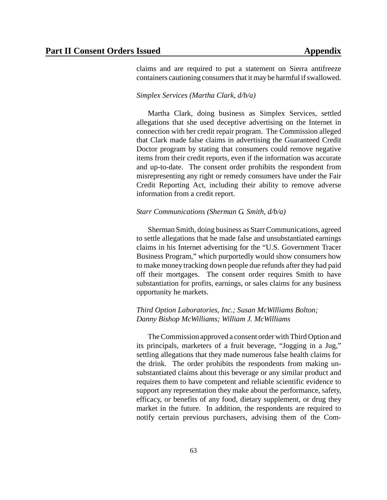claims and are required to put a statement on Sierra antifreeze containers cautioning consumers that it may be harmful if swallowed.

## *Simplex Services (Martha Clark, d/b/a)*

Martha Clark, doing business as Simplex Services, settled allegations that she used deceptive advertising on the Internet in connection with her credit repair program. The Commission alleged that Clark made false claims in advertising the Guaranteed Credit Doctor program by stating that consumers could remove negative items from their credit reports, even if the information was accurate and up-to-date. The consent order prohibits the respondent from misrepresenting any right or remedy consumers have under the Fair Credit Reporting Act, including their ability to remove adverse information from a credit report.

# *Starr Communications (Sherman G. Smith, d/b/a)*

Sherman Smith, doing business as StarrCommunications, agreed to settle allegations that he made false and unsubstantiated earnings claims in his Internet advertising for the "U.S. Government Tracer Business Program," which purportedly would show consumers how to make money tracking down people due refunds after they had paid off their mortgages. The consent order requires Smith to have substantiation for profits, earnings, or sales claims for any business opportunity he markets.

# *Third Option Laboratories, Inc.; Susan McWilliams Bolton; Danny Bishop McWilliams; William J. McWilliams*

The Commission approved a consent order with Third Option and its principals, marketers of a fruit beverage, "Jogging in a Jug," settling allegations that they made numerous false health claims for the drink. The order prohibits the respondents from making unsubstantiated claims about this beverage or any similar product and requires them to have competent and reliable scientific evidence to support any representation they make about the performance, safety, efficacy, or benefits of any food, dietary supplement, or drug they market in the future. In addition, the respondents are required to notify certain previous purchasers, advising them of the Com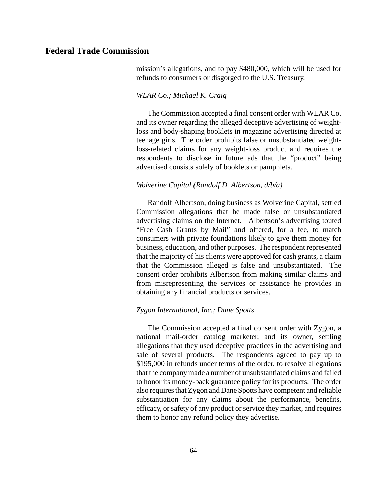mission's allegations, and to pay \$480,000, which will be used for refunds to consumers or disgorged to the U.S. Treasury.

# *WLAR Co.; Michael K. Craig*

The Commission accepted a final consent order with WLAR Co. and its owner regarding the alleged deceptive advertising of weightloss and body-shaping booklets in magazine advertising directed at teenage girls. The order prohibits false or unsubstantiated weightloss-related claims for any weight-loss product and requires the respondents to disclose in future ads that the "product" being advertised consists solely of booklets or pamphlets.

## *Wolverine Capital (Randolf D. Albertson, d/b/a)*

Randolf Albertson, doing business as Wolverine Capital, settled Commission allegations that he made false or unsubstantiated advertising claims on the Internet. Albertson's advertising touted "Free Cash Grants by Mail" and offered, for a fee, to match consumers with private foundations likely to give them money for business, education, and other purposes. The respondent represented that the majority of his clients were approved for cash grants, a claim that the Commission alleged is false and unsubstantiated. The consent order prohibits Albertson from making similar claims and from misrepresenting the services or assistance he provides in obtaining any financial products or services.

# *Zygon International, Inc.; Dane Spotts*

The Commission accepted a final consent order with Zygon, a national mail-order catalog marketer, and its owner, settling allegations that they used deceptive practices in the advertising and sale of several products. The respondents agreed to pay up to \$195,000 in refunds under terms of the order, to resolve allegations that the companymade a number of unsubstantiated claims and failed to honor its money-back guarantee policy for its products. The order also requires that Zygon and Dane Spotts have competent and reliable substantiation for any claims about the performance, benefits, efficacy, or safety of any product or service they market, and requires them to honor any refund policy they advertise.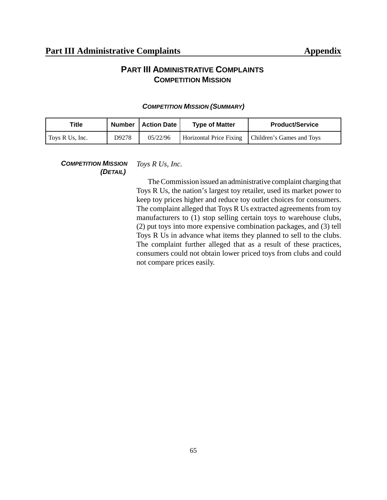# **PART III ADMINISTRATIVE COMPLAINTS COMPETITION MISSION**

| Title           |       | Number   Action Date | <b>Type of Matter</b>          | <b>Product/Service</b>    |
|-----------------|-------|----------------------|--------------------------------|---------------------------|
| Toys R Us, Inc. | D9278 | 05/22/96             | <b>Horizontal Price Fixing</b> | Children's Games and Toys |

## *COMPETITION MISSION (SUMMARY)*

*COMPETITION MISSION (DETAIL) Toys R Us, Inc.*

> TheCommission issued an administrative complaint charging that Toys R Us, the nation's largest toy retailer, used its market power to keep toy prices higher and reduce toy outlet choices for consumers. The complaint alleged that Toys R Us extracted agreements from toy manufacturers to (1) stop selling certain toys to warehouse clubs, (2) put toys into more expensive combination packages, and (3) tell Toys R Us in advance what items they planned to sell to the clubs. The complaint further alleged that as a result of these practices, consumers could not obtain lower priced toys from clubs and could not compare prices easily.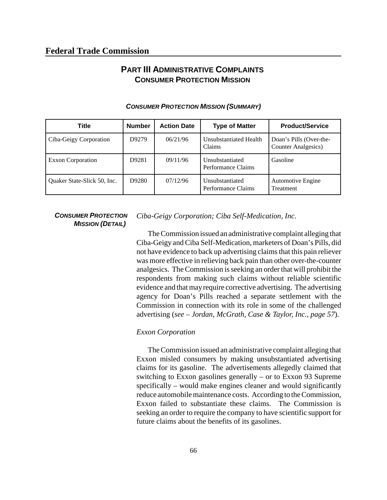## **PART III ADMINISTRATIVE COMPLAINTS CONSUMER PROTECTION MISSION**

| Title                       | <b>Number</b> | <b>Action Date</b> | <b>Type of Matter</b>                   | <b>Product/Service</b>                                 |
|-----------------------------|---------------|--------------------|-----------------------------------------|--------------------------------------------------------|
| Ciba-Geigy Corporation      | D9279         | 06/21/96           | <b>Unsubstantiated Health</b><br>Claims | Doan's Pills (Over-the-<br><b>Counter Analgesics</b> ) |
| <b>Exxon Corporation</b>    | D9281         | 09/11/96           | Unsubstantiated<br>Performance Claims   | Gasoline                                               |
| Quaker State-Slick 50, Inc. | D9280         | 07/12/96           | Unsubstantiated<br>Performance Claims   | <b>Automotive Engine</b><br><b>Treatment</b>           |

#### *CONSUMER PROTECTION MISSION (SUMMARY)*

#### *CONSUMER PROTECTION MISSION (DETAIL)*

*Ciba-Geigy Corporation; Ciba Self-Medication, Inc.*

The Commission issued an administrative complaint alleging that Ciba-Geigy and Ciba Self-Medication, marketers of Doan's Pills, did not have evidence to back up advertising claims that this pain reliever was more effective in relieving back pain than other over-the-counter analgesics. The Commission is seeking an order that will prohibit the respondents from making such claims without reliable scientific evidence and that mayrequire corrective advertising. The advertising agency for Doan's Pills reached a separate settlement with the Commission in connection with its role in some of the challenged advertising (*see – Jordan, McGrath, Case & Taylor, Inc., page 57*).

#### *Exxon Corporation*

TheCommission issued an administrative complaint alleging that Exxon misled consumers by making unsubstantiated advertising claims for its gasoline. The advertisements allegedly claimed that switching to Exxon gasolines generally – or to Exxon 93 Supreme specifically – would make engines cleaner and would significantly reduce automobile maintenance costs. According to the Commission, Exxon failed to substantiate these claims. The Commission is seeking an order to require the company to have scientific support for future claims about the benefits of its gasolines.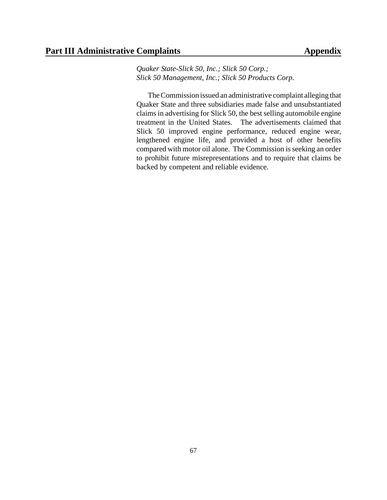#### Part III Administrative Complaints **Appendix**

*Quaker State-Slick 50, Inc.; Slick 50 Corp.; Slick 50 Management, Inc.; Slick 50 Products Corp.*

TheCommission issued an administrative complaint alleging that Quaker State and three subsidiaries made false and unsubstantiated claims in advertising for Slick 50, the best selling automobile engine treatment in the United States. The advertisements claimed that Slick 50 improved engine performance, reduced engine wear, lengthened engine life, and provided a host of other benefits compared with motor oil alone. The Commission is seeking an order to prohibit future misrepresentations and to require that claims be backed by competent and reliable evidence.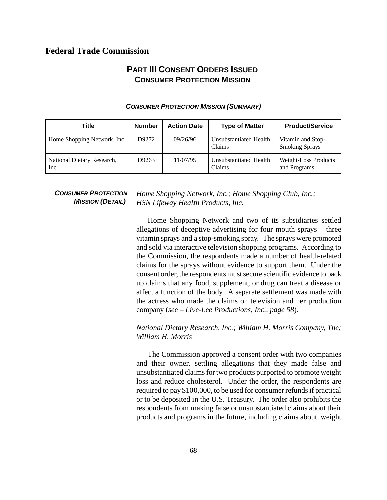## **PART III CONSENT ORDERS ISSUED CONSUMER PROTECTION MISSION**

| Title                              | <b>Number</b> | <b>Action Date</b> | <b>Type of Matter</b>            | <b>Product/Service</b>                     |
|------------------------------------|---------------|--------------------|----------------------------------|--------------------------------------------|
| Home Shopping Network, Inc.        | D9272         | 09/26/96           | Unsubstantiated Health<br>Claims | Vitamin and Stop-<br><b>Smoking Sprays</b> |
| National Dietary Research,<br>Inc. | D9263         | 11/07/95           | Unsubstantiated Health<br>Claims | Weight-Loss Products<br>and Programs       |

#### *CONSUMER PROTECTION MISSION (SUMMARY)*

*CONSUMER PROTECTION MISSION (DETAIL)*

*Home Shopping Network, Inc.; Home Shopping Club, Inc.; HSN Lifeway Health Products, Inc.*

Home Shopping Network and two of its subsidiaries settled allegations of deceptive advertising for four mouth sprays – three vitamin sprays and a stop-smoking spray. The sprays were promoted and sold via interactive television shopping programs. According to the Commission, the respondents made a number of health-related claims for the sprays without evidence to support them. Under the consent order, the respondents must secure scientific evidence to back up claims that any food, supplement, or drug can treat a disease or affect a function of the body. A separate settlement was made with the actress who made the claims on television and her production company (*see – Live-Lee Productions, Inc., page 58*).

*National Dietary Research, Inc.; William H. Morris Company, The; William H. Morris*

The Commission approved a consent order with two companies and their owner, settling allegations that they made false and unsubstantiated claimsfor two products purported to promote weight loss and reduce cholesterol. Under the order, the respondents are required to pay \$100,000, to be used for consumer refunds if practical or to be deposited in the U.S. Treasury. The order also prohibits the respondents from making false or unsubstantiated claims about their products and programs in the future, including claims about weight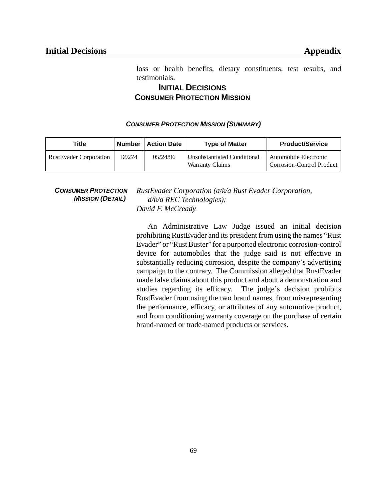loss or health benefits, dietary constituents, test results, and testimonials.

## **INITIAL DECISIONS CONSUMER PROTECTION MISSION**

#### *CONSUMER PROTECTION MISSION (SUMMARY)*

| Title                         | Number | <b>Action Date</b> | <b>Type of Matter</b>                                        | <b>Product/Service</b>                             |
|-------------------------------|--------|--------------------|--------------------------------------------------------------|----------------------------------------------------|
| <b>RustEvader Corporation</b> | D9274  | 05/24/96           | <b>Unsubstantiated Conditional</b><br><b>Warranty Claims</b> | Automobile Electronic<br>Corrosion-Control Product |

*CONSUMER PROTECTION MISSION (DETAIL)*

*RustEvader Corporation (a/k/a Rust Evader Corporation, d/b/a REC Technologies); David F. McCready*

An Administrative Law Judge issued an initial decision prohibiting RustEvader and its president from using the names "Rust Evader" or "Rust Buster" for a purported electronic corrosion-control device for automobiles that the judge said is not effective in substantially reducing corrosion, despite the company's advertising campaign to the contrary. The Commission alleged that RustEvader made false claims about this product and about a demonstration and studies regarding its efficacy. The judge's decision prohibits RustEvader from using the two brand names, from misrepresenting the performance, efficacy, or attributes of any automotive product, and from conditioning warranty coverage on the purchase of certain brand-named or trade-named products or services.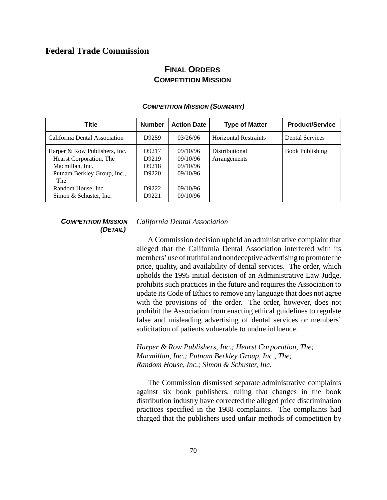## **FINAL ORDERS COMPETITION MISSION**

| <b>Title</b>                                                                                                                                                      | <b>Number</b>                                      | <b>Action Date</b>                                                   | <b>Type of Matter</b>          | <b>Product/Service</b> |
|-------------------------------------------------------------------------------------------------------------------------------------------------------------------|----------------------------------------------------|----------------------------------------------------------------------|--------------------------------|------------------------|
| California Dental Association                                                                                                                                     | D9259                                              | 03/26/96                                                             | <b>Horizontal Restraints</b>   | <b>Dental Services</b> |
| Harper & Row Publishers, Inc.<br>Hearst Corporation, The<br>Macmillan, Inc.<br>Putnam Berkley Group, Inc.,<br>The<br>Random House, Inc.<br>Simon & Schuster, Inc. | D9217<br>D9219<br>D9218<br>D9220<br>D9222<br>D9221 | 09/10/96<br>09/10/96<br>09/10/96<br>09/10/96<br>09/10/96<br>09/10/96 | Distributional<br>Arrangements | <b>Book Publishing</b> |

#### *COMPETITION MISSION (SUMMARY)*

#### *COMPETITION MISSION (DETAIL)*

*California Dental Association*

A Commission decision upheld an administrative complaint that alleged that the California Dental Association interfered with its members' use of truthful and nondeceptive advertising to promote the price, quality, and availability of dental services. The order, which upholds the 1995 initial decision of an Administrative Law Judge, prohibits such practices in the future and requires the Association to update its Code of Ethics to remove any language that does not agree with the provisions of the order. The order, however, does not prohibit the Association from enacting ethical guidelines to regulate false and misleading advertising of dental services or members' solicitation of patients vulnerable to undue influence.

*Harper & Row Publishers, Inc.; Hearst Corporation, The; Macmillan, Inc.; Putnam Berkley Group, Inc., The; Random House, Inc.; Simon & Schuster, Inc.*

The Commission dismissed separate administrative complaints against six book publishers, ruling that changes in the book distribution industry have corrected the alleged price discrimination practices specified in the 1988 complaints. The complaints had charged that the publishers used unfair methods of competition by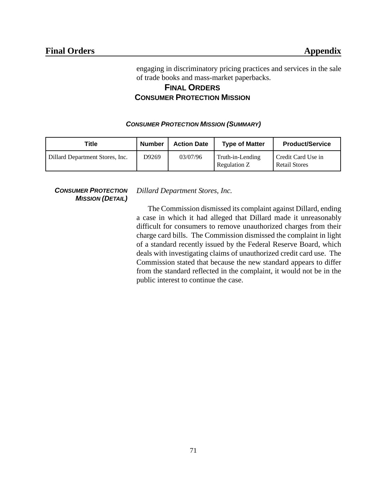engaging in discriminatory pricing practices and services in the sale of trade books and mass-market paperbacks.

## **FINAL ORDERS CONSUMER PROTECTION MISSION**

#### *CONSUMER PROTECTION MISSION (SUMMARY)*

| Title                           | Number | <b>Action Date</b> | <b>Type of Matter</b>            | <b>Product/Service</b>                     |
|---------------------------------|--------|--------------------|----------------------------------|--------------------------------------------|
| Dillard Department Stores, Inc. | D9269  | 03/07/96           | Truth-in-Lending<br>Regulation Z | Credit Card Use in<br><b>Retail Stores</b> |

*CONSUMER PROTECTION MISSION (DETAIL)* *Dillard Department Stores, Inc.*

The Commission dismissed its complaint against Dillard, ending a case in which it had alleged that Dillard made it unreasonably difficult for consumers to remove unauthorized charges from their charge card bills. The Commission dismissed the complaint in light of a standard recently issued by the Federal Reserve Board, which deals with investigating claims of unauthorized credit card use. The Commission stated that because the new standard appears to differ from the standard reflected in the complaint, it would not be in the public interest to continue the case.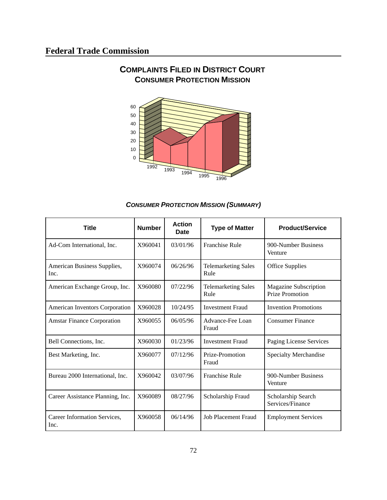

## **COMPLAINTS FILED IN DISTRICT COURT CONSUMER PROTECTION MISSION**

#### *CONSUMER PROTECTION MISSION (SUMMARY)*

| <b>Title</b>                         | <b>Number</b> | <b>Action</b><br>Date | <b>Type of Matter</b>              | <b>Product/Service</b>                          |
|--------------------------------------|---------------|-----------------------|------------------------------------|-------------------------------------------------|
| Ad-Com International, Inc.           | X960041       | 03/01/96              | <b>Franchise Rule</b>              | 900-Number Business<br>Venture                  |
| American Business Supplies,<br>Inc.  | X960074       | 06/26/96              | <b>Telemarketing Sales</b><br>Rule | <b>Office Supplies</b>                          |
| American Exchange Group, Inc.        | X960080       | 07/22/96              | <b>Telemarketing Sales</b><br>Rule | Magazine Subscription<br><b>Prize Promotion</b> |
| American Inventors Corporation       | X960028       | 10/24/95              | <b>Investment Fraud</b>            | <b>Invention Promotions</b>                     |
| <b>Amstar Finance Corporation</b>    | X960055       | 06/05/96              | Advance-Fee Loan<br>Fraud          | <b>Consumer Finance</b>                         |
| Bell Connections, Inc.               | X960030       | 01/23/96              | <b>Investment Fraud</b>            | Paging License Services                         |
| Best Marketing, Inc.                 | X960077       | 07/12/96              | Prize-Promotion<br>Fraud           | Specialty Merchandise                           |
| Bureau 2000 International, Inc.      | X960042       | 03/07/96              | <b>Franchise Rule</b>              | 900-Number Business<br>Venture                  |
| Career Assistance Planning, Inc.     | X960089       | 08/27/96              | Scholarship Fraud                  | Scholarship Search<br>Services/Finance          |
| Career Information Services,<br>Inc. | X960058       | 06/14/96              | <b>Job Placement Fraud</b>         | <b>Employment Services</b>                      |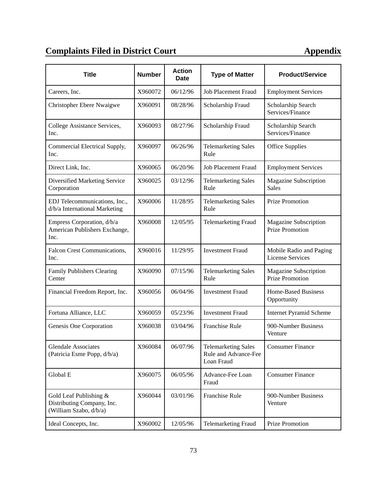# **Complaints Filed in District Court 40 Appendix**

| <b>Title</b>                                                                     | <b>Number</b> | <b>Action</b><br><b>Date</b> | <b>Type of Matter</b>                                            | <b>Product/Service</b>                             |
|----------------------------------------------------------------------------------|---------------|------------------------------|------------------------------------------------------------------|----------------------------------------------------|
| Careers, Inc.                                                                    | X960072       | 06/12/96                     | Job Placement Fraud                                              | <b>Employment Services</b>                         |
| <b>Christopher Ebere Nwaigwe</b>                                                 | X960091       | 08/28/96                     | Scholarship Fraud                                                | Scholarship Search<br>Services/Finance             |
| College Assistance Services,<br>Inc.                                             | X960093       | 08/27/96                     | Scholarship Fraud                                                | Scholarship Search<br>Services/Finance             |
| Commercial Electrical Supply,<br>Inc.                                            | X960097       | 06/26/96                     | <b>Telemarketing Sales</b><br>Rule                               | <b>Office Supplies</b>                             |
| Direct Link, Inc.                                                                | X960065       | 06/20/96                     | <b>Job Placement Fraud</b>                                       | <b>Employment Services</b>                         |
| Diversified Marketing Service<br>Corporation                                     | X960025       | 03/12/96                     | <b>Telemarketing Sales</b><br>Rule                               | Magazine Subscription<br><b>Sales</b>              |
| EDJ Telecommunications, Inc.,<br>d/b/a International Marketing                   | X960006       | 11/28/95                     | <b>Telemarketing Sales</b><br>Rule                               | Prize Promotion                                    |
| Empress Corporation, d/b/a<br>American Publishers Exchange,<br>Inc.              | X960008       | 12/05/95                     | <b>Telemarketing Fraud</b>                                       | Magazine Subscription<br><b>Prize Promotion</b>    |
| Falcon Crest Communications,<br>Inc.                                             | X960016       | 11/29/95                     | <b>Investment Fraud</b>                                          | Mobile Radio and Paging<br><b>License Services</b> |
| Family Publishers Clearing<br>Center                                             | X960090       | 07/15/96                     | <b>Telemarketing Sales</b><br>Rule                               | Magazine Subscription<br><b>Prize Promotion</b>    |
| Financial Freedom Report, Inc.                                                   | X960056       | 06/04/96                     | <b>Investment Fraud</b>                                          | <b>Home-Based Business</b><br>Opportunity          |
| Fortuna Alliance, LLC                                                            | X960059       | 05/23/96                     | <b>Investment Fraud</b>                                          | <b>Internet Pyramid Scheme</b>                     |
| Genesis One Corporation                                                          | X960038       | 03/04/96                     | Franchise Rule                                                   | 900-Number Business<br>Venture                     |
| Glendale Associates<br>(Patricia Esme Popp, d/b/a)                               | X960084       | 06/07/96                     | <b>Telemarketing Sales</b><br>Rule and Advance-Fee<br>Loan Fraud | <b>Consumer Finance</b>                            |
| Global E                                                                         | X960075       | 06/05/96                     | Advance-Fee Loan<br>Fraud                                        | <b>Consumer Finance</b>                            |
| Gold Leaf Publishing $&$<br>Distributing Company, Inc.<br>(William Szabo, d/b/a) | X960044       | 03/01/96                     | Franchise Rule                                                   | 900-Number Business<br>Venture                     |
| Ideal Concepts, Inc.                                                             | X960002       | 12/05/96                     | <b>Telemarketing Fraud</b>                                       | <b>Prize Promotion</b>                             |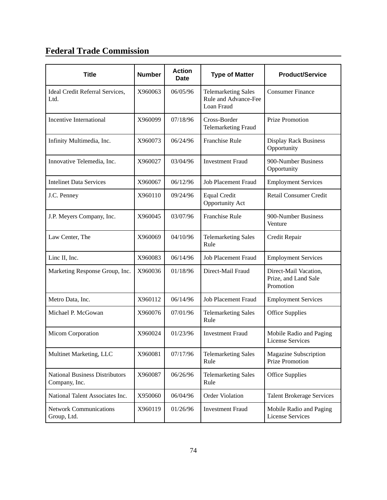## **Federal Trade Commission**

| <b>Title</b>                                           | <b>Number</b> | <b>Action</b><br><b>Date</b> | <b>Type of Matter</b>                                            | <b>Product/Service</b>                                     |
|--------------------------------------------------------|---------------|------------------------------|------------------------------------------------------------------|------------------------------------------------------------|
| Ideal Credit Referral Services,<br>Ltd.                | X960063       | 06/05/96                     | <b>Telemarketing Sales</b><br>Rule and Advance-Fee<br>Loan Fraud | <b>Consumer Finance</b>                                    |
| <b>Incentive International</b>                         | X960099       | 07/18/96                     | Cross-Border<br><b>Telemarketing Fraud</b>                       | Prize Promotion                                            |
| Infinity Multimedia, Inc.                              | X960073       | 06/24/96                     | <b>Franchise Rule</b>                                            | <b>Display Rack Business</b><br>Opportunity                |
| Innovative Telemedia, Inc.                             | X960027       | 03/04/96                     | <b>Investment Fraud</b>                                          | 900-Number Business<br>Opportunity                         |
| <b>Intelinet Data Services</b>                         | X960067       | 06/12/96                     | <b>Job Placement Fraud</b>                                       | <b>Employment Services</b>                                 |
| J.C. Penney                                            | X960110       | 09/24/96                     | <b>Equal Credit</b><br>Opportunity Act                           | <b>Retail Consumer Credit</b>                              |
| J.P. Meyers Company, Inc.                              | X960045       | 03/07/96                     | <b>Franchise Rule</b>                                            | 900-Number Business<br>Venture                             |
| Law Center, The                                        | X960069       | 04/10/96                     | <b>Telemarketing Sales</b><br>Rule                               | Credit Repair                                              |
| Linc II, Inc.                                          | X960083       | 06/14/96                     | <b>Job Placement Fraud</b>                                       | <b>Employment Services</b>                                 |
| Marketing Response Group, Inc.                         | X960036       | 01/18/96                     | Direct-Mail Fraud                                                | Direct-Mail Vacation,<br>Prize, and Land Sale<br>Promotion |
| Metro Data, Inc.                                       | X960112       | 06/14/96                     | <b>Job Placement Fraud</b>                                       | <b>Employment Services</b>                                 |
| Michael P. McGowan                                     | X960076       | 07/01/96                     | <b>Telemarketing Sales</b><br>Rule                               | <b>Office Supplies</b>                                     |
| Micom Corporation                                      | X960024       | 01/23/96                     | <b>Investment Fraud</b>                                          | Mobile Radio and Paging<br><b>License Services</b>         |
| Multinet Marketing, LLC                                | X960081       | 07/17/96                     | <b>Telemarketing Sales</b><br>Rule                               | Magazine Subscription<br><b>Prize Promotion</b>            |
| <b>National Business Distributors</b><br>Company, Inc. | X960087       | 06/26/96                     | <b>Telemarketing Sales</b><br>Rule                               | <b>Office Supplies</b>                                     |
| National Talent Associates Inc.                        | X950060       | 06/04/96                     | Order Violation                                                  | <b>Talent Brokerage Services</b>                           |
| <b>Network Communications</b><br>Group, Ltd.           | X960119       | 01/26/96                     | <b>Investment Fraud</b>                                          | Mobile Radio and Paging<br><b>License Services</b>         |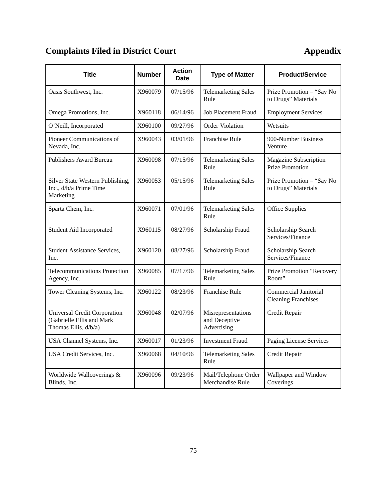# **Complaints Filed in District Court 40 Appendix**

| <b>Title</b>                                                                      | <b>Number</b> | <b>Action</b><br><b>Date</b> | <b>Type of Matter</b>                              | <b>Product/Service</b>                                     |
|-----------------------------------------------------------------------------------|---------------|------------------------------|----------------------------------------------------|------------------------------------------------------------|
| Oasis Southwest, Inc.                                                             | X960079       | 07/15/96                     | <b>Telemarketing Sales</b><br>Rule                 | Prize Promotion - "Say No<br>to Drugs" Materials           |
| Omega Promotions, Inc.                                                            | X960118       | 06/14/96                     | <b>Job Placement Fraud</b>                         | <b>Employment Services</b>                                 |
| O'Neill, Incorporated                                                             | X960100       | 09/27/96                     | Order Violation                                    | Wetsuits                                                   |
| Pioneer Communications of<br>Nevada, Inc.                                         | X960043       | 03/01/96                     | <b>Franchise Rule</b>                              | 900-Number Business<br>Venture                             |
| <b>Publishers Award Bureau</b>                                                    | X960098       | 07/15/96                     | <b>Telemarketing Sales</b><br>Rule                 | Magazine Subscription<br><b>Prize Promotion</b>            |
| Silver State Western Publishing,<br>Inc., d/b/a Prime Time<br>Marketing           | X960053       | 05/15/96                     | <b>Telemarketing Sales</b><br>Rule                 | Prize Promotion - "Say No<br>to Drugs" Materials           |
| Sparta Chem, Inc.                                                                 | X960071       | 07/01/96                     | <b>Telemarketing Sales</b><br>Rule                 | <b>Office Supplies</b>                                     |
| Student Aid Incorporated                                                          | X960115       | 08/27/96                     | Scholarship Fraud                                  | Scholarship Search<br>Services/Finance                     |
| Student Assistance Services,<br>Inc.                                              | X960120       | 08/27/96                     | Scholarship Fraud                                  | Scholarship Search<br>Services/Finance                     |
| <b>Telecommunications Protection</b><br>Agency, Inc.                              | X960085       | 07/17/96                     | <b>Telemarketing Sales</b><br>Rule                 | Prize Promotion "Recovery<br>Room"                         |
| Tower Cleaning Systems, Inc.                                                      | X960122       | 08/23/96                     | <b>Franchise Rule</b>                              | <b>Commercial Janitorial</b><br><b>Cleaning Franchises</b> |
| Universal Credit Corporation<br>(Gabrielle Ellis and Mark<br>Thomas Ellis, d/b/a) | X960048       | 02/07/96                     | Misrepresentations<br>and Deceptive<br>Advertising | Credit Repair                                              |
| USA Channel Systems, Inc.                                                         | X960017       | 01/23/96                     | <b>Investment Fraud</b>                            | Paging License Services                                    |
| USA Credit Services, Inc.                                                         | X960068       | 04/10/96                     | <b>Telemarketing Sales</b><br>Rule                 | Credit Repair                                              |
| Worldwide Wallcoverings &<br>Blinds, Inc.                                         | X960096       | 09/23/96                     | Mail/Telephone Order<br>Merchandise Rule           | Wallpaper and Window<br>Coverings                          |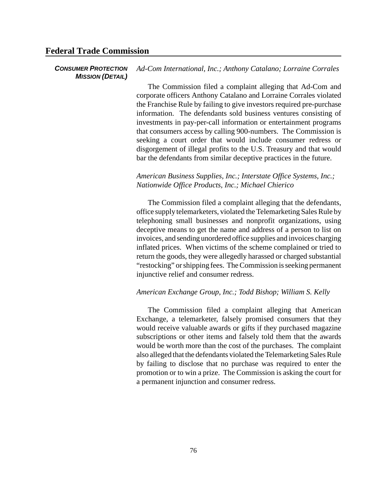#### **Federal Trade Commission**

#### *CONSUMER PROTECTION MISSION (DETAIL) Ad-Com International, Inc.; Anthony Catalano; Lorraine Corrales*

The Commission filed a complaint alleging that Ad-Com and corporate officers Anthony Catalano and Lorraine Corrales violated the Franchise Rule by failing to give investors required pre-purchase information. The defendants sold business ventures consisting of investments in pay-per-call information or entertainment programs that consumers access by calling 900-numbers. The Commission is seeking a court order that would include consumer redress or disgorgement of illegal profits to the U.S. Treasury and that would bar the defendants from similar deceptive practices in the future.

#### *American Business Supplies, Inc.; Interstate Office Systems, Inc.; Nationwide Office Products, Inc.; Michael Chierico*

The Commission filed a complaint alleging that the defendants, office supply telemarketers, violated the Telemarketing Sales Rule by telephoning small businesses and nonprofit organizations, using deceptive means to get the name and address of a person to list on invoices, and sending unordered office supplies and invoices charging inflated prices. When victims of the scheme complained or tried to return the goods, they were allegedly harassed or charged substantial "restocking" orshipping fees. The Commission is seeking permanent injunctive relief and consumer redress.

#### *American Exchange Group, Inc.; Todd Bishop; William S. Kelly*

The Commission filed a complaint alleging that American Exchange, a telemarketer, falsely promised consumers that they would receive valuable awards or gifts if they purchased magazine subscriptions or other items and falsely told them that the awards would be worth more than the cost of the purchases. The complaint also alleged that the defendants violated the Telemarketing Sales Rule by failing to disclose that no purchase was required to enter the promotion or to win a prize. The Commission is asking the court for a permanent injunction and consumer redress.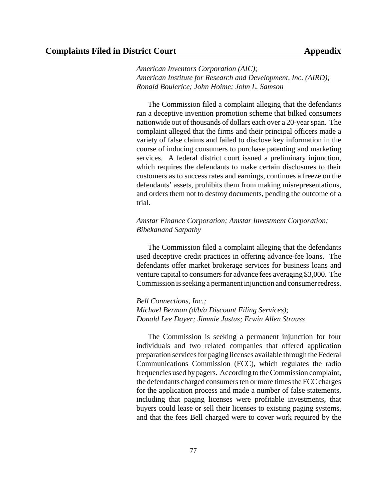*American Inventors Corporation (AIC); American Institute for Research and Development, Inc. (AIRD); Ronald Boulerice; John Hoime; John L. Samson*

The Commission filed a complaint alleging that the defendants ran a deceptive invention promotion scheme that bilked consumers nationwide out of thousands of dollars each over a 20-yearspan. The complaint alleged that the firms and their principal officers made a variety of false claims and failed to disclose key information in the course of inducing consumers to purchase patenting and marketing services. A federal district court issued a preliminary injunction, which requires the defendants to make certain disclosures to their customers as to success rates and earnings, continues a freeze on the defendants' assets, prohibits them from making misrepresentations, and orders them not to destroy documents, pending the outcome of a trial.

#### *Amstar Finance Corporation; Amstar Investment Corporation; Bibekanand Satpathy*

The Commission filed a complaint alleging that the defendants used deceptive credit practices in offering advance-fee loans. The defendants offer market brokerage services for business loans and venture capital to consumers for advance fees averaging \$3,000. The Commission isseeking a permanent injunction and consumer redress.

*Bell Connections, Inc.; Michael Berman (d/b/a Discount Filing Services); Donald Lee Dayer; Jimmie Justus; Erwin Allen Strauss*

The Commission is seeking a permanent injunction for four individuals and two related companies that offered application preparation services for paging licenses available through the Federal Communications Commission (FCC), which regulates the radio frequencies used bypagers. According to the Commission complaint, the defendants charged consumers ten or more times the FCC charges for the application process and made a number of false statements, including that paging licenses were profitable investments, that buyers could lease or sell their licenses to existing paging systems, and that the fees Bell charged were to cover work required by the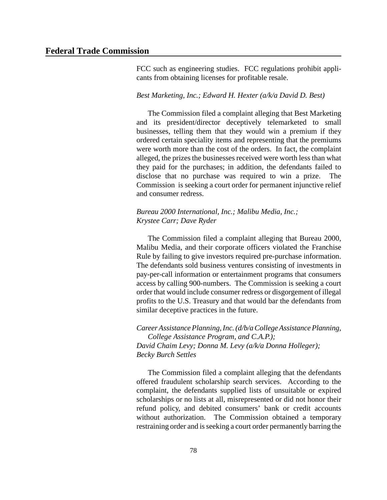FCC such as engineering studies. FCC regulations prohibit applicants from obtaining licenses for profitable resale.

#### *Best Marketing, Inc.; Edward H. Hexter (a/k/a David D. Best)*

The Commission filed a complaint alleging that Best Marketing and its president/director deceptively telemarketed to small businesses, telling them that they would win a premium if they ordered certain speciality items and representing that the premiums were worth more than the cost of the orders. In fact, the complaint alleged, the prizes the businesses received were worth less than what they paid for the purchases; in addition, the defendants failed to disclose that no purchase was required to win a prize. The Commission is seeking a court order for permanent injunctive relief and consumer redress.

#### *Bureau 2000 International, Inc.; Malibu Media, Inc.; Krystee Carr; Dave Ryder*

The Commission filed a complaint alleging that Bureau 2000, Malibu Media, and their corporate officers violated the Franchise Rule by failing to give investors required pre-purchase information. The defendants sold business ventures consisting of investments in pay-per-call information or entertainment programs that consumers access by calling 900-numbers. The Commission is seeking a court order that would include consumer redress or disgorgement of illegal profits to the U.S. Treasury and that would bar the defendants from similar deceptive practices in the future.

*CareerAssistancePlanning,Inc.(d/b/aCollege Assistance Planning, College Assistance Program, and C.A.P.); David Chaim Levy; Donna M. Levy (a/k/a Donna Holleger); Becky Burch Settles*

The Commission filed a complaint alleging that the defendants offered fraudulent scholarship search services. According to the complaint, the defendants supplied lists of unsuitable or expired scholarships or no lists at all, misrepresented or did not honor their refund policy, and debited consumers' bank or credit accounts without authorization. The Commission obtained a temporary restraining order and is seeking a court order permanently barring the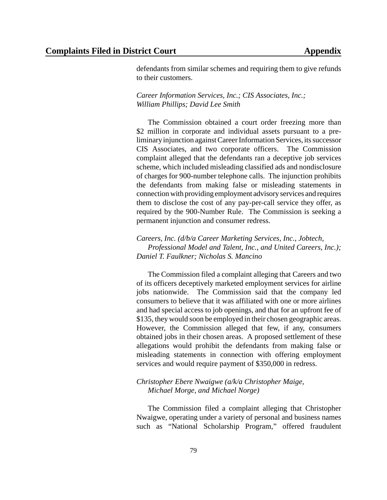defendants from similar schemes and requiring them to give refunds to their customers.

*Career Information Services, Inc.; CIS Associates, Inc.; William Phillips; David Lee Smith*

The Commission obtained a court order freezing more than \$2 million in corporate and individual assets pursuant to a preliminary injunction against Career Information Services, its successor CIS Associates, and two corporate officers. The Commission complaint alleged that the defendants ran a deceptive job services scheme, which included misleading classified ads and nondisclosure of charges for 900-number telephone calls. The injunction prohibits the defendants from making false or misleading statements in connection with providing employment advisory services and requires them to disclose the cost of any pay-per-call service they offer, as required by the 900-Number Rule. The Commission is seeking a permanent injunction and consumer redress.

*Careers, Inc. (d/b/a Career Marketing Services, Inc., Jobtech, Professional Model and Talent, Inc., and United Careers, Inc.); Daniel T. Faulkner; Nicholas S. Mancino*

The Commission filed a complaint alleging that Careers and two of its officers deceptively marketed employment services for airline jobs nationwide. The Commission said that the company led consumers to believe that it was affiliated with one or more airlines and had special access to job openings, and that for an upfront fee of \$135, they would soon be employed in their chosen geographic areas. However, the Commission alleged that few, if any, consumers obtained jobs in their chosen areas. A proposed settlement of these allegations would prohibit the defendants from making false or misleading statements in connection with offering employment services and would require payment of \$350,000 in redress.

#### *Christopher Ebere Nwaigwe (a/k/a Christopher Maige, Michael Morge, and Michael Norge)*

The Commission filed a complaint alleging that Christopher Nwaigwe, operating under a variety of personal and business names such as "National Scholarship Program," offered fraudulent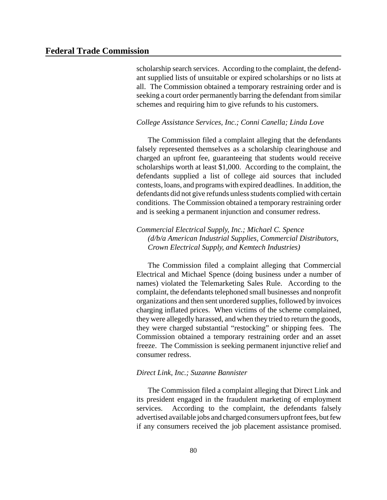scholarship search services. According to the complaint, the defendant supplied lists of unsuitable or expired scholarships or no lists at all. The Commission obtained a temporary restraining order and is seeking a court order permanently barring the defendant from similar schemes and requiring him to give refunds to his customers.

#### *College Assistance Services, Inc.; Conni Canella; Linda Love*

The Commission filed a complaint alleging that the defendants falsely represented themselves as a scholarship clearinghouse and charged an upfront fee, guaranteeing that students would receive scholarships worth at least \$1,000. According to the complaint, the defendants supplied a list of college aid sources that included contests, loans, and programs with expired deadlines. In addition, the defendants did not give refunds unless students complied with certain conditions. The Commission obtained a temporary restraining order and is seeking a permanent injunction and consumer redress.

#### *Commercial Electrical Supply, Inc.; Michael C. Spence (d/b/a American Industrial Supplies, Commercial Distributors, Crown Electrical Supply, and Kemtech Industries)*

The Commission filed a complaint alleging that Commercial Electrical and Michael Spence (doing business under a number of names) violated the Telemarketing Sales Rule. According to the complaint, the defendants telephoned small businesses and nonprofit organizations and then sent unordered supplies, followed by invoices charging inflated prices. When victims of the scheme complained, they were allegedly harassed, and when they tried to return the goods, they were charged substantial "restocking" or shipping fees. The Commission obtained a temporary restraining order and an asset freeze. The Commission is seeking permanent injunctive relief and consumer redress.

#### *Direct Link, Inc.; Suzanne Bannister*

The Commission filed a complaint alleging that Direct Link and its president engaged in the fraudulent marketing of employment services. According to the complaint, the defendants falsely advertised available jobs and charged consumers upfront fees, but few if any consumers received the job placement assistance promised.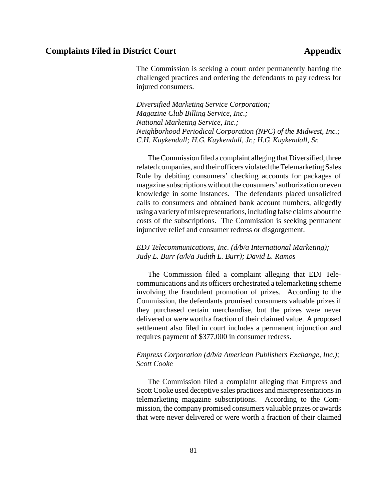The Commission is seeking a court order permanently barring the challenged practices and ordering the defendants to pay redress for injured consumers.

*Diversified Marketing Service Corporation; Magazine Club Billing Service, Inc.; National Marketing Service, Inc.; Neighborhood Periodical Corporation (NPC) of the Midwest, Inc.; C.H. Kuykendall; H.G. Kuykendall, Jr.; H.G. Kuykendall, Sr.*

The Commission filed a complaint alleging that Diversified, three related companies, and their officers violated the Telemarketing Sales Rule by debiting consumers' checking accounts for packages of magazine subscriptions without the consumers' authorization or even knowledge in some instances. The defendants placed unsolicited calls to consumers and obtained bank account numbers, allegedly using a variety of misrepresentations, including false claims about the costs of the subscriptions. The Commission is seeking permanent injunctive relief and consumer redress or disgorgement.

#### *EDJ Telecommunications, Inc. (d/b/a International Marketing); Judy L. Burr (a/k/a Judith L. Burr); David L. Ramos*

The Commission filed a complaint alleging that EDJ Telecommunications and its officers orchestrated a telemarketing scheme involving the fraudulent promotion of prizes. According to the Commission, the defendants promised consumers valuable prizes if they purchased certain merchandise, but the prizes were never delivered or were worth a fraction of their claimed value. A proposed settlement also filed in court includes a permanent injunction and requires payment of \$377,000 in consumer redress.

#### *Empress Corporation (d/b/a American Publishers Exchange, Inc.); Scott Cooke*

The Commission filed a complaint alleging that Empress and Scott Cooke used deceptive sales practices and misrepresentations in telemarketing magazine subscriptions. According to the Commission, the company promised consumers valuable prizes or awards that were never delivered or were worth a fraction of their claimed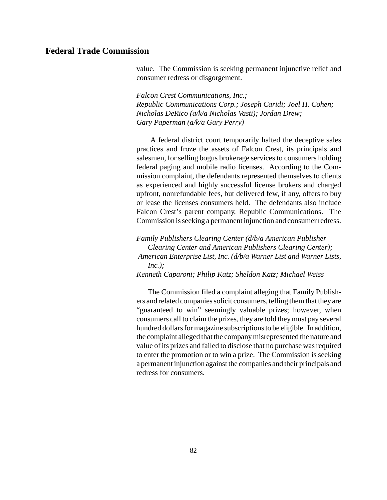value. The Commission is seeking permanent injunctive relief and consumer redress or disgorgement.

*Falcon Crest Communications, Inc.; Republic Communications Corp.; Joseph Caridi; Joel H. Cohen; Nicholas DeRico (a/k/a Nicholas Vasti); Jordan Drew; Gary Paperman (a/k/a Gary Perry)*

A federal district court temporarily halted the deceptive sales practices and froze the assets of Falcon Crest, its principals and salesmen, for selling bogus brokerage services to consumers holding federal paging and mobile radio licenses. According to the Commission complaint, the defendants represented themselves to clients as experienced and highly successful license brokers and charged upfront, nonrefundable fees, but delivered few, if any, offers to buy or lease the licenses consumers held. The defendants also include Falcon Crest's parent company, Republic Communications. The Commission is seeking a permanent injunction and consumer redress.

*Family Publishers Clearing Center (d/b/a American Publisher Clearing Center and American Publishers Clearing Center); American Enterprise List, Inc. (d/b/a Warner List and Warner Lists, Inc.); Kenneth Caparoni; Philip Katz; Sheldon Katz; Michael Weiss*

The Commission filed a complaint alleging that Family Publishers and related companies solicit consumers, telling them that they are "guaranteed to win" seemingly valuable prizes; however, when consumers call to claim the prizes, they are told theymust pay several hundred dollars for magazine subscriptions to be eligible. In addition, the complaint alleged that the companymisrepresented the nature and value of its prizes and failed to disclose that no purchase was required to enter the promotion or to win a prize. The Commission is seeking a permanent injunction against the companies and their principals and redress for consumers.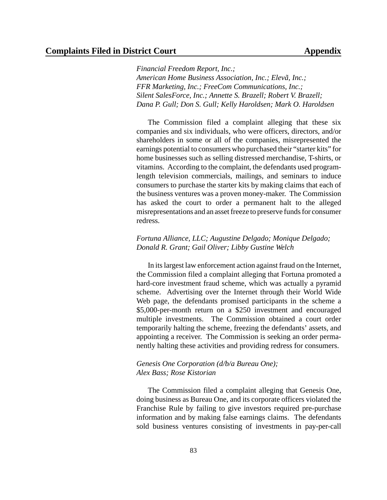*Financial Freedom Report, Inc.; American Home Business Association, Inc.; Elevã, Inc.; FFR Marketing, Inc.; FreeCom Communications, Inc.; Silent SalesForce, Inc.; Annette S. Brazell; Robert V. Brazell; Dana P. Gull; Don S. Gull; Kelly Haroldsen; Mark O. Haroldsen*

The Commission filed a complaint alleging that these six companies and six individuals, who were officers, directors, and/or shareholders in some or all of the companies, misrepresented the earnings potential to consumers who purchased their "starter kits" for home businesses such as selling distressed merchandise, T-shirts, or vitamins. According to the complaint, the defendants used programlength television commercials, mailings, and seminars to induce consumers to purchase the starter kits by making claims that each of the business ventures was a proven money-maker. The Commission has asked the court to order a permanent halt to the alleged misrepresentations and an asset freeze to preserve funds for consumer redress.

#### *Fortuna Alliance, LLC; Augustine Delgado; Monique Delgado; Donald R. Grant; Gail Oliver; Libby Gustine Welch*

In itslargest law enforcement action against fraud on the Internet, the Commission filed a complaint alleging that Fortuna promoted a hard-core investment fraud scheme, which was actually a pyramid scheme. Advertising over the Internet through their World Wide Web page, the defendants promised participants in the scheme a \$5,000-per-month return on a \$250 investment and encouraged multiple investments. The Commission obtained a court order temporarily halting the scheme, freezing the defendants' assets, and appointing a receiver. The Commission is seeking an order permanently halting these activities and providing redress for consumers.

#### *Genesis One Corporation (d/b/a Bureau One); Alex Bass; Rose Kistorian*

The Commission filed a complaint alleging that Genesis One, doing business as Bureau One, and its corporate officers violated the Franchise Rule by failing to give investors required pre-purchase information and by making false earnings claims. The defendants sold business ventures consisting of investments in pay-per-call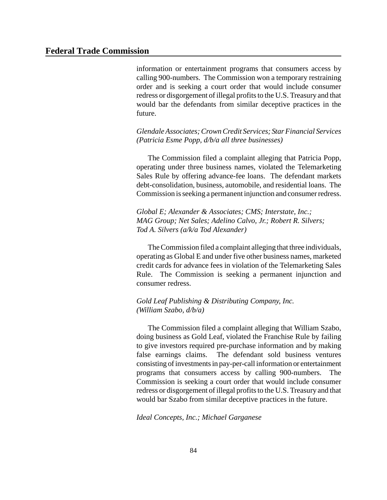information or entertainment programs that consumers access by calling 900-numbers. The Commission won a temporary restraining order and is seeking a court order that would include consumer redress or disgorgement of illegal profits to the U.S. Treasury and that would bar the defendants from similar deceptive practices in the future.

*GlendaleAssociates;CrownCredit Services; StarFinancial Services (Patricia Esme Popp, d/b/a all three businesses)*

The Commission filed a complaint alleging that Patricia Popp, operating under three business names, violated the Telemarketing Sales Rule by offering advance-fee loans. The defendant markets debt-consolidation, business, automobile, and residential loans. The Commission isseeking a permanent injunction and consumer redress.

*Global E; Alexander & Associates; CMS; Interstate, Inc.; MAG Group; Net Sales; Adelino Calvo, Jr.; Robert R. Silvers; Tod A. Silvers (a/k/a Tod Alexander)*

The Commission filed a complaint alleging that three individuals, operating as Global E and under five other business names, marketed credit cards for advance fees in violation of the Telemarketing Sales Rule. The Commission is seeking a permanent injunction and consumer redress.

*Gold Leaf Publishing & Distributing Company, Inc. (William Szabo, d/b/a)*

The Commission filed a complaint alleging that William Szabo, doing business as Gold Leaf, violated the Franchise Rule by failing to give investors required pre-purchase information and by making false earnings claims. The defendant sold business ventures consisting of investments in pay-per-call information or entertainment programs that consumers access by calling 900-numbers. The Commission is seeking a court order that would include consumer redress or disgorgement of illegal profits to the U.S. Treasury and that would bar Szabo from similar deceptive practices in the future.

*Ideal Concepts, Inc.; Michael Garganese*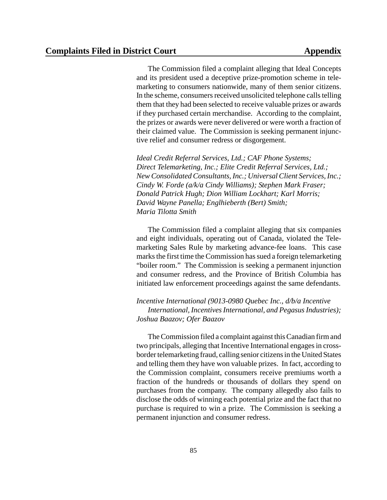The Commission filed a complaint alleging that Ideal Concepts and its president used a deceptive prize-promotion scheme in telemarketing to consumers nationwide, many of them senior citizens. In the scheme, consumers received unsolicited telephone calls telling them that they had been selected to receive valuable prizes or awards if they purchased certain merchandise. According to the complaint, the prizes or awards were never delivered or were worth a fraction of their claimed value. The Commission is seeking permanent injunctive relief and consumer redress or disgorgement.

*Ideal Credit Referral Services, Ltd.; CAF Phone Systems; Direct Telemarketing, Inc.; Elite Credit Referral Services, Ltd.; New Consolidated Consultants, Inc.; UniversalClient Services, Inc.; Cindy W. Forde (a/k/a Cindy Williams); Stephen Mark Fraser; Donald Patrick Hugh; Dion William Lockhart; Karl Morris; David Wayne Panella; Englhieberth (Bert) Smith; Maria Tilotta Smith* 

The Commission filed a complaint alleging that six companies and eight individuals, operating out of Canada, violated the Telemarketing Sales Rule by marketing advance-fee loans. This case marks the first time the Commission has sued a foreign telemarketing "boiler room." The Commission is seeking a permanent injunction and consumer redress, and the Province of British Columbia has initiated law enforcement proceedings against the same defendants.

*Incentive International (9013-0980 Quebec Inc., d/b/a Incentive International, IncentivesInternational, and PegasusIndustries); Joshua Baazov; Ofer Baazov*

The Commission filed a complaint against this Canadian firm and two principals, alleging that Incentive International engages in crossborder telemarketing fraud, calling senior citizens in the United States and telling them they have won valuable prizes. In fact, according to the Commission complaint, consumers receive premiums worth a fraction of the hundreds or thousands of dollars they spend on purchases from the company. The company allegedly also fails to disclose the odds of winning each potential prize and the fact that no purchase is required to win a prize. The Commission is seeking a permanent injunction and consumer redress.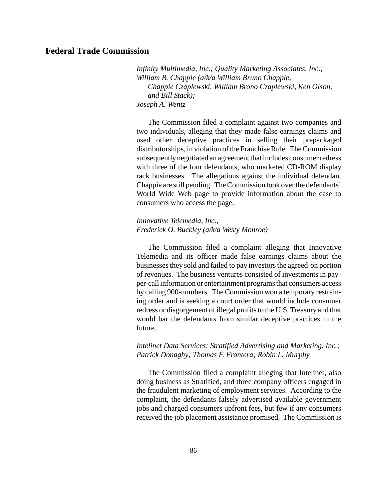*Infinity Multimedia, Inc.; Quality Marketing Associates, Inc.; William B. Chappie (a/k/a William Bruno Chapple, Chappie Czaplewski, William Brono Czaplewski, Ken Olson, and Bill Stack); Joseph A. Wentz*

The Commission filed a complaint against two companies and two individuals, alleging that they made false earnings claims and used other deceptive practices in selling their prepackaged distributorships, in violation of the Franchise Rule. The Commission subsequently negotiated an agreement that includes consumer redress with three of the four defendants, who marketed CD-ROM display rack businesses. The allegations against the individual defendant Chappie are still pending. The Commission took over the defendants' World Wide Web page to provide information about the case to consumers who access the page.

*Innovative Telemedia, Inc.; Frederick O. Buckley (a/k/a Westy Monroe)*

The Commission filed a complaint alleging that Innovative Telemedia and its officer made false earnings claims about the businesses they sold and failed to pay investors the agreed-on portion of revenues. The business ventures consisted of investments in payper-call information or entertainment programs that consumers access by calling 900-numbers. The Commission won a temporary restraining order and is seeking a court order that would include consumer redress or disgorgement of illegal profits to the U.S. Treasury and that would bar the defendants from similar deceptive practices in the future.

*Intelinet Data Services; Stratified Advertising and Marketing, Inc.; Patrick Donaghy; Thomas F. Frontera; Robin L. Murphy*

The Commission filed a complaint alleging that Intelinet, also doing business as Stratified, and three company officers engaged in the fraudulent marketing of employment services. According to the complaint, the defendants falsely advertised available government jobs and charged consumers upfront fees, but few if any consumers received the job placement assistance promised. The Commission is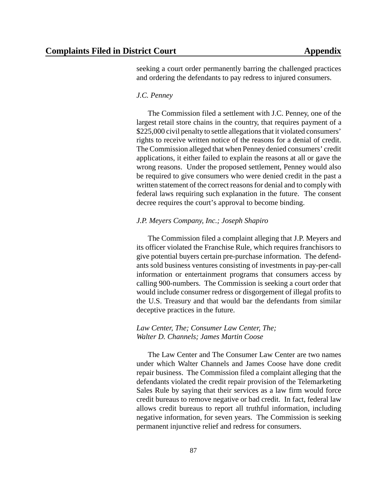seeking a court order permanently barring the challenged practices and ordering the defendants to pay redress to injured consumers.

#### *J.C. Penney*

The Commission filed a settlement with J.C. Penney, one of the largest retail store chains in the country, that requires payment of a \$225,000 civil penalty to settle allegations that it violated consumers' rights to receive written notice of the reasons for a denial of credit. The Commission alleged that when Penney denied consumers' credit applications, it either failed to explain the reasons at all or gave the wrong reasons. Under the proposed settlement, Penney would also be required to give consumers who were denied credit in the past a written statement of the correct reasons for denial and to comply with federal laws requiring such explanation in the future. The consent decree requires the court's approval to become binding.

#### *J.P. Meyers Company, Inc.; Joseph Shapiro*

The Commission filed a complaint alleging that J.P. Meyers and its officer violated the Franchise Rule, which requires franchisors to give potential buyers certain pre-purchase information. The defendants sold business ventures consisting of investments in pay-per-call information or entertainment programs that consumers access by calling 900-numbers. The Commission is seeking a court order that would include consumer redress or disgorgement of illegal profits to the U.S. Treasury and that would bar the defendants from similar deceptive practices in the future.

#### *Law Center, The; Consumer Law Center, The; Walter D. Channels; James Martin Coose*

The Law Center and The Consumer Law Center are two names under which Walter Channels and James Coose have done credit repair business. The Commission filed a complaint alleging that the defendants violated the credit repair provision of the Telemarketing Sales Rule by saying that their services as a law firm would force credit bureaus to remove negative or bad credit. In fact, federal law allows credit bureaus to report all truthful information, including negative information, for seven years. The Commission is seeking permanent injunctive relief and redress for consumers.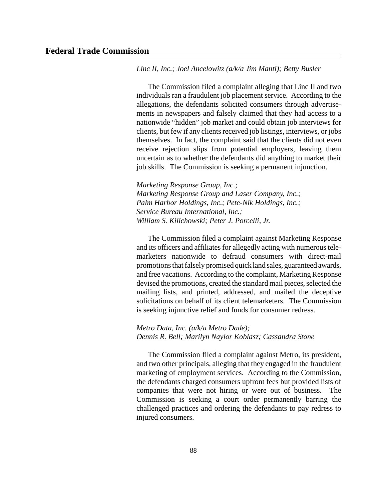*Linc II, Inc.; Joel Ancelowitz (a/k/a Jim Manti); Betty Busler*

The Commission filed a complaint alleging that Linc II and two individuals ran a fraudulent job placement service. According to the allegations, the defendants solicited consumers through advertisements in newspapers and falsely claimed that they had access to a nationwide "hidden" job market and could obtain job interviews for clients, but few if any clients received job listings, interviews, or jobs themselves. In fact, the complaint said that the clients did not even receive rejection slips from potential employers, leaving them uncertain as to whether the defendants did anything to market their job skills. The Commission is seeking a permanent injunction.

*Marketing Response Group, Inc.; Marketing Response Group and Laser Company, Inc.; Palm Harbor Holdings, Inc.; Pete-Nik Holdings, Inc.; Service Bureau International, Inc.; William S. Kilichowski; Peter J. Porcelli, Jr.*

The Commission filed a complaint against Marketing Response and its officers and affiliates for allegedly acting with numerous telemarketers nationwide to defraud consumers with direct-mail promotions that falsely promised quick land sales, guaranteed awards, and free vacations. According to the complaint, Marketing Response devised the promotions, created the standard mail pieces, selected the mailing lists, and printed, addressed, and mailed the deceptive solicitations on behalf of its client telemarketers. The Commission is seeking injunctive relief and funds for consumer redress.

#### *Metro Data, Inc. (a/k/a Metro Dade); Dennis R. Bell; Marilyn Naylor Koblasz; Cassandra Stone*

The Commission filed a complaint against Metro, its president, and two other principals, alleging that they engaged in the fraudulent marketing of employment services. According to the Commission, the defendants charged consumers upfront fees but provided lists of companies that were not hiring or were out of business. The Commission is seeking a court order permanently barring the challenged practices and ordering the defendants to pay redress to injured consumers.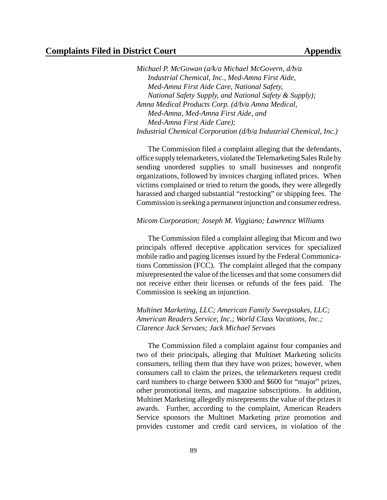*Michael P. McGowan (a/k/a Michael McGovern, d/b/a Industrial Chemical, Inc., Med-Amna First Aide, Med-Amna First Aide Care, National Safety, National Safety Supply, and National Safety & Supply); Amna Medical Products Corp. (d/b/a Amna Medical, Med-Amna, Med-Amna First Aide, and Med-Amna First Aide Care); Industrial Chemical Corporation (d/b/a Industrial Chemical, Inc.)*

The Commission filed a complaint alleging that the defendants, office supply telemarketers, violated the Telemarketing Sales Rule by sending unordered supplies to small businesses and nonprofit organizations, followed by invoices charging inflated prices. When victims complained or tried to return the goods, they were allegedly harassed and charged substantial "restocking" or shipping fees. The Commission is seeking a permanent injunction and consumer redress.

#### *Micom Corporation; Joseph M. Viggiano; Lawrence Williams*

The Commission filed a complaint alleging that Micom and two principals offered deceptive application services for specialized mobile radio and paging licenses issued by the Federal Communications Commission (FCC). The complaint alleged that the company misrepresented the value of the licenses and that some consumers did not receive either their licenses or refunds of the fees paid. The Commission is seeking an injunction.

*Multinet Marketing, LLC; American Family Sweepstakes, LLC; American Readers Service, Inc.; World Class Vacations, Inc.; Clarence Jack Servaes; Jack Michael Servaes*

The Commission filed a complaint against four companies and two of their principals, alleging that Multinet Marketing solicits consumers, telling them that they have won prizes; however, when consumers call to claim the prizes, the telemarketers request credit card numbers to charge between \$300 and \$600 for "major" prizes, other promotional items, and magazine subscriptions. In addition, Multinet Marketing allegedly misrepresents the value of the prizes it awards. Further, according to the complaint, American Readers Service sponsors the Multinet Marketing prize promotion and provides customer and credit card services, in violation of the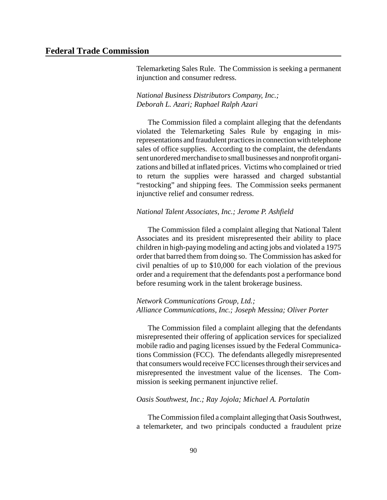Telemarketing Sales Rule. The Commission is seeking a permanent injunction and consumer redress.

#### *National Business Distributors Company, Inc.; Deborah L. Azari; Raphael Ralph Azari*

The Commission filed a complaint alleging that the defendants violated the Telemarketing Sales Rule by engaging in misrepresentations and fraudulent practices in connection with telephone sales of office supplies. According to the complaint, the defendants sent unordered merchandise to small businesses and nonprofit organizations and billed at inflated prices. Victims who complained or tried to return the supplies were harassed and charged substantial "restocking" and shipping fees. The Commission seeks permanent injunctive relief and consumer redress.

#### *National Talent Associates, Inc.; Jerome P. Ashfield*

The Commission filed a complaint alleging that National Talent Associates and its president misrepresented their ability to place children in high-paying modeling and acting jobs and violated a 1975 order that barred them from doing so. The Commission has asked for civil penalties of up to \$10,000 for each violation of the previous order and a requirement that the defendants post a performance bond before resuming work in the talent brokerage business.

#### *Network Communications Group, Ltd.; Alliance Communications, Inc.; Joseph Messina; Oliver Porter*

The Commission filed a complaint alleging that the defendants misrepresented their offering of application services for specialized mobile radio and paging licenses issued by the Federal Communications Commission (FCC). The defendants allegedly misrepresented that consumers would receive FCClicenses through their services and misrepresented the investment value of the licenses. The Commission is seeking permanent injunctive relief.

#### *Oasis Southwest, Inc.; Ray Jojola; Michael A. Portalatin*

The Commission filed a complaint alleging that Oasis Southwest, a telemarketer, and two principals conducted a fraudulent prize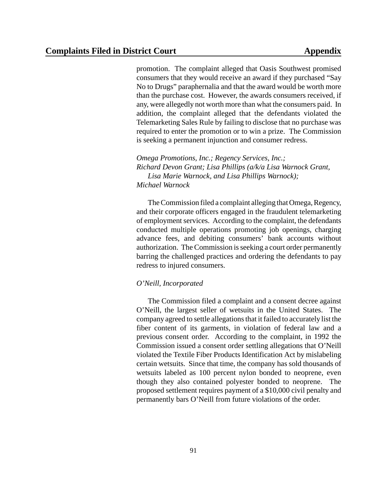promotion. The complaint alleged that Oasis Southwest promised consumers that they would receive an award if they purchased "Say No to Drugs" paraphernalia and that the award would be worth more than the purchase cost. However, the awards consumers received, if any, were allegedly not worth more than what the consumers paid. In addition, the complaint alleged that the defendants violated the Telemarketing Sales Rule by failing to disclose that no purchase was required to enter the promotion or to win a prize. The Commission is seeking a permanent injunction and consumer redress.

*Omega Promotions, Inc.; Regency Services, Inc.; Richard Devon Grant; Lisa Phillips (a/k/a Lisa Warnock Grant, Lisa Marie Warnock, and Lisa Phillips Warnock); Michael Warnock*

The Commission filed a complaint alleging that Omega, Regency, and their corporate officers engaged in the fraudulent telemarketing of employment services. According to the complaint, the defendants conducted multiple operations promoting job openings, charging advance fees, and debiting consumers' bank accounts without authorization. The Commission is seeking a court order permanently barring the challenged practices and ordering the defendants to pay redress to injured consumers.

#### *O'Neill, Incorporated*

The Commission filed a complaint and a consent decree against O'Neill, the largest seller of wetsuits in the United States. The company agreed to settle allegationsthat it failed to accurately list the fiber content of its garments, in violation of federal law and a previous consent order. According to the complaint, in 1992 the Commission issued a consent order settling allegations that O'Neill violated the Textile Fiber Products Identification Act by mislabeling certain wetsuits. Since that time, the company has sold thousands of wetsuits labeled as 100 percent nylon bonded to neoprene, even though they also contained polyester bonded to neoprene. The proposed settlement requires payment of a \$10,000 civil penalty and permanently bars O'Neill from future violations of the order.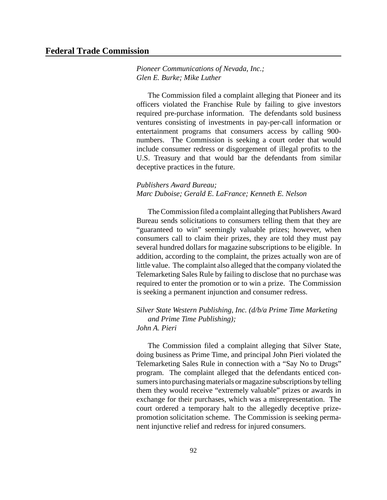*Pioneer Communications of Nevada, Inc.; Glen E. Burke; Mike Luther*

The Commission filed a complaint alleging that Pioneer and its officers violated the Franchise Rule by failing to give investors required pre-purchase information. The defendants sold business ventures consisting of investments in pay-per-call information or entertainment programs that consumers access by calling 900 numbers. The Commission is seeking a court order that would include consumer redress or disgorgement of illegal profits to the U.S. Treasury and that would bar the defendants from similar deceptive practices in the future.

#### *Publishers Award Bureau; Marc Duboise; Gerald E. LaFrance; Kenneth E. Nelson*

TheCommission filed a complaint alleging that Publishers Award Bureau sends solicitations to consumers telling them that they are "guaranteed to win" seemingly valuable prizes; however, when consumers call to claim their prizes, they are told they must pay several hundred dollars for magazine subscriptions to be eligible. In addition, according to the complaint, the prizes actually won are of little value. The complaint also alleged that the company violated the Telemarketing Sales Rule by failing to disclose that no purchase was required to enter the promotion or to win a prize. The Commission is seeking a permanent injunction and consumer redress.

#### *Silver State Western Publishing, Inc. (d/b/a Prime Time Marketing and Prime Time Publishing); John A. Pieri*

The Commission filed a complaint alleging that Silver State, doing business as Prime Time, and principal John Pieri violated the Telemarketing Sales Rule in connection with a "Say No to Drugs" program. The complaint alleged that the defendants enticed consumers into purchasing materials or magazine subscriptions by telling them they would receive "extremely valuable" prizes or awards in exchange for their purchases, which was a misrepresentation. The court ordered a temporary halt to the allegedly deceptive prizepromotion solicitation scheme. The Commission is seeking permanent injunctive relief and redress for injured consumers.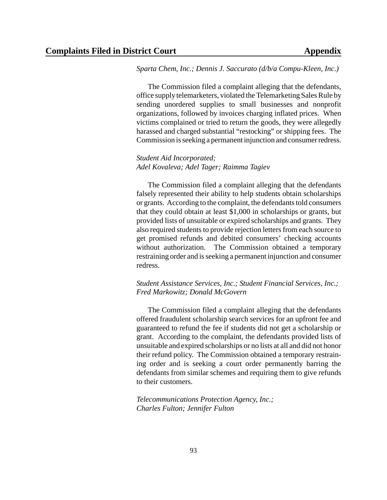*Sparta Chem, Inc.; Dennis J. Saccurato (d/b/a Compu-Kleen, Inc.)* 

The Commission filed a complaint alleging that the defendants, office supply telemarketers, violated the Telemarketing Sales Rule by sending unordered supplies to small businesses and nonprofit organizations, followed by invoices charging inflated prices. When victims complained or tried to return the goods, they were allegedly harassed and charged substantial "restocking" or shipping fees. The Commission isseeking a permanent injunction and consumer redress.

#### *Student Aid Incorporated; Adel Kovaleva; Adel Tager; Raimma Tagiev*

The Commission filed a complaint alleging that the defendants falsely represented their ability to help students obtain scholarships or grants. According to the complaint, the defendants told consumers that they could obtain at least \$1,000 in scholarships or grants, but provided lists of unsuitable or expired scholarships and grants. They also required students to provide rejection letters from each source to get promised refunds and debited consumers' checking accounts without authorization. The Commission obtained a temporary restraining order and is seeking a permanent injunction and consumer redress.

#### *Student Assistance Services, Inc.; Student Financial Services, Inc.; Fred Markowitz; Donald McGovern*

The Commission filed a complaint alleging that the defendants offered fraudulent scholarship search services for an upfront fee and guaranteed to refund the fee if students did not get a scholarship or grant. According to the complaint, the defendants provided lists of unsuitable and expired scholarships or no lists at all and did not honor their refund policy. The Commission obtained a temporary restraining order and is seeking a court order permanently barring the defendants from similar schemes and requiring them to give refunds to their customers.

*Telecommunications Protection Agency, Inc.; Charles Fulton; Jennifer Fulton*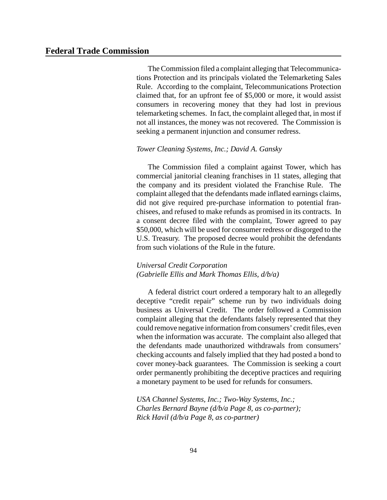The Commission filed a complaint alleging that Telecommunications Protection and its principals violated the Telemarketing Sales Rule. According to the complaint, Telecommunications Protection claimed that, for an upfront fee of \$5,000 or more, it would assist consumers in recovering money that they had lost in previous telemarketing schemes. In fact, the complaint alleged that, in most if not all instances, the money was not recovered. The Commission is seeking a permanent injunction and consumer redress.

#### *Tower Cleaning Systems, Inc.; David A. Gansky*

The Commission filed a complaint against Tower, which has commercial janitorial cleaning franchises in 11 states, alleging that the company and its president violated the Franchise Rule. The complaint alleged that the defendants made inflated earnings claims, did not give required pre-purchase information to potential franchisees, and refused to make refunds as promised in its contracts. In a consent decree filed with the complaint, Tower agreed to pay \$50,000, which will be used for consumer redress or disgorged to the U.S. Treasury. The proposed decree would prohibit the defendants from such violations of the Rule in the future.

#### *Universal Credit Corporation (Gabrielle Ellis and Mark Thomas Ellis, d/b/a)*

A federal district court ordered a temporary halt to an allegedly deceptive "credit repair" scheme run by two individuals doing business as Universal Credit. The order followed a Commission complaint alleging that the defendants falsely represented that they could remove negative information fromconsumers' credit files, even when the information was accurate. The complaint also alleged that the defendants made unauthorized withdrawals from consumers' checking accounts and falsely implied that they had posted a bond to cover money-back guarantees. The Commission is seeking a court order permanently prohibiting the deceptive practices and requiring a monetary payment to be used for refunds for consumers.

*USA Channel Systems, Inc.; Two-Way Systems, Inc.; Charles Bernard Bayne (d/b/a Page 8, as co-partner); Rick Havil (d/b/a Page 8, as co-partner)*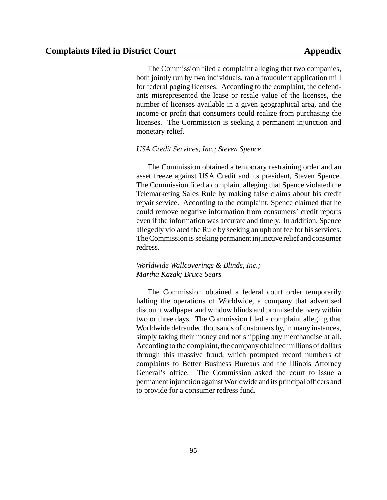The Commission filed a complaint alleging that two companies, both jointly run by two individuals, ran a fraudulent application mill for federal paging licenses. According to the complaint, the defendants misrepresented the lease or resale value of the licenses, the number of licenses available in a given geographical area, and the income or profit that consumers could realize from purchasing the licenses. The Commission is seeking a permanent injunction and monetary relief.

#### *USA Credit Services, Inc.; Steven Spence*

The Commission obtained a temporary restraining order and an asset freeze against USA Credit and its president, Steven Spence. The Commission filed a complaint alleging that Spence violated the Telemarketing Sales Rule by making false claims about his credit repair service. According to the complaint, Spence claimed that he could remove negative information from consumers' credit reports even if the information was accurate and timely. In addition, Spence allegedly violated the Rule by seeking an upfront fee for his services. TheCommission isseeking permanent injunctive relief and consumer redress.

#### *Worldwide Wallcoverings & Blinds, Inc.; Martha Kazak; Bruce Sears*

The Commission obtained a federal court order temporarily halting the operations of Worldwide, a company that advertised discount wallpaper and window blinds and promised delivery within two or three days. The Commission filed a complaint alleging that Worldwide defrauded thousands of customers by, in many instances, simply taking their money and not shipping any merchandise at all. According to the complaint, the company obtained millions of dollars through this massive fraud, which prompted record numbers of complaints to Better Business Bureaus and the Illinois Attorney General's office. The Commission asked the court to issue a permanent injunction againstWorldwide and its principal officers and to provide for a consumer redress fund.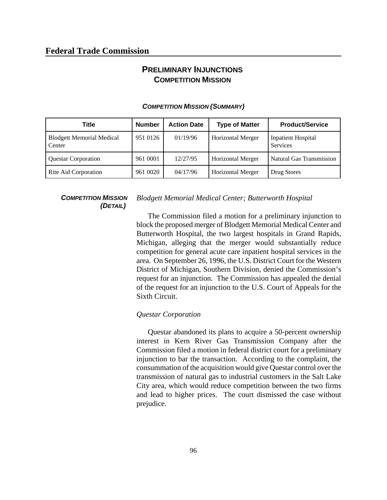## **PRELIMINARY INJUNCTIONS COMPETITION MISSION**

| <b>Title</b>                               | <b>Number</b> | <b>Action Date</b> | <b>Type of Matter</b>    | <b>Product/Service</b>                       |
|--------------------------------------------|---------------|--------------------|--------------------------|----------------------------------------------|
| <b>Blodgett Memorial Medical</b><br>Center | 951 0126      | 01/19/96           | <b>Horizontal Merger</b> | <b>Inpatient Hospital</b><br><b>Services</b> |
| <b>Questar Corporation</b>                 | 961 0001      | 12/27/95           | <b>Horizontal Merger</b> | <b>Natural Gas Transmission</b>              |
| Rite Aid Corporation                       | 961 0020      | 04/17/96           | Horizontal Merger        | Drug Stores                                  |

#### *COMPETITION MISSION (SUMMARY)*

#### *COMPETITION MISSION (DETAIL)*

#### *Blodgett Memorial Medical Center; Butterworth Hospital*

The Commission filed a motion for a preliminary injunction to block the proposed merger of Blodgett Memorial Medical Center and Butterworth Hospital, the two largest hospitals in Grand Rapids, Michigan, alleging that the merger would substantially reduce competition for general acute care inpatient hospital services in the area. On September 26, 1996, the U.S. District Court for the Western District of Michigan, Southern Division, denied the Commission's request for an injunction. The Commission has appealed the denial of the request for an injunction to the U.S. Court of Appeals for the Sixth Circuit.

#### *Questar Corporation*

Questar abandoned its plans to acquire a 50-percent ownership interest in Kern River Gas Transmission Company after the Commission filed a motion in federal district court for a preliminary injunction to bar the transaction. According to the complaint, the consummation of the acquisition would give Questar control over the transmission of natural gas to industrial customers in the Salt Lake City area, which would reduce competition between the two firms and lead to higher prices. The court dismissed the case without prejudice.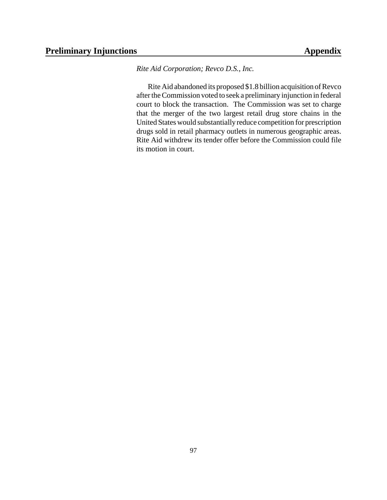*Rite Aid Corporation; Revco D.S., Inc.*

RiteAid abandoned its proposed \$1.8 billion acquisition of Revco after the Commission voted to seek a preliminary injunction in federal court to block the transaction. The Commission was set to charge that the merger of the two largest retail drug store chains in the United States would substantiallyreduce competition for prescription drugs sold in retail pharmacy outlets in numerous geographic areas. Rite Aid withdrew its tender offer before the Commission could file its motion in court.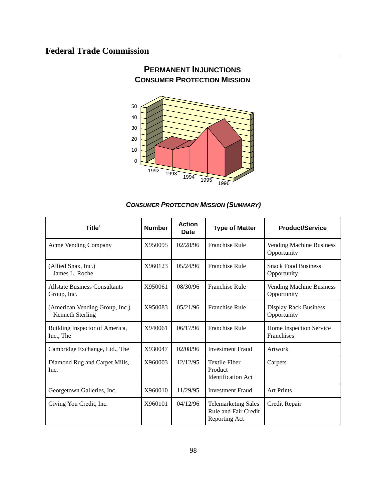

## **PERMANENT INJUNCTIONS CONSUMER PROTECTION MISSION**

#### *CONSUMER PROTECTION MISSION (SUMMARY)*

| Title $1$                                                 | <b>Number</b> | <b>Action</b><br><b>Date</b> | <b>Type of Matter</b>                                               | <b>Product/Service</b>                      |
|-----------------------------------------------------------|---------------|------------------------------|---------------------------------------------------------------------|---------------------------------------------|
| Acme Vending Company                                      | X950095       | 02/28/96                     | <b>Franchise Rule</b>                                               | Vending Machine Business<br>Opportunity     |
| (Allied Snax, Inc.)<br>James L. Roche                     | X960123       | 05/24/96                     | <b>Franchise Rule</b>                                               | <b>Snack Food Business</b><br>Opportunity   |
| <b>Allstate Business Consultants</b><br>Group, Inc.       | X950061       | 08/30/96                     | <b>Franchise Rule</b>                                               | Vending Machine Business<br>Opportunity     |
| (American Vending Group, Inc.)<br><b>Kenneth Sterling</b> | X950083       | 05/21/96                     | <b>Franchise Rule</b>                                               | <b>Display Rack Business</b><br>Opportunity |
| Building Inspector of America,<br>Inc., The               | X940061       | 06/17/96                     | <b>Franchise Rule</b>                                               | Home Inspection Service<br>Franchises       |
| Cambridge Exchange, Ltd., The                             | X930047       | 02/08/96                     | <b>Investment Fraud</b>                                             | Artwork                                     |
| Diamond Rug and Carpet Mills,<br>Inc.                     | X960003       | 12/12/95                     | <b>Textile Fiber</b><br>Product<br><b>Identification Act</b>        | Carpets                                     |
| Georgetown Galleries, Inc.                                | X960010       | 11/29/95                     | <b>Investment Fraud</b>                                             | <b>Art Prints</b>                           |
| Giving You Credit, Inc.                                   | X960101       | 04/12/96                     | <b>Telemarketing Sales</b><br>Rule and Fair Credit<br>Reporting Act | Credit Repair                               |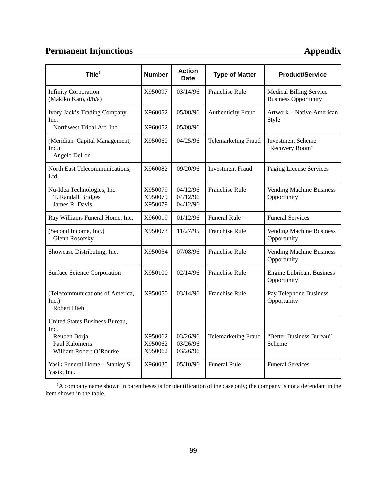# **Permanent Injunctions Appendix**

| Title $1$                                                                                           | <b>Number</b>                 | <b>Action</b><br>Date            | <b>Type of Matter</b>      | <b>Product/Service</b>                                        |
|-----------------------------------------------------------------------------------------------------|-------------------------------|----------------------------------|----------------------------|---------------------------------------------------------------|
| <b>Infinity Corporation</b><br>(Makiko Kato, d/b/a)                                                 | X950097                       | 03/14/96                         | <b>Franchise Rule</b>      | <b>Medical Billing Service</b><br><b>Business Opportunity</b> |
| Ivory Jack's Trading Company,<br>Inc.<br>Northwest Tribal Art, Inc.                                 | X960052<br>X960052            | 05/08/96<br>05/08/96             | Authenticity Fraud         | Artwork - Native American<br>Style                            |
| (Meridian Capital Management,<br>Inc.)<br>Angelo DeLon                                              | X950060                       | 04/25/96                         | <b>Telemarketing Fraud</b> | <b>Investment Scheme</b><br>"Recovery Room"                   |
| North East Telecommunications,<br>Ltd.                                                              | X960082                       | 09/20/96                         | <b>Investment Fraud</b>    | Paging License Services                                       |
| Nu-Idea Technologies, Inc.<br>T. Randall Bridges<br>James R. Davis                                  | X950079<br>X950079<br>X950079 | 04/12/96<br>04/12/96<br>04/12/96 | Franchise Rule             | Vending Machine Business<br>Opportunity                       |
| Ray Williams Funeral Home, Inc.                                                                     | X960019                       | 01/12/96                         | <b>Funeral Rule</b>        | <b>Funeral Services</b>                                       |
| (Second Income, Inc.)<br>Glenn Rosofsky                                                             | X950073                       | 11/27/95                         | Franchise Rule             | Vending Machine Business<br>Opportunity                       |
| Showcase Distributing, Inc.                                                                         | X950054                       | 07/08/96                         | Franchise Rule             | Vending Machine Business<br>Opportunity                       |
| Surface Science Corporation                                                                         | X950100                       | 02/14/96                         | Franchise Rule             | <b>Engine Lubricant Business</b><br>Opportunity               |
| (Telecommunications of America,<br>Inc.)<br><b>Robert Diehl</b>                                     | X950050                       | 03/14/96                         | Franchise Rule             | Pay Telephone Business<br>Opportunity                         |
| United States Business Bureau,<br>Inc.<br>Reuben Borja<br>Paul Kalomeris<br>William Robert O'Rourke | X950062<br>X950062<br>X950062 | 03/26/96<br>03/26/96<br>03/26/96 | <b>Telemarketing Fraud</b> | "Better Business Bureau"<br>Scheme                            |
| Yasik Funeral Home - Stanley S.<br>Yasik, Inc.                                                      | X960035                       | 05/10/96                         | <b>Funeral Rule</b>        | <b>Funeral Services</b>                                       |

<sup>1</sup>A company name shown in parentheses is for identification of the case only; the company is not a defendant in the item shown in the table.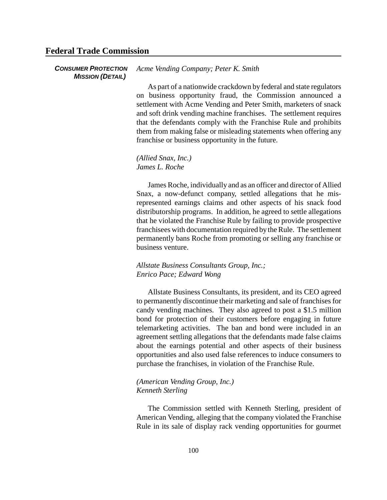#### **Federal Trade Commission**

#### *CONSUMER PROTECTION MISSION (DETAIL) Acme Vending Company; Peter K. Smith*

As part of a nationwide crackdown by federal and state regulators on business opportunity fraud, the Commission announced a settlement with Acme Vending and Peter Smith, marketers of snack and soft drink vending machine franchises. The settlement requires that the defendants comply with the Franchise Rule and prohibits them from making false or misleading statements when offering any franchise or business opportunity in the future.

*(Allied Snax, Inc.) James L. Roche*

James Roche, individually and as an officer and director of Allied Snax, a now-defunct company, settled allegations that he misrepresented earnings claims and other aspects of his snack food distributorship programs. In addition, he agreed to settle allegations that he violated the Franchise Rule by failing to provide prospective franchisees with documentation required by the Rule. The settlement permanently bans Roche from promoting or selling any franchise or business venture.

#### *Allstate Business Consultants Group, Inc.; Enrico Pace; Edward Wong*

Allstate Business Consultants, its president, and its CEO agreed to permanently discontinue their marketing and sale of franchises for candy vending machines. They also agreed to post a \$1.5 million bond for protection of their customers before engaging in future telemarketing activities. The ban and bond were included in an agreement settling allegations that the defendants made false claims about the earnings potential and other aspects of their business opportunities and also used false references to induce consumers to purchase the franchises, in violation of the Franchise Rule.

#### *(American Vending Group, Inc.) Kenneth Sterling*

The Commission settled with Kenneth Sterling, president of American Vending, alleging that the company violated the Franchise Rule in its sale of display rack vending opportunities for gourmet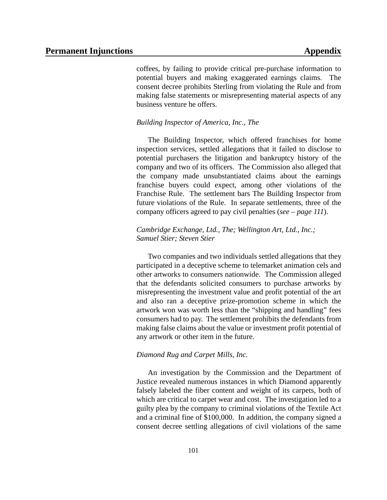coffees, by failing to provide critical pre-purchase information to potential buyers and making exaggerated earnings claims. The consent decree prohibits Sterling from violating the Rule and from making false statements or misrepresenting material aspects of any business venture he offers.

#### *Building Inspector of America, Inc., The*

The Building Inspector, which offered franchises for home inspection services, settled allegations that it failed to disclose to potential purchasers the litigation and bankruptcy history of the company and two of its officers. The Commission also alleged that the company made unsubstantiated claims about the earnings franchise buyers could expect, among other violations of the Franchise Rule. The settlement bars The Building Inspector from future violations of the Rule. In separate settlements, three of the company officers agreed to pay civil penalties (*see – page 111*).

#### *Cambridge Exchange, Ltd., The; Wellington Art, Ltd., Inc.; Samuel Stier; Steven Stier*

Two companies and two individuals settled allegations that they participated in a deceptive scheme to telemarket animation cels and other artworks to consumers nationwide. The Commission alleged that the defendants solicited consumers to purchase artworks by misrepresenting the investment value and profit potential of the art and also ran a deceptive prize-promotion scheme in which the artwork won was worth less than the "shipping and handling" fees consumers had to pay. The settlement prohibits the defendants from making false claims about the value or investment profit potential of any artwork or other item in the future.

#### *Diamond Rug and Carpet Mills, Inc.*

An investigation by the Commission and the Department of Justice revealed numerous instances in which Diamond apparently falsely labeled the fiber content and weight of its carpets, both of which are critical to carpet wear and cost. The investigation led to a guilty plea by the company to criminal violations of the Textile Act and a criminal fine of \$100,000. In addition, the company signed a consent decree settling allegations of civil violations of the same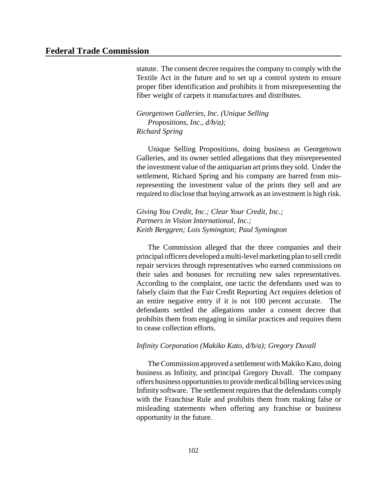statute. The consent decree requires the company to comply with the Textile Act in the future and to set up a control system to ensure proper fiber identification and prohibits it from misrepresenting the fiber weight of carpets it manufactures and distributes.

*Georgetown Galleries, Inc. (Unique Selling Propositions, Inc., d/b/a); Richard Spring*

Unique Selling Propositions, doing business as Georgetown Galleries, and its owner settled allegations that they misrepresented the investment value of the antiquarian art prints they sold. Under the settlement, Richard Spring and his company are barred from misrepresenting the investment value of the prints they sell and are required to disclose that buying artwork as an investment is high risk.

*Giving You Credit, Inc.; Clear Your Credit, Inc.; Partners in Vision International, Inc.; Keith Berggren; Lois Symington; Paul Symington*

The Commission alleged that the three companies and their principal officers developed amulti-level marketing plan to sell credit repair services through representatives who earned commissions on their sales and bonuses for recruiting new sales representatives. According to the complaint, one tactic the defendants used was to falsely claim that the Fair Credit Reporting Act requires deletion of an entire negative entry if it is not 100 percent accurate. The defendants settled the allegations under a consent decree that prohibits them from engaging in similar practices and requires them to cease collection efforts.

#### *Infinity Corporation (Makiko Kato, d/b/a); Gregory Duvall*

The Commission approved a settlement with Makiko Kato, doing business as Infinity, and principal Gregory Duvall. The company offers business opportunitiesto providemedical billing services using Infinity software. The settlement requires that the defendants comply with the Franchise Rule and prohibits them from making false or misleading statements when offering any franchise or business opportunity in the future.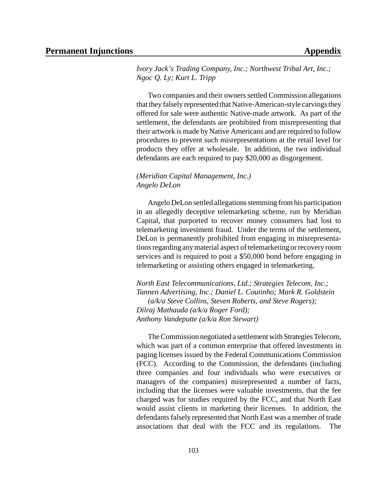*Ivory Jack's Trading Company, Inc.; Northwest Tribal Art, Inc.; Ngoc Q. Ly; Kurt L. Tripp*

Two companies and their owners settled Commission allegations that they falsely represented that Native-American-style carvings they offered for sale were authentic Native-made artwork. As part of the settlement, the defendants are prohibited from misrepresenting that their artwork is made by Native Americans and are required to follow procedures to prevent such misrepresentations at the retail level for products they offer at wholesale. In addition, the two individual defendants are each required to pay \$20,000 as disgorgement.

#### *(Meridian Capital Management, Inc.) Angelo DeLon*

Angelo DeLon settled allegations stemming from his participation in an allegedly deceptive telemarketing scheme, run by Meridian Capital, that purported to recover money consumers had lost to telemarketing investment fraud. Under the terms of the settlement, DeLon is permanently prohibited from engaging in misrepresentations regarding any material aspect of telemarketing or recovery room services and is required to post a \$50,000 bond before engaging in telemarketing or assisting others engaged in telemarketing.

*North East Telecommunications, Ltd.; Strategies Telecom, Inc.; Tannen Advertising, Inc.; Daniel L. Coutinho; Mark R. Goldstein (a/k/a Steve Collins, Steven Roberts, and Steve Rogers); Dilraj Mathauda (a/k/a Roger Ford); Anthony Vandeputte (a/k/a Ron Stewart)*

The Commission negotiated a settlement with Strategies Telecom, which was part of a common enterprise that offered investments in paging licenses issued by the Federal Communications Commission (FCC). According to the Commission, the defendants (including three companies and four individuals who were executives or managers of the companies) misrepresented a number of facts, including that the licenses were valuable investments, that the fee charged was for studies required by the FCC, and that North East would assist clients in marketing their licenses. In addition, the defendants falsely represented that North East was a member of trade associations that deal with the FCC and its regulations. The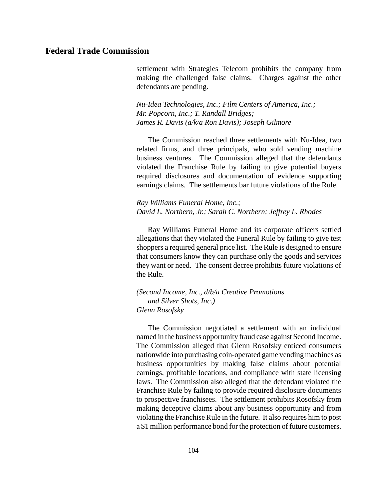settlement with Strategies Telecom prohibits the company from making the challenged false claims. Charges against the other defendants are pending.

*Nu-Idea Technologies, Inc.; Film Centers of America, Inc.; Mr. Popcorn, Inc.; T. Randall Bridges; James R. Davis (a/k/a Ron Davis); Joseph Gilmore*

The Commission reached three settlements with Nu-Idea, two related firms, and three principals, who sold vending machine business ventures. The Commission alleged that the defendants violated the Franchise Rule by failing to give potential buyers required disclosures and documentation of evidence supporting earnings claims. The settlements bar future violations of the Rule.

*Ray Williams Funeral Home, Inc.; David L. Northern, Jr.; Sarah C. Northern; Jeffrey L. Rhodes*

Ray Williams Funeral Home and its corporate officers settled allegations that they violated the Funeral Rule by failing to give test shoppers a required general price list. The Rule is designed to ensure that consumers know they can purchase only the goods and services they want or need. The consent decree prohibits future violations of the Rule.

*(Second Income, Inc., d/b/a Creative Promotions and Silver Shots, Inc.) Glenn Rosofsky*

The Commission negotiated a settlement with an individual named in the business opportunity fraud case against Second Income. The Commission alleged that Glenn Rosofsky enticed consumers nationwide into purchasing coin-operated game vending machines as business opportunities by making false claims about potential earnings, profitable locations, and compliance with state licensing laws. The Commission also alleged that the defendant violated the Franchise Rule by failing to provide required disclosure documents to prospective franchisees. The settlement prohibits Rosofsky from making deceptive claims about any business opportunity and from violating the Franchise Rule in the future. It also requires him to post a \$1 million performance bond for the protection of future customers.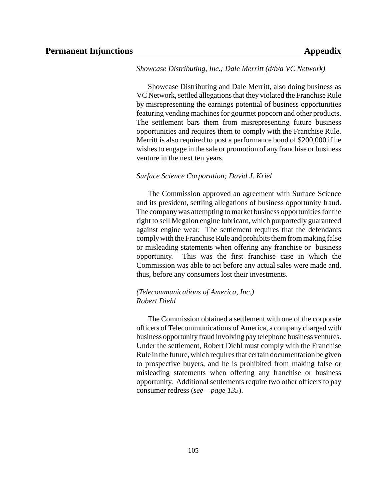#### *Showcase Distributing, Inc.; Dale Merritt (d/b/a VC Network)*

Showcase Distributing and Dale Merritt, also doing business as VC Network, settled allegations that they violated the Franchise Rule by misrepresenting the earnings potential of business opportunities featuring vending machines for gourmet popcorn and other products. The settlement bars them from misrepresenting future business opportunities and requires them to comply with the Franchise Rule. Merritt is also required to post a performance bond of \$200,000 if he wishes to engage in the sale or promotion of any franchise or business venture in the next ten years.

#### *Surface Science Corporation; David J. Kriel*

The Commission approved an agreement with Surface Science and its president, settling allegations of business opportunity fraud. The company was attempting to market business opportunities for the right to sell Megalon engine lubricant, which purportedly guaranteed against engine wear. The settlement requires that the defendants complywith the Franchise Rule and prohibits them from making false or misleading statements when offering any franchise or business opportunity. This was the first franchise case in which the Commission was able to act before any actual sales were made and, thus, before any consumers lost their investments.

#### *(Telecommunications of America, Inc.) Robert Diehl*

The Commission obtained a settlement with one of the corporate officers of Telecommunications of America, a company charged with business opportunity fraud involving pay telephone business ventures. Under the settlement, Robert Diehl must comply with the Franchise Rule in the future, which requires that certain documentation be given to prospective buyers, and he is prohibited from making false or misleading statements when offering any franchise or business opportunity. Additional settlements require two other officers to pay consumer redress (*see – page 135*).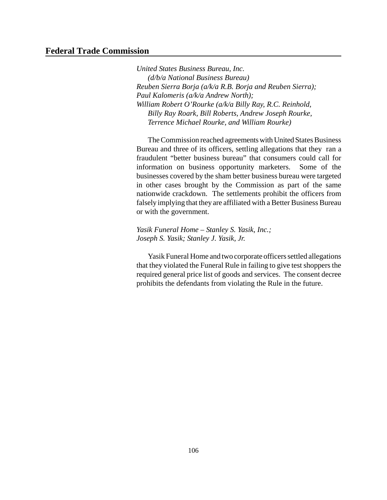#### **Federal Trade Commission**

*United States Business Bureau, Inc. (d/b/a National Business Bureau) Reuben Sierra Borja (a/k/a R.B. Borja and Reuben Sierra); Paul Kalomeris (a/k/a Andrew North); William Robert O'Rourke (a/k/a Billy Ray, R.C. Reinhold, Billy Ray Roark, Bill Roberts, Andrew Joseph Rourke, Terrence Michael Rourke, and William Rourke)*

The Commission reached agreements with United States Business Bureau and three of its officers, settling allegations that they ran a fraudulent "better business bureau" that consumers could call for information on business opportunity marketers. Some of the businesses covered by the sham better business bureau were targeted in other cases brought by the Commission as part of the same nationwide crackdown. The settlements prohibit the officers from falsely implying that they are affiliated with a Better Business Bureau or with the government.

*Yasik Funeral Home – Stanley S. Yasik, Inc.; Joseph S. Yasik; Stanley J. Yasik, Jr.*

Yasik Funeral Home and two corporate officers settled allegations that they violated the Funeral Rule in failing to give test shoppers the required general price list of goods and services. The consent decree prohibits the defendants from violating the Rule in the future.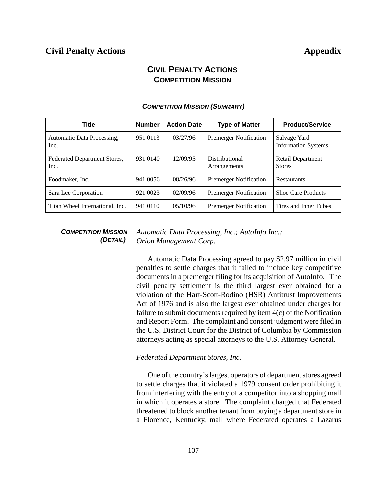# **CIVIL PENALTY ACTIONS COMPETITION MISSION**

| <b>Title</b>                         | <b>Number</b> | <b>Action Date</b> | <b>Type of Matter</b>          | <b>Product/Service</b>                     |
|--------------------------------------|---------------|--------------------|--------------------------------|--------------------------------------------|
| Automatic Data Processing,<br>Inc.   | 951 0113      | 03/27/96           | <b>Premerger Notification</b>  | Salvage Yard<br><b>Information Systems</b> |
| Federated Department Stores,<br>Inc. | 931 0140      | 12/09/95           | Distributional<br>Arrangements | Retail Department<br><b>Stores</b>         |
| Foodmaker, Inc.                      | 941 0056      | 08/26/96           | <b>Premerger Notification</b>  | Restaurants                                |
| Sara Lee Corporation                 | 921 0023      | 02/09/96           | <b>Premerger Notification</b>  | <b>Shoe Care Products</b>                  |
| Titan Wheel International, Inc.      | 941 0110      | 05/10/96           | <b>Premerger Notification</b>  | Tires and Inner Tubes                      |

#### *COMPETITION MISSION (SUMMARY)*

#### *COMPETITION MISSION (DETAIL)*

*Automatic Data Processing, Inc.; AutoInfo Inc.; Orion Management Corp.*

Automatic Data Processing agreed to pay \$2.97 million in civil penalties to settle charges that it failed to include key competitive documents in a premerger filing for its acquisition of AutoInfo. The civil penalty settlement is the third largest ever obtained for a violation of the Hart-Scott-Rodino (HSR) Antitrust Improvements Act of 1976 and is also the largest ever obtained under charges for failure to submit documents required by item 4(c) of the Notification and Report Form. The complaint and consent judgment were filed in the U.S. District Court for the District of Columbia by Commission attorneys acting as special attorneys to the U.S. Attorney General.

#### *Federated Department Stores, Inc.*

One of the country's largest operators of department stores agreed to settle charges that it violated a 1979 consent order prohibiting it from interfering with the entry of a competitor into a shopping mall in which it operates a store. The complaint charged that Federated threatened to block another tenant from buying a department store in a Florence, Kentucky, mall where Federated operates a Lazarus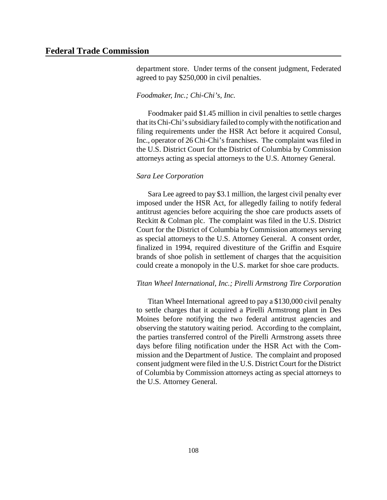department store. Under terms of the consent judgment, Federated agreed to pay \$250,000 in civil penalties.

#### *Foodmaker, Inc.; Chi-Chi's, Inc.*

Foodmaker paid \$1.45 million in civil penalties to settle charges that itsChi-Chi'ssubsidiaryfailed to complywith the notification and filing requirements under the HSR Act before it acquired Consul, Inc., operator of 26 Chi-Chi's franchises. The complaint was filed in the U.S. District Court for the District of Columbia by Commission attorneys acting as special attorneys to the U.S. Attorney General.

#### *Sara Lee Corporation*

Sara Lee agreed to pay \$3.1 million, the largest civil penalty ever imposed under the HSR Act, for allegedly failing to notify federal antitrust agencies before acquiring the shoe care products assets of Reckitt & Colman plc. The complaint was filed in the U.S. District Court for the District of Columbia by Commission attorneys serving as special attorneys to the U.S. Attorney General. A consent order, finalized in 1994, required divestiture of the Griffin and Esquire brands of shoe polish in settlement of charges that the acquisition could create a monopoly in the U.S. market for shoe care products.

#### *Titan Wheel International, Inc.; Pirelli Armstrong Tire Corporation*

Titan Wheel International agreed to pay a \$130,000 civil penalty to settle charges that it acquired a Pirelli Armstrong plant in Des Moines before notifying the two federal antitrust agencies and observing the statutory waiting period. According to the complaint, the parties transferred control of the Pirelli Armstrong assets three days before filing notification under the HSR Act with the Commission and the Department of Justice. The complaint and proposed consent judgment were filed in the U.S. District Court for the District of Columbia by Commission attorneys acting as special attorneys to the U.S. Attorney General.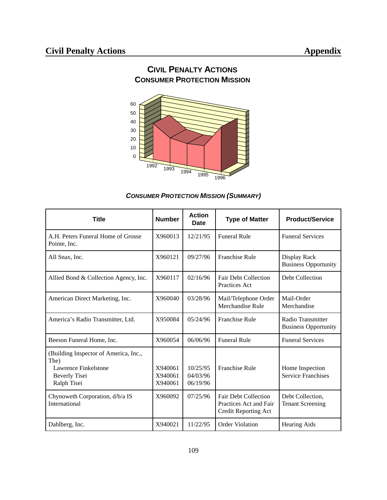

# **CIVIL PENALTY ACTIONS CONSUMER PROTECTION MISSION**

## *CONSUMER PROTECTION MISSION (SUMMARY)*

| Title                                                                                                        | <b>Number</b>                 | <b>Action</b><br>Date            | <b>Type of Matter</b>                                                         | <b>Product/Service</b>                           |
|--------------------------------------------------------------------------------------------------------------|-------------------------------|----------------------------------|-------------------------------------------------------------------------------|--------------------------------------------------|
| A.H. Peters Funeral Home of Grosse<br>Pointe, Inc.                                                           | X960013                       | 12/21/95                         | <b>Funeral Rule</b>                                                           | <b>Funeral Services</b>                          |
| All Snax, Inc.                                                                                               | X960121                       | 09/27/96                         | Franchise Rule                                                                | Display Rack<br><b>Business Opportunity</b>      |
| Allied Bond & Collection Agency, Inc.                                                                        | X960117                       | 02/16/96                         | <b>Fair Debt Collection</b><br>Practices Act                                  | Debt Collection                                  |
| American Direct Marketing, Inc.                                                                              | X960040                       | 03/28/96                         | Mail/Telephone Order<br>Merchandise Rule                                      | Mail-Order<br>Merchandise                        |
| America's Radio Transmitter, Ltd.                                                                            | X950084                       | 05/24/96                         | <b>Franchise Rule</b>                                                         | Radio Transmitter<br><b>Business Opportunity</b> |
| Beeson Funeral Home, Inc.                                                                                    | X960054                       | 06/06/96                         | <b>Funeral Rule</b>                                                           | <b>Funeral Services</b>                          |
| (Building Inspector of America, Inc.,<br>The)<br>Lawrence Finkelstone<br><b>Beverly Tisei</b><br>Ralph Tisei | X940061<br>X940061<br>X940061 | 10/25/95<br>04/03/96<br>06/19/96 | <b>Franchise Rule</b>                                                         | Home Inspection<br><b>Service Franchises</b>     |
| Chynoweth Corporation, d/b/a IS<br>International                                                             | X960092                       | 07/25/96                         | <b>Fair Debt Collection</b><br>Practices Act and Fair<br>Credit Reporting Act | Debt Collection,<br><b>Tenant Screening</b>      |
| Dahlberg, Inc.                                                                                               | X940021                       | 11/22/95                         | Order Violation                                                               | <b>Hearing Aids</b>                              |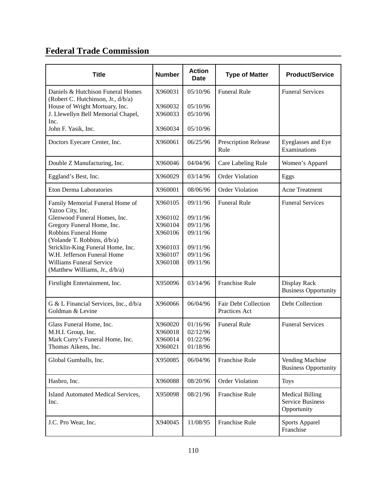# **Federal Trade Commission**

| <b>Title</b>                                                                                                                                                                                                                                                                                                      | <b>Number</b>                                                             | <b>Action</b><br><b>Date</b>                                                     | <b>Type of Matter</b>                        | <b>Product/Service</b>                                           |
|-------------------------------------------------------------------------------------------------------------------------------------------------------------------------------------------------------------------------------------------------------------------------------------------------------------------|---------------------------------------------------------------------------|----------------------------------------------------------------------------------|----------------------------------------------|------------------------------------------------------------------|
| Daniels & Hutchison Funeral Homes<br>(Robert C. Hutchinson, Jr., d/b/a)<br>House of Wright Mortuary, Inc.<br>J. Llewellyn Bell Memorial Chapel,<br>Inc.<br>John F. Yasik, Inc.                                                                                                                                    | X960031<br>X960032<br>X960033<br>X960034                                  | 05/10/96<br>05/10/96<br>05/10/96<br>05/10/96                                     | <b>Funeral Rule</b>                          | <b>Funeral Services</b>                                          |
| Doctors Eyecare Center, Inc.                                                                                                                                                                                                                                                                                      | X960061                                                                   | 06/25/96                                                                         | Prescription Release<br>Rule                 | Eyeglasses and Eye<br>Examinations                               |
| Double Z Manufacturing, Inc.                                                                                                                                                                                                                                                                                      | X960046                                                                   | 04/04/96                                                                         | Care Labeling Rule                           | Women's Apparel                                                  |
| Eggland's Best, Inc.                                                                                                                                                                                                                                                                                              | X960029                                                                   | 03/14/96                                                                         | <b>Order Violation</b>                       | Eggs                                                             |
| Eton Derma Laboratories                                                                                                                                                                                                                                                                                           | X960001                                                                   | 08/06/96                                                                         | <b>Order Violation</b>                       | Acne Treatment                                                   |
| Family Memorial Funeral Home of<br>Yazoo City, Inc.<br>Glenwood Funeral Homes, Inc.<br>Gregory Funeral Home, Inc.<br>Robbins Funeral Home<br>(Yolande T. Robbins, d/b/a)<br>Stricklin-King Funeral Home, Inc.<br>W.H. Jefferson Funeral Home<br><b>Williams Funeral Service</b><br>(Matthew Williams, Jr., d/b/a) | X960105<br>X960102<br>X960104<br>X960106<br>X960103<br>X960107<br>X960108 | 09/11/96<br>09/11/96<br>09/11/96<br>09/11/96<br>09/11/96<br>09/11/96<br>09/11/96 | <b>Funeral Rule</b>                          | <b>Funeral Services</b>                                          |
| Firstlight Entertainment, Inc.                                                                                                                                                                                                                                                                                    | X950096                                                                   | 03/14/96                                                                         | <b>Franchise Rule</b>                        | Display Rack<br><b>Business Opportunity</b>                      |
| G & L Financial Services, Inc., d/b/a<br>Goldman & Levine                                                                                                                                                                                                                                                         | X960066                                                                   | 06/04/96                                                                         | <b>Fair Debt Collection</b><br>Practices Act | Debt Collection                                                  |
| Glass Funeral Home, Inc.<br>M.H.I. Group, Inc.<br>Mark Curry's Funeral Home, Inc.<br>Thomas Aikens, Inc.                                                                                                                                                                                                          | X960020<br>X960018<br>X960014<br>X960021                                  | 01/16/96<br>02/12/96<br>01/22/96<br>01/18/96                                     | <b>Funeral Rule</b>                          | <b>Funeral Services</b>                                          |
| Global Gumballs, Inc.                                                                                                                                                                                                                                                                                             | X950085                                                                   | 06/04/96                                                                         | Franchise Rule                               | Vending Machine<br><b>Business Opportunity</b>                   |
| Hasbro, Inc.                                                                                                                                                                                                                                                                                                      | X960088                                                                   | 08/20/96                                                                         | <b>Order Violation</b>                       | <b>Toys</b>                                                      |
| Island Automated Medical Services,<br>Inc.                                                                                                                                                                                                                                                                        | X950098                                                                   | 08/21/96                                                                         | Franchise Rule                               | <b>Medical Billing</b><br><b>Service Business</b><br>Opportunity |
| J.C. Pro Wear, Inc.                                                                                                                                                                                                                                                                                               | X940045                                                                   | 11/08/95                                                                         | Franchise Rule                               | <b>Sports Apparel</b><br>Franchise                               |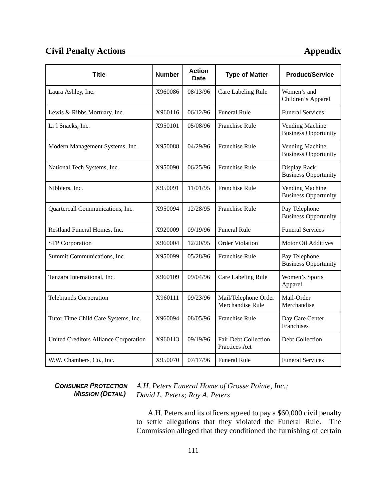# **Civil Penalty Actions Appendix**

| <b>Title</b>                          | <b>Number</b> | <b>Action</b><br><b>Date</b> | <b>Type of Matter</b>                        | <b>Product/Service</b>                         |
|---------------------------------------|---------------|------------------------------|----------------------------------------------|------------------------------------------------|
| Laura Ashley, Inc.                    | X960086       | 08/13/96                     | Care Labeling Rule                           | Women's and<br>Children's Apparel              |
| Lewis & Ribbs Mortuary, Inc.          | X960116       | 06/12/96                     | <b>Funeral Rule</b>                          | <b>Funeral Services</b>                        |
| Li'l Snacks, Inc.                     | X950101       | 05/08/96                     | <b>Franchise Rule</b>                        | Vending Machine<br><b>Business Opportunity</b> |
| Modern Management Systems, Inc.       | X950088       | 04/29/96                     | Franchise Rule                               | Vending Machine<br><b>Business Opportunity</b> |
| National Tech Systems, Inc.           | X950090       | 06/25/96                     | <b>Franchise Rule</b>                        | Display Rack<br><b>Business Opportunity</b>    |
| Nibblers, Inc.                        | X950091       | 11/01/95                     | <b>Franchise Rule</b>                        | Vending Machine<br><b>Business Opportunity</b> |
| Quartercall Communications, Inc.      | X950094       | 12/28/95                     | <b>Franchise Rule</b>                        | Pay Telephone<br><b>Business Opportunity</b>   |
| Restland Funeral Homes, Inc.          | X920009       | 09/19/96                     | <b>Funeral Rule</b>                          | <b>Funeral Services</b>                        |
| <b>STP</b> Corporation                | X960004       | 12/20/95                     | <b>Order Violation</b>                       | Motor Oil Additives                            |
| Summit Communications, Inc.           | X950099       | 05/28/96                     | <b>Franchise Rule</b>                        | Pay Telephone<br><b>Business Opportunity</b>   |
| Tanzara International, Inc.           | X960109       | 09/04/96                     | Care Labeling Rule                           | Women's Sports<br>Apparel                      |
| <b>Telebrands Corporation</b>         | X960111       | 09/23/96                     | Mail/Telephone Order<br>Merchandise Rule     | Mail-Order<br>Merchandise                      |
| Tutor Time Child Care Systems, Inc.   | X960094       | 08/05/96                     | Franchise Rule                               | Day Care Center<br>Franchises                  |
| United Creditors Alliance Corporation | X960113       | 09/19/96                     | <b>Fair Debt Collection</b><br>Practices Act | Debt Collection                                |
| W.W. Chambers, Co., Inc.              | X950070       | 07/17/96                     | <b>Funeral Rule</b>                          | <b>Funeral Services</b>                        |

*CONSUMER PROTECTION MISSION (DETAIL)*

*A.H. Peters Funeral Home of Grosse Pointe, Inc.; David L. Peters; Roy A. Peters*

A.H. Peters and its officers agreed to pay a \$60,000 civil penalty to settle allegations that they violated the Funeral Rule. The Commission alleged that they conditioned the furnishing of certain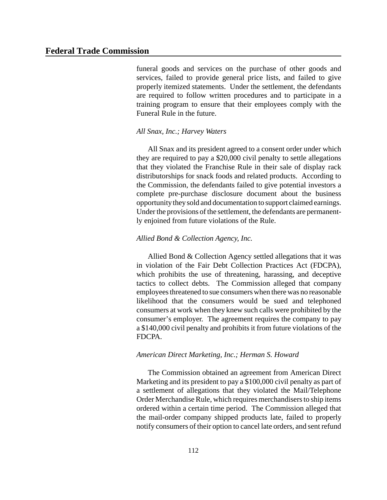funeral goods and services on the purchase of other goods and services, failed to provide general price lists, and failed to give properly itemized statements. Under the settlement, the defendants are required to follow written procedures and to participate in a training program to ensure that their employees comply with the Funeral Rule in the future.

#### *All Snax, Inc.; Harvey Waters*

All Snax and its president agreed to a consent order under which they are required to pay a \$20,000 civil penalty to settle allegations that they violated the Franchise Rule in their sale of display rack distributorships for snack foods and related products. According to the Commission, the defendants failed to give potential investors a complete pre-purchase disclosure document about the business opportunity they sold and documentation to support claimed earnings. Under the provisions of the settlement, the defendants are permanently enjoined from future violations of the Rule.

#### *Allied Bond & Collection Agency, Inc.*

Allied Bond & Collection Agency settled allegations that it was in violation of the Fair Debt Collection Practices Act (FDCPA), which prohibits the use of threatening, harassing, and deceptive tactics to collect debts. The Commission alleged that company employeesthreatened to sue consumers when there was no reasonable likelihood that the consumers would be sued and telephoned consumers at work when they knew such calls were prohibited by the consumer's employer. The agreement requires the company to pay a \$140,000 civil penalty and prohibits it from future violations of the FDCPA.

#### *American Direct Marketing, Inc.; Herman S. Howard*

The Commission obtained an agreement from American Direct Marketing and its president to pay a \$100,000 civil penalty as part of a settlement of allegations that they violated the Mail/Telephone Order Merchandise Rule, which requires merchandisers to ship items ordered within a certain time period. The Commission alleged that the mail-order company shipped products late, failed to properly notify consumers of their option to cancel late orders, and sent refund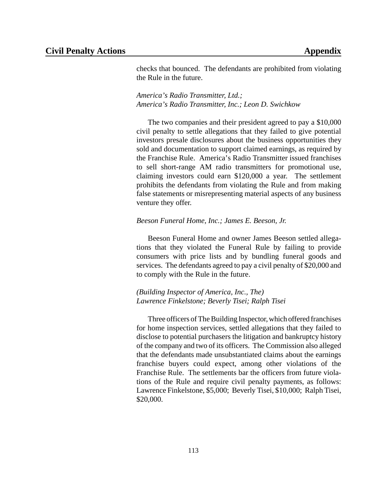checks that bounced. The defendants are prohibited from violating the Rule in the future.

*America's Radio Transmitter, Ltd.; America's Radio Transmitter, Inc.; Leon D. Swichkow*

The two companies and their president agreed to pay a \$10,000 civil penalty to settle allegations that they failed to give potential investors presale disclosures about the business opportunities they sold and documentation to support claimed earnings, as required by the Franchise Rule. America's Radio Transmitter issued franchises to sell short-range AM radio transmitters for promotional use, claiming investors could earn \$120,000 a year. The settlement prohibits the defendants from violating the Rule and from making false statements or misrepresenting material aspects of any business venture they offer.

#### *Beeson Funeral Home, Inc.; James E. Beeson, Jr.*

Beeson Funeral Home and owner James Beeson settled allegations that they violated the Funeral Rule by failing to provide consumers with price lists and by bundling funeral goods and services. The defendants agreed to pay a civil penalty of \$20,000 and to comply with the Rule in the future.

*(Building Inspector of America, Inc., The) Lawrence Finkelstone; Beverly Tisei; Ralph Tisei*

Three officers of The Building Inspector, which offered franchises for home inspection services, settled allegations that they failed to disclose to potential purchasers the litigation and bankruptcy history of the company and two of its officers. The Commission also alleged that the defendants made unsubstantiated claims about the earnings franchise buyers could expect, among other violations of the Franchise Rule. The settlements bar the officers from future violations of the Rule and require civil penalty payments, as follows: Lawrence Finkelstone, \$5,000; Beverly Tisei, \$10,000; Ralph Tisei, \$20,000.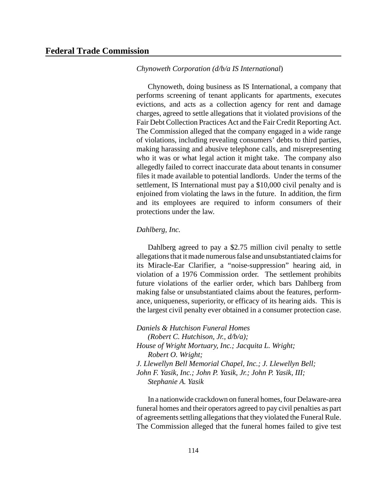#### *Chynoweth Corporation (d/b/a IS International*)

Chynoweth, doing business as IS International, a company that performs screening of tenant applicants for apartments, executes evictions, and acts as a collection agency for rent and damage charges, agreed to settle allegations that it violated provisions of the Fair Debt Collection Practices Act and the Fair Credit Reporting Act. The Commission alleged that the company engaged in a wide range of violations, including revealing consumers' debts to third parties, making harassing and abusive telephone calls, and misrepresenting who it was or what legal action it might take. The company also allegedly failed to correct inaccurate data about tenants in consumer files it made available to potential landlords. Under the terms of the settlement, IS International must pay a \$10,000 civil penalty and is enjoined from violating the laws in the future. In addition, the firm and its employees are required to inform consumers of their protections under the law.

#### *Dahlberg, Inc.*

Dahlberg agreed to pay a \$2.75 million civil penalty to settle allegations that it made numerous false and unsubstantiated claims for its Miracle-Ear Clarifier, a "noise-suppression" hearing aid, in violation of a 1976 Commission order. The settlement prohibits future violations of the earlier order, which bars Dahlberg from making false or unsubstantiated claims about the features, performance, uniqueness, superiority, or efficacy of its hearing aids. This is the largest civil penalty ever obtained in a consumer protection case.

*Daniels & Hutchison Funeral Homes (Robert C. Hutchison, Jr., d/b/a); House of Wright Mortuary, Inc.; Jacquita L. Wright; Robert O. Wright; J. Llewellyn Bell Memorial Chapel, Inc.; J. Llewellyn Bell; John F. Yasik, Inc.; John P. Yasik, Jr.; John P. Yasik, III; Stephanie A. Yasik*

In a nationwide crackdown on funeral homes, four Delaware-area funeral homes and their operators agreed to pay civil penalties as part of agreements settling allegations that they violated the Funeral Rule. The Commission alleged that the funeral homes failed to give test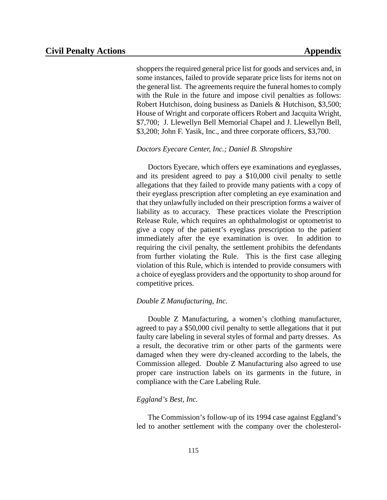shoppers the required general price list for goods and services and, in some instances, failed to provide separate price lists for items not on the general list. The agreements require the funeral homes to comply with the Rule in the future and impose civil penalties as follows: Robert Hutchison, doing business as Daniels & Hutchison, \$3,500; House of Wright and corporate officers Robert and Jacquita Wright, \$7,700; J. Llewellyn Bell Memorial Chapel and J. Llewellyn Bell, \$3,200; John F. Yasik, Inc., and three corporate officers, \$3,700.

#### *Doctors Eyecare Center, Inc.; Daniel B. Shropshire*

Doctors Eyecare, which offers eye examinations and eyeglasses, and its president agreed to pay a \$10,000 civil penalty to settle allegations that they failed to provide many patients with a copy of their eyeglass prescription after completing an eye examination and that they unlawfully included on their prescription forms a waiver of liability as to accuracy. These practices violate the Prescription Release Rule, which requires an ophthalmologist or optometrist to give a copy of the patient's eyeglass prescription to the patient immediately after the eye examination is over. In addition to requiring the civil penalty, the settlement prohibits the defendants from further violating the Rule. This is the first case alleging violation of this Rule, which is intended to provide consumers with a choice of eyeglass providers and the opportunity to shop around for competitive prices.

#### *Double Z Manufacturing, Inc.*

Double Z Manufacturing, a women's clothing manufacturer, agreed to pay a \$50,000 civil penalty to settle allegations that it put faulty care labeling in several styles of formal and party dresses. As a result, the decorative trim or other parts of the garments were damaged when they were dry-cleaned according to the labels, the Commission alleged. Double Z Manufacturing also agreed to use proper care instruction labels on its garments in the future, in compliance with the Care Labeling Rule.

#### *Eggland's Best, Inc.*

The Commission's follow-up of its 1994 case against Eggland's led to another settlement with the company over the cholesterol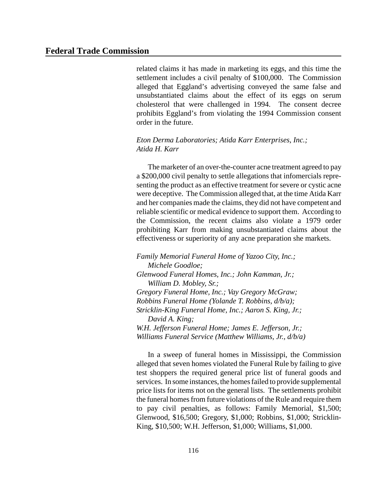related claims it has made in marketing its eggs, and this time the settlement includes a civil penalty of \$100,000. The Commission alleged that Eggland's advertising conveyed the same false and unsubstantiated claims about the effect of its eggs on serum cholesterol that were challenged in 1994. The consent decree prohibits Eggland's from violating the 1994 Commission consent order in the future.

#### *Eton Derma Laboratories; Atida Karr Enterprises, Inc.; Atida H. Karr*

The marketer of an over-the-counter acne treatment agreed to pay a \$200,000 civil penalty to settle allegations that infomercials representing the product as an effective treatment for severe or cystic acne were deceptive. The Commission alleged that, at the time Atida Karr and her companies made the claims, they did not have competent and reliable scientific or medical evidence to support them. According to the Commission, the recent claims also violate a 1979 order prohibiting Karr from making unsubstantiated claims about the effectiveness or superiority of any acne preparation she markets.

*Family Memorial Funeral Home of Yazoo City, Inc.; Michele Goodloe; Glenwood Funeral Homes, Inc.; John Kamman, Jr.; William D. Mobley, Sr.; Gregory Funeral Home, Inc.; Vay Gregory McGraw; Robbins Funeral Home (Yolande T. Robbins, d/b/a); Stricklin-King Funeral Home, Inc.; Aaron S. King, Jr.; David A. King; W.H. Jefferson Funeral Home; James E. Jefferson, Jr.; Williams Funeral Service (Matthew Williams, Jr., d/b/a)*

In a sweep of funeral homes in Mississippi, the Commission alleged that seven homes violated the Funeral Rule by failing to give test shoppers the required general price list of funeral goods and services. In some instances, the homes failed to provide supplemental price lists for items not on the general lists. The settlements prohibit the funeral homes from future violations of the Rule and require them to pay civil penalties, as follows: Family Memorial, \$1,500; Glenwood, \$16,500; Gregory, \$1,000; Robbins, \$1,000; Stricklin-King, \$10,500; W.H. Jefferson, \$1,000; Williams, \$1,000.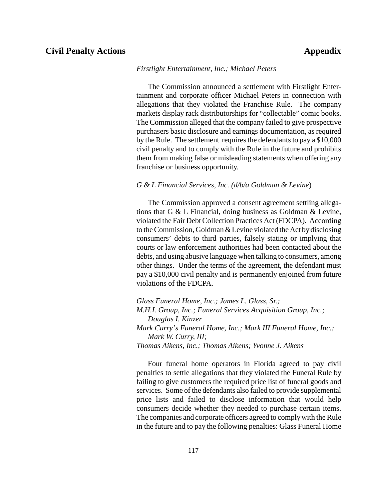#### *Firstlight Entertainment, Inc.; Michael Peters*

The Commission announced a settlement with Firstlight Entertainment and corporate officer Michael Peters in connection with allegations that they violated the Franchise Rule. The company markets display rack distributorships for "collectable" comic books. The Commission alleged that the company failed to give prospective purchasers basic disclosure and earnings documentation, as required by the Rule. The settlement requires the defendants to pay a \$10,000 civil penalty and to comply with the Rule in the future and prohibits them from making false or misleading statements when offering any franchise or business opportunity.

#### *G & L Financial Services, Inc. (d/b/a Goldman & Levine*)

The Commission approved a consent agreement settling allegations that G & L Financial, doing business as Goldman & Levine, violated the Fair Debt Collection Practices Act (FDCPA). According to theCommission, Goldman&Levine violated the Act by disclosing consumers' debts to third parties, falsely stating or implying that courts or law enforcement authorities had been contacted about the debts, and using abusive language when talking to consumers, among other things. Under the terms of the agreement, the defendant must pay a \$10,000 civil penalty and is permanently enjoined from future violations of the FDCPA.

*Glass Funeral Home, Inc.; James L. Glass, Sr.; M.H.I. Group, Inc.; Funeral Services Acquisition Group, Inc.; Douglas I. Kinzer Mark Curry's Funeral Home, Inc.; Mark III Funeral Home, Inc.; Mark W. Curry, III; Thomas Aikens, Inc.; Thomas Aikens; Yvonne J. Aikens*

Four funeral home operators in Florida agreed to pay civil penalties to settle allegations that they violated the Funeral Rule by failing to give customers the required price list of funeral goods and services. Some of the defendants also failed to provide supplemental price lists and failed to disclose information that would help consumers decide whether they needed to purchase certain items. The companies and corporate officers agreed to complywith the Rule in the future and to pay the following penalties: Glass Funeral Home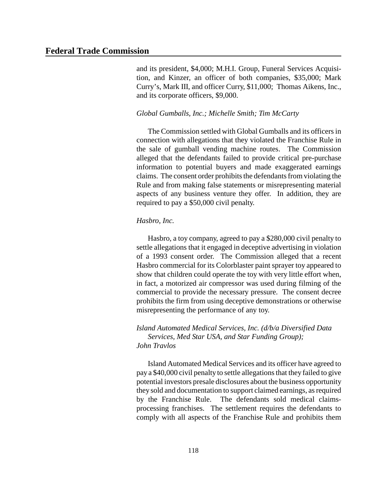and its president, \$4,000; M.H.I. Group, Funeral Services Acquisition, and Kinzer, an officer of both companies, \$35,000; Mark Curry's, Mark III, and officer Curry, \$11,000; Thomas Aikens, Inc., and its corporate officers, \$9,000.

#### *Global Gumballs, Inc.; Michelle Smith; Tim McCarty*

The Commission settled with Global Gumballs and its officers in connection with allegations that they violated the Franchise Rule in the sale of gumball vending machine routes. The Commission alleged that the defendants failed to provide critical pre-purchase information to potential buyers and made exaggerated earnings claims. The consent order prohibits the defendants from violating the Rule and from making false statements or misrepresenting material aspects of any business venture they offer. In addition, they are required to pay a \$50,000 civil penalty.

#### *Hasbro, Inc.*

Hasbro, a toy company, agreed to pay a \$280,000 civil penalty to settle allegations that it engaged in deceptive advertising in violation of a 1993 consent order. The Commission alleged that a recent Hasbro commercial for its Colorblaster paint sprayer toy appeared to show that children could operate the toy with very little effort when, in fact, a motorized air compressor was used during filming of the commercial to provide the necessary pressure. The consent decree prohibits the firm from using deceptive demonstrations or otherwise misrepresenting the performance of any toy.

#### *Island Automated Medical Services, Inc. (d/b/a Diversified Data Services, Med Star USA, and Star Funding Group); John Travlos*

Island Automated Medical Services and its officer have agreed to pay a \$40,000 civil penalty to settle allegationsthat they failed to give potential investors presale disclosures about the business opportunity they sold and documentation to support claimed earnings, as required by the Franchise Rule. The defendants sold medical claimsprocessing franchises. The settlement requires the defendants to comply with all aspects of the Franchise Rule and prohibits them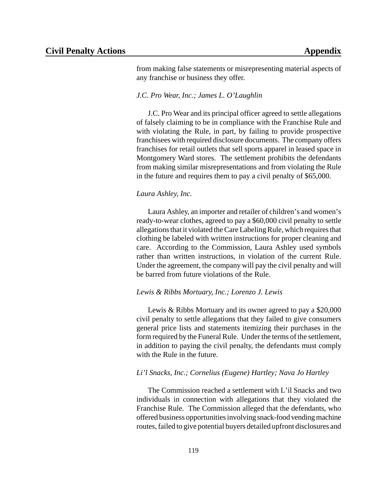from making false statements or misrepresenting material aspects of any franchise or business they offer.

#### *J.C. Pro Wear, Inc.; James L. O'Laughlin*

J.C. Pro Wear and its principal officer agreed to settle allegations of falsely claiming to be in compliance with the Franchise Rule and with violating the Rule, in part, by failing to provide prospective franchisees with required disclosure documents. The company offers franchises for retail outlets that sell sports apparel in leased space in Montgomery Ward stores. The settlement prohibits the defendants from making similar misrepresentations and from violating the Rule in the future and requires them to pay a civil penalty of \$65,000.

#### *Laura Ashley, Inc.*

Laura Ashley, an importer and retailer of children's and women's ready-to-wear clothes, agreed to pay a \$60,000 civil penalty to settle allegations that it violated the Care Labeling Rule, which requires that clothing be labeled with written instructions for proper cleaning and care. According to the Commission, Laura Ashley used symbols rather than written instructions, in violation of the current Rule. Under the agreement, the company will pay the civil penalty and will be barred from future violations of the Rule.

#### *Lewis & Ribbs Mortuary, Inc.; Lorenzo J. Lewis*

Lewis & Ribbs Mortuary and its owner agreed to pay a \$20,000 civil penalty to settle allegations that they failed to give consumers general price lists and statements itemizing their purchases in the form required by the Funeral Rule. Under the terms of the settlement, in addition to paying the civil penalty, the defendants must comply with the Rule in the future.

#### *Li'l Snacks, Inc.; Cornelius (Eugene) Hartley; Nava Jo Hartley*

The Commission reached a settlement with L'il Snacks and two individuals in connection with allegations that they violated the Franchise Rule. The Commission alleged that the defendants, who offered business opportunitiesinvolving snack-food vending machine routes,failed to give potential buyers detailed upfront disclosures and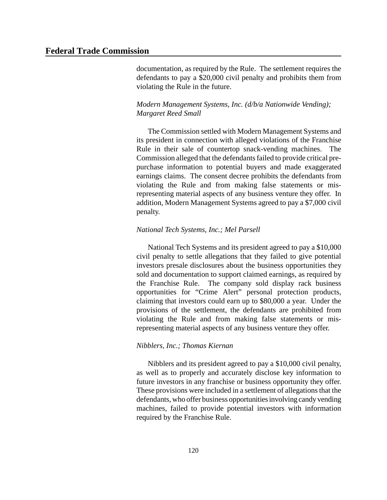documentation, as required by the Rule. The settlement requires the defendants to pay a \$20,000 civil penalty and prohibits them from violating the Rule in the future.

#### *Modern Management Systems, Inc. (d/b/a Nationwide Vending); Margaret Reed Small*

The Commission settled with Modern Management Systems and its president in connection with alleged violations of the Franchise Rule in their sale of countertop snack-vending machines. The Commission alleged that the defendants failed to provide critical prepurchase information to potential buyers and made exaggerated earnings claims. The consent decree prohibits the defendants from violating the Rule and from making false statements or misrepresenting material aspects of any business venture they offer. In addition, Modern Management Systems agreed to pay a \$7,000 civil penalty.

#### *National Tech Systems, Inc.; Mel Parsell*

National Tech Systems and its president agreed to pay a \$10,000 civil penalty to settle allegations that they failed to give potential investors presale disclosures about the business opportunities they sold and documentation to support claimed earnings, as required by the Franchise Rule. The company sold display rack business opportunities for "Crime Alert" personal protection products, claiming that investors could earn up to \$80,000 a year. Under the provisions of the settlement, the defendants are prohibited from violating the Rule and from making false statements or misrepresenting material aspects of any business venture they offer.

#### *Nibblers, Inc.; Thomas Kiernan*

Nibblers and its president agreed to pay a \$10,000 civil penalty, as well as to properly and accurately disclose key information to future investors in any franchise or business opportunity they offer. These provisions were included in a settlement of allegations that the defendants, who offer business opportunities involving candy vending machines, failed to provide potential investors with information required by the Franchise Rule.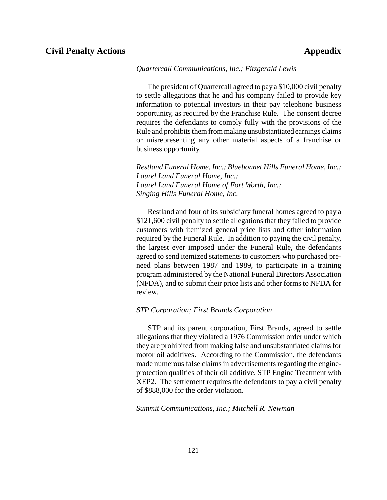#### *Quartercall Communications, Inc.; Fitzgerald Lewis*

The president of Quartercall agreed to pay a \$10,000 civil penalty to settle allegations that he and his company failed to provide key information to potential investors in their pay telephone business opportunity, as required by the Franchise Rule. The consent decree requires the defendants to comply fully with the provisions of the Rule and prohibits them from making unsubstantiated earnings claims or misrepresenting any other material aspects of a franchise or business opportunity.

*Restland Funeral Home, Inc.; Bluebonnet Hills Funeral Home, Inc.; Laurel Land Funeral Home, Inc.; Laurel Land Funeral Home of Fort Worth, Inc.; Singing Hills Funeral Home, Inc.*

Restland and four of its subsidiary funeral homes agreed to pay a \$121,600 civil penalty to settle allegations that they failed to provide customers with itemized general price lists and other information required by the Funeral Rule. In addition to paying the civil penalty, the largest ever imposed under the Funeral Rule, the defendants agreed to send itemized statements to customers who purchased preneed plans between 1987 and 1989, to participate in a training program administered by the National Funeral Directors Association (NFDA), and to submit their price lists and other forms to NFDA for review.

#### *STP Corporation; First Brands Corporation*

STP and its parent corporation, First Brands, agreed to settle allegations that they violated a 1976 Commission order under which they are prohibited from making false and unsubstantiated claims for motor oil additives. According to the Commission, the defendants made numerous false claims in advertisements regarding the engineprotection qualities of their oil additive, STP Engine Treatment with XEP2. The settlement requires the defendants to pay a civil penalty of \$888,000 for the order violation.

*Summit Communications, Inc.; Mitchell R. Newman*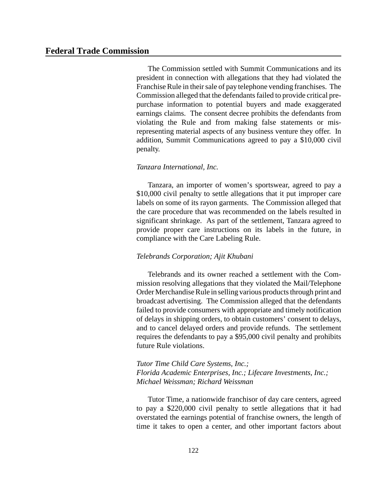The Commission settled with Summit Communications and its president in connection with allegations that they had violated the Franchise Rule in their sale of pay telephone vending franchises. The Commission alleged that the defendants failed to provide critical prepurchase information to potential buyers and made exaggerated earnings claims. The consent decree prohibits the defendants from violating the Rule and from making false statements or misrepresenting material aspects of any business venture they offer. In addition, Summit Communications agreed to pay a \$10,000 civil penalty.

#### *Tanzara International, Inc.*

Tanzara, an importer of women's sportswear, agreed to pay a \$10,000 civil penalty to settle allegations that it put improper care labels on some of its rayon garments. The Commission alleged that the care procedure that was recommended on the labels resulted in significant shrinkage. As part of the settlement, Tanzara agreed to provide proper care instructions on its labels in the future, in compliance with the Care Labeling Rule.

#### *Telebrands Corporation; Ajit Khubani*

Telebrands and its owner reached a settlement with the Commission resolving allegations that they violated the Mail/Telephone Order Merchandise Rule in selling various products through print and broadcast advertising. The Commission alleged that the defendants failed to provide consumers with appropriate and timely notification of delays in shipping orders, to obtain customers' consent to delays, and to cancel delayed orders and provide refunds. The settlement requires the defendants to pay a \$95,000 civil penalty and prohibits future Rule violations.

#### *Tutor Time Child Care Systems, Inc.; Florida Academic Enterprises, Inc.; Lifecare Investments, Inc.; Michael Weissman; Richard Weissman*

Tutor Time, a nationwide franchisor of day care centers, agreed to pay a \$220,000 civil penalty to settle allegations that it had overstated the earnings potential of franchise owners, the length of time it takes to open a center, and other important factors about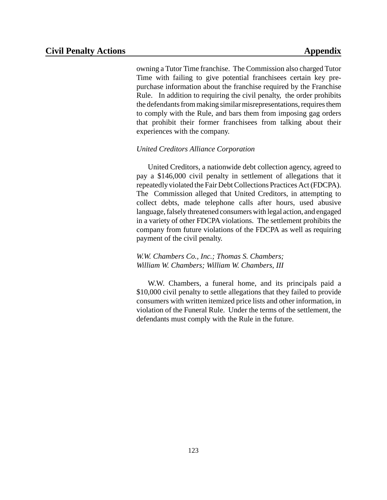owning a Tutor Time franchise. The Commission also charged Tutor Time with failing to give potential franchisees certain key prepurchase information about the franchise required by the Franchise Rule. In addition to requiring the civil penalty, the order prohibits the defendants from making similar misrepresentations, requires them to comply with the Rule, and bars them from imposing gag orders that prohibit their former franchisees from talking about their experiences with the company.

#### *United Creditors Alliance Corporation*

United Creditors, a nationwide debt collection agency, agreed to pay a \$146,000 civil penalty in settlement of allegations that it repeatedly violated the Fair DebtCollections Practices Act(FDCPA). The Commission alleged that United Creditors, in attempting to collect debts, made telephone calls after hours, used abusive language, falsely threatened consumers with legal action, and engaged in a variety of other FDCPA violations. The settlement prohibits the company from future violations of the FDCPA as well as requiring payment of the civil penalty.

*W.W. Chambers Co., Inc.; Thomas S. Chambers; William W. Chambers; William W. Chambers, III*

W.W. Chambers, a funeral home, and its principals paid a \$10,000 civil penalty to settle allegations that they failed to provide consumers with written itemized price lists and other information, in violation of the Funeral Rule. Under the terms of the settlement, the defendants must comply with the Rule in the future.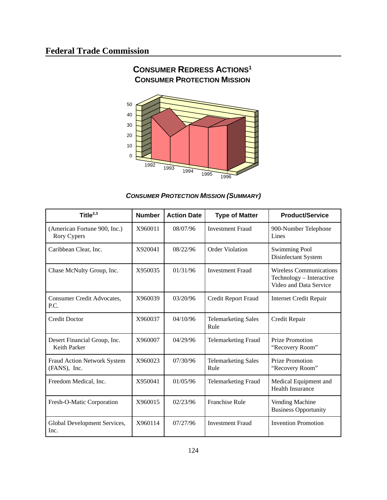

# **CONSUMER REDRESS ACTIONS<sup>1</sup>**

## *CONSUMER PROTECTION MISSION (SUMMARY)*

| Title $^{2,3}$                                      | <b>Number</b> | <b>Action Date</b> | <b>Type of Matter</b>              | <b>Product/Service</b>                                                               |
|-----------------------------------------------------|---------------|--------------------|------------------------------------|--------------------------------------------------------------------------------------|
| (American Fortune 900, Inc.)<br>Rory Cypers         | X960011       | 08/07/96           | <b>Investment Fraud</b>            | 900-Number Telephone<br>Lines                                                        |
| Caribbean Clear, Inc.                               | X920041       | 08/22/96           | Order Violation                    | <b>Swimming Pool</b><br>Disinfectant System                                          |
| Chase McNulty Group, Inc.                           | X950035       | 01/31/96           | <b>Investment Fraud</b>            | <b>Wireless Communications</b><br>Technology - Interactive<br>Video and Data Service |
| Consumer Credit Advocates,<br>P.C.                  | X960039       | 03/20/96           | Credit Report Fraud                | <b>Internet Credit Repair</b>                                                        |
| <b>Credit Doctor</b>                                | X960037       | 04/10/96           | <b>Telemarketing Sales</b><br>Rule | Credit Repair                                                                        |
| Desert Financial Group, Inc.<br><b>Keith Parker</b> | X960007       | 04/29/96           | <b>Telemarketing Fraud</b>         | <b>Prize Promotion</b><br>"Recovery Room"                                            |
| <b>Fraud Action Network System</b><br>(FANS), Inc.  | X960023       | 07/30/96           | <b>Telemarketing Sales</b><br>Rule | <b>Prize Promotion</b><br>"Recovery Room"                                            |
| Freedom Medical, Inc.                               | X950041       | 01/05/96           | <b>Telemarketing Fraud</b>         | Medical Equipment and<br><b>Health Insurance</b>                                     |
| Fresh-O-Matic Corporation                           | X960015       | 02/23/96           | <b>Franchise Rule</b>              | Vending Machine<br><b>Business Opportunity</b>                                       |
| Global Development Services,<br>Inc.                | X960114       | 07/27/96           | <b>Investment Fraud</b>            | <b>Invention Promotion</b>                                                           |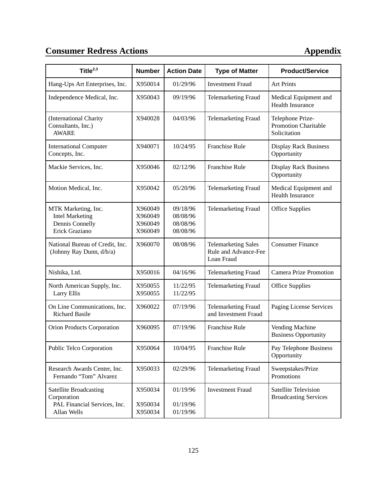# **Consumer Redress Actions Appendix**

| Title $^{2,3}$                                                                       | <b>Number</b>                            | <b>Action Date</b>                           | <b>Type of Matter</b>                                            | <b>Product/Service</b>                                      |
|--------------------------------------------------------------------------------------|------------------------------------------|----------------------------------------------|------------------------------------------------------------------|-------------------------------------------------------------|
| Hang-Ups Art Enterprises, Inc.                                                       | X950014                                  | 01/29/96                                     | <b>Investment Fraud</b>                                          | <b>Art Prints</b>                                           |
| Independence Medical, Inc.                                                           | X950043                                  | 09/19/96                                     | <b>Telemarketing Fraud</b>                                       | Medical Equipment and<br><b>Health Insurance</b>            |
| (International Charity<br>Consultants, Inc.)<br><b>AWARE</b>                         | X940028                                  | 04/03/96                                     | <b>Telemarketing Fraud</b>                                       | Telephone Prize-<br>Promotion Charitable<br>Solicitation    |
| <b>International Computer</b><br>Concepts, Inc.                                      | X940071                                  | 10/24/95                                     | <b>Franchise Rule</b>                                            | <b>Display Rack Business</b><br>Opportunity                 |
| Mackie Services, Inc.                                                                | X950046                                  | 02/12/96                                     | <b>Franchise Rule</b>                                            | <b>Display Rack Business</b><br>Opportunity                 |
| Motion Medical, Inc.                                                                 | X950042                                  | 05/20/96                                     | <b>Telemarketing Fraud</b>                                       | Medical Equipment and<br><b>Health Insurance</b>            |
| MTK Marketing, Inc.<br><b>Intel Marketing</b><br>Dennis Connelly<br>Erick Graziano   | X960049<br>X960049<br>X960049<br>X960049 | 09/18/96<br>08/08/96<br>08/08/96<br>08/08/96 | <b>Telemarketing Fraud</b>                                       | <b>Office Supplies</b>                                      |
| National Bureau of Credit, Inc.<br>(Johnny Ray Dunn, d/b/a)                          | X960070                                  | 08/08/96                                     | <b>Telemarketing Sales</b><br>Rule and Advance-Fee<br>Loan Fraud | <b>Consumer Finance</b>                                     |
| Nishika, Ltd.                                                                        | X950016                                  | 04/16/96                                     | <b>Telemarketing Fraud</b>                                       | <b>Camera Prize Promotion</b>                               |
| North American Supply, Inc.<br><b>Larry Ellis</b>                                    | X950055<br>X950055                       | 11/22/95<br>11/22/95                         | <b>Telemarketing Fraud</b>                                       | <b>Office Supplies</b>                                      |
| On Line Communications, Inc.<br><b>Richard Basile</b>                                | X960022                                  | 07/19/96                                     | <b>Telemarketing Fraud</b><br>and Investment Fraud               | Paging License Services                                     |
| Orion Products Corporation                                                           | X960095                                  | 07/19/96                                     | <b>Franchise Rule</b>                                            | Vending Machine<br><b>Business Opportunity</b>              |
| Public Telco Corporation                                                             | X950064                                  | 10/04/95                                     | Franchise Rule                                                   | Pay Telephone Business<br>Opportunity                       |
| Research Awards Center, Inc.<br>Fernando "Tom" Alvarez                               | X950033                                  | 02/29/96                                     | <b>Telemarketing Fraud</b>                                       | Sweepstakes/Prize<br>Promotions                             |
| Satellite Broadcasting<br>Corporation<br>PAL Financial Services, Inc.<br>Allan Wells | X950034<br>X950034<br>X950034            | 01/19/96<br>01/19/96<br>01/19/96             | <b>Investment Fraud</b>                                          | <b>Satellite Television</b><br><b>Broadcasting Services</b> |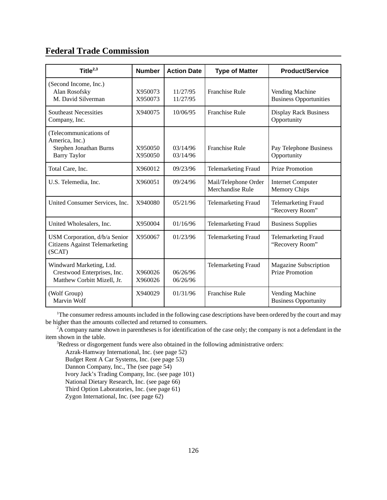## **Federal Trade Commission**

| Title $^{2,3}$                                                                            | <b>Number</b>      | <b>Action Date</b>   | <b>Type of Matter</b>                    | <b>Product/Service</b>                           |
|-------------------------------------------------------------------------------------------|--------------------|----------------------|------------------------------------------|--------------------------------------------------|
| (Second Income, Inc.)<br>Alan Rosofsky<br>M. David Silverman                              | X950073<br>X950073 | 11/27/95<br>11/27/95 | <b>Franchise Rule</b>                    | Vending Machine<br><b>Business Opportunities</b> |
| <b>Southeast Necessities</b><br>Company, Inc.                                             | X940075            | 10/06/95             | <b>Franchise Rule</b>                    | <b>Display Rack Business</b><br>Opportunity      |
| (Telecommunications of<br>America, Inc.)<br>Stephen Jonathan Burns<br><b>Barry Taylor</b> | X950050<br>X950050 | 03/14/96<br>03/14/96 | <b>Franchise Rule</b>                    | Pay Telephone Business<br>Opportunity            |
| Total Care, Inc.                                                                          | X960012            | 09/23/96             | <b>Telemarketing Fraud</b>               | <b>Prize Promotion</b>                           |
| U.S. Telemedia, Inc.                                                                      | X960051            | 09/24/96             | Mail/Telephone Order<br>Merchandise Rule | <b>Internet Computer</b><br><b>Memory Chips</b>  |
| United Consumer Services, Inc.                                                            | X940080            | 05/21/96             | <b>Telemarketing Fraud</b>               | <b>Telemarketing Fraud</b><br>"Recovery Room"    |
| United Wholesalers, Inc.                                                                  | X950004            | 01/16/96             | <b>Telemarketing Fraud</b>               | <b>Business Supplies</b>                         |
| USM Corporation, d/b/a Senior<br><b>Citizens Against Telemarketing</b><br>(SCAT)          | X950067            | 01/23/96             | <b>Telemarketing Fraud</b>               | <b>Telemarketing Fraud</b><br>"Recovery Room"    |
| Windward Marketing, Ltd.<br>Crestwood Enterprises, Inc.<br>Matthew Corbitt Mizell, Jr.    | X960026<br>X960026 | 06/26/96<br>06/26/96 | <b>Telemarketing Fraud</b>               | Magazine Subscription<br><b>Prize Promotion</b>  |
| (Wolf Group)<br>Marvin Wolf                                                               | X940029            | 01/31/96             | <b>Franchise Rule</b>                    | Vending Machine<br><b>Business Opportunity</b>   |

<sup>1</sup>The consumer redress amounts included in the following case descriptions have been ordered by the court and may be higher than the amounts collected and returned to consumers.

 $2A$  company name shown in parentheses is for identification of the case only; the company is not a defendant in the item shown in the table.

<sup>3</sup>Redress or disgorgement funds were also obtained in the following administrative orders:

Azrak-Hamway International, Inc. (see page 52)

Budget Rent A Car Systems, Inc. (see page 53)

Dannon Company, Inc., The (see page 54)

Ivory Jack's Trading Company, Inc. (see page 101)

National Dietary Research, Inc. (see page 66)

Third Option Laboratories, Inc. (see page 61)

Zygon International, Inc. (see page 62)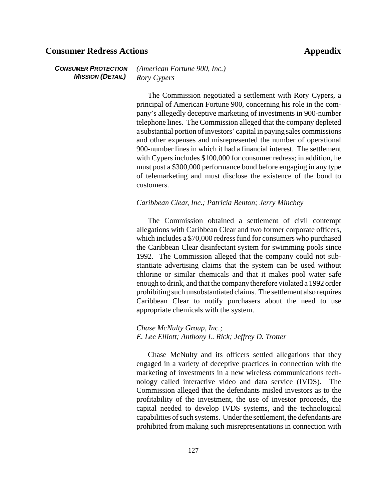*CONSUMER PROTECTION MISSION (DETAIL) (American Fortune 900, Inc.) Rory Cypers*

> The Commission negotiated a settlement with Rory Cypers, a principal of American Fortune 900, concerning his role in the company's allegedly deceptive marketing of investments in 900-number telephone lines. The Commission alleged that the company depleted a substantial portion of investors' capital in paying sales commissions and other expenses and misrepresented the number of operational 900-number lines in which it had a financial interest. The settlement with Cypers includes \$100,000 for consumer redress; in addition, he must post a \$300,000 performance bond before engaging in any type of telemarketing and must disclose the existence of the bond to customers.

#### *Caribbean Clear, Inc.; Patricia Benton; Jerry Minchey*

The Commission obtained a settlement of civil contempt allegations with Caribbean Clear and two former corporate officers, which includes a \$70,000 redress fund for consumers who purchased the Caribbean Clear disinfectant system for swimming pools since 1992. The Commission alleged that the company could not substantiate advertising claims that the system can be used without chlorine or similar chemicals and that it makes pool water safe enough to drink, and that the company therefore violated a 1992 order prohibiting such unsubstantiated claims. The settlement also requires Caribbean Clear to notify purchasers about the need to use appropriate chemicals with the system.

*Chase McNulty Group, Inc.; E. Lee Elliott; Anthony L. Rick; Jeffrey D. Trotter*

Chase McNulty and its officers settled allegations that they engaged in a variety of deceptive practices in connection with the marketing of investments in a new wireless communications technology called interactive video and data service (IVDS). Commission alleged that the defendants misled investors as to the profitability of the investment, the use of investor proceeds, the capital needed to develop IVDS systems, and the technological capabilities of such systems. Under the settlement, the defendants are prohibited from making such misrepresentations in connection with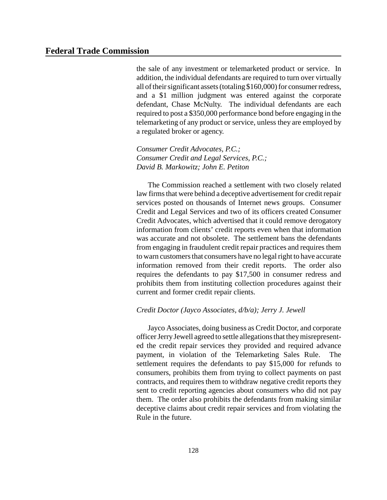the sale of any investment or telemarketed product or service. In addition, the individual defendants are required to turn over virtually all of their significant assets (totaling \$160,000) for consumer redress, and a \$1 million judgment was entered against the corporate defendant, Chase McNulty. The individual defendants are each required to post a \$350,000 performance bond before engaging in the telemarketing of any product or service, unless they are employed by a regulated broker or agency.

*Consumer Credit Advocates, P.C.; Consumer Credit and Legal Services, P.C.; David B. Markowitz; John E. Petiton*

The Commission reached a settlement with two closely related law firms that were behind a deceptive advertisement for credit repair services posted on thousands of Internet news groups. Consumer Credit and Legal Services and two of its officers created Consumer Credit Advocates, which advertised that it could remove derogatory information from clients' credit reports even when that information was accurate and not obsolete. The settlement bans the defendants from engaging in fraudulent credit repair practices and requires them to warn customers that consumers have no legal right to have accurate information removed from their credit reports. The order also requires the defendants to pay \$17,500 in consumer redress and prohibits them from instituting collection procedures against their current and former credit repair clients.

#### *Credit Doctor (Jayco Associates, d/b/a); Jerry J. Jewell*

Jayco Associates, doing business as Credit Doctor, and corporate officer Jerry Jewell agreed to settle allegations that they misrepresented the credit repair services they provided and required advance payment, in violation of the Telemarketing Sales Rule. The settlement requires the defendants to pay \$15,000 for refunds to consumers, prohibits them from trying to collect payments on past contracts, and requires them to withdraw negative credit reports they sent to credit reporting agencies about consumers who did not pay them. The order also prohibits the defendants from making similar deceptive claims about credit repair services and from violating the Rule in the future.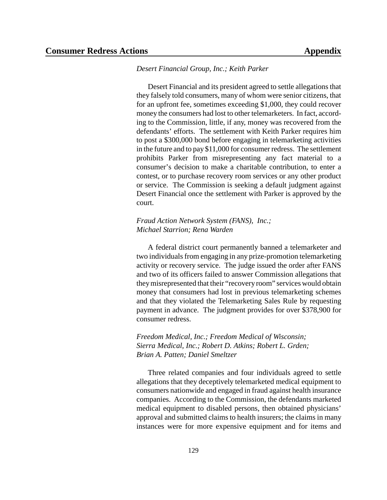#### *Desert Financial Group, Inc.; Keith Parker*

Desert Financial and its president agreed to settle allegations that they falsely told consumers, many of whom were senior citizens, that for an upfront fee, sometimes exceeding \$1,000, they could recover money the consumers had lost to other telemarketers. In fact, according to the Commission, little, if any, money was recovered from the defendants' efforts. The settlement with Keith Parker requires him to post a \$300,000 bond before engaging in telemarketing activities in the future and to pay \$11,000 for consumer redress. The settlement prohibits Parker from misrepresenting any fact material to a consumer's decision to make a charitable contribution, to enter a contest, or to purchase recovery room services or any other product or service. The Commission is seeking a default judgment against Desert Financial once the settlement with Parker is approved by the court.

#### *Fraud Action Network System (FANS), Inc.; Michael Starrion; Rena Warden*

A federal district court permanently banned a telemarketer and two individuals from engaging in any prize-promotion telemarketing activity or recovery service. The judge issued the order after FANS and two of its officers failed to answer Commission allegations that theymisrepresented that their "recovery room" services would obtain money that consumers had lost in previous telemarketing schemes and that they violated the Telemarketing Sales Rule by requesting payment in advance. The judgment provides for over \$378,900 for consumer redress.

*Freedom Medical, Inc.; Freedom Medical of Wisconsin; Sierra Medical, Inc.; Robert D. Atkins; Robert L. Grden; Brian A. Patten; Daniel Smeltzer*

Three related companies and four individuals agreed to settle allegations that they deceptively telemarketed medical equipment to consumers nationwide and engaged in fraud against health insurance companies. According to the Commission, the defendants marketed medical equipment to disabled persons, then obtained physicians' approval and submitted claims to health insurers; the claims in many instances were for more expensive equipment and for items and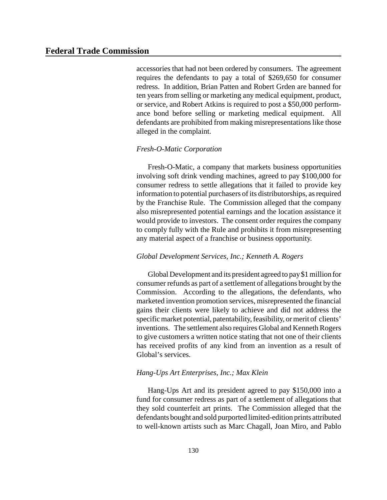accessories that had not been ordered by consumers. The agreement requires the defendants to pay a total of \$269,650 for consumer redress. In addition, Brian Patten and Robert Grden are banned for ten years from selling or marketing any medical equipment, product, or service, and Robert Atkins is required to post a \$50,000 performance bond before selling or marketing medical equipment. All defendants are prohibited from making misrepresentations like those alleged in the complaint.

#### *Fresh-O-Matic Corporation*

Fresh-O-Matic, a company that markets business opportunities involving soft drink vending machines, agreed to pay \$100,000 for consumer redress to settle allegations that it failed to provide key information to potential purchasers of its distributorships, as required by the Franchise Rule. The Commission alleged that the company also misrepresented potential earnings and the location assistance it would provide to investors. The consent order requires the company to comply fully with the Rule and prohibits it from misrepresenting any material aspect of a franchise or business opportunity.

#### *Global Development Services, Inc.; Kenneth A. Rogers*

Global Development and its president agreed to pay\$1million for consumer refunds as part of a settlement of allegations brought by the Commission. According to the allegations, the defendants, who marketed invention promotion services, misrepresented the financial gains their clients were likely to achieve and did not address the specific market potential, patentability, feasibility, or merit of clients' inventions. The settlement also requires Global and Kenneth Rogers to give customers a written notice stating that not one of their clients has received profits of any kind from an invention as a result of Global's services.

#### *Hang-Ups Art Enterprises, Inc.; Max Klein*

Hang-Ups Art and its president agreed to pay \$150,000 into a fund for consumer redress as part of a settlement of allegations that they sold counterfeit art prints. The Commission alleged that the defendants bought and sold purported limited-edition prints attributed to well-known artists such as Marc Chagall, Joan Miro, and Pablo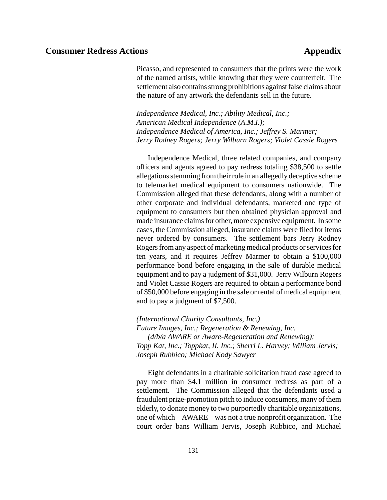Picasso, and represented to consumers that the prints were the work of the named artists, while knowing that they were counterfeit. The settlement also contains strong prohibitions against false claims about the nature of any artwork the defendants sell in the future.

*Independence Medical, Inc.; Ability Medical, Inc.; American Medical Independence (A.M.I.); Independence Medical of America, Inc.; Jeffrey S. Marmer; Jerry Rodney Rogers; Jerry Wilburn Rogers; Violet Cassie Rogers*

Independence Medical, three related companies, and company officers and agents agreed to pay redress totaling \$38,500 to settle allegations stemming from their role in an allegedly deceptive scheme to telemarket medical equipment to consumers nationwide. The Commission alleged that these defendants, along with a number of other corporate and individual defendants, marketed one type of equipment to consumers but then obtained physician approval and made insurance claims for other, more expensive equipment. In some cases, the Commission alleged, insurance claims were filed for items never ordered by consumers. The settlement bars Jerry Rodney Rogers from any aspect of marketing medical products or services for ten years, and it requires Jeffrey Marmer to obtain a \$100,000 performance bond before engaging in the sale of durable medical equipment and to pay a judgment of \$31,000. Jerry Wilburn Rogers and Violet Cassie Rogers are required to obtain a performance bond of \$50,000 before engaging in the sale or rental of medical equipment and to pay a judgment of \$7,500.

*(International Charity Consultants, Inc.) Future Images, Inc.; Regeneration & Renewing, Inc. (d/b/a AWARE or Aware-Regeneration and Renewing); Topp Kat, Inc.; Toppkat, II. Inc.; Sherri L. Harvey; William Jervis; Joseph Rubbico; Michael Kody Sawyer*

Eight defendants in a charitable solicitation fraud case agreed to pay more than \$4.1 million in consumer redress as part of a settlement. The Commission alleged that the defendants used a fraudulent prize-promotion pitch to induce consumers, many of them elderly, to donate money to two purportedly charitable organizations, one of which – AWARE – was not a true nonprofit organization. The court order bans William Jervis, Joseph Rubbico, and Michael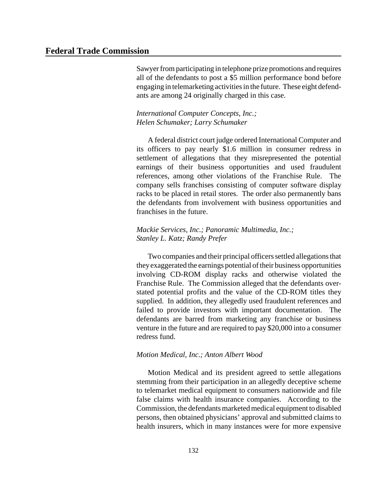Sawyer from participating in telephone prize promotions and requires all of the defendants to post a \$5 million performance bond before engaging in telemarketing activities in the future. These eight defendants are among 24 originally charged in this case.

#### *International Computer Concepts, Inc.; Helen Schumaker; Larry Schumaker*

A federal district court judge ordered International Computer and its officers to pay nearly \$1.6 million in consumer redress in settlement of allegations that they misrepresented the potential earnings of their business opportunities and used fraudulent references, among other violations of the Franchise Rule. The company sells franchises consisting of computer software display racks to be placed in retail stores. The order also permanently bans the defendants from involvement with business opportunities and franchises in the future.

#### *Mackie Services, Inc.; Panoramic Multimedia, Inc.; Stanley L. Katz; Randy Prefer*

Two companies and their principal officers settled allegations that theyexaggerated the earnings potential of their business opportunities involving CD-ROM display racks and otherwise violated the Franchise Rule. The Commission alleged that the defendants overstated potential profits and the value of the CD-ROM titles they supplied. In addition, they allegedly used fraudulent references and failed to provide investors with important documentation. The defendants are barred from marketing any franchise or business venture in the future and are required to pay \$20,000 into a consumer redress fund.

#### *Motion Medical, Inc.; Anton Albert Wood*

Motion Medical and its president agreed to settle allegations stemming from their participation in an allegedly deceptive scheme to telemarket medical equipment to consumers nationwide and file false claims with health insurance companies. According to the Commission, the defendants marketed medical equipment to disabled persons, then obtained physicians' approval and submitted claims to health insurers, which in many instances were for more expensive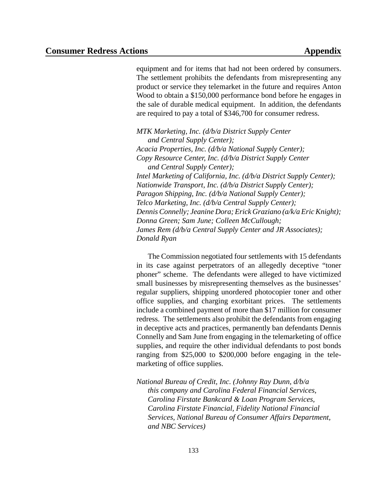equipment and for items that had not been ordered by consumers. The settlement prohibits the defendants from misrepresenting any product or service they telemarket in the future and requires Anton Wood to obtain a \$150,000 performance bond before he engages in the sale of durable medical equipment. In addition, the defendants are required to pay a total of \$346,700 for consumer redress.

*MTK Marketing, Inc. (d/b/a District Supply Center and Central Supply Center); Acacia Properties, Inc. (d/b/a National Supply Center); Copy Resource Center, Inc. (d/b/a District Supply Center and Central Supply Center); Intel Marketing of California, Inc. (d/b/a District Supply Center); Nationwide Transport, Inc. (d/b/a District Supply Center); Paragon Shipping, Inc. (d/b/a National Supply Center); Telco Marketing, Inc. (d/b/a Central Supply Center); Dennis Connelly; Jeanine Dora; Erick Graziano (a/k/a EricKnight); Donna Green; Sam June; Colleen McCullough; James Rem (d/b/a Central Supply Center and JR Associates); Donald Ryan*

The Commission negotiated four settlements with 15 defendants in its case against perpetrators of an allegedly deceptive "toner phoner" scheme. The defendants were alleged to have victimized small businesses by misrepresenting themselves as the businesses' regular suppliers, shipping unordered photocopier toner and other office supplies, and charging exorbitant prices. The settlements include a combined payment of more than \$17 million for consumer redress. The settlements also prohibit the defendants from engaging in deceptive acts and practices, permanently ban defendants Dennis Connelly and Sam June from engaging in the telemarketing of office supplies, and require the other individual defendants to post bonds ranging from \$25,000 to \$200,000 before engaging in the telemarketing of office supplies.

*National Bureau of Credit, Inc. (Johnny Ray Dunn, d/b/a this company and Carolina Federal Financial Services, Carolina Firstate Bankcard & Loan Program Services, Carolina Firstate Financial, Fidelity National Financial Services, National Bureau of Consumer Affairs Department, and NBC Services)*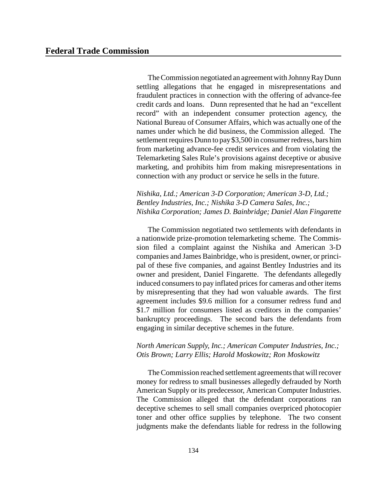The Commission negotiated an agreement with Johnny Ray Dunn settling allegations that he engaged in misrepresentations and fraudulent practices in connection with the offering of advance-fee credit cards and loans. Dunn represented that he had an "excellent record" with an independent consumer protection agency, the National Bureau of Consumer Affairs, which was actually one of the names under which he did business, the Commission alleged. The settlement requires Dunn to pay \$3,500 in consumer redress, bars him from marketing advance-fee credit services and from violating the Telemarketing Sales Rule's provisions against deceptive or abusive marketing, and prohibits him from making misrepresentations in connection with any product or service he sells in the future.

*Nishika, Ltd.; American 3-D Corporation; American 3-D, Ltd.; Bentley Industries, Inc.; Nishika 3-D Camera Sales, Inc.; Nishika Corporation; James D. Bainbridge; Daniel Alan Fingarette*

The Commission negotiated two settlements with defendants in a nationwide prize-promotion telemarketing scheme. The Commission filed a complaint against the Nishika and American 3-D companies and James Bainbridge, who is president, owner, or principal of these five companies, and against Bentley Industries and its owner and president, Daniel Fingarette. The defendants allegedly induced consumers to pay inflated prices for cameras and other items by misrepresenting that they had won valuable awards. The first agreement includes \$9.6 million for a consumer redress fund and \$1.7 million for consumers listed as creditors in the companies' bankruptcy proceedings. The second bars the defendants from engaging in similar deceptive schemes in the future.

#### *North American Supply, Inc.; American Computer Industries, Inc.; Otis Brown; Larry Ellis; Harold Moskowitz; Ron Moskowitz*

The Commission reached settlement agreements that will recover money for redress to small businesses allegedly defrauded by North American Supply or its predecessor, American Computer Industries. The Commission alleged that the defendant corporations ran deceptive schemes to sell small companies overpriced photocopier toner and other office supplies by telephone. The two consent judgments make the defendants liable for redress in the following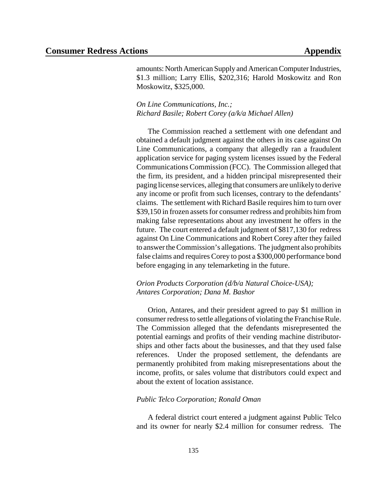amounts: North American Supply and American Computer Industries, \$1.3 million; Larry Ellis, \$202,316; Harold Moskowitz and Ron Moskowitz, \$325,000.

*On Line Communications, Inc.; Richard Basile; Robert Corey (a/k/a Michael Allen)*

The Commission reached a settlement with one defendant and obtained a default judgment against the others in its case against On Line Communications, a company that allegedly ran a fraudulent application service for paging system licenses issued by the Federal Communications Commission (FCC). The Commission alleged that the firm, its president, and a hidden principal misrepresented their paging license services, alleging that consumers are unlikelyto derive any income or profit from such licenses, contrary to the defendants' claims. The settlement with Richard Basile requires him to turn over \$39,150 in frozen assets for consumer redress and prohibits him from making false representations about any investment he offers in the future. The court entered a default judgment of \$817,130 for redress against On Line Communications and Robert Corey after they failed to answertheCommission's allegations. The judgment also prohibits false claims and requires Corey to post a \$300,000 performance bond before engaging in any telemarketing in the future.

#### *Orion Products Corporation (d/b/a Natural Choice-USA); Antares Corporation; Dana M. Bashor*

Orion, Antares, and their president agreed to pay \$1 million in consumer redress to settle allegations of violating the Franchise Rule. The Commission alleged that the defendants misrepresented the potential earnings and profits of their vending machine distributorships and other facts about the businesses, and that they used false references. Under the proposed settlement, the defendants are permanently prohibited from making misrepresentations about the income, profits, or sales volume that distributors could expect and about the extent of location assistance.

#### *Public Telco Corporation; Ronald Oman*

A federal district court entered a judgment against Public Telco and its owner for nearly \$2.4 million for consumer redress. The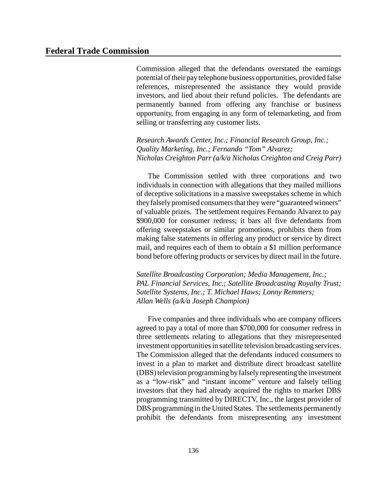Commission alleged that the defendants overstated the earnings potential of their pay telephone business opportunities, provided false references, misrepresented the assistance they would provide investors, and lied about their refund policies. The defendants are permanently banned from offering any franchise or business opportunity, from engaging in any form of telemarketing, and from selling or transferring any customer lists.

*Research Awards Center, Inc.; Financial Research Group, Inc.; Quality Marketing, Inc.; Fernando "Tom" Alvarez; Nicholas Creighton Parr (a/k/a Nicholas Creighton and Creig Parr)*

The Commission settled with three corporations and two individuals in connection with allegations that they mailed millions of deceptive solicitations in a massive sweepstakes scheme in which they falsely promised consumers that they were "guaranteed winners" of valuable prizes. The settlement requires Fernando Alvarez to pay \$900,000 for consumer redress; it bars all five defendants from offering sweepstakes or similar promotions, prohibits them from making false statements in offering any product or service by direct mail, and requires each of them to obtain a \$1 million performance bond before offering products or services by direct mail in the future.

*Satellite Broadcasting Corporation; Media Management, Inc.; PAL Financial Services, Inc.; Satellite Broadcasting Royalty Trust; Satellite Systems, Inc.; T. Michael Haws; Lonny Remmers; Allan Wells (a/k/a Joseph Champion)*

Five companies and three individuals who are company officers agreed to pay a total of more than \$700,000 for consumer redress in three settlements relating to allegations that they misrepresented investment opportunities in satellite television broadcasting services. The Commission alleged that the defendants induced consumers to invest in a plan to market and distribute direct broadcast satellite (DBS)television programming byfalselyrepresenting the investment as a "low-risk" and "instant income" venture and falsely telling investors that they had already acquired the rights to market DBS programming transmitted by DIRECTV, Inc., the largest provider of DBS programming in the United States. The settlements permanently prohibit the defendants from misrepresenting any investment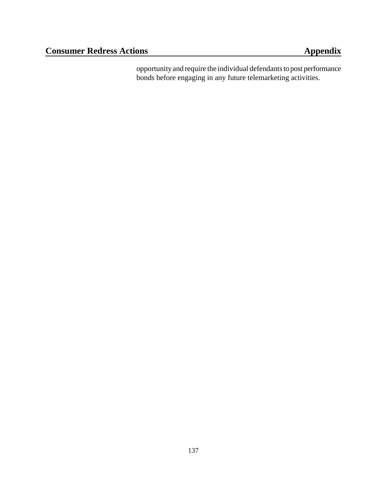opportunityand require the individual defendants to post performance bonds before engaging in any future telemarketing activities.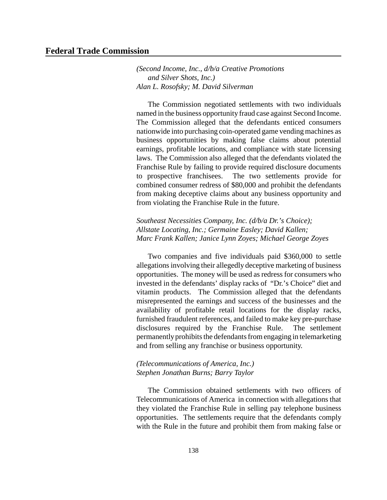## **Federal Trade Commission**

*(Second Income, Inc., d/b/a Creative Promotions and Silver Shots, Inc.) Alan L. Rosofsky; M. David Silverman*

The Commission negotiated settlements with two individuals named in the business opportunity fraud case against Second Income. The Commission alleged that the defendants enticed consumers nationwide into purchasing coin-operated game vending machines as business opportunities by making false claims about potential earnings, profitable locations, and compliance with state licensing laws. The Commission also alleged that the defendants violated the Franchise Rule by failing to provide required disclosure documents to prospective franchisees. The two settlements provide for combined consumer redress of \$80,000 and prohibit the defendants from making deceptive claims about any business opportunity and from violating the Franchise Rule in the future.

*Southeast Necessities Company, Inc. (d/b/a Dr.'s Choice); Allstate Locating, Inc.; Germaine Easley; David Kallen; Marc Frank Kallen; Janice Lynn Zoyes; Michael George Zoyes*

Two companies and five individuals paid \$360,000 to settle allegations involving their allegedly deceptive marketing of business opportunities. The money will be used as redress for consumers who invested in the defendants' display racks of "Dr.'s Choice" diet and vitamin products. The Commission alleged that the defendants misrepresented the earnings and success of the businesses and the availability of profitable retail locations for the display racks, furnished fraudulent references, and failed to make key pre-purchase disclosures required by the Franchise Rule. The settlement permanently prohibits the defendants from engaging in telemarketing and from selling any franchise or business opportunity.

## *(Telecommunications of America, Inc.) Stephen Jonathan Burns; Barry Taylor*

The Commission obtained settlements with two officers of Telecommunications of America in connection with allegations that they violated the Franchise Rule in selling pay telephone business opportunities. The settlements require that the defendants comply with the Rule in the future and prohibit them from making false or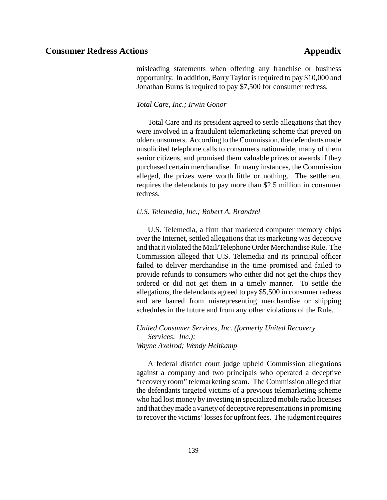misleading statements when offering any franchise or business opportunity. In addition, Barry Taylor is required to pay \$10,000 and Jonathan Burns is required to pay \$7,500 for consumer redress.

## *Total Care, Inc.; Irwin Gonor*

Total Care and its president agreed to settle allegations that they were involved in a fraudulent telemarketing scheme that preyed on older consumers. According to the Commission, the defendants made unsolicited telephone calls to consumers nationwide, many of them senior citizens, and promised them valuable prizes or awards if they purchased certain merchandise. In many instances, the Commission alleged, the prizes were worth little or nothing. The settlement requires the defendants to pay more than \$2.5 million in consumer redress.

## *U.S. Telemedia, Inc.; Robert A. Brandzel*

U.S. Telemedia, a firm that marketed computer memory chips over the Internet, settled allegations that its marketing was deceptive and that it violated the Mail/Telephone Order Merchandise Rule. The Commission alleged that U.S. Telemedia and its principal officer failed to deliver merchandise in the time promised and failed to provide refunds to consumers who either did not get the chips they ordered or did not get them in a timely manner. To settle the allegations, the defendants agreed to pay \$5,500 in consumer redress and are barred from misrepresenting merchandise or shipping schedules in the future and from any other violations of the Rule.

*United Consumer Services, Inc. (formerly United Recovery Services, Inc.); Wayne Axelrod; Wendy Heitkamp*

A federal district court judge upheld Commission allegations against a company and two principals who operated a deceptive "recovery room" telemarketing scam. The Commission alleged that the defendants targeted victims of a previous telemarketing scheme who had lost money by investing in specialized mobile radio licenses and that they made a variety of deceptive representations in promising to recover the victims' losses for upfront fees. The judgment requires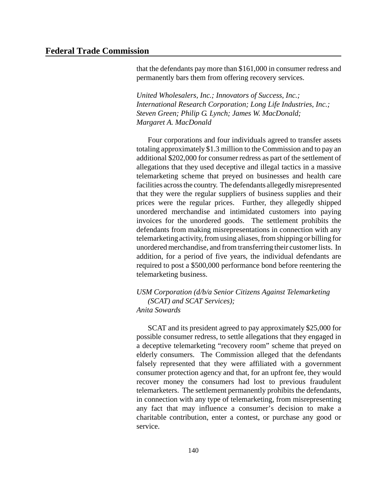that the defendants pay more than \$161,000 in consumer redress and permanently bars them from offering recovery services.

*United Wholesalers, Inc.; Innovators of Success, Inc.; International Research Corporation; Long Life Industries, Inc.; Steven Green; Philip G. Lynch; James W. MacDonald; Margaret A. MacDonald*

Four corporations and four individuals agreed to transfer assets totaling approximately \$1.3 million to the Commission and to pay an additional \$202,000 for consumer redress as part of the settlement of allegations that they used deceptive and illegal tactics in a massive telemarketing scheme that preyed on businesses and health care facilities across the country. The defendants allegedly misrepresented that they were the regular suppliers of business supplies and their prices were the regular prices. Further, they allegedly shipped unordered merchandise and intimidated customers into paying invoices for the unordered goods. The settlement prohibits the defendants from making misrepresentations in connection with any telemarketing activity,from using aliases,fromshipping or billing for unordered merchandise, and from transferring their customerlists. In addition, for a period of five years, the individual defendants are required to post a \$500,000 performance bond before reentering the telemarketing business.

*USM Corporation (d/b/a Senior Citizens Against Telemarketing (SCAT) and SCAT Services); Anita Sowards*

SCAT and its president agreed to pay approximately \$25,000 for possible consumer redress, to settle allegations that they engaged in a deceptive telemarketing "recovery room" scheme that preyed on elderly consumers. The Commission alleged that the defendants falsely represented that they were affiliated with a government consumer protection agency and that, for an upfront fee, they would recover money the consumers had lost to previous fraudulent telemarketers. The settlement permanently prohibits the defendants, in connection with any type of telemarketing, from misrepresenting any fact that may influence a consumer's decision to make a charitable contribution, enter a contest, or purchase any good or service.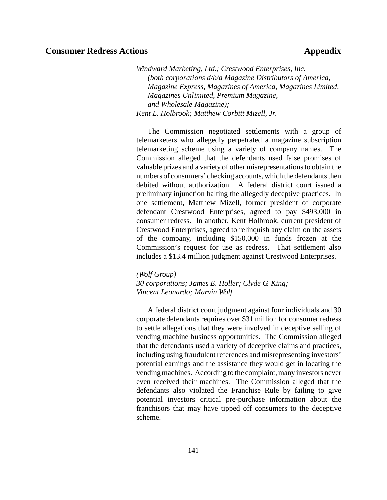*Windward Marketing, Ltd.; Crestwood Enterprises, Inc. (both corporations d/b/a Magazine Distributors of America, Magazine Express, Magazines of America, Magazines Limited, Magazines Unlimited, Premium Magazine, and Wholesale Magazine); Kent L. Holbrook; Matthew Corbitt Mizell, Jr.*

The Commission negotiated settlements with a group of telemarketers who allegedly perpetrated a magazine subscription telemarketing scheme using a variety of company names. The Commission alleged that the defendants used false promises of valuable prizes and a variety of other misrepresentationsto obtain the numbers of consumers' checking accounts, which the defendants then debited without authorization. A federal district court issued a preliminary injunction halting the allegedly deceptive practices. In one settlement, Matthew Mizell, former president of corporate defendant Crestwood Enterprises, agreed to pay \$493,000 in consumer redress. In another, Kent Holbrook, current president of Crestwood Enterprises, agreed to relinquish any claim on the assets of the company, including \$150,000 in funds frozen at the Commission's request for use as redress. That settlement also includes a \$13.4 million judgment against Crestwood Enterprises.

*(Wolf Group) 30 corporations; James E. Holler; Clyde G. King; Vincent Leonardo; Marvin Wolf*

A federal district court judgment against four individuals and 30 corporate defendants requires over \$31 million for consumer redress to settle allegations that they were involved in deceptive selling of vending machine business opportunities. The Commission alleged that the defendants used a variety of deceptive claims and practices, including using fraudulent references and misrepresenting investors' potential earnings and the assistance they would get in locating the vending machines. According to the complaint, many investors never even received their machines. The Commission alleged that the defendants also violated the Franchise Rule by failing to give potential investors critical pre-purchase information about the franchisors that may have tipped off consumers to the deceptive scheme.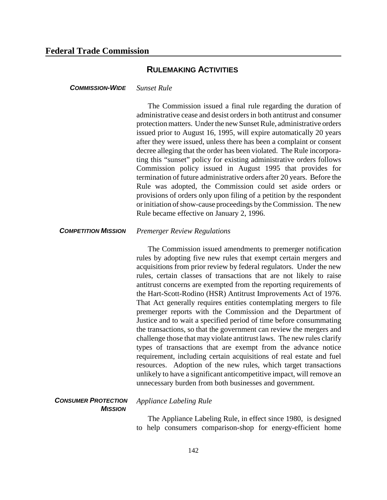## **RULEMAKING ACTIVITIES**

## *COMMISSION-WIDE Sunset Rule*

The Commission issued a final rule regarding the duration of administrative cease and desist ordersin both antitrust and consumer protection matters. Under the new Sunset Rule, administrative orders issued prior to August 16, 1995, will expire automatically 20 years after they were issued, unless there has been a complaint or consent decree alleging that the order has been violated. The Rule incorporating this "sunset" policy for existing administrative orders follows Commission policy issued in August 1995 that provides for termination of future administrative orders after 20 years. Before the Rule was adopted, the Commission could set aside orders or provisions of orders only upon filing of a petition by the respondent or initiation of show-cause proceedings by the Commission. The new Rule became effective on January 2, 1996.

## *COMPETITION MISSION Premerger Review Regulations*

The Commission issued amendments to premerger notification rules by adopting five new rules that exempt certain mergers and acquisitions from prior review by federal regulators. Under the new rules, certain classes of transactions that are not likely to raise antitrust concerns are exempted from the reporting requirements of the Hart-Scott-Rodino (HSR) Antitrust Improvements Act of 1976. That Act generally requires entities contemplating mergers to file premerger reports with the Commission and the Department of Justice and to wait a specified period of time before consummating the transactions, so that the government can review the mergers and challenge those that may violate antitrust laws. The new rules clarify types of transactions that are exempt from the advance notice requirement, including certain acquisitions of real estate and fuel resources. Adoption of the new rules, which target transactions unlikely to have a significant anticompetitive impact, will remove an unnecessary burden from both businesses and government.

### *CONSUMER PROTECTION MISSION*

*Appliance Labeling Rule*

The Appliance Labeling Rule, in effect since 1980, is designed to help consumers comparison-shop for energy-efficient home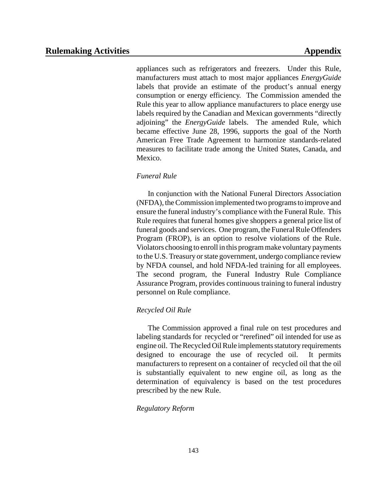appliances such as refrigerators and freezers. Under this Rule, manufacturers must attach to most major appliances *EnergyGuide* labels that provide an estimate of the product's annual energy consumption or energy efficiency. The Commission amended the Rule this year to allow appliance manufacturers to place energy use labels required by the Canadian and Mexican governments "directly adjoining" the *EnergyGuide* labels. The amended Rule, which became effective June 28, 1996, supports the goal of the North American Free Trade Agreement to harmonize standards-related measures to facilitate trade among the United States, Canada, and Mexico.

## *Funeral Rule*

In conjunction with the National Funeral Directors Association (NFDA), theCommission implemented two programs to improve and ensure the funeral industry's compliance with the Funeral Rule. This Rule requires that funeral homes give shoppers a general price list of funeral goods and services. One program, the Funeral Rule Offenders Program (FROP), is an option to resolve violations of the Rule. Violators choosing to enroll in this program make voluntary payments to the U.S. Treasury or state government, undergo compliance review by NFDA counsel, and hold NFDA-led training for all employees. The second program, the Funeral Industry Rule Compliance Assurance Program, provides continuous training to funeral industry personnel on Rule compliance.

## *Recycled Oil Rule*

The Commission approved a final rule on test procedures and labeling standards for recycled or "rerefined" oil intended for use as engine oil. The Recycled Oil Rule implements statutory requirements designed to encourage the use of recycled oil. It permits manufacturers to represent on a container of recycled oil that the oil is substantially equivalent to new engine oil, as long as the determination of equivalency is based on the test procedures prescribed by the new Rule.

## *Regulatory Reform*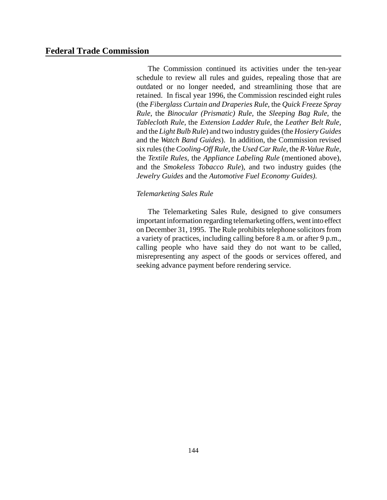## **Federal Trade Commission**

The Commission continued its activities under the ten-year schedule to review all rules and guides, repealing those that are outdated or no longer needed, and streamlining those that are retained. In fiscal year 1996, the Commission rescinded eight rules (the *Fiberglass Curtain and Draperies Rule*, the *Quick Freeze Spray Rule*, the *Binocular (Prismatic) Rule,* the *Sleeping Bag Rule*, the *Tablecloth Rule*, the *Extension Ladder Rule,* the *Leather Belt Rule,* and the *Light Bulb Rule*) and two industry guides(the *Hosiery Guides* and the *Watch Band Guides*). In addition, the Commission revised six rules(the *Cooling-Off Rule*, the *Used Car Rule*, the *R-Value Rule,* the *Textile Rules,* the *Appliance Labeling Rule* (mentioned above), and the *Smokeless Tobacco Rule*), and two industry guides (the *Jewelry Guides* and the *Automotive Fuel Economy Guides).* 

## *Telemarketing Sales Rule*

The Telemarketing Sales Rule, designed to give consumers important information regarding telemarketing offers, went into effect on December 31, 1995. The Rule prohibits telephone solicitors from a variety of practices, including calling before 8 a.m. or after 9 p.m., calling people who have said they do not want to be called, misrepresenting any aspect of the goods or services offered, and seeking advance payment before rendering service.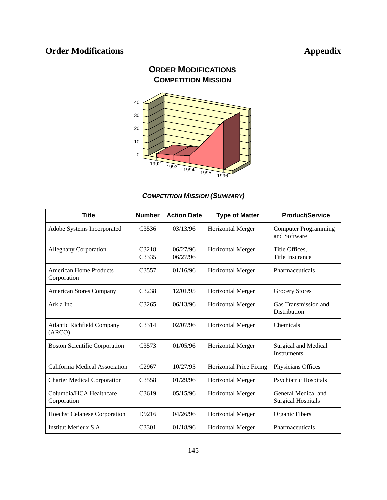

## *COMPETITION MISSION (SUMMARY)*

| <b>Title</b>                                | <b>Number</b>              | <b>Action Date</b>   | <b>Type of Matter</b>          | <b>Product/Service</b>                           |
|---------------------------------------------|----------------------------|----------------------|--------------------------------|--------------------------------------------------|
| Adobe Systems Incorporated                  | C <sub>3536</sub>          | 03/13/96             | <b>Horizontal Merger</b>       | <b>Computer Programming</b><br>and Software      |
| <b>Alleghany Corporation</b>                | C <sub>3218</sub><br>C3335 | 06/27/96<br>06/27/96 | <b>Horizontal Merger</b>       | Title Offices,<br><b>Title Insurance</b>         |
| American Home Products<br>Corporation       | C <sub>3557</sub>          | 01/16/96             | <b>Horizontal Merger</b>       | Pharmaceuticals                                  |
| <b>American Stores Company</b>              | C3238                      | 12/01/95             | <b>Horizontal Merger</b>       | <b>Grocery Stores</b>                            |
| Arkla Inc.                                  | C <sub>3265</sub>          | 06/13/96             | Horizontal Merger              | Gas Transmission and<br>Distribution             |
| <b>Atlantic Richfield Company</b><br>(ARCO) | C <sub>3314</sub>          | 02/07/96             | <b>Horizontal Merger</b>       | Chemicals                                        |
| <b>Boston Scientific Corporation</b>        | C <sub>3573</sub>          | 01/05/96             | <b>Horizontal Merger</b>       | Surgical and Medical<br><b>Instruments</b>       |
| California Medical Association              | C2967                      | 10/27/95             | <b>Horizontal Price Fixing</b> | Physicians Offices                               |
| <b>Charter Medical Corporation</b>          | C <sub>3558</sub>          | 01/29/96             | <b>Horizontal Merger</b>       | Psychiatric Hospitals                            |
| Columbia/HCA Healthcare<br>Corporation      | C <sub>3619</sub>          | 05/15/96             | <b>Horizontal Merger</b>       | General Medical and<br><b>Surgical Hospitals</b> |
| <b>Hoechst Celanese Corporation</b>         | D9216                      | 04/26/96             | <b>Horizontal Merger</b>       | Organic Fibers                                   |
| Institut Merieux S.A.                       | C <sub>3301</sub>          | 01/18/96             | <b>Horizontal Merger</b>       | Pharmaceuticals                                  |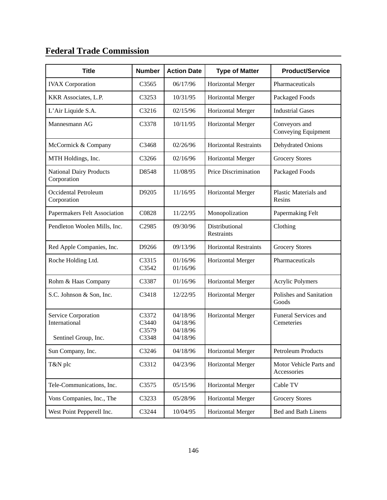# **Federal Trade Commission**

| <b>Title</b>                                                 | <b>Number</b>                    | <b>Action Date</b>                           | <b>Type of Matter</b>        | <b>Product/Service</b>                 |
|--------------------------------------------------------------|----------------------------------|----------------------------------------------|------------------------------|----------------------------------------|
| <b>IVAX</b> Corporation                                      | C3565                            | 06/17/96                                     | Horizontal Merger            | Pharmaceuticals                        |
| KKR Associates, L.P.                                         | C3253                            | 10/31/95                                     | Horizontal Merger            | Packaged Foods                         |
| L'Air Liquide S.A.                                           | C3216                            | 02/15/96                                     | Horizontal Merger            | <b>Industrial Gases</b>                |
| Mannesmann AG                                                | C3378                            | 10/11/95                                     | Horizontal Merger            | Conveyors and<br>Conveying Equipment   |
| McCormick & Company                                          | C3468                            | 02/26/96                                     | Horizontal Restraints        | Dehydrated Onions                      |
| MTH Holdings, Inc.                                           | C3266                            | 02/16/96                                     | <b>Horizontal Merger</b>     | <b>Grocery Stores</b>                  |
| <b>National Dairy Products</b><br>Corporation                | D8548                            | 11/08/95                                     | Price Discrimination         | Packaged Foods                         |
| Occidental Petroleum<br>Corporation                          | D9205                            | 11/16/95                                     | Horizontal Merger            | <b>Plastic Materials and</b><br>Resins |
| Papermakers Felt Association                                 | C0828                            | 11/22/95                                     | Monopolization               | Papermaking Felt                       |
| Pendleton Woolen Mills, Inc.                                 | C <sub>2985</sub>                | 09/30/96                                     | Distributional<br>Restraints | Clothing                               |
| Red Apple Companies, Inc.                                    | D9266                            | 09/13/96                                     | <b>Horizontal Restraints</b> | <b>Grocery Stores</b>                  |
| Roche Holding Ltd.                                           | C3315<br>C3542                   | 01/16/96<br>01/16/96                         | <b>Horizontal Merger</b>     | Pharmaceuticals                        |
| Rohm & Haas Company                                          | C3387                            | 01/16/96                                     | Horizontal Merger            | Acrylic Polymers                       |
| S.C. Johnson & Son, Inc.                                     | C3418                            | 12/22/95                                     | Horizontal Merger            | Polishes and Sanitation<br>Goods       |
| Service Corporation<br>International<br>Sentinel Group, Inc. | C3372<br>C3440<br>C3579<br>C3348 | 04/18/96<br>04/18/96<br>04/18/96<br>04/18/96 | Horizontal Merger            | Funeral Services and<br>Cemeteries     |
| Sun Company, Inc.                                            | C3246                            | 04/18/96                                     | Horizontal Merger            | Petroleum Products                     |
| T&N plc                                                      | C3312                            | 04/23/96                                     | Horizontal Merger            | Motor Vehicle Parts and<br>Accessories |
| Tele-Communications, Inc.                                    | C3575                            | 05/15/96                                     | Horizontal Merger            | Cable TV                               |
| Vons Companies, Inc., The                                    | C3233                            | 05/28/96                                     | Horizontal Merger            | <b>Grocery Stores</b>                  |
| West Point Pepperell Inc.                                    | C3244                            | 10/04/95                                     | Horizontal Merger            | <b>Bed and Bath Linens</b>             |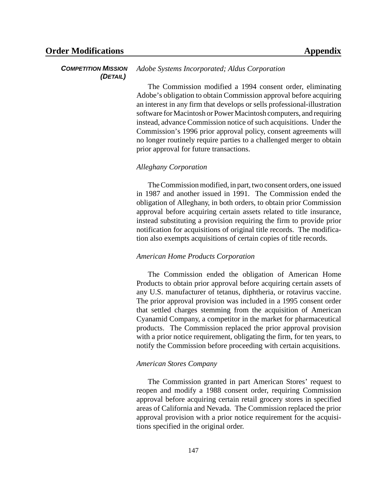#### *COMPETITION MISSION (DETAIL) Adobe Systems Incorporated; Aldus Corporation*

The Commission modified a 1994 consent order, eliminating Adobe's obligation to obtain Commission approval before acquiring an interest in any firm that develops or sells professional-illustration software for Macintosh or Power Macintosh computers, and requiring instead, advance Commission notice of such acquisitions. Under the Commission's 1996 prior approval policy, consent agreements will no longer routinely require parties to a challenged merger to obtain prior approval for future transactions.

## *Alleghany Corporation*

The Commission modified, in part, two consent orders, one issued in 1987 and another issued in 1991. The Commission ended the obligation of Alleghany, in both orders, to obtain prior Commission approval before acquiring certain assets related to title insurance, instead substituting a provision requiring the firm to provide prior notification for acquisitions of original title records. The modification also exempts acquisitions of certain copies of title records.

## *American Home Products Corporation*

The Commission ended the obligation of American Home Products to obtain prior approval before acquiring certain assets of any U.S. manufacturer of tetanus, diphtheria, or rotavirus vaccine. The prior approval provision was included in a 1995 consent order that settled charges stemming from the acquisition of American Cyanamid Company, a competitor in the market for pharmaceutical products. The Commission replaced the prior approval provision with a prior notice requirement, obligating the firm, for ten years, to notify the Commission before proceeding with certain acquisitions.

### *American Stores Company*

The Commission granted in part American Stores' request to reopen and modify a 1988 consent order, requiring Commission approval before acquiring certain retail grocery stores in specified areas of California and Nevada. The Commission replaced the prior approval provision with a prior notice requirement for the acquisitions specified in the original order.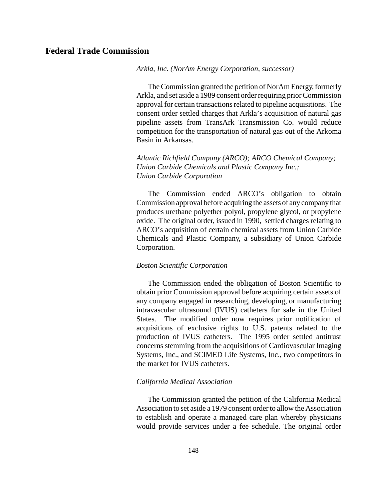*Arkla, Inc. (NorAm Energy Corporation, successor)*

The Commission granted the petition of NorAm Energy, formerly Arkla, and set aside a 1989 consent order requiring prior Commission approval for certain transactions related to pipeline acquisitions. The consent order settled charges that Arkla's acquisition of natural gas pipeline assets from TransArk Transmission Co. would reduce competition for the transportation of natural gas out of the Arkoma Basin in Arkansas.

*Atlantic Richfield Company (ARCO); ARCO Chemical Company; Union Carbide Chemicals and Plastic Company Inc.; Union Carbide Corporation*

The Commission ended ARCO's obligation to obtain Commission approval before acquiring the assets of any company that produces urethane polyether polyol, propylene glycol, or propylene oxide. The original order, issued in 1990, settled charges relating to ARCO's acquisition of certain chemical assets from Union Carbide Chemicals and Plastic Company, a subsidiary of Union Carbide Corporation.

## *Boston Scientific Corporation*

The Commission ended the obligation of Boston Scientific to obtain prior Commission approval before acquiring certain assets of any company engaged in researching, developing, or manufacturing intravascular ultrasound (IVUS) catheters for sale in the United States. The modified order now requires prior notification of acquisitions of exclusive rights to U.S. patents related to the production of IVUS catheters. The 1995 order settled antitrust concerns stemming from the acquisitions of Cardiovascular Imaging Systems, Inc., and SCIMED Life Systems, Inc., two competitors in the market for IVUS catheters.

### *California Medical Association*

The Commission granted the petition of the California Medical Association to set aside a 1979 consent order to allow the Association to establish and operate a managed care plan whereby physicians would provide services under a fee schedule. The original order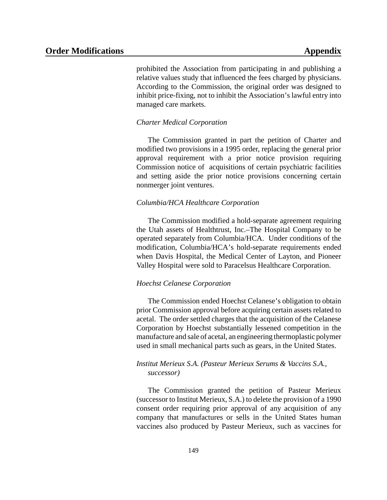prohibited the Association from participating in and publishing a relative values study that influenced the fees charged by physicians. According to the Commission, the original order was designed to inhibit price-fixing, not to inhibit the Association's lawful entry into managed care markets.

## *Charter Medical Corporation*

The Commission granted in part the petition of Charter and modified two provisions in a 1995 order, replacing the general prior approval requirement with a prior notice provision requiring Commission notice of acquisitions of certain psychiatric facilities and setting aside the prior notice provisions concerning certain nonmerger joint ventures.

## *Columbia/HCA Healthcare Corporation*

The Commission modified a hold-separate agreement requiring the Utah assets of Healthtrust, Inc.–The Hospital Company to be operated separately from Columbia/HCA. Under conditions of the modification, Columbia/HCA's hold-separate requirements ended when Davis Hospital, the Medical Center of Layton, and Pioneer Valley Hospital were sold to Paracelsus Healthcare Corporation.

## *Hoechst Celanese Corporation*

The Commission ended Hoechst Celanese's obligation to obtain prior Commission approval before acquiring certain assets related to acetal. The order settled charges that the acquisition of the Celanese Corporation by Hoechst substantially lessened competition in the manufacture and sale of acetal, an engineering thermoplastic polymer used in small mechanical parts such as gears, in the United States.

## *Institut Merieux S.A. (Pasteur Merieux Serums & Vaccins S.A., successor)*

The Commission granted the petition of Pasteur Merieux (successor to Institut Merieux, S.A.) to delete the provision of a 1990 consent order requiring prior approval of any acquisition of any company that manufactures or sells in the United States human vaccines also produced by Pasteur Merieux, such as vaccines for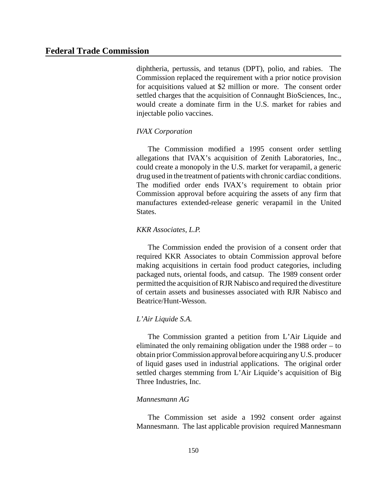diphtheria, pertussis, and tetanus (DPT), polio, and rabies. The Commission replaced the requirement with a prior notice provision for acquisitions valued at \$2 million or more. The consent order settled charges that the acquisition of Connaught BioSciences, Inc., would create a dominate firm in the U.S. market for rabies and injectable polio vaccines.

## *IVAX Corporation*

The Commission modified a 1995 consent order settling allegations that IVAX's acquisition of Zenith Laboratories, Inc., could create a monopoly in the U.S. market for verapamil, a generic drug used in the treatment of patients with chronic cardiac conditions. The modified order ends IVAX's requirement to obtain prior Commission approval before acquiring the assets of any firm that manufactures extended-release generic verapamil in the United States.

## *KKR Associates, L.P.*

The Commission ended the provision of a consent order that required KKR Associates to obtain Commission approval before making acquisitions in certain food product categories, including packaged nuts, oriental foods, and catsup. The 1989 consent order permitted the acquisition of RJR Nabisco and required the divestiture of certain assets and businesses associated with RJR Nabisco and Beatrice/Hunt-Wesson.

## *L'Air Liquide S.A.*

The Commission granted a petition from L'Air Liquide and eliminated the only remaining obligation under the 1988 order – to obtain priorCommission approval before acquiring any U.S. producer of liquid gases used in industrial applications. The original order settled charges stemming from L'Air Liquide's acquisition of Big Three Industries, Inc.

## *Mannesmann AG*

The Commission set aside a 1992 consent order against Mannesmann. The last applicable provision required Mannesmann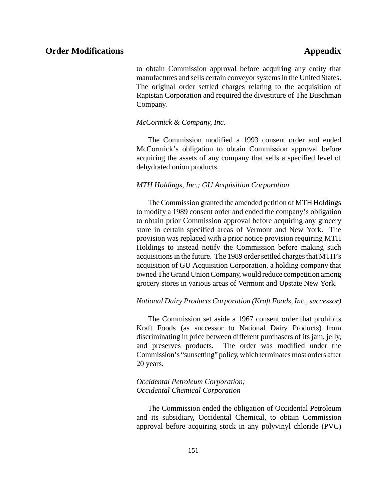to obtain Commission approval before acquiring any entity that manufactures and sells certain conveyor systems in the United States. The original order settled charges relating to the acquisition of Rapistan Corporation and required the divestiture of The Buschman Company.

## *McCormick & Company, Inc.*

The Commission modified a 1993 consent order and ended McCormick's obligation to obtain Commission approval before acquiring the assets of any company that sells a specified level of dehydrated onion products.

## *MTH Holdings, Inc.; GU Acquisition Corporation*

The Commission granted the amended petition of MTH Holdings to modify a 1989 consent order and ended the company's obligation to obtain prior Commission approval before acquiring any grocery store in certain specified areas of Vermont and New York. The provision was replaced with a prior notice provision requiring MTH Holdings to instead notify the Commission before making such acquisitions in the future. The 1989 order settled charges that MTH's acquisition of GU Acquisition Corporation, a holding company that owned The Grand Union Company, would reduce competition among grocery stores in various areas of Vermont and Upstate New York.

### *National Dairy Products Corporation (Kraft Foods, Inc., successor)*

The Commission set aside a 1967 consent order that prohibits Kraft Foods (as successor to National Dairy Products) from discriminating in price between different purchasers of its jam, jelly, and preserves products. The order was modified under the Commission's "sunsetting" policy, which terminates most orders after 20 years.

## *Occidental Petroleum Corporation; Occidental Chemical Corporation*

The Commission ended the obligation of Occidental Petroleum and its subsidiary, Occidental Chemical, to obtain Commission approval before acquiring stock in any polyvinyl chloride (PVC)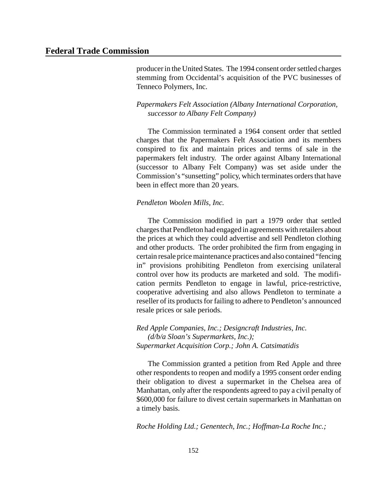producerin the United States. The 1994 consent order settled charges stemming from Occidental's acquisition of the PVC businesses of Tenneco Polymers, Inc.

## *Papermakers Felt Association (Albany International Corporation, successor to Albany Felt Company)*

The Commission terminated a 1964 consent order that settled charges that the Papermakers Felt Association and its members conspired to fix and maintain prices and terms of sale in the papermakers felt industry. The order against Albany International (successor to Albany Felt Company) was set aside under the Commission's "sunsetting" policy, which terminates orders that have been in effect more than 20 years.

## *Pendleton Woolen Mills, Inc.*

The Commission modified in part a 1979 order that settled chargesthat Pendleton had engaged in agreements with retailers about the prices at which they could advertise and sell Pendleton clothing and other products. The order prohibited the firm from engaging in certain resale price maintenance practices and also contained "fencing" in" provisions prohibiting Pendleton from exercising unilateral control over how its products are marketed and sold. The modification permits Pendleton to engage in lawful, price-restrictive, cooperative advertising and also allows Pendleton to terminate a reseller of its products for failing to adhere to Pendleton's announced resale prices or sale periods.

*Red Apple Companies, Inc.; Designcraft Industries, Inc. (d/b/a Sloan's Supermarkets, Inc.); Supermarket Acquisition Corp.; John A. Catsimatidis*

The Commission granted a petition from Red Apple and three other respondents to reopen and modify a 1995 consent order ending their obligation to divest a supermarket in the Chelsea area of Manhattan, only after the respondents agreed to pay a civil penalty of \$600,000 for failure to divest certain supermarkets in Manhattan on a timely basis.

*Roche Holding Ltd.; Genentech, Inc.; Hoffman-La Roche Inc.;*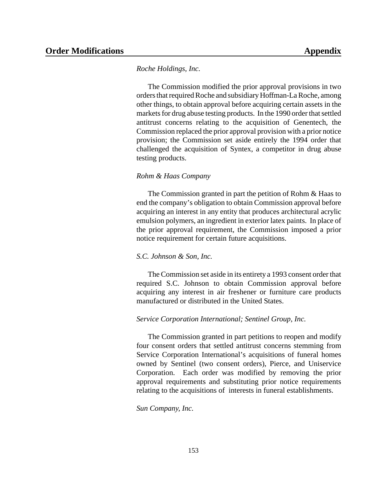## *Roche Holdings, Inc.*

The Commission modified the prior approval provisions in two orders that required Roche and subsidiary Hoffman-La Roche, among other things, to obtain approval before acquiring certain assets in the markets for drug abuse testing products. In the 1990 order that settled antitrust concerns relating to the acquisition of Genentech, the Commission replaced the prior approval provision with a prior notice provision; the Commission set aside entirely the 1994 order that challenged the acquisition of Syntex, a competitor in drug abuse testing products.

### *Rohm & Haas Company*

The Commission granted in part the petition of Rohm & Haas to end the company's obligation to obtain Commission approval before acquiring an interest in any entity that produces architectural acrylic emulsion polymers, an ingredient in exterior latex paints. In place of the prior approval requirement, the Commission imposed a prior notice requirement for certain future acquisitions.

## *S.C. Johnson & Son, Inc.*

The Commission set aside in its entirety a 1993 consent order that required S.C. Johnson to obtain Commission approval before acquiring any interest in air freshener or furniture care products manufactured or distributed in the United States.

## *Service Corporation International; Sentinel Group, Inc.*

The Commission granted in part petitions to reopen and modify four consent orders that settled antitrust concerns stemming from Service Corporation International's acquisitions of funeral homes owned by Sentinel (two consent orders), Pierce, and Uniservice Corporation. Each order was modified by removing the prior approval requirements and substituting prior notice requirements relating to the acquisitions of interests in funeral establishments.

*Sun Company, Inc.*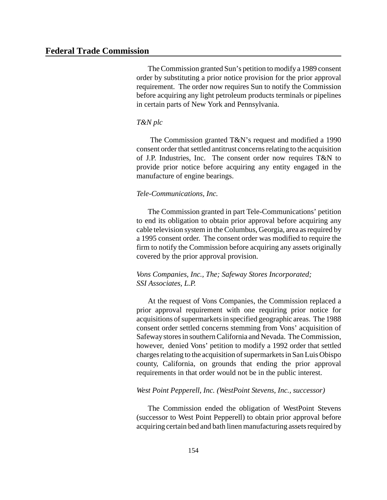The Commission granted Sun's petition to modify a 1989 consent order by substituting a prior notice provision for the prior approval requirement. The order now requires Sun to notify the Commission before acquiring any light petroleum products terminals or pipelines in certain parts of New York and Pennsylvania.

## *T&N plc*

The Commission granted T&N's request and modified a 1990 consent order that settled antitrust concerns relating to the acquisition of J.P. Industries, Inc. The consent order now requires T&N to provide prior notice before acquiring any entity engaged in the manufacture of engine bearings.

## *Tele-Communications, Inc.*

The Commission granted in part Tele-Communications' petition to end its obligation to obtain prior approval before acquiring any cable television system in the Columbus, Georgia, area as required by a 1995 consent order. The consent order was modified to require the firm to notify the Commission before acquiring any assets originally covered by the prior approval provision.

## *Vons Companies, Inc., The; Safeway Stores Incorporated; SSI Associates, L.P.*

At the request of Vons Companies, the Commission replaced a prior approval requirement with one requiring prior notice for acquisitions of supermarkets in specified geographic areas. The 1988 consent order settled concerns stemming from Vons' acquisition of Safewaystoresin southernCalifornia and Nevada. The Commission, however, denied Vons' petition to modify a 1992 order that settled charges relating to the acquisition of supermarkets in San Luis Obispo county, California, on grounds that ending the prior approval requirements in that order would not be in the public interest.

#### *West Point Pepperell, Inc. (WestPoint Stevens, Inc., successor)*

The Commission ended the obligation of WestPoint Stevens (successor to West Point Pepperell) to obtain prior approval before acquiring certain bed and bath linen manufacturing assets required by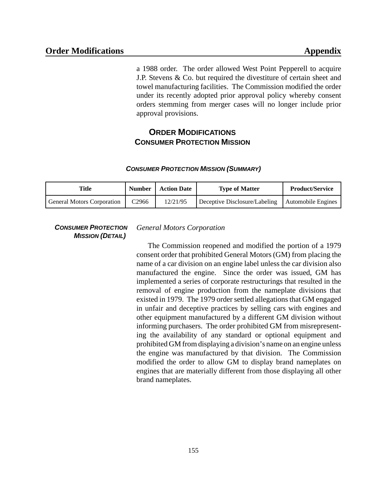a 1988 order. The order allowed West Point Pepperell to acquire J.P. Stevens & Co. but required the divestiture of certain sheet and towel manufacturing facilities. The Commission modified the order under its recently adopted prior approval policy whereby consent orders stemming from merger cases will no longer include prior approval provisions.

## **ORDER MODIFICATIONS CONSUMER PROTECTION MISSION**

#### *CONSUMER PROTECTION MISSION (SUMMARY)*

| Title                             | <b>Number</b>     | <b>Action Date</b> | <b>Type of Matter</b>         | <b>Product/Service</b> |
|-----------------------------------|-------------------|--------------------|-------------------------------|------------------------|
| <b>General Motors Corporation</b> | C <sub>2966</sub> | 12/21/95           | Deceptive Disclosure/Labeling | Automobile Engines     |

## *CONSUMER PROTECTION MISSION (DETAIL)*

## *General Motors Corporation*

The Commission reopened and modified the portion of a 1979 consent order that prohibited General Motors (GM) from placing the name of a car division on an engine label unless the car division also manufactured the engine. Since the order was issued, GM has implemented a series of corporate restructurings that resulted in the removal of engine production from the nameplate divisions that existed in 1979. The 1979 order settled allegations that GM engaged in unfair and deceptive practices by selling cars with engines and other equipment manufactured by a different GM division without informing purchasers. The order prohibited GM from misrepresenting the availability of any standard or optional equipment and prohibited GM from displaying a division's name on an engine unless the engine was manufactured by that division. The Commission modified the order to allow GM to display brand nameplates on engines that are materially different from those displaying all other brand nameplates.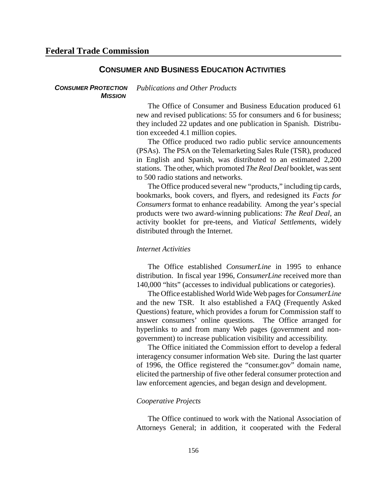## **CONSUMER AND BUSINESS EDUCATION ACTIVITIES**

#### *CONSUMER PROTECTION MISSION Publications and Other Products*

The Office of Consumer and Business Education produced 61 new and revised publications: 55 for consumers and 6 for business; they included 22 updates and one publication in Spanish. Distribution exceeded 4.1 million copies.

The Office produced two radio public service announcements (PSAs). The PSA on the Telemarketing Sales Rule (TSR), produced in English and Spanish, was distributed to an estimated 2,200 stations. The other, which promoted *The Real Deal* booklet, wassent to 500 radio stations and networks.

The Office produced several new "products," including tip cards, bookmarks, book covers, and flyers, and redesigned its *Facts for Consumers* format to enhance readability. Among the year's special products were two award-winning publications: *The Real Deal*, an activity booklet for pre-teens, and *Viatical Settlements*, widely distributed through the Internet.

## *Internet Activities*

The Office established *ConsumerLine* in 1995 to enhance distribution. In fiscal year 1996, *ConsumerLine* received more than 140,000 "hits" (accesses to individual publications or categories).

The Office established World Wide Web pagesfor*ConsumerLine* and the new TSR. It also established a FAQ (Frequently Asked Questions) feature, which provides a forum for Commission staff to answer consumers' online questions. The Office arranged for hyperlinks to and from many Web pages (government and nongovernment) to increase publication visibility and accessibility.

The Office initiated the Commission effort to develop a federal interagency consumer information Web site. During the last quarter of 1996, the Office registered the "consumer.gov" domain name, elicited the partnership of five other federal consumer protection and law enforcement agencies, and began design and development.

## *Cooperative Projects*

The Office continued to work with the National Association of Attorneys General; in addition, it cooperated with the Federal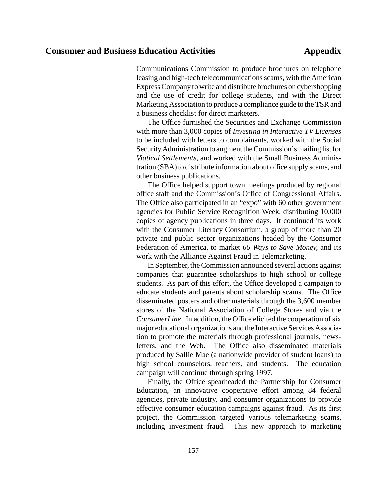Communications Commission to produce brochures on telephone leasing and high-tech telecommunications scams, with the American Express Company to write and distribute brochures on cybershopping and the use of credit for college students, and with the Direct Marketing Association to produce a compliance guide to the TSRand a business checklist for direct marketers.

The Office furnished the Securities and Exchange Commission with more than 3,000 copies of *Investing in Interactive TV Licenses* to be included with letters to complainants, worked with the Social Security Administration to augment the Commission's mailing list for *Viatical Settlements*, and worked with the Small Business Administration (SBA) to distribute information about office supply scams, and other business publications.

The Office helped support town meetings produced by regional office staff and the Commission's Office of Congressional Affairs. The Office also participated in an "expo" with 60 other government agencies for Public Service Recognition Week, distributing 10,000 copies of agency publications in three days. It continued its work with the Consumer Literacy Consortium, a group of more than 20 private and public sector organizations headed by the Consumer Federation of America, to market *66 Ways to Save Money,* and its work with the Alliance Against Fraud in Telemarketing.

In September, the Commission announced several actions against companies that guarantee scholarships to high school or college students. As part of this effort, the Office developed a campaign to educate students and parents about scholarship scams. The Office disseminated posters and other materials through the 3,600 member stores of the National Association of College Stores and via the *ConsumerLine.* In addition, the Office elicited the cooperation of six major educational organizations and the Interactive Services Association to promote the materials through professional journals, newsletters, and the Web. The Office also disseminated materials produced by Sallie Mae (a nationwide provider of student loans) to high school counselors, teachers, and students. The education campaign will continue through spring 1997.

Finally, the Office spearheaded the Partnership for Consumer Education, an innovative cooperative effort among 84 federal agencies, private industry, and consumer organizations to provide effective consumer education campaigns against fraud. As its first project, the Commission targeted various telemarketing scams, including investment fraud. This new approach to marketing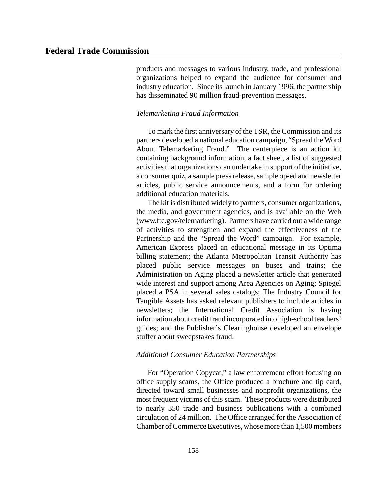products and messages to various industry, trade, and professional organizations helped to expand the audience for consumer and industry education. Since its launch in January 1996, the partnership has disseminated 90 million fraud-prevention messages.

## *Telemarketing Fraud Information*

To mark the first anniversary of the TSR, the Commission and its partners developed a national education campaign, "Spread the Word About Telemarketing Fraud." The centerpiece is an action kit containing background information, a fact sheet, a list of suggested activities that organizations can undertake in support of the initiative, a consumer quiz, a sample press release, sample op-ed and newsletter articles, public service announcements, and a form for ordering additional education materials.

The kit is distributed widely to partners, consumer organizations, the media, and government agencies, and is available on the Web (www.ftc.gov/telemarketing). Partners have carried out a wide range of activities to strengthen and expand the effectiveness of the Partnership and the "Spread the Word" campaign. For example, American Express placed an educational message in its Optima billing statement; the Atlanta Metropolitan Transit Authority has placed public service messages on buses and trains; the Administration on Aging placed a newsletter article that generated wide interest and support among Area Agencies on Aging; Spiegel placed a PSA in several sales catalogs; The Industry Council for Tangible Assets has asked relevant publishers to include articles in newsletters; the International Credit Association is having information about credit fraud incorporated into high-school teachers' guides; and the Publisher's Clearinghouse developed an envelope stuffer about sweepstakes fraud.

## *Additional Consumer Education Partnerships*

For "Operation Copycat," a law enforcement effort focusing on office supply scams, the Office produced a brochure and tip card, directed toward small businesses and nonprofit organizations, the most frequent victims of this scam. These products were distributed to nearly 350 trade and business publications with a combined circulation of 24 million. The Office arranged for the Association of Chamber of Commerce Executives, whose more than 1,500 members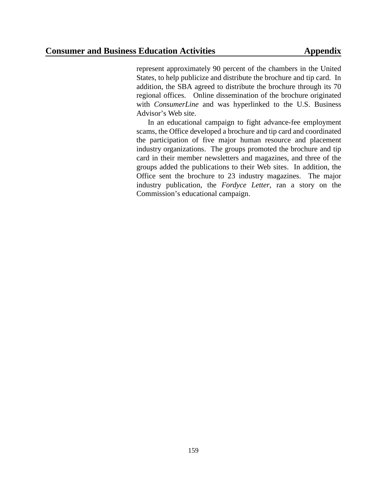represent approximately 90 percent of the chambers in the United States, to help publicize and distribute the brochure and tip card. In addition, the SBA agreed to distribute the brochure through its 70 regional offices. Online dissemination of the brochure originated with *ConsumerLine* and was hyperlinked to the U.S. Business Advisor's Web site.

In an educational campaign to fight advance-fee employment scams, the Office developed a brochure and tip card and coordinated the participation of five major human resource and placement industry organizations. The groups promoted the brochure and tip card in their member newsletters and magazines, and three of the groups added the publications to their Web sites. In addition, the Office sent the brochure to 23 industry magazines. The major industry publication, the *Fordyce Letter*, ran a story on the Commission's educational campaign.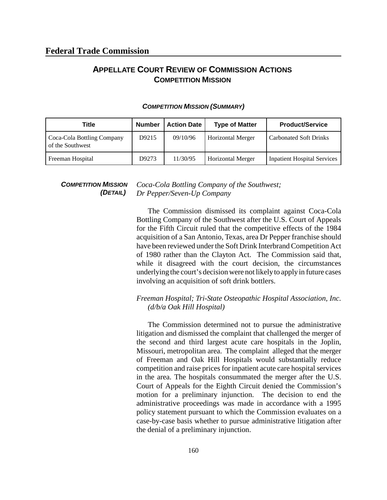## **APPELLATE COURT REVIEW OF COMMISSION ACTIONS COMPETITION MISSION**

| Title                                          | <b>Number</b> | <b>Action Date</b> | <b>Type of Matter</b>    | <b>Product/Service</b>             |
|------------------------------------------------|---------------|--------------------|--------------------------|------------------------------------|
| Coca-Cola Bottling Company<br>of the Southwest | D9215         | 09/10/96           | <b>Horizontal Merger</b> | <b>Carbonated Soft Drinks</b>      |
| Freeman Hospital                               | D9273         | 11/30/95           | <b>Horizontal Merger</b> | <b>Inpatient Hospital Services</b> |

### *COMPETITION MISSION (SUMMARY)*

*COMPETITION MISSION (DETAIL) Coca-Cola Bottling Company of the Southwest; Dr Pepper/Seven-Up Company*

> The Commission dismissed its complaint against Coca-Cola Bottling Company of the Southwest after the U.S. Court of Appeals for the Fifth Circuit ruled that the competitive effects of the 1984 acquisition of a San Antonio, Texas, area Dr Pepper franchise should have been reviewed under the Soft Drink Interbrand Competition Act of 1980 rather than the Clayton Act. The Commission said that, while it disagreed with the court decision, the circumstances underlying the court's decision were not likelyto apply in future cases involving an acquisition of soft drink bottlers.

## *Freeman Hospital; Tri-State Osteopathic Hospital Association, Inc. (d/b/a Oak Hill Hospital)*

The Commission determined not to pursue the administrative litigation and dismissed the complaint that challenged the merger of the second and third largest acute care hospitals in the Joplin, Missouri, metropolitan area. The complaint alleged that the merger of Freeman and Oak Hill Hospitals would substantially reduce competition and raise prices for inpatient acute care hospital services in the area. The hospitals consummated the merger after the U.S. Court of Appeals for the Eighth Circuit denied the Commission's motion for a preliminary injunction. The decision to end the administrative proceedings was made in accordance with a 1995 policy statement pursuant to which the Commission evaluates on a case-by-case basis whether to pursue administrative litigation after the denial of a preliminary injunction.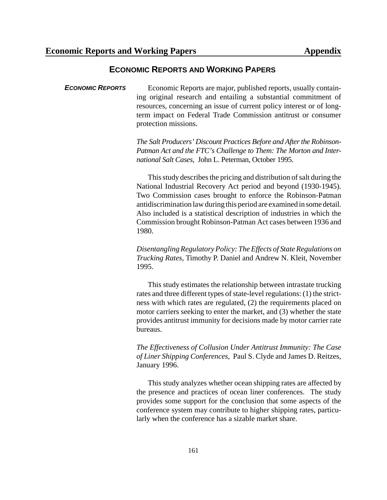## **ECONOMIC REPORTS AND WORKING PAPERS**

**ECONOMIC REPORTS** Economic Reports are major, published reports, usually containing original research and entailing a substantial commitment of resources, concerning an issue of current policy interest or of longterm impact on Federal Trade Commission antitrust or consumer protection missions.

> *The Salt Producers' Discount Practices Before and After the Robinson-Patman Act and the FTC's Challenge to Them: The Morton and International Salt Cases*, John L. Peterman, October 1995.

> This study describes the pricing and distribution of salt during the National Industrial Recovery Act period and beyond (1930-1945). Two Commission cases brought to enforce the Robinson-Patman antidiscrimination law during this period are examined in some detail. Also included is a statistical description of industries in which the Commission brought Robinson-Patman Act cases between 1936 and 1980.

> *DisentanglingRegulatoryPolicy: The Effects of StateRegulations on Trucking Rates*, Timothy P. Daniel and Andrew N. Kleit, November 1995.

> This study estimates the relationship between intrastate trucking rates and three different types of state-level regulations: (1) the strictness with which rates are regulated, (2) the requirements placed on motor carriers seeking to enter the market, and (3) whether the state provides antitrust immunity for decisions made by motor carrier rate bureaus.

> *The Effectiveness of Collusion Under Antitrust Immunity: The Case of Liner Shipping Conferences*, Paul S. Clyde and James D. Reitzes, January 1996.

> This study analyzes whether ocean shipping rates are affected by the presence and practices of ocean liner conferences. The study provides some support for the conclusion that some aspects of the conference system may contribute to higher shipping rates, particularly when the conference has a sizable market share.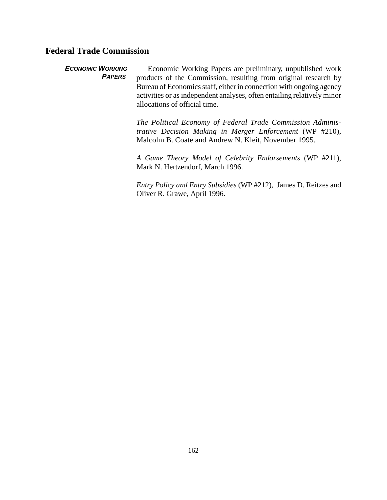## **Federal Trade Commission**

*ECONOMIC WORKING PAPERS*  Economic Working Papers are preliminary, unpublished work products of the Commission, resulting from original research by Bureau of Economics staff, either in connection with ongoing agency activities or as independent analyses, often entailing relatively minor allocations of official time. *The Political Economy of Federal Trade Commission Adminis-*

*trative Decision Making in Merger Enforcement* (WP #210), Malcolm B. Coate and Andrew N. Kleit, November 1995.

*A Game Theory Model of Celebrity Endorsements* (WP #211), Mark N. Hertzendorf, March 1996.

*Entry Policy and Entry Subsidies* (WP #212), James D. Reitzes and Oliver R. Grawe, April 1996.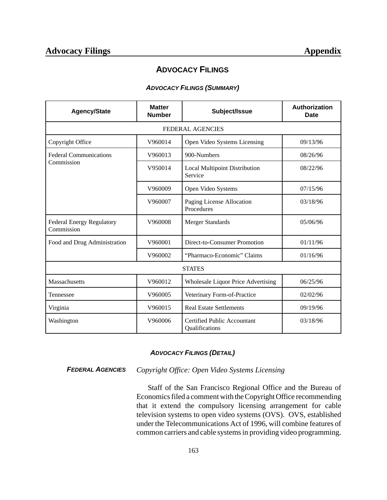## **ADVOCACY FILINGS**

## *ADVOCACY FILINGS (SUMMARY)*

| <b>Agency/State</b>                            | <b>Matter</b><br><b>Number</b> | Subject/Issue                                        | Authorization<br><b>Date</b> |  |  |
|------------------------------------------------|--------------------------------|------------------------------------------------------|------------------------------|--|--|
|                                                |                                | <b>FEDERAL AGENCIES</b>                              |                              |  |  |
| Copyright Office                               | V960014                        | Open Video Systems Licensing                         | 09/13/96                     |  |  |
| <b>Federal Communications</b>                  | V960013                        | 900-Numbers                                          | 08/26/96                     |  |  |
| Commission                                     | V950014                        | <b>Local Multipoint Distribution</b><br>Service      | 08/22/96                     |  |  |
|                                                | V960009                        | Open Video Systems                                   | 07/15/96                     |  |  |
|                                                | V960007                        | Paging License Allocation<br>Procedures              | 03/18/96                     |  |  |
| <b>Federal Energy Regulatory</b><br>Commission | V960008                        | Merger Standards                                     | 05/06/96                     |  |  |
| Food and Drug Administration                   | V960001                        | Direct-to-Consumer Promotion                         | 01/11/96                     |  |  |
|                                                | V960002                        | "Pharmaco-Economic" Claims                           | 01/16/96                     |  |  |
| <b>STATES</b>                                  |                                |                                                      |                              |  |  |
| Massachusetts                                  | V960012                        | Wholesale Liquor Price Advertising                   | 06/25/96                     |  |  |
| Tennessee                                      | V960005                        | Veterinary Form-of-Practice                          | 02/02/96                     |  |  |
| Virginia                                       | V960015                        | <b>Real Estate Settlements</b>                       | 09/19/96                     |  |  |
| Washington                                     | V960006                        | <b>Certified Public Accountant</b><br>Qualifications | 03/18/96                     |  |  |

## *ADVOCACY FILINGS (DETAIL)*

*FEDERAL AGENCIES Copyright Office: Open Video Systems Licensing*

Staff of the San Francisco Regional Office and the Bureau of Economics filed a comment with the Copyright Office recommending that it extend the compulsory licensing arrangement for cable television systems to open video systems (OVS). OVS, established under the Telecommunications Act of 1996, will combine features of common carriers and cable systemsin providing video programming.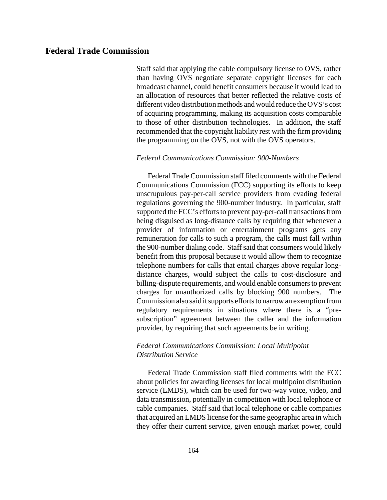Staff said that applying the cable compulsory license to OVS, rather than having OVS negotiate separate copyright licenses for each broadcast channel, could benefit consumers because it would lead to an allocation of resources that better reflected the relative costs of different video distribution methods and would reduce the OVS's cost of acquiring programming, making its acquisition costs comparable to those of other distribution technologies. In addition, the staff recommended that the copyright liability rest with the firm providing the programming on the OVS, not with the OVS operators.

## *Federal Communications Commission: 900-Numbers*

Federal Trade Commission staff filed comments with the Federal Communications Commission (FCC) supporting its efforts to keep unscrupulous pay-per-call service providers from evading federal regulations governing the 900-number industry. In particular, staff supported the FCC's efforts to prevent pay-per-call transactions from being disguised as long-distance calls by requiring that whenever a provider of information or entertainment programs gets any remuneration for calls to such a program, the calls must fall within the 900-number dialing code. Staff said that consumers would likely benefit from this proposal because it would allow them to recognize telephone numbers for calls that entail charges above regular longdistance charges, would subject the calls to cost-disclosure and billing-dispute requirements, and would enable consumers to prevent charges for unauthorized calls by blocking 900 numbers. The Commission also said it supports efforts to narrow an exemption from regulatory requirements in situations where there is a "presubscription" agreement between the caller and the information provider, by requiring that such agreements be in writing.

## *Federal Communications Commission: Local Multipoint Distribution Service*

Federal Trade Commission staff filed comments with the FCC about policies for awarding licenses for local multipoint distribution service (LMDS), which can be used for two-way voice, video, and data transmission, potentially in competition with local telephone or cable companies. Staff said that local telephone or cable companies that acquired an LMDS license for the same geographic area in which they offer their current service, given enough market power, could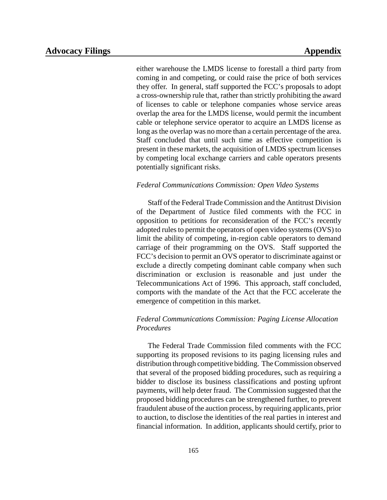either warehouse the LMDS license to forestall a third party from coming in and competing, or could raise the price of both services they offer. In general, staff supported the FCC's proposals to adopt a cross-ownership rule that, rather than strictly prohibiting the award of licenses to cable or telephone companies whose service areas overlap the area for the LMDS license, would permit the incumbent cable or telephone service operator to acquire an LMDS license as long as the overlap was no more than a certain percentage of the area. Staff concluded that until such time as effective competition is present in these markets, the acquisition of LMDS spectrum licenses by competing local exchange carriers and cable operators presents potentially significant risks.

## *Federal Communications Commission: Open Video Systems*

Staff of the Federal Trade Commission and the Antitrust Division of the Department of Justice filed comments with the FCC in opposition to petitions for reconsideration of the FCC's recently adopted rules to permit the operators of open video systems (OVS) to limit the ability of competing, in-region cable operators to demand carriage of their programming on the OVS. Staff supported the FCC's decision to permit an OVS operator to discriminate against or exclude a directly competing dominant cable company when such discrimination or exclusion is reasonable and just under the Telecommunications Act of 1996. This approach, staff concluded, comports with the mandate of the Act that the FCC accelerate the emergence of competition in this market.

## *Federal Communications Commission: Paging License Allocation Procedures*

The Federal Trade Commission filed comments with the FCC supporting its proposed revisions to its paging licensing rules and distribution through competitive bidding. The Commission observed that several of the proposed bidding procedures, such as requiring a bidder to disclose its business classifications and posting upfront payments, will help deter fraud. The Commission suggested that the proposed bidding procedures can be strengthened further, to prevent fraudulent abuse of the auction process, by requiring applicants, prior to auction, to disclose the identities of the real parties in interest and financial information. In addition, applicants should certify, prior to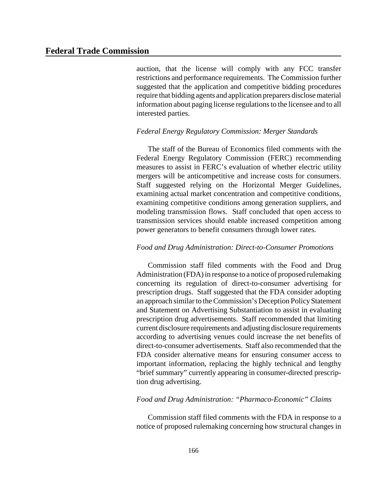auction, that the license will comply with any FCC transfer restrictions and performance requirements. The Commission further suggested that the application and competitive bidding procedures require that bidding agents and application preparers disclose material information about paging license regulationsto the licensee and to all interested parties.

### *Federal Energy Regulatory Commission: Merger Standards*

The staff of the Bureau of Economics filed comments with the Federal Energy Regulatory Commission (FERC) recommending measures to assist in FERC's evaluation of whether electric utility mergers will be anticompetitive and increase costs for consumers. Staff suggested relying on the Horizontal Merger Guidelines, examining actual market concentration and competitive conditions, examining competitive conditions among generation suppliers, and modeling transmission flows. Staff concluded that open access to transmission services should enable increased competition among power generators to benefit consumers through lower rates.

### *Food and Drug Administration: Direct-to-Consumer Promotions*

Commission staff filed comments with the Food and Drug Administration (FDA) in response to a notice of proposed rulemaking concerning its regulation of direct-to-consumer advertising for prescription drugs. Staff suggested that the FDA consider adopting an approach similarto theCommission's Deception PolicyStatement and Statement on Advertising Substantiation to assist in evaluating prescription drug advertisements. Staff recommended that limiting current disclosure requirements and adjusting disclosure requirements according to advertising venues could increase the net benefits of direct-to-consumer advertisements. Staff also recommended that the FDA consider alternative means for ensuring consumer access to important information, replacing the highly technical and lengthy "brief summary" currently appearing in consumer-directed prescription drug advertising.

## *Food and Drug Administration: "Pharmaco-Economic" Claims*

Commission staff filed comments with the FDA in response to a notice of proposed rulemaking concerning how structural changes in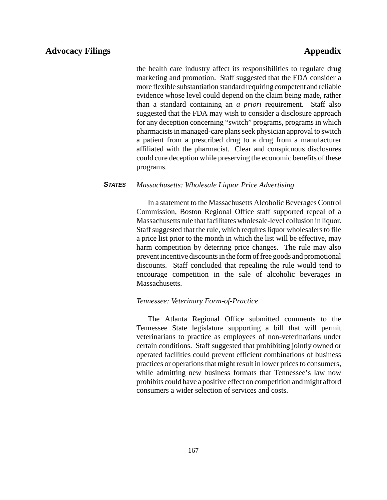the health care industry affect its responsibilities to regulate drug marketing and promotion. Staff suggested that the FDA consider a more flexible substantiation standard requiring competent and reliable evidence whose level could depend on the claim being made, rather than a standard containing an *a priori* requirement. Staff also suggested that the FDA may wish to consider a disclosure approach for any deception concerning "switch" programs, programs in which pharmacistsin managed-care plansseek physician approval to switch a patient from a prescribed drug to a drug from a manufacturer affiliated with the pharmacist. Clear and conspicuous disclosures could cure deception while preserving the economic benefits of these programs.

## *STATES Massachusetts: Wholesale Liquor Price Advertising*

In a statement to the Massachusetts Alcoholic Beverages Control Commission, Boston Regional Office staff supported repeal of a Massachusetts rule that facilitates wholesale-level collusion in liquor. Staff suggested that the rule, which requires liquor wholesalers to file a price list prior to the month in which the list will be effective, may harm competition by deterring price changes. The rule may also prevent incentive discounts in the form of free goods and promotional discounts. Staff concluded that repealing the rule would tend to encourage competition in the sale of alcoholic beverages in Massachusetts.

### *Tennessee: Veterinary Form-of-Practice*

The Atlanta Regional Office submitted comments to the Tennessee State legislature supporting a bill that will permit veterinarians to practice as employees of non-veterinarians under certain conditions. Staff suggested that prohibiting jointly owned or operated facilities could prevent efficient combinations of business practices or operations that might result in lower prices to consumers, while admitting new business formats that Tennessee's law now prohibits could have a positive effect on competition and might afford consumers a wider selection of services and costs.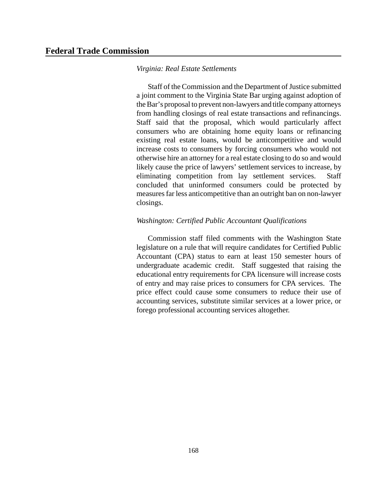## *Virginia: Real Estate Settlements*

Staff of the Commission and the Department of Justice submitted a joint comment to the Virginia State Bar urging against adoption of theBar's proposal to prevent non-lawyers and title company attorneys from handling closings of real estate transactions and refinancings. Staff said that the proposal, which would particularly affect consumers who are obtaining home equity loans or refinancing existing real estate loans, would be anticompetitive and would increase costs to consumers by forcing consumers who would not otherwise hire an attorney for a real estate closing to do so and would likely cause the price of lawyers' settlement services to increase, by eliminating competition from lay settlement services. Staff concluded that uninformed consumers could be protected by measures far less anticompetitive than an outright ban on non-lawyer closings.

## *Washington: Certified Public Accountant Qualifications*

Commission staff filed comments with the Washington State legislature on a rule that will require candidates for Certified Public Accountant (CPA) status to earn at least 150 semester hours of undergraduate academic credit. Staff suggested that raising the educational entry requirements for CPA licensure will increase costs of entry and may raise prices to consumers for CPA services. The price effect could cause some consumers to reduce their use of accounting services, substitute similar services at a lower price, or forego professional accounting services altogether.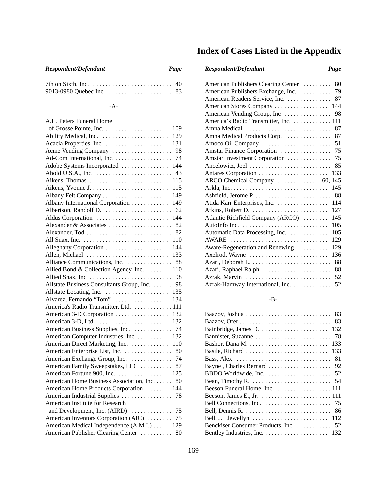## *Respondent/Defendant Page Respondent/Defendant Page*

| ٦ | I |  |
|---|---|--|

| 7th on Sixth, Inc. $\dots \dots \dots \dots \dots \dots \dots \dots \dots$ 40 |  |
|-------------------------------------------------------------------------------|--|
|                                                                               |  |

## -A-

| A.H. Peters Funeral Home                        |
|-------------------------------------------------|
| 109                                             |
| 129                                             |
| 131                                             |
| Acme Vending Company<br>98                      |
| 74<br>Ad-Com International, Inc.                |
| 144<br>Adobe Systems Incorporated               |
| 43                                              |
| 115<br>Aikens, Thomas                           |
| 115                                             |
| 149<br>Albany Felt Company                      |
| Albany International Corporation<br>149         |
| Albertson, Randolf D.<br>62                     |
| 144<br>Aldus Corporation                        |
| Alexander & Associates<br>82                    |
| 82                                              |
| 110                                             |
| Alleghany Corporation<br>144                    |
| 133<br>Allen, Michael                           |
| Alliance Communications, Inc.<br>88             |
| Allied Bond & Collection Agency, Inc.<br>110    |
| Allied Snax, Inc<br>98                          |
| Allstate Business Consultants Group, Inc.<br>98 |
| Allstate Locating, Inc.<br>135                  |
| Alvarez, Fernando "Tom"<br>134                  |
| America's Radio Transmitter, Ltd.  111          |
| American 3-D Corporation<br>132                 |
| American 3-D, Ltd.<br>132                       |
| American Business Supplies, Inc.  74            |
| American Computer Industries, Inc.<br>132       |
| American Direct Marketing, Inc.<br>110          |
| 80<br>American Enterprise List, Inc.            |
| 74<br>American Exchange Group, Inc.             |
| American Family Sweepstakes, LLC<br>87          |
| American Fortune 900, Inc.<br>125               |
| American Home Business Association, Inc.<br>80  |
| American Home Products Corporation<br>144       |
| American Industrial Supplies<br>78              |
| American Institute for Research                 |
|                                                 |
| 75<br>American Inventors Corporation (AIC)      |
| American Medical Independence (A.M.I.)<br>129   |
| American Publisher Clearing Center<br>80        |

# **Index of Cases Listed in the Appendix**

| American Publishers Clearing Center | 80  |
|-------------------------------------|-----|
| American Publishers Exchange, Inc.  | 79  |
| American Readers Service, Inc.      | 87  |
| American Stores Company             | 144 |
| American Vending Group, Inc         | 98  |
| America's Radio Transmitter, Inc.   | 111 |
| Amna Medical                        | 87  |
| Amna Medical Products Corp.         | 87  |
| Amoco Oil Company                   | 51  |
| Amstar Finance Corporation          | 75  |
| Amstar Investment Corporation       | 75  |
| Ancelowitz, Joel                    | 85  |
| Antares Corporation                 | 133 |
| ARCO Chemical Company  60,          | 145 |
|                                     | 145 |
|                                     | 88  |
| Atida Karr Enterprises, Inc.        | 114 |
| Atkins, Robert D.                   | 127 |
| Atlantic Richfield Company (ARCO)   | 145 |
| AutoInfo Inc.                       | 105 |
| Automatic Data Processing, Inc.     | 105 |
| AWARE                               | 129 |
| Aware-Regeneration and Renewing     | 129 |
| Axelrod, Wayne                      | 136 |
|                                     | 88  |
| Azari, Raphael Ralph                | 88  |
| Azrak, Marvin                       | 52  |
| Azrak-Hamway International, Inc.    | 52  |

## -B-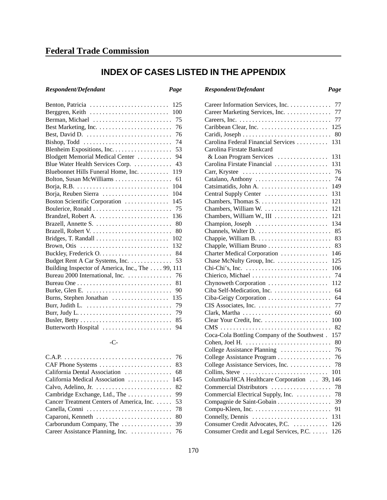# **INDEX OF CASES LISTED IN THE APPENDIX**

| Benton, Patricia<br>125                                                      |
|------------------------------------------------------------------------------|
| Berggren, Keith<br>100                                                       |
| Berman, Michael<br>75                                                        |
| 76                                                                           |
| Best, David D.<br>76                                                         |
| Bishop, Todd $\dots\dots\dots\dots\dots\dots\dots\dots\dots\dots\dots$<br>74 |
| 53                                                                           |
| Blodgett Memorial Medical Center<br>94                                       |
| Blue Water Health Services Corp.<br>43                                       |
| Bluebonnet Hills Funeral Home, Inc.<br>119                                   |
| Bolton, Susan McWilliams<br>61                                               |
| 104                                                                          |
| Borja, Reuben Sierra<br>104                                                  |
| Boston Scientific Corporation<br>145                                         |
| 75                                                                           |
| Brandzel, Robert A.<br>136                                                   |
| Brazell, Annette S.<br>80                                                    |
| 80                                                                           |
| 102                                                                          |
| Brown, Otis<br>132                                                           |
| 84                                                                           |
| Budget Rent A Car Systems, Inc.<br>53                                        |
| Building Inspector of America, Inc., The  99, 111                            |
| Bureau 2000 International, Inc.<br>76                                        |
| 81                                                                           |
| 90                                                                           |
| Burns, Stephen Jonathan<br>135                                               |
| 79                                                                           |
| 79                                                                           |
| 85                                                                           |
| Butterworth Hospital<br>94                                                   |

## -C-

| Calvo, Adelino, Jr. $\dots \dots \dots \dots \dots \dots \dots \dots$ 82        |
|---------------------------------------------------------------------------------|
|                                                                                 |
| Cancer Treatment Centers of America, Inc. 53                                    |
| Canella, Conni $\dots \dots \dots \dots \dots \dots \dots \dots \dots \dots$ 78 |
|                                                                                 |
|                                                                                 |
| Career Assistance Planning, Inc. 76                                             |
|                                                                                 |

| Respondent/Defendant | Page | Respondent/Defendant | Page |
|----------------------|------|----------------------|------|
|                      |      |                      |      |

| 77<br>Career Information Services, Inc.             |
|-----------------------------------------------------|
| Career Marketing Services, Inc.<br>77               |
| 77                                                  |
| Caribbean Clear, Inc.<br>125                        |
| 80                                                  |
| Carolina Federal Financial Services<br>131          |
| Carolina Firstate Bankcard                          |
| & Loan Program Services<br>131                      |
| Carolina Firstate Financial<br>131                  |
| Carr, Krystee<br>76                                 |
| Catalano, Anthony<br>74                             |
| 149                                                 |
| Central Supply Center<br>131                        |
| 121                                                 |
| Chambers, William W.<br>121                         |
| Chambers, William W., III<br>121                    |
| Champion, Joseph<br>134                             |
| Channels, Walter D.<br>85                           |
| 83                                                  |
| 83                                                  |
| 146<br>Charter Medical Corporation                  |
| Chase McNulty Group, Inc.<br>125                    |
| 106                                                 |
| 74                                                  |
| Chierico, Michael                                   |
| Chynoweth Corporation<br>112                        |
| Ciba Self-Medication, Inc.<br>64                    |
| 64<br>Ciba-Geigy Corporation                        |
| CIS Associates, Inc.<br>77                          |
| 60                                                  |
| 100                                                 |
| 82                                                  |
| Coca-Cola Bottling Company of the Southwest.<br>157 |
| 80                                                  |
| College Assistance Planning<br>76                   |
| College Assistance Program<br>76                    |
| College Assistance Services, Inc.<br>78             |
| Collins, Steve<br>101                               |
| Columbia/HCA Healthcare Corporation  39, 146        |
| Commercial Distributors<br>78                       |
| Commercial Electrical Supply, Inc.<br>78            |
| Compagnie de Saint-Gobain<br>39                     |
| 91                                                  |
| 131<br>Connelly, Dennis                             |
| Consumer Credit Advocates, P.C.<br>126              |
| Consumer Credit and Legal Services, P.C.<br>126     |
|                                                     |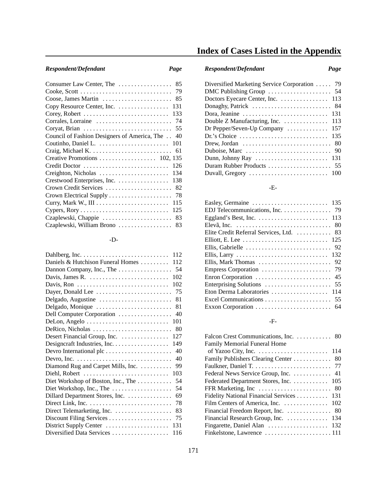## -D-

# **Index of Cases Listed in the Appendix**

## *Respondent/Defendant Page Respondent/Defendant Page*

| Diversified Marketing Service Corporation  79                                 |
|-------------------------------------------------------------------------------|
|                                                                               |
|                                                                               |
|                                                                               |
| Dora, Jeanine $\ldots \ldots \ldots \ldots \ldots \ldots \ldots \ldots$ 131   |
| Double Z Manufacturing, Inc. $\dots \dots \dots \dots$ 113                    |
| Dr Pepper/Seven-Up Company $\dots \dots \dots \dots \dots$ 157                |
|                                                                               |
| Drew, Jordan $\ldots \ldots \ldots \ldots \ldots \ldots \ldots \ldots$ 80     |
| Duboise, Marc $\ldots \ldots \ldots \ldots \ldots \ldots \ldots \ldots$ 90    |
|                                                                               |
|                                                                               |
| Duvall, Gregory $\ldots \ldots \ldots \ldots \ldots \ldots \ldots \ldots 100$ |

## -E-

| EDJ Telecommunications, Inc. 79          |
|------------------------------------------|
|                                          |
|                                          |
| Elite Credit Referral Services, Ltd.  83 |
|                                          |
|                                          |
|                                          |
|                                          |
|                                          |
|                                          |
|                                          |
| Eton Derma Laboratories  114             |
|                                          |
|                                          |
|                                          |

## -F-

| Falcon Crest Communications, Inc. 80     |
|------------------------------------------|
| <b>Family Memorial Funeral Home</b>      |
|                                          |
|                                          |
|                                          |
|                                          |
| Federated Department Stores, Inc. 105    |
|                                          |
| Fidelity National Financial Services 131 |
| Film Centers of America, Inc.<br>102     |
| Financial Freedom Report, Inc.<br>- 80   |
| Financial Research Group, Inc. 134       |
|                                          |
|                                          |
|                                          |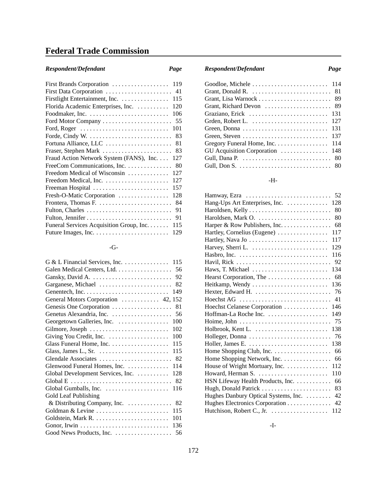# **Federal Trade Commission**

| First Brands Corporation<br>119                                              |
|------------------------------------------------------------------------------|
| First Data Corporation<br>-41                                                |
| Firstlight Entertainment, Inc.<br>115                                        |
| Florida Academic Enterprises, Inc.<br>120                                    |
| 106                                                                          |
| Ford Motor Company<br>- 55                                                   |
| Ford, Roger $\dots\dots\dots\dots\dots\dots\dots\dots\dots\dots\dots$<br>101 |
| Forde, Cindy W.<br>83                                                        |
| Fortuna Alliance, LLC<br>81                                                  |
| Fraser, Stephen Mark<br>83                                                   |
| Fraud Action Network System (FANS), Inc.<br>127                              |
| FreeCom Communications, Inc.<br>80                                           |
| Freedom Medical of Wisconsin<br>127                                          |
| Freedom Medical, Inc.<br>127                                                 |
| Freeman Hospital<br>157                                                      |
| 128<br>Fresh-O-Matic Corporation                                             |
| 84                                                                           |
| Fulton, Charles<br>91                                                        |
| 91                                                                           |
| Funeral Services Acquisition Group, Inc.<br>115                              |
| 129                                                                          |

## -G-

| G & L Financial Services, Inc. 115                                |
|-------------------------------------------------------------------|
| Galen Medical Centers, Ltd. 56                                    |
|                                                                   |
| Garganese, Michael<br>82                                          |
| 149                                                               |
| General Motors Corporation  42, 152                               |
|                                                                   |
| 56                                                                |
| Georgetown Galleries, Inc.<br>100                                 |
| 102                                                               |
| Giving You Credit, Inc.<br>100                                    |
| 115                                                               |
| Glass, James L., Sr. $\dots \dots \dots \dots \dots \dots$<br>115 |
|                                                                   |
| Glenwood Funeral Homes, Inc.  114                                 |
| Global Development Services, Inc.<br>128                          |
|                                                                   |
| Global Gumballs, Inc.<br>116                                      |
| Gold Leaf Publishing                                              |
| & Distributing Company, Inc. 82                                   |
|                                                                   |
| 101                                                               |
|                                                                   |
|                                                                   |

## *Respondent/Defendant Page Respondent/Defendant Page*

| 131                             |
|---------------------------------|
| 137                             |
| Gregory Funeral Home, Inc. 114  |
| GU Acquisition Corporation  148 |
|                                 |
|                                 |

## -H-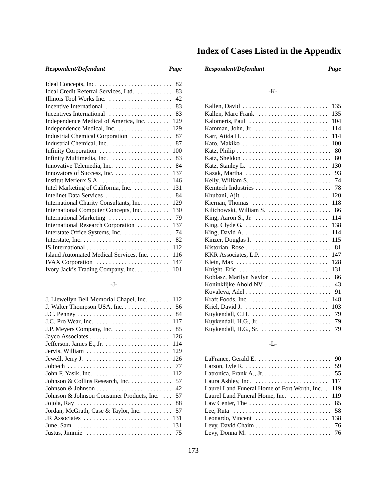| 82                                             |
|------------------------------------------------|
| Ideal Credit Referral Services, Ltd.<br>83     |
| Illinois Tool Works Inc.<br>42                 |
| Incentive International<br>83                  |
| Incentives International<br>83                 |
| Independence Medical of America, Inc.<br>129   |
| Independence Medical, Inc.<br>129              |
| Industrial Chemical Corporation<br>87          |
| 87                                             |
| Infinity Corporation<br>100                    |
| 83                                             |
| Innovative Telemedia, Inc.<br>84               |
| 137                                            |
| Institut Merieux S.A.<br>146                   |
| Intel Marketing of California, Inc.<br>131     |
| Intelinet Data Services<br>84                  |
| International Charity Consultants, Inc.<br>129 |
| International Computer Concepts, Inc.<br>130   |
| International Marketing<br>79                  |
| International Research Corporation<br>137      |
| Interstate Office Systems, Inc.<br>74          |
| 82                                             |
| 112                                            |
| Island Automated Medical Services, Inc.<br>116 |
| IVAX Corporation<br>147                        |
| Ivory Jack's Trading Company, Inc.<br>101      |
|                                                |

## -J-

| J. Llewellyn Bell Memorial Chapel, Inc.  112                                    |
|---------------------------------------------------------------------------------|
| J. Walter Thompson USA, Inc.<br>56                                              |
| 84                                                                              |
| 117                                                                             |
| J.P. Meyers Company, Inc.<br>85                                                 |
| Jayco Associates<br>126                                                         |
| 114<br>Jefferson, James E., Jr. $\dots \dots \dots \dots \dots$                 |
| 129<br>Jervis, William                                                          |
| 126                                                                             |
| 77                                                                              |
| 112<br>John F. Yasik, Inc. $\dots \dots \dots \dots \dots \dots \dots$          |
| Johnson & Collins Research, Inc.<br>57                                          |
| 42                                                                              |
| Johnson & Johnson Consumer Products, Inc.<br>57                                 |
| Jojola, Ray $\dots \dots \dots \dots \dots \dots \dots \dots \dots \dots$<br>88 |
| 57<br>Jordan, McGrath, Case & Taylor, Inc.                                      |
| JR Associates<br>131                                                            |
| 131                                                                             |
| Justus, Jimmie<br>75                                                            |

# **Index of Cases Listed in the Appendix**

## *Respondent/Defendant Page Respondent/Defendant Page*

## -K-

## -L-

| Latronica, Frank A., Jr. $\dots \dots \dots \dots \dots \dots \dots \dots$ 55    |
|----------------------------------------------------------------------------------|
| Laura Ashley, Inc. $\ldots \ldots \ldots \ldots \ldots \ldots \ldots \ldots$ 117 |
| Laurel Land Funeral Home of Fort Worth, Inc. . 119                               |
| Laurel Land Funeral Home, Inc.  119                                              |
|                                                                                  |
|                                                                                  |
| Leonardo, Vincent $\dots \dots \dots \dots \dots \dots \dots \dots$ 138          |
|                                                                                  |
|                                                                                  |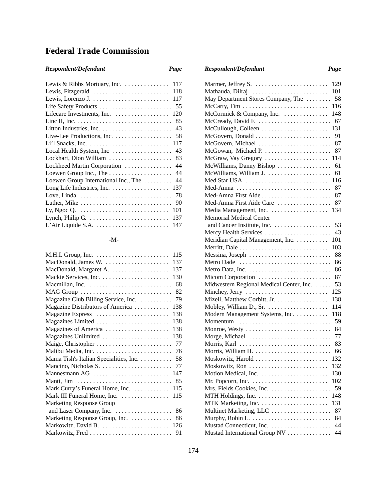# **Federal Trade Commission**

| Respondent/Defendant |  |
|----------------------|--|
|----------------------|--|

| 117<br>Lewis & Ribbs Mortuary, Inc.                                       |
|---------------------------------------------------------------------------|
| Lewis, Fitzgerald<br>118                                                  |
| 117                                                                       |
| 55                                                                        |
| Lifecare Investments, Inc.<br>120                                         |
| 85                                                                        |
| 43                                                                        |
| 58<br>Live-Lee Productions, Inc. $\dots \dots \dots \dots \dots$          |
| 117                                                                       |
| Local Health System, Inc<br>43                                            |
| Lockhart, Dion William<br>83                                              |
| Lockheed Martin Corporation<br>44                                         |
| Loewen Group Inc., The<br>44                                              |
| 44<br>Loewen Group International Inc., The                                |
| Long Life Industries, Inc. $\dots \dots \dots \dots \dots$<br>137         |
| Love, Linda<br>78                                                         |
| 90                                                                        |
| 101                                                                       |
| 137<br>Lynch, Philip G. $\dots \dots \dots \dots \dots \dots \dots \dots$ |
| L'Air Liquide S.A.<br>147                                                 |

## -M-

| 115                                          |
|----------------------------------------------|
| MacDonald, James W.<br>137                   |
| MacDonald, Margaret A.<br>137                |
| 130                                          |
| Macmillan, Inc.<br>68                        |
| 82                                           |
| Magazine Club Billing Service, Inc.<br>79    |
| Magazine Distributors of America<br>138      |
| Magazine Express<br>138                      |
| Magazines Limited<br>138                     |
| Magazines of America<br>138                  |
| Magazines Unlimited<br>138                   |
| 77                                           |
| 76                                           |
| 58<br>Mama Tish's Italian Specialities, Inc. |
| 77                                           |
| 147<br>Mannesmann AG                         |
| 85                                           |
| Mark Curry's Funeral Home, Inc.<br>115       |
| Mark III Funeral Home, Inc.<br>115           |
| <b>Marketing Response Group</b><br>86        |
| Marketing Response Group, Inc.<br>86         |
| Markowitz, David B.  126                     |
| Markowitz, Fred<br>91                        |
|                                              |

| Page | Respondent/Defendant | Page |
|------|----------------------|------|
|------|----------------------|------|

| Mathauda, Dilraj                                                         | 101 |
|--------------------------------------------------------------------------|-----|
| May Department Stores Company, The  58                                   |     |
| McCarty, Tim $\ldots \ldots \ldots \ldots \ldots \ldots \ldots \ldots$   | 116 |
| McCormick & Company, Inc. $\ldots \ldots \ldots \ldots$                  | 148 |
| McCready, David F. $\ldots \ldots \ldots \ldots \ldots \ldots \ldots$ 67 |     |
| $McCullough, Colleen \ldots \ldots \ldots \ldots \ldots \ldots$          | 131 |
| McGovern, Donald                                                         | 91  |
| McGovern, Michael                                                        | 87  |
| McGowan, Michael P.                                                      | 87  |
| McGraw, Vay Gregory $\dots\dots\dots\dots\dots\dots\dots$                | 114 |
| McWilliams, Danny Bishop                                                 | 61  |
| McWilliams, William J.                                                   | 61  |
| Med Star USA                                                             | 116 |
| Med-Amna                                                                 | 87  |
|                                                                          | 87  |
| Med-Amna First Aide Care                                                 | 87  |
| Media Management, Inc.                                                   | 134 |
| <b>Memorial Medical Center</b>                                           |     |
|                                                                          | 53  |
| Mercy Health Services                                                    | 43  |
| Meridian Capital Management, Inc. 101                                    |     |
| Merritt, Dale                                                            | 103 |
| Messina, Joseph $\dots \dots \dots \dots \dots \dots \dots \dots$        | 88  |
| Metro Dade                                                               | 86  |
| Metro Data, Inc.                                                         | 86  |
| Micom Corporation                                                        | 87  |
| Midwestern Regional Medical Center, Inc.                                 | 53  |
| Minchey, Jerry                                                           | 125 |
| Mizell, Matthew Corbitt, Jr.                                             | 138 |
| Mobley, William D., Sr. $\dots \dots \dots \dots \dots$                  | 114 |
| Modern Management Systems, Inc.                                          | 118 |
|                                                                          | 59  |
| Momentum                                                                 | -84 |
| Monroe, Westy $\ldots \ldots \ldots \ldots \ldots \ldots \ldots \ldots$  |     |
| Morge, Michael $\dots\dots\dots\dots\dots\dots\dots\dots\dots$           | 77  |
| Morris, Karl                                                             | 83  |
|                                                                          | 66  |
| Moskowitz, Harold                                                        | 132 |
|                                                                          | 132 |
| Motion Medical, Inc.                                                     | 130 |
| Mr. Popcorn, Inc. $\dots \dots \dots \dots \dots \dots \dots \dots$      | 102 |
| Mrs. Fields Cookies, Inc.                                                | 59  |
|                                                                          | 148 |
|                                                                          | 131 |
| Multinet Marketing, LLC                                                  | 87  |
|                                                                          | 84  |
|                                                                          | 44  |
| Mustad International Group NV                                            | 44  |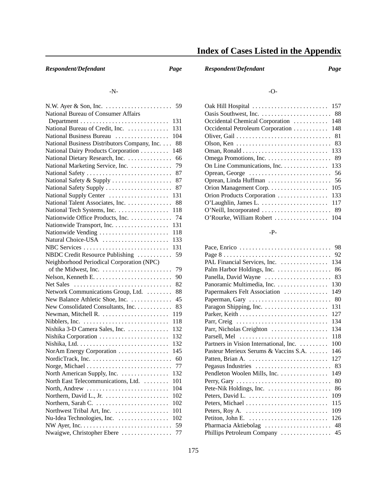# **Index of Cases Listed in the Appendix**

### -N-

| N.W. Ayer $\&$ Son, Inc. $\dots \dots \dots \dots \dots \dots$ | 59  |
|----------------------------------------------------------------|-----|
| National Bureau of Consumer Affairs                            |     |
|                                                                | 131 |
| National Bureau of Credit, Inc.                                | 131 |
| National Business Bureau                                       | 104 |
| National Business Distributors Company, Inc.                   | 88  |
| National Dairy Products Corporation                            | 148 |
| National Dietary Research, Inc.                                | 66  |
| National Marketing Service, Inc.                               | 79  |
| National Safety                                                | 87  |
| National Safety & Supply                                       | 87  |
| National Safety Supply                                         | 87  |
| National Supply Center                                         | 131 |
| National Talent Associates, Inc.                               | 88  |
| National Tech Systems, Inc.                                    | 118 |
| Nationwide Office Products, Inc.                               | 74  |
| Nationwide Transport, Inc.                                     | 131 |
| Nationwide Vending                                             | 118 |
| Natural Choice-USA                                             | 133 |
| NBC Services                                                   | 131 |
| NBDC Credit Resource Publishing                                | 59  |
| Neighborhood Periodical Corporation (NPC)                      |     |
|                                                                | 79  |
|                                                                | 90  |
| Net Sales                                                      | 82  |
| Network Communications Group, Ltd.                             | 88  |
| New Balance Athletic Shoe, Inc.                                | 45  |
| New Consolidated Consultants, Inc.                             | 83  |
|                                                                | 119 |
|                                                                | 118 |
| Nishika 3-D Camera Sales, Inc.                                 | 132 |
| Nishika Corporation                                            | 132 |
|                                                                | 132 |
| NorAm Energy Corporation                                       | 145 |
|                                                                | 60  |
| Norge, Michael                                                 | 77  |
| North American Supply, Inc.                                    | 132 |
| North East Telecommunications, Ltd.                            | 101 |
| North, Andrew                                                  | 104 |
|                                                                | 102 |
| Northern, Sarah C.                                             | 102 |
| Northwest Tribal Art, Inc.                                     | 101 |
| Nu-Idea Technologies, Inc.                                     | 102 |
|                                                                | 59  |
| Nwaigwe, Christopher Ebere                                     | 77  |

*Respondent/Defendant Page Respondent/Defendant Page*

## -O-

| 157<br>Oak Hill Hospital                                                      |
|-------------------------------------------------------------------------------|
|                                                                               |
| Occidental Chemical Corporation<br>148                                        |
| 148<br>Occidental Petroleum Corporation                                       |
|                                                                               |
|                                                                               |
| $Oman, Ronald \ldots \ldots \ldots \ldots \ldots \ldots \ldots \ldots$<br>133 |
|                                                                               |
| On Line Communications, Inc. 133                                              |
|                                                                               |
| Oprean, Linda Huffman<br>- 56                                                 |
| 105                                                                           |
| Orion Products Corporation 133                                                |
| 117                                                                           |
|                                                                               |
|                                                                               |

## -P-

| 98<br>Pace, Enrico                            |
|-----------------------------------------------|
| 92                                            |
| PAL Financial Services, Inc.<br>134           |
| Palm Harbor Holdings, Inc.<br>86              |
| 83<br>Panella, David Wayne                    |
| 130<br>Panoramic Multimedia, Inc.             |
| Papermakers Felt Association<br>149           |
| 80<br>Paperman, Gary                          |
| 131                                           |
| 127                                           |
| 134<br>Parr, Creig                            |
| 134<br>Parr, Nicholas Creighton               |
| Parsell, Mel<br>118                           |
| Partners in Vision International, Inc.<br>100 |
| Pasteur Merieux Serums & Vaccins S.A.<br>146  |
| 127                                           |
| Pegasus Industries<br>83                      |
| Pendleton Woolen Mills, Inc.<br>149           |
| 80                                            |
| 86                                            |
| 109<br>Peters, David L.                       |
| Peters, Michael<br>115                        |
| 109                                           |
| 126                                           |
| 48<br>Pharmacia Aktiebolag                    |
| 45<br>Phillips Petroleum Company              |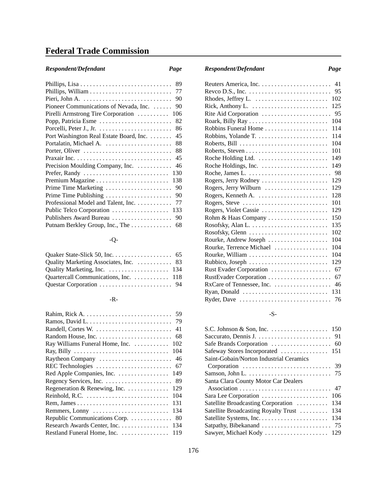# **Federal Trade Commission**

# *Respondent/Defendant Page Respondent/Defendant Page*

| 89                                            |
|-----------------------------------------------|
| 77                                            |
| 90                                            |
| Pioneer Communications of Nevada, Inc.<br>90  |
| Pirelli Armstrong Tire Corporation<br>106     |
| 82                                            |
| 86                                            |
| Port Washington Real Estate Board, Inc.<br>45 |
| Portalatin, Michael A.<br>88                  |
| 88                                            |
| 45                                            |
| Precision Moulding Company, Inc.<br>46        |
| Prefer, Randy<br>130                          |
| 138                                           |
| Prime Time Marketing<br>90                    |
| Prime Time Publishing<br>90                   |
| Professional Model and Talent, Inc.<br>77     |
| Public Telco Corporation<br>133               |
| Publishers Award Bureau<br>90                 |
| Putnam Berkley Group, Inc., The<br>68         |

# -Q-

| Quartercall Communications, Inc. 118 |  |
|--------------------------------------|--|
|                                      |  |

## -R-

| 59                                     |
|----------------------------------------|
| 79                                     |
| Randell, Cortes W.<br>41               |
| 68                                     |
| Ray Williams Funeral Home, Inc.<br>102 |
| 104                                    |
| Raytheon Company<br>46                 |
| REC Technologies<br>67                 |
| Red Apple Companies, Inc.<br>149       |
| 89                                     |
| Regeneration & Renewing, Inc.<br>129   |
| Reinhold, R.C.<br>104                  |
| 131                                    |
| 134<br>Remmers, Lonny                  |
| Republic Communications Corp.<br>80    |
| Research Awards Center, Inc.<br>134    |
| Restland Funeral Home, Inc.<br>119     |

|                                                                          |  |  | 41   |
|--------------------------------------------------------------------------|--|--|------|
| Reveo D.S., Inc. $\dots \dots \dots \dots \dots \dots \dots \dots \dots$ |  |  | 95   |
|                                                                          |  |  | 102  |
| Rick, Anthony L.                                                         |  |  | 125  |
| Rite Aid Corporation                                                     |  |  | - 95 |
| Roark, Billy Ray                                                         |  |  | 104  |
| Robbins Funeral Home                                                     |  |  | 114  |
|                                                                          |  |  | 114  |
|                                                                          |  |  | 104  |
|                                                                          |  |  | 101  |
|                                                                          |  |  | 149  |
|                                                                          |  |  | 149  |
| Roche, James L.                                                          |  |  | 98   |
| Rogers, Jerry Rodney                                                     |  |  | 129  |
| Rogers, Jerry Wilburn                                                    |  |  | 129  |
| Rogers, Kenneth A.                                                       |  |  | 128  |
| Rogers, Steve                                                            |  |  | 101  |
| Rogers, Violet Cassie                                                    |  |  | 129  |
| Rohm & Haas Company                                                      |  |  | 150  |
|                                                                          |  |  | 135  |
| Rosofsky, Glenn                                                          |  |  | 102  |
| Rourke, Andrew Joseph                                                    |  |  | 104  |
| Rourke, Terrence Michael                                                 |  |  | 104  |
|                                                                          |  |  | 104  |
| Rubbico, Joseph                                                          |  |  | 129  |
| Rust Evader Corporation                                                  |  |  | 67   |
| RustEvader Corporation                                                   |  |  | 67   |
| RxCare of Tennessee, Inc.                                                |  |  | 46   |
| Ryan, Donald                                                             |  |  | 131  |
| Ryder, Dave                                                              |  |  | 76   |

## -S-

| Saint-Gobain/Norton Industrial Ceramics     |
|---------------------------------------------|
|                                             |
|                                             |
| Santa Clara County Motor Car Dealers        |
|                                             |
| 106<br>Sara Lee Corporation                 |
| 134<br>Satellite Broadcasting Corporation   |
| 134<br>Satellite Broadcasting Royalty Trust |
| 134                                         |
|                                             |
|                                             |
|                                             |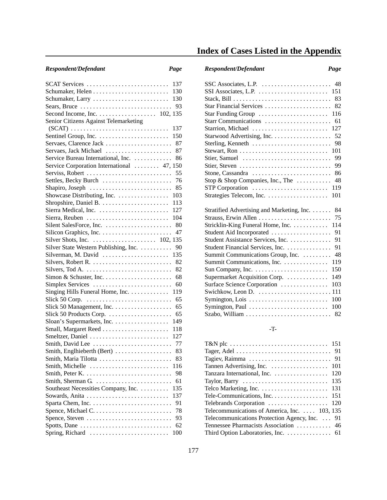| I |
|---|

| SCAT Services                                                             | 137 |
|---------------------------------------------------------------------------|-----|
|                                                                           | 130 |
| Schumaker, Larry                                                          | 130 |
| Sears, Bruce $\ldots \ldots \ldots \ldots \ldots \ldots \ldots \ldots$ 93 |     |
|                                                                           |     |
| Senior Citizens Against Telemarketing                                     |     |
|                                                                           | 137 |
|                                                                           | 150 |
| Servaes, Clarence Jack                                                    | 87  |
| Servaes, Jack Michael                                                     | 87  |
| Service Bureau International, Inc.                                        | 86  |
| Service Corporation International  47, 150                                |     |
|                                                                           |     |
| Serviss, Robert                                                           | 55  |
| Settles, Becky Burch                                                      | 76  |
| Shapiro, Joseph                                                           | 85  |
| Showcase Distributing, Inc.                                               | 103 |
|                                                                           | 113 |
| Sierra Medical, Inc.  127                                                 |     |
| Sierra, Reuben  104                                                       |     |
|                                                                           | 80  |
|                                                                           | 47  |
|                                                                           |     |
| Silver State Western Publishing, Inc.                                     | 90  |
| Silverman, M. David  135                                                  |     |
|                                                                           |     |
| Silvers, Tod A.                                                           | 82  |
|                                                                           | 68  |
| Simplex Services                                                          | 60  |
| Singing Hills Funeral Home, Inc.                                          | 119 |
|                                                                           | 65  |
|                                                                           | 65  |
| Slick 50 Management, Inc.                                                 |     |
| Slick 50 Products Corp.                                                   | 65  |
|                                                                           | 149 |
| Small, Margaret Reed                                                      | 118 |
| Smeltzer, Daniel                                                          | 127 |
|                                                                           |     |
|                                                                           |     |
| Smith, Maria Tilotta                                                      | 83  |
| Smith, Michelle                                                           | 116 |
|                                                                           | 98  |
| Smith, Sherman G.                                                         | 61  |
| Southeast Necessities Company, Inc.                                       | 135 |
| Sowards, Anita                                                            | 137 |
|                                                                           | 91  |
|                                                                           | 78  |
|                                                                           | 93  |
| Spotts, Dane                                                              | 62  |
|                                                                           |     |
| Spring, Richard                                                           | 100 |

# **Index of Cases Listed in the Appendix**

# *Respondent/Defendant Page Respondent/Defendant Page*

| SSC Associates, L.P. $\dots \dots \dots \dots \dots \dots \dots$ 48 |
|---------------------------------------------------------------------|
|                                                                     |
|                                                                     |
| Star Financial Services  82                                         |
| Star Funding Group<br>116                                           |
| Starr Communications<br>61                                          |
| Starrion, Michael<br>127                                            |
| Starwood Advertising, Inc.<br>52                                    |
| Sterling, Kenneth<br>98                                             |
| 101                                                                 |
| Stier, Samuel<br>99                                                 |
| Stier, Steven<br>99                                                 |
| Stone, Cassandra<br>86                                              |
| Stop & Shop Companies, Inc., The<br>48                              |
| STP Corporation<br>119                                              |
| 101                                                                 |
|                                                                     |
| Stratified Advertising and Marketing, Inc.<br>84                    |
| 75                                                                  |
| Stricklin-King Funeral Home, Inc.<br>114                            |
| Student Aid Incorporated<br>91                                      |
| Student Assistance Services, Inc.<br>91                             |
| Student Financial Services, Inc.<br>91                              |
| 48<br>Summit Communications Group, Inc.                             |
| Summit Communications, Inc.<br>119                                  |
| 150                                                                 |
| Supermarket Acquisition Corp.<br>149                                |
| Surface Science Corporation<br>103                                  |
|                                                                     |
| Symington, Lois<br>100                                              |
| 100<br>Symington, Paul                                              |
| Szabo, William<br>82                                                |

### -T-

| 101                                                                |
|--------------------------------------------------------------------|
| 120                                                                |
| 135<br>Taylor, Barry                                               |
| 131<br>Telco Marketing, Inc. $\dots \dots \dots \dots \dots \dots$ |
|                                                                    |
|                                                                    |
| Telecommunications of America, Inc.  103, 135                      |
| Telecommunications Protection Agency, Inc.  91                     |
|                                                                    |
| Third Option Laboratories, Inc. 61                                 |
|                                                                    |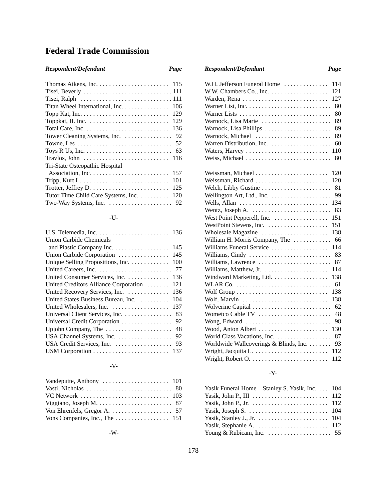# **Federal Trade Commission**

| Respondent/Defendant |  |
|----------------------|--|
|----------------------|--|

| Titan Wheel International, Inc.<br>106                                          |
|---------------------------------------------------------------------------------|
| 129                                                                             |
| Toppkat, II. Inc. $\dots \dots \dots \dots \dots \dots \dots \dots$<br>129      |
| Total Care, Inc. $\dots \dots \dots \dots \dots \dots \dots \dots \dots$<br>136 |
| Tower Cleaning Systems, Inc.<br>92                                              |
| 52                                                                              |
| Toys R Us, Inc. $\dots \dots \dots \dots \dots \dots \dots \dots \dots$<br>63   |
| Travlos, John $\dots\dots\dots\dots\dots\dots\dots\dots\dots\dots$<br>116       |
| Tri-State Osteopathic Hospital                                                  |
| 157                                                                             |
| 101                                                                             |
| 125                                                                             |
| Tutor Time Child Care Systems, Inc.<br>120                                      |
| Two-Way Systems, Inc. $\dots \dots \dots \dots \dots \dots$ 92                  |

## -U-

| Union Carbide Chemicals               |     |
|---------------------------------------|-----|
| and Plastic Company Inc.              | 145 |
| Union Carbide Corporation             | 145 |
| Unique Selling Propositions, Inc.     | 100 |
|                                       | 77  |
| United Consumer Services, Inc.        | 136 |
| United Creditors Alliance Corporation | 121 |
| United Recovery Services, Inc.        | 136 |
| United States Business Bureau, Inc.   | 104 |
|                                       | 137 |
| Universal Client Services, Inc.       | 83  |
| Universal Credit Corporation          | 92  |
| Upjohn Company, The                   | 48  |
| USA Channel Systems, Inc.             | 92  |
|                                       | 93  |
|                                       |     |

## -V-

# *Respondent/Defendant Page Respondent/Defendant Page*

| W.H. Jefferson Funeral Home<br>114                                          |
|-----------------------------------------------------------------------------|
| W.W. Chambers Co., Inc. $\dots \dots \dots \dots \dots$<br>121              |
| 127<br>Warden, Rena                                                         |
| 80                                                                          |
| Warner Lists<br>80                                                          |
| Warnock, Lisa Marie<br>89                                                   |
| Warnock, Lisa Phillips<br>89                                                |
| Warnock, Michael<br>89                                                      |
| 60                                                                          |
| Waters, Harvey<br>110                                                       |
| Weiss, Michael<br>80                                                        |
| 120<br>Weissman, Michael                                                    |
| Weissman, Richard<br>120                                                    |
| Welch, Libby Gustine<br>81                                                  |
| Wellington Art, Ltd., Inc. $\dots \dots \dots \dots \dots$<br>99            |
| Wells, Allan $\dots \dots \dots \dots \dots \dots \dots \dots \dots$<br>134 |
| Wentz, Joseph A. $\dots \dots \dots \dots \dots \dots \dots \dots$<br>83    |
| 151<br>West Point Pepperell, Inc.                                           |
| 151<br>WestPoint Stevens, Inc.                                              |
| Wholesale Magazine $\dots \dots \dots \dots \dots \dots$<br>138             |
| William H. Morris Company, The $\dots\dots\dots$<br>66                      |
| Williams Funeral Service<br>114                                             |
| Williams, Cindy<br>83                                                       |
| 87<br>Williams, Lawrence                                                    |
| 114                                                                         |
| Windward Marketing, Ltd.<br>138                                             |
| 61                                                                          |
| 138                                                                         |
| Wolf, Marvin<br>138                                                         |
| 62<br>Wolverine Capital                                                     |
| 48<br>Wometco Cable TV                                                      |
| Wong, Edward<br>98                                                          |
| Wood, Anton Albert<br>130                                                   |
| 87                                                                          |
| Worldwide Wallcoverings & Blinds, Inc.<br>93                                |
| Wright, Jacquita L.<br>112                                                  |
| 112                                                                         |

## -Y-

| Yasik Funeral Home – Stanley S. Yasik, Inc. 104                      |  |
|----------------------------------------------------------------------|--|
|                                                                      |  |
|                                                                      |  |
|                                                                      |  |
|                                                                      |  |
|                                                                      |  |
| Young & Rubicam, Inc. $\ldots \ldots \ldots \ldots \ldots \ldots$ 55 |  |